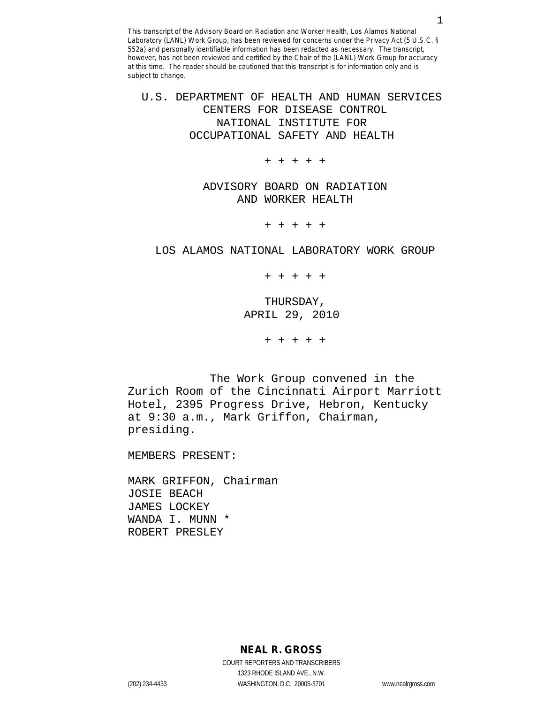U.S. DEPARTMENT OF HEALTH AND HUMAN SERVICES CENTERS FOR DISEASE CONTROL NATIONAL INSTITUTE FOR OCCUPATIONAL SAFETY AND HEALTH

+ + + + +

 ADVISORY BOARD ON RADIATION AND WORKER HEALTH

+ + + + +

LOS ALAMOS NATIONAL LABORATORY WORK GROUP

+ + + + +

 THURSDAY, APRIL 29, 2010

+ + + + +

 The Work Group convened in the Zurich Room of the Cincinnati Airport Marriott Hotel, 2395 Progress Drive, Hebron, Kentucky at 9:30 a.m., Mark Griffon, Chairman, presiding.

MEMBERS PRESENT:

MARK GRIFFON, Chairman JOSIE BEACH JAMES LOCKEY WANDA I. MUNN \* ROBERT PRESLEY

**NEAL R. GROSS**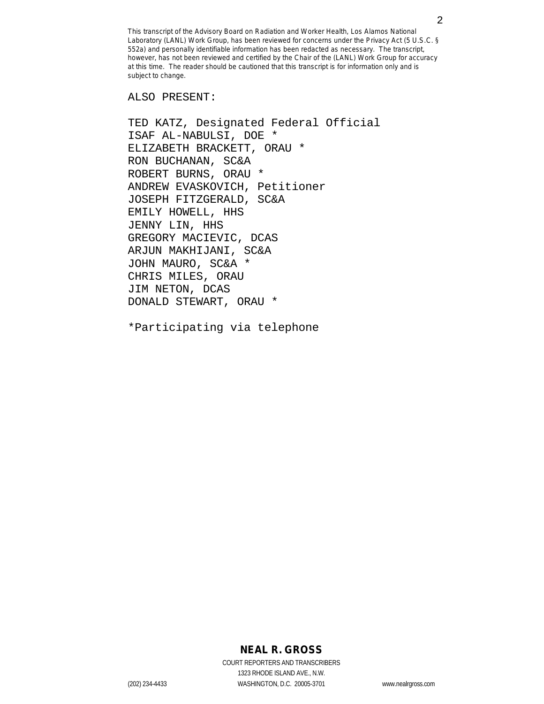ALSO PRESENT:

TED KATZ, Designated Federal Official ISAF AL-NABULSI, DOE \* ELIZABETH BRACKETT, ORAU \* RON BUCHANAN, SC&A ROBERT BURNS, ORAU \* ANDREW EVASKOVICH, Petitioner JOSEPH FITZGERALD, SC&A EMILY HOWELL, HHS JENNY LIN, HHS GREGORY MACIEVIC, DCAS ARJUN MAKHIJANI, SC&A JOHN MAURO, SC&A \* CHRIS MILES, ORAU JIM NETON, DCAS DONALD STEWART, ORAU \*

\*Participating via telephone

# **NEAL R. GROSS**

COURT REPORTERS AND TRANSCRIBERS 1323 RHODE ISLAND AVE., N.W. (202) 234-4433 WASHINGTON, D.C. 20005-3701 www.nealrgross.com

2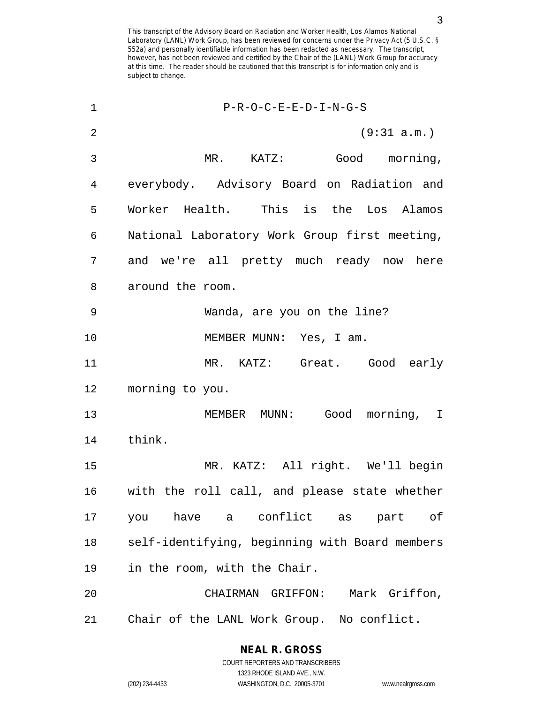| 1              | $P-R-O-C-E-E-D-I-N-G-S$                        |
|----------------|------------------------------------------------|
| $\overline{2}$ | (9:31 a.m.)                                    |
| 3              | MR. KATZ: Good morning,                        |
| 4              | everybody. Advisory Board on Radiation and     |
| 5              | Worker Health. This is the Los Alamos          |
| 6              | National Laboratory Work Group first meeting,  |
| 7              | and we're all pretty much ready now here       |
| 8              | around the room.                               |
| 9              | Wanda, are you on the line?                    |
| 10             | MEMBER MUNN: Yes, I am.                        |
| 11             | MR. KATZ: Great. Good early                    |
| 12             | morning to you.                                |
| 13             | MEMBER MUNN: Good morning, I                   |
| 14             | think.                                         |
| 15             | MR. KATZ: All right. We'll begin               |
| 16             | with the roll call, and please state whether   |
| 17             | you have a conflict as part of                 |
| 18             | self-identifying, beginning with Board members |
| 19             | in the room, with the Chair.                   |
| 20             | CHAIRMAN GRIFFON: Mark Griffon,                |
| 21             | Chair of the LANL Work Group. No conflict.     |

**NEAL R. GROSS** COURT REPORTERS AND TRANSCRIBERS

1323 RHODE ISLAND AVE., N.W.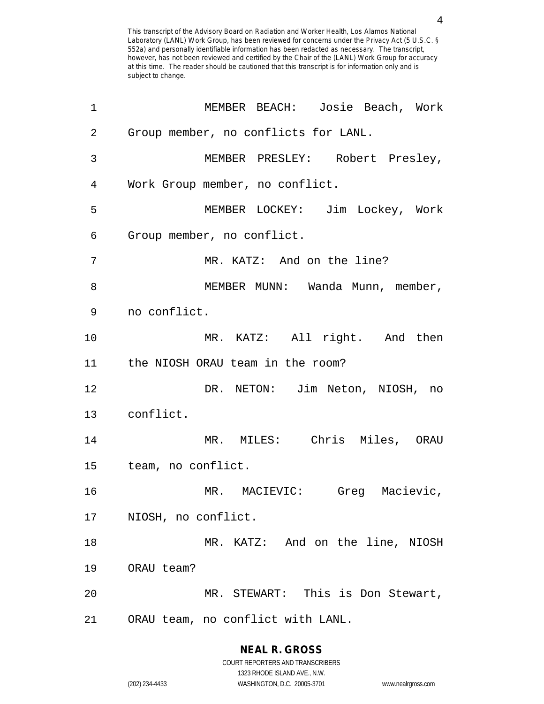| 1              | MEMBER BEACH: Josie Beach, Work      |
|----------------|--------------------------------------|
| $\overline{2}$ | Group member, no conflicts for LANL. |
| 3              | MEMBER PRESLEY: Robert Presley,      |
| 4              | Work Group member, no conflict.      |
| 5              | MEMBER LOCKEY: Jim Lockey, Work      |
| 6              | Group member, no conflict.           |
| 7              | MR. KATZ: And on the line?           |
| 8              | MEMBER MUNN: Wanda Munn, member,     |
| 9              | no conflict.                         |
| 10             | MR. KATZ: All right. And then        |
| 11             | the NIOSH ORAU team in the room?     |
| 12             | DR. NETON: Jim Neton, NIOSH, no      |
|                | 13 conflict.                         |
| 14             | MR. MILES: Chris Miles, ORAU         |
|                | 15 team, no conflict.                |
| 16             | MR. MACIEVIC: Greg Macievic,         |
| 17             | NIOSH, no conflict.                  |
| 18             | MR. KATZ: And on the line, NIOSH     |
| 19             | ORAU team?                           |
| 20             | MR. STEWART: This is Don Stewart,    |
| 21             | ORAU team, no conflict with LANL.    |

## **NEAL R. GROSS**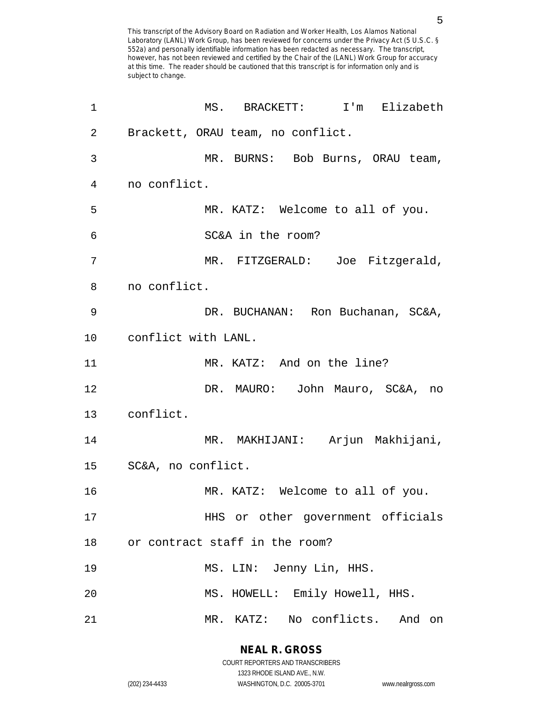| 1               | MS.<br>BRACKETT:       I'm<br>Elizabeth |
|-----------------|-----------------------------------------|
| $\overline{2}$  | Brackett, ORAU team, no conflict.       |
| 3               | MR. BURNS: Bob Burns, ORAU team,        |
| 4               | no conflict.                            |
| 5               | MR. KATZ: Welcome to all of you.        |
| 6               | SC&A in the room?                       |
| 7               | MR. FITZGERALD: Joe Fitzgerald,         |
| 8               | no conflict.                            |
| 9               | DR. BUCHANAN: Ron Buchanan, SC&A,       |
| 10 <sub>1</sub> | conflict with LANL.                     |
| 11              | MR. KATZ: And on the line?              |
| 12              | DR. MAURO: John Mauro, SC&A, no         |
| 13              | conflict.                               |
| 14              | MR. MAKHIJANI: Arjun Makhijani,         |
|                 | 15 SC&A, no conflict.                   |
| 16              | MR. KATZ: Welcome to all of you.        |
| 17              | HHS or other government officials       |
| 18              | or contract staff in the room?          |
| 19              | MS. LIN: Jenny Lin, HHS.                |
| 20              | MS. HOWELL: Emily Howell, HHS.          |
| 21              | No conflicts. And on<br>MR. KATZ:       |

**NEAL R. GROSS** COURT REPORTERS AND TRANSCRIBERS

1323 RHODE ISLAND AVE., N.W.

(202) 234-4433 WASHINGTON, D.C. 20005-3701 www.nealrgross.com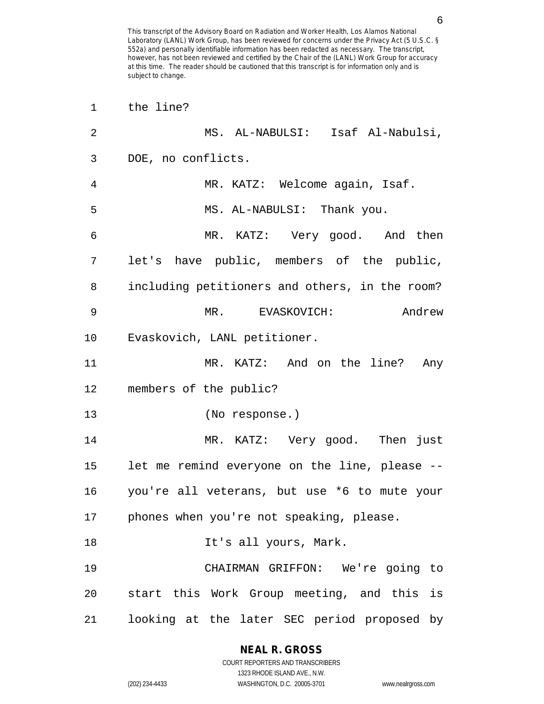| 2  | MS. AL-NABULSI: Isaf Al-Nabulsi,               |
|----|------------------------------------------------|
| 3  | DOE, no conflicts.                             |
| 4  | MR. KATZ: Welcome again, Isaf.                 |
| 5  | MS. AL-NABULSI: Thank you.                     |
| 6  | MR. KATZ: Very good. And then                  |
| 7  | let's have public, members of the public,      |
| 8  | including petitioners and others, in the room? |
| 9  | Andrew<br>MR. EVASKOVICH:                      |
| 10 | Evaskovich, LANL petitioner.                   |
| 11 | MR. KATZ: And on the line? Any                 |
| 12 | members of the public?                         |
| 13 | (No response.)                                 |
| 14 | MR. KATZ: Very good. Then just                 |
| 15 | let me remind everyone on the line, please --  |
| 16 | you're all veterans, but use *6 to mute your   |
| 17 | phones when you're not speaking, please.       |
| 18 | It's all yours, Mark.                          |
| 19 | CHAIRMAN GRIFFON: We're going to               |
| 20 | start this Work Group meeting, and this is     |
| 21 | looking at the later SEC period proposed by    |

**NEAL R. GROSS** COURT REPORTERS AND TRANSCRIBERS

1 the line?

1323 RHODE ISLAND AVE., N.W. (202) 234-4433 WASHINGTON, D.C. 20005-3701 www.nealrgross.com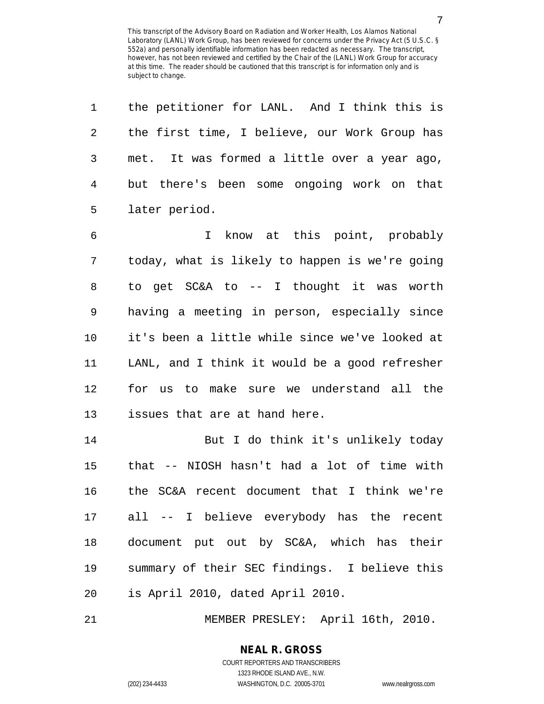1 the petitioner for LANL. And I think this is 2 the first time, I believe, our Work Group has 3 met. It was formed a little over a year ago, 4 but there's been some ongoing work on that 5 later period. 6 I know at this point, probably 7 today, what is likely to happen is we're going 8 to get SC&A to -- I thought it was worth 9 having a meeting in person, especially since 10 it's been a little while since we've looked at 11 LANL, and I think it would be a good refresher 12 for us to make sure we understand all the 13 issues that are at hand here. 14 But I do think it's unlikely today 15 that -- NIOSH hasn't had a lot of time with 16 the SC&A recent document that I think we're 17 all -- I believe everybody has the recent 18 document put out by SC&A, which has their 19 summary of their SEC findings. I believe this 20 is April 2010, dated April 2010.

21 MEMBER PRESLEY: April 16th, 2010.

**NEAL R. GROSS** COURT REPORTERS AND TRANSCRIBERS

1323 RHODE ISLAND AVE., N.W.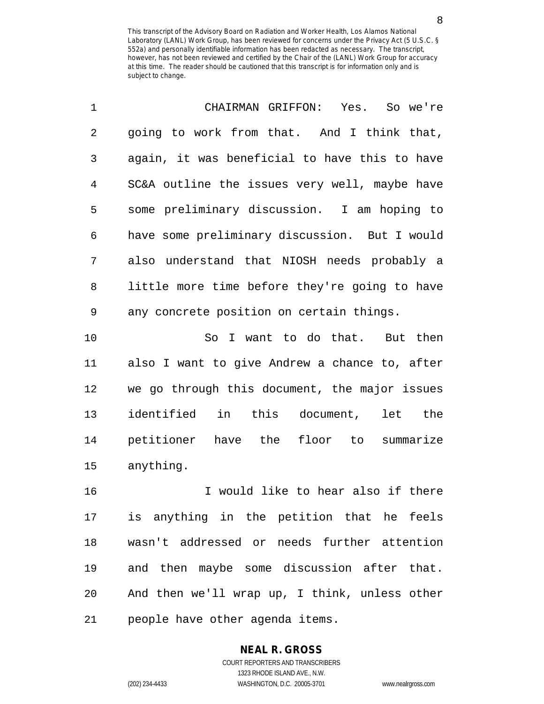| $\mathbf 1$ | CHAIRMAN GRIFFON: Yes.<br>So we're            |
|-------------|-----------------------------------------------|
| 2           | going to work from that. And I think that,    |
| 3           | again, it was beneficial to have this to have |
| 4           | SC&A outline the issues very well, maybe have |
| 5           | some preliminary discussion. I am hoping to   |
| 6           | have some preliminary discussion. But I would |
| 7           | also understand that NIOSH needs probably a   |
| 8           | little more time before they're going to have |
| 9           | any concrete position on certain things.      |
| 10          | So I want to do that. But then                |
| 11          | also I want to give Andrew a chance to, after |
| 12          | we go through this document, the major issues |
| 13          | identified in this document, let the          |
| 14          | petitioner have the floor to<br>summarize     |
| 15          | anything.                                     |
| 16          | I would like to hear also if there            |
| 17          | is anything in the petition that he feels     |
| 18          | wasn't addressed or needs further attention   |
| 19          | and then maybe some discussion after that.    |
| 20          | And then we'll wrap up, I think, unless other |

21 people have other agenda items.

# **NEAL R. GROSS**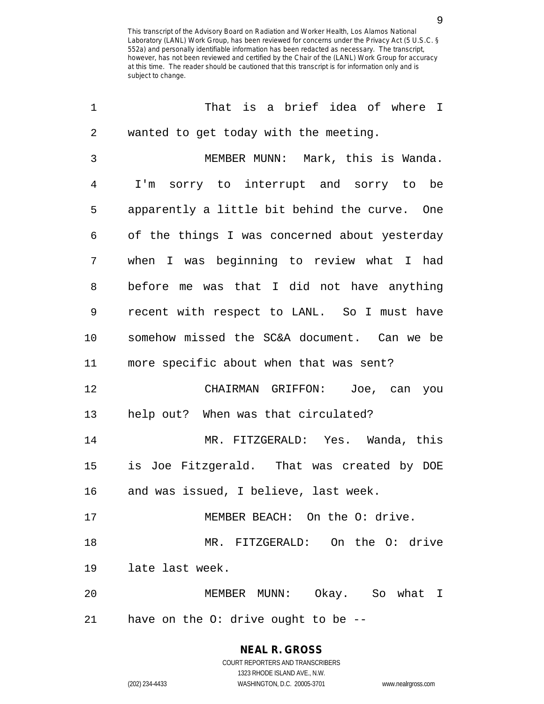| 1  | That is a brief idea of where I               |
|----|-----------------------------------------------|
| 2  | wanted to get today with the meeting.         |
| 3  | MEMBER MUNN: Mark, this is Wanda.             |
| 4  | I'm sorry to interrupt and sorry to be        |
| 5  | apparently a little bit behind the curve. One |
| 6  | of the things I was concerned about yesterday |
| 7  | when I was beginning to review what I had     |
| 8  | before me was that I did not have anything    |
| 9  | recent with respect to LANL. So I must have   |
| 10 | somehow missed the SC&A document. Can we be   |
| 11 | more specific about when that was sent?       |
| 12 | CHAIRMAN GRIFFON: Joe, can you                |
| 13 | help out? When was that circulated?           |
| 14 | MR. FITZGERALD: Yes. Wanda, this              |
| 15 | is Joe Fitzgerald. That was created by DOE    |
| 16 | and was issued, I believe, last week.         |
| 17 | MEMBER BEACH: On the O: drive.                |
| 18 | MR. FITZGERALD: On the O: drive               |
| 19 | late last week.                               |
| 20 | MEMBER MUNN: Okay. So what I                  |
| 21 | have on the O: drive ought to be --           |

# **NEAL R. GROSS**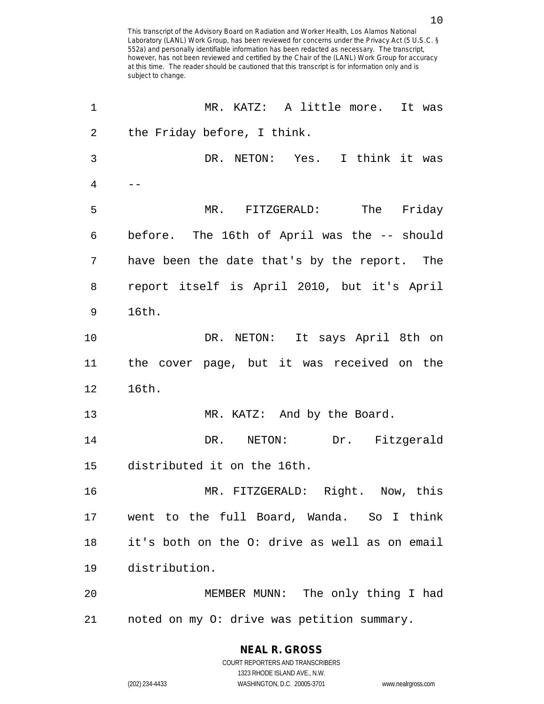1 MR. KATZ: A little more. It was 2 the Friday before, I think. 3 DR. NETON: Yes. I think it was  $4 \qquad --$ 5 MR. FITZGERALD: The Friday 6 before. The 16th of April was the -- should 7 have been the date that's by the report. The 8 report itself is April 2010, but it's April 9 16th. 10 DR. NETON: It says April 8th on 11 the cover page, but it was received on the 12 16th. 13 MR. KATZ: And by the Board. 14 DR. NETON: Dr. Fitzgerald 15 distributed it on the 16th. 16 MR. FITZGERALD: Right. Now, this 17 went to the full Board, Wanda. So I think 18 it's both on the O: drive as well as on email 19 distribution. 20 MEMBER MUNN: The only thing I had 21 noted on my O: drive was petition summary.

> **NEAL R. GROSS** COURT REPORTERS AND TRANSCRIBERS

> > 1323 RHODE ISLAND AVE., N.W.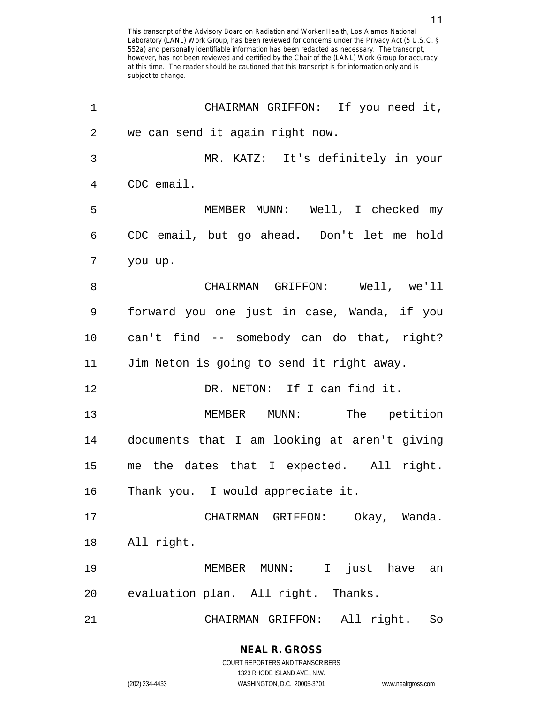| 1              | CHAIRMAN GRIFFON: If you need it,            |
|----------------|----------------------------------------------|
| $\overline{2}$ | we can send it again right now.              |
| 3              | MR. KATZ: It's definitely in your            |
| 4              | CDC email.                                   |
| 5              | MEMBER MUNN: Well, I checked my              |
| 6              | CDC email, but go ahead. Don't let me hold   |
| 7              | you up.                                      |
| 8              | CHAIRMAN GRIFFON: Well, we'll                |
| 9              | forward you one just in case, Wanda, if you  |
| 10             | can't find -- somebody can do that, right?   |
| 11             | Jim Neton is going to send it right away.    |
| 12             | DR. NETON: If I can find it.                 |
| 13             | MEMBER MUNN: The petition                    |
| 14             | documents that I am looking at aren't giving |
| 15             | me the dates that I expected. All right.     |
| 16             | Thank you. I would appreciate it.            |
| 17             | CHAIRMAN GRIFFON: Okay, Wanda.               |
| 18             | All right.                                   |
| 19             | just have<br>MEMBER MUNN: I<br>an            |
| 20             | evaluation plan. All right. Thanks.          |
| 21             | All right.<br>CHAIRMAN GRIFFON:<br>So        |

1323 RHODE ISLAND AVE., N.W.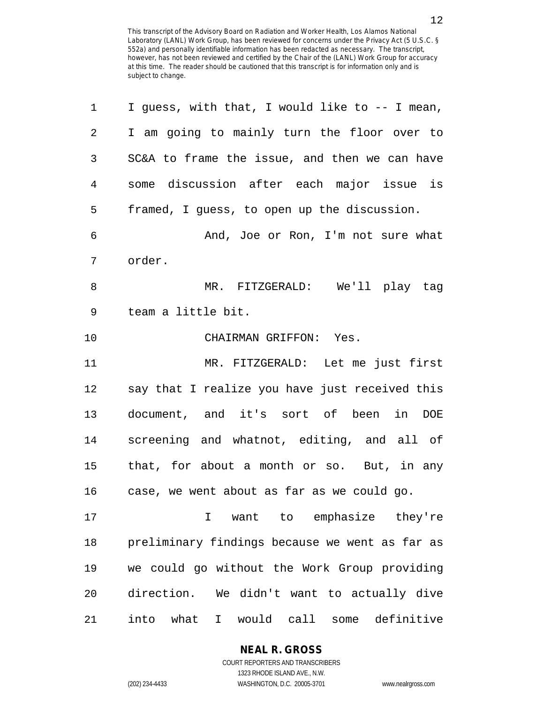| 1  | I guess, with that, I would like to -- I mean, |
|----|------------------------------------------------|
| 2  | I am going to mainly turn the floor over to    |
| 3  | SC&A to frame the issue, and then we can have  |
| 4  | some discussion after each major issue is      |
| 5  | framed, I guess, to open up the discussion.    |
| 6  | And, Joe or Ron, I'm not sure what             |
| 7  | order.                                         |
| 8  | MR. FITZGERALD: We'll play tag                 |
| 9  | team a little bit.                             |
| 10 | CHAIRMAN GRIFFON: Yes.                         |
| 11 | MR. FITZGERALD: Let me just first              |
| 12 | say that I realize you have just received this |
| 13 | document, and it's sort of been in DOE         |
| 14 | screening and whatnot, editing, and all of     |
| 15 | that, for about a month or so. But, in any     |
| 16 | case, we went about as far as we could go.     |
| 17 | want to emphasize they're<br>I                 |
| 18 | preliminary findings because we went as far as |
| 19 | we could go without the Work Group providing   |
| 20 | direction. We didn't want to actually dive     |
| 21 | into what I would call<br>some definitive      |

**NEAL R. GROSS** COURT REPORTERS AND TRANSCRIBERS

1323 RHODE ISLAND AVE., N.W. (202) 234-4433 WASHINGTON, D.C. 20005-3701 www.nealrgross.com

12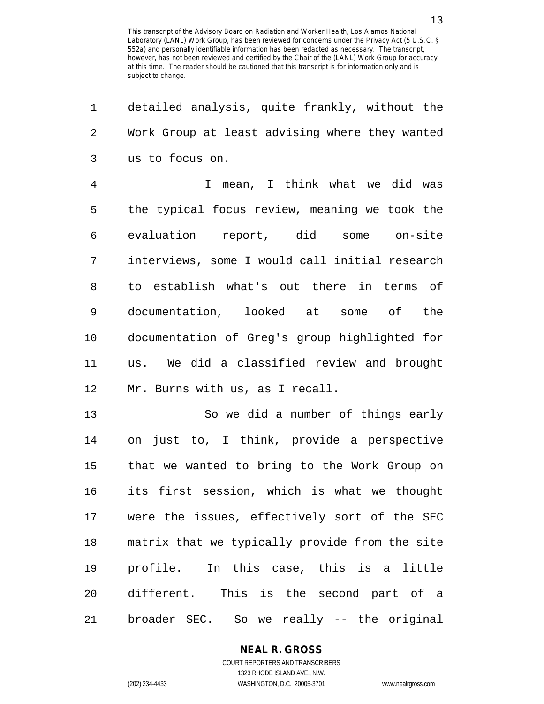1 detailed analysis, quite frankly, without the 2 Work Group at least advising where they wanted 3 us to focus on.

4 I mean, I think what we did was 5 the typical focus review, meaning we took the 6 evaluation report, did some on-site 7 interviews, some I would call initial research 8 to establish what's out there in terms of 9 documentation, looked at some of the 10 documentation of Greg's group highlighted for 11 us. We did a classified review and brought 12 Mr. Burns with us, as I recall.

13 So we did a number of things early 14 on just to, I think, provide a perspective 15 that we wanted to bring to the Work Group on 16 its first session, which is what we thought 17 were the issues, effectively sort of the SEC 18 matrix that we typically provide from the site 19 profile. In this case, this is a little 20 different. This is the second part of a 21 broader SEC. So we really -- the original

## **NEAL R. GROSS**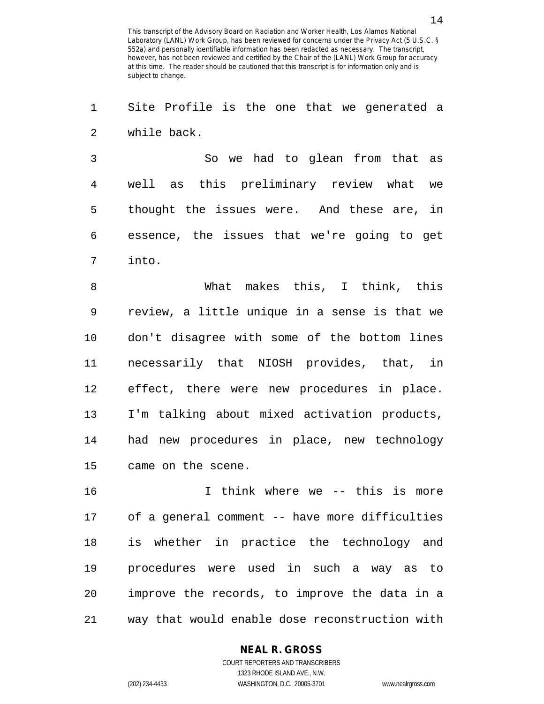1 Site Profile is the one that we generated a 2 while back.

3 So we had to glean from that as 4 well as this preliminary review what we 5 thought the issues were. And these are, in 6 essence, the issues that we're going to get 7 into.

8 What makes this, I think, this 9 review, a little unique in a sense is that we 10 don't disagree with some of the bottom lines 11 necessarily that NIOSH provides, that, in 12 effect, there were new procedures in place. 13 I'm talking about mixed activation products, 14 had new procedures in place, new technology 15 came on the scene.

16 I think where we -- this is more 17 of a general comment -- have more difficulties 18 is whether in practice the technology and 19 procedures were used in such a way as to 20 improve the records, to improve the data in a 21 way that would enable dose reconstruction with

#### **NEAL R. GROSS** COURT REPORTERS AND TRANSCRIBERS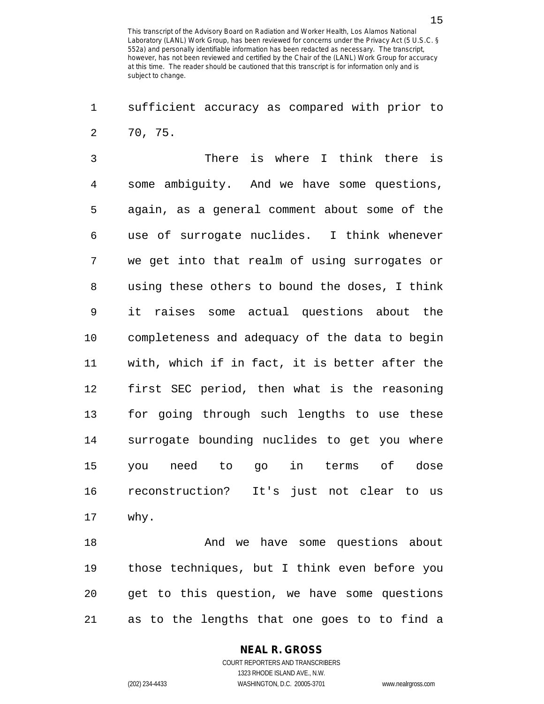1 sufficient accuracy as compared with prior to 2 70, 75.

3 There is where I think there is 4 some ambiguity. And we have some questions, 5 again, as a general comment about some of the 6 use of surrogate nuclides. I think whenever 7 we get into that realm of using surrogates or 8 using these others to bound the doses, I think 9 it raises some actual questions about the 10 completeness and adequacy of the data to begin 11 with, which if in fact, it is better after the 12 first SEC period, then what is the reasoning 13 for going through such lengths to use these 14 surrogate bounding nuclides to get you where 15 you need to go in terms of dose 16 reconstruction? It's just not clear to us 17 why.

18 And we have some questions about 19 those techniques, but I think even before you 20 get to this question, we have some questions 21 as to the lengths that one goes to to find a

#### **NEAL R. GROSS**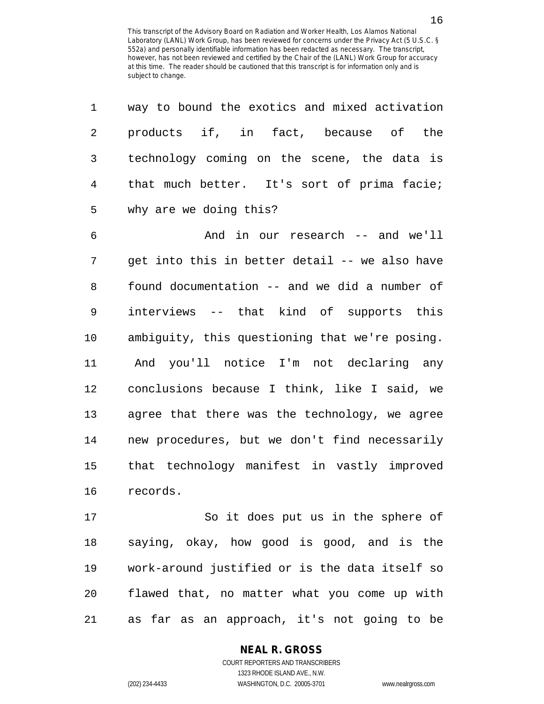| way to bound the exotics and mixed activation  |
|------------------------------------------------|
| products if, in fact, because of the           |
| technology coming on the scene, the data is    |
| that much better. It's sort of prima facie;    |
| why are we doing this?                         |
| And in our research -- and we'll               |
| get into this in better detail -- we also have |
| found documentation -- and we did a number of  |
| interviews -- that kind of supports this       |
| ambiguity, this questioning that we're posing. |
| And you'll notice I'm not declaring any        |
| conclusions because I think, like I said, we   |
| agree that there was the technology, we agree  |
| new procedures, but we don't find necessarily  |
| that technology manifest in vastly improved    |
| records.                                       |
| So it does put us in the sphere of             |
| saying, okay, how good is good, and is the     |
| work-around justified or is the data itself so |
| flawed that, no matter what you come up with   |
|                                                |

21 as far as an approach, it's not going to be

## **NEAL R. GROSS**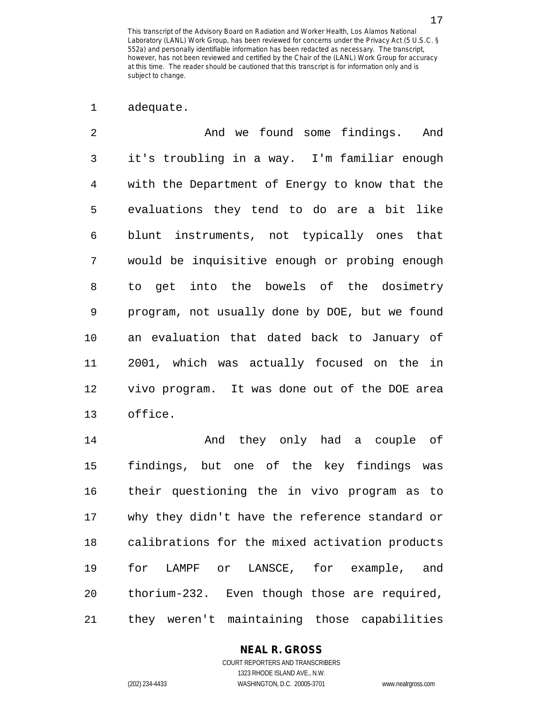1 adequate.

2 And we found some findings. And 3 it's troubling in a way. I'm familiar enough 4 with the Department of Energy to know that the 5 evaluations they tend to do are a bit like 6 blunt instruments, not typically ones that 7 would be inquisitive enough or probing enough 8 to get into the bowels of the dosimetry 9 program, not usually done by DOE, but we found 10 an evaluation that dated back to January of 11 2001, which was actually focused on the in 12 vivo program. It was done out of the DOE area 13 office.

14 And they only had a couple of 15 findings, but one of the key findings was 16 their questioning the in vivo program as to 17 why they didn't have the reference standard or 18 calibrations for the mixed activation products 19 for LAMPF or LANSCE, for example, and 20 thorium-232. Even though those are required, 21 they weren't maintaining those capabilities

## **NEAL R. GROSS**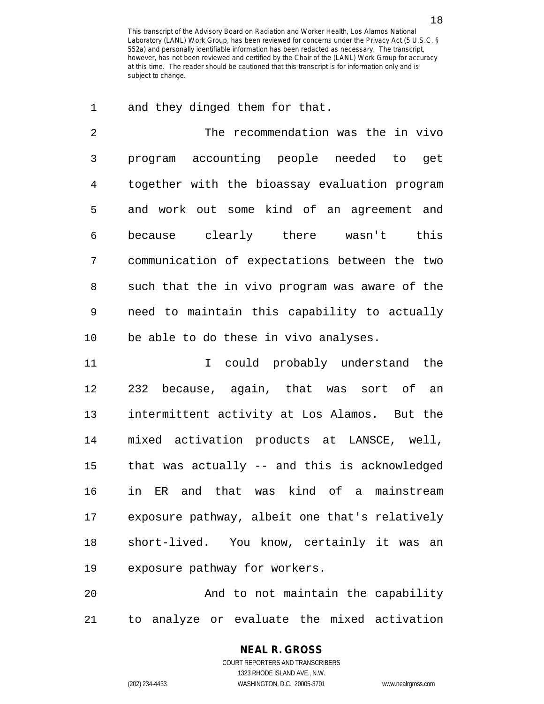1 and they dinged them for that.

2 The recommendation was the in vivo 3 program accounting people needed to get 4 together with the bioassay evaluation program 5 and work out some kind of an agreement and 6 because clearly there wasn't this 7 communication of expectations between the two 8 such that the in vivo program was aware of the 9 need to maintain this capability to actually 10 be able to do these in vivo analyses.

11 I could probably understand the 12 232 because, again, that was sort of an 13 intermittent activity at Los Alamos. But the 14 mixed activation products at LANSCE, well, 15 that was actually -- and this is acknowledged 16 in ER and that was kind of a mainstream 17 exposure pathway, albeit one that's relatively 18 short-lived. You know, certainly it was an 19 exposure pathway for workers.

20 And to not maintain the capability 21 to analyze or evaluate the mixed activation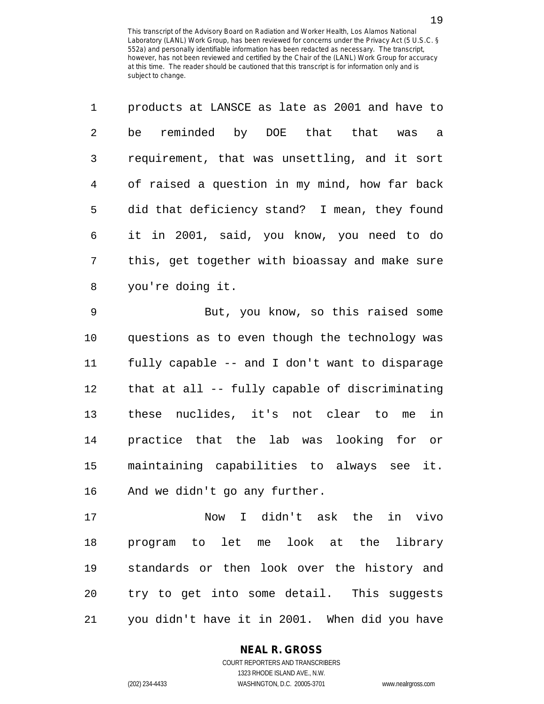| 1           | products at LANSCE as late as 2001 and have to |
|-------------|------------------------------------------------|
| $2^{\circ}$ | be reminded by DOE that that<br>was a          |
| 3           | requirement, that was unsettling, and it sort  |
| 4           | of raised a question in my mind, how far back  |
| 5           | did that deficiency stand? I mean, they found  |
| 6           | it in 2001, said, you know, you need to do     |
| 7           | this, get together with bioassay and make sure |
| 8           | you're doing it.                               |

9 But, you know, so this raised some 10 questions as to even though the technology was 11 fully capable -- and I don't want to disparage 12 that at all -- fully capable of discriminating 13 these nuclides, it's not clear to me in 14 practice that the lab was looking for or 15 maintaining capabilities to always see it. 16 And we didn't go any further.

17 Now I didn't ask the in vivo 18 program to let me look at the library 19 standards or then look over the history and 20 try to get into some detail. This suggests 21 you didn't have it in 2001. When did you have

## **NEAL R. GROSS**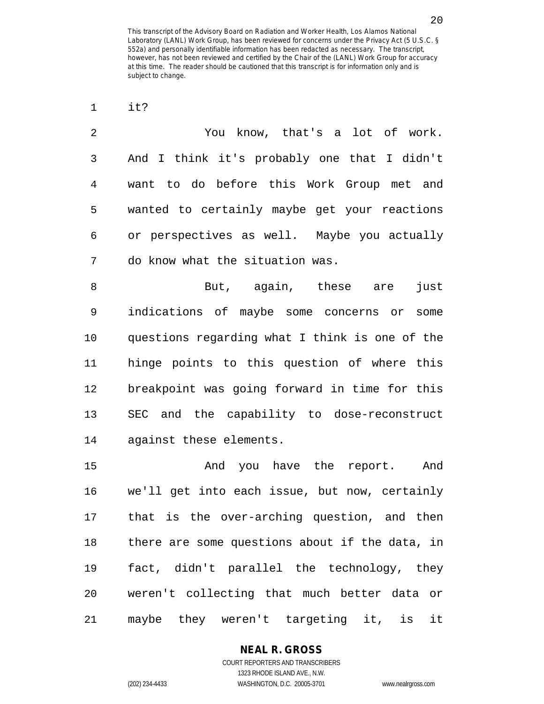1 it?

2 You know, that's a lot of work. 3 And I think it's probably one that I didn't 4 want to do before this Work Group met and 5 wanted to certainly maybe get your reactions 6 or perspectives as well. Maybe you actually 7 do know what the situation was.

8 But, again, these are just 9 indications of maybe some concerns or some 10 questions regarding what I think is one of the 11 hinge points to this question of where this 12 breakpoint was going forward in time for this 13 SEC and the capability to dose-reconstruct 14 against these elements.

15 And you have the report. And 16 we'll get into each issue, but now, certainly 17 that is the over-arching question, and then 18 there are some questions about if the data, in 19 fact, didn't parallel the technology, they 20 weren't collecting that much better data or 21 maybe they weren't targeting it, is it

## **NEAL R. GROSS**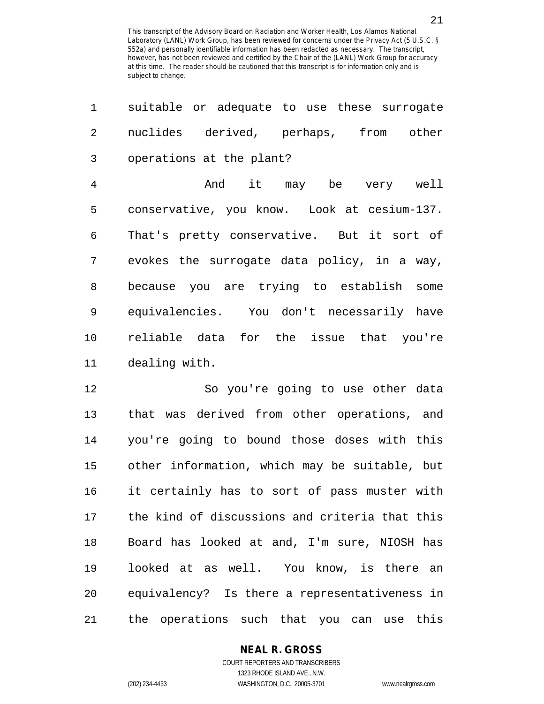| 1              | suitable or adequate to use these surrogate                                          |
|----------------|--------------------------------------------------------------------------------------|
| $\overline{2}$ | nuclides derived, perhaps, from other                                                |
| $\mathsf{3}$   | operations at the plant?                                                             |
| $\overline{4}$ | And it may be very well                                                              |
| 5              | conservative, you know. Look at cesium-137.                                          |
| 6              | That's pretty conservative. But it sort of                                           |
| 7              | evokes the surrogate data policy, in a way,                                          |
| 8              | because you are trying to establish some                                             |
| 9              | equivalencies. You don't necessarily have                                            |
| 10             | reliable data for the issue that you're                                              |
| 11             | dealing with.                                                                        |
| 12             | So you're going to use other data                                                    |
| 1 n            | المتعاد المتحدث والمستحدث والمتحدث والمستحدث والمستحدث والمستحدث والمستحدث والمستحدث |

13 that was derived from other operations, and 14 you're going to bound those doses with this 15 other information, which may be suitable, but 16 it certainly has to sort of pass muster with 17 the kind of discussions and criteria that this 18 Board has looked at and, I'm sure, NIOSH has 19 looked at as well. You know, is there an 20 equivalency? Is there a representativeness in 21 the operations such that you can use this

## **NEAL R. GROSS**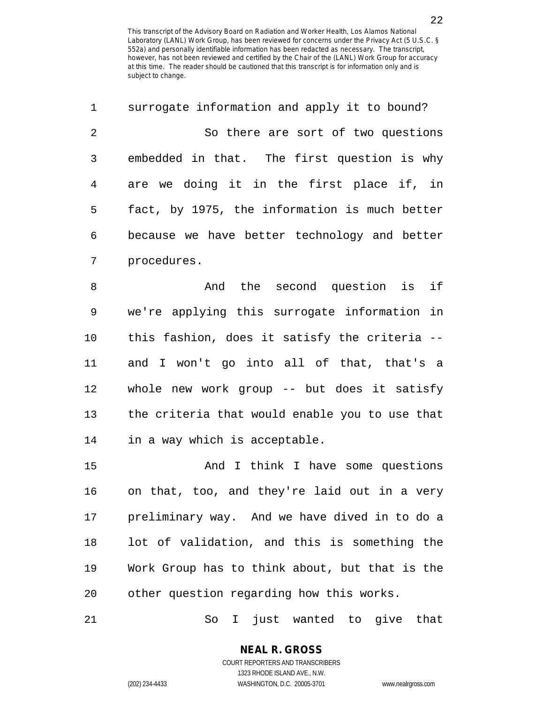1 surrogate information and apply it to bound? 2 So there are sort of two questions 3 embedded in that. The first question is why 4 are we doing it in the first place if, in 5 fact, by 1975, the information is much better 6 because we have better technology and better 7 procedures.

8 And the second question is if 9 we're applying this surrogate information in 10 this fashion, does it satisfy the criteria -- 11 and I won't go into all of that, that's a 12 whole new work group -- but does it satisfy 13 the criteria that would enable you to use that 14 in a way which is acceptable.

15 And I think I have some questions 16 on that, too, and they're laid out in a very 17 preliminary way. And we have dived in to do a 18 lot of validation, and this is something the 19 Work Group has to think about, but that is the 20 other question regarding how this works.

21 So I just wanted to give that

**NEAL R. GROSS** COURT REPORTERS AND TRANSCRIBERS

1323 RHODE ISLAND AVE., N.W.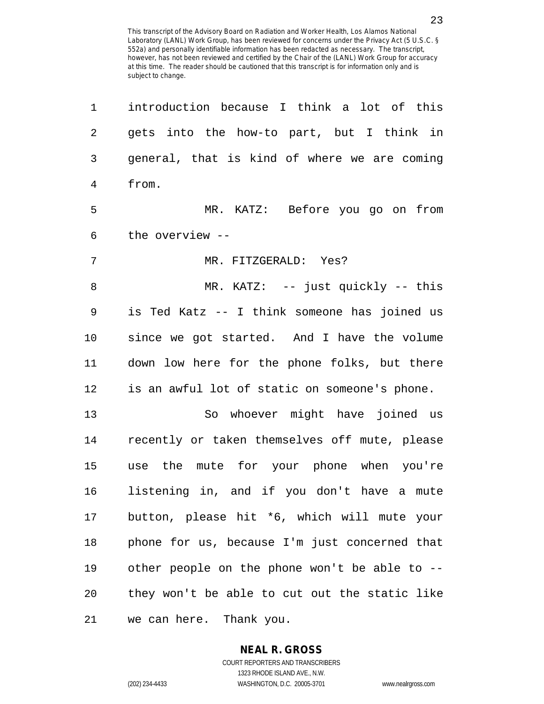1 introduction because I think a lot of this 2 gets into the how-to part, but I think in 3 general, that is kind of where we are coming 4 from. 5 MR. KATZ: Before you go on from 6 the overview -- 7 MR. FITZGERALD: Yes? 8 MR. KATZ: -- just quickly -- this 9 is Ted Katz -- I think someone has joined us 10 since we got started. And I have the volume 11 down low here for the phone folks, but there 12 is an awful lot of static on someone's phone. 13 So whoever might have joined us 14 recently or taken themselves off mute, please 15 use the mute for your phone when you're 16 listening in, and if you don't have a mute 17 button, please hit \*6, which will mute your 18 phone for us, because I'm just concerned that 19 other people on the phone won't be able to -- 20 they won't be able to cut out the static like 21 we can here. Thank you.

## **NEAL R. GROSS**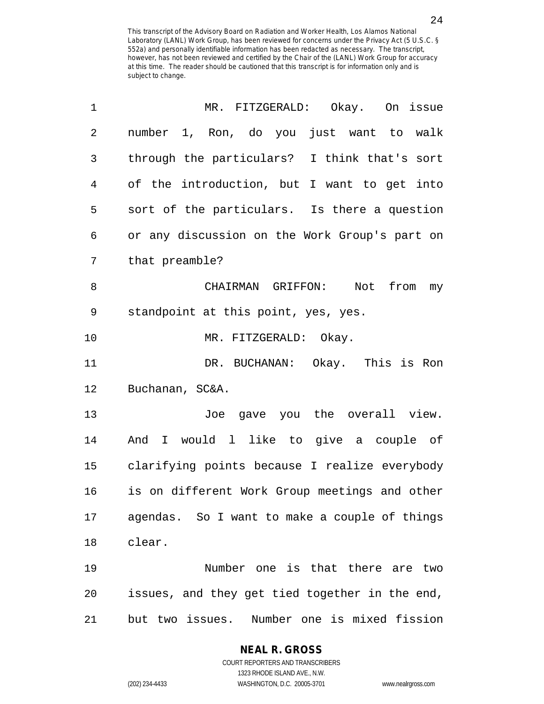| 1  | MR. FITZGERALD: Okay.<br>On issue              |
|----|------------------------------------------------|
| 2  | number 1, Ron, do you just want to walk        |
| 3  | through the particulars? I think that's sort   |
| 4  | of the introduction, but I want to get into    |
| 5  | sort of the particulars. Is there a question   |
| 6  | or any discussion on the Work Group's part on  |
| 7  | that preamble?                                 |
| 8  | CHAIRMAN GRIFFON:<br>Not<br>from<br>my         |
| 9  | standpoint at this point, yes, yes.            |
| 10 | MR. FITZGERALD: Okay.                          |
| 11 | DR. BUCHANAN: Okay. This is Ron                |
| 12 | Buchanan, SC&A.                                |
| 13 | Joe gave you the overall view.                 |
| 14 | I would 1 like to give a couple of<br>And      |
| 15 | clarifying points because I realize everybody  |
| 16 | is on different Work Group meetings and other  |
| 17 | agendas. So I want to make a couple of things  |
| 18 | clear.                                         |
| 19 | Number one is that there are two               |
| 20 | issues, and they get tied together in the end, |
| 21 | Number one is mixed fission<br>but two issues. |

**NEAL R. GROSS** COURT REPORTERS AND TRANSCRIBERS

1323 RHODE ISLAND AVE., N.W. (202) 234-4433 WASHINGTON, D.C. 20005-3701 www.nealrgross.com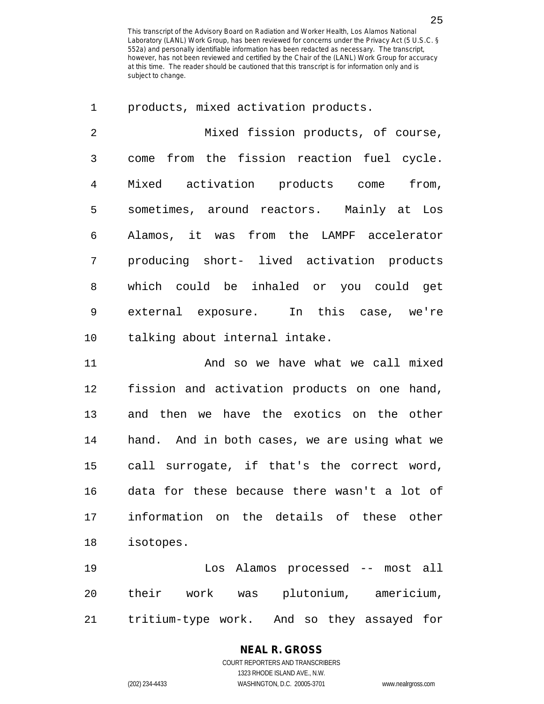1 products, mixed activation products.

2 Mixed fission products, of course, 3 come from the fission reaction fuel cycle. 4 Mixed activation products come from, 5 sometimes, around reactors. Mainly at Los 6 Alamos, it was from the LAMPF accelerator 7 producing short- lived activation products 8 which could be inhaled or you could get 9 external exposure. In this case, we're 10 talking about internal intake.

11 And so we have what we call mixed 12 fission and activation products on one hand, 13 and then we have the exotics on the other 14 hand. And in both cases, we are using what we 15 call surrogate, if that's the correct word, 16 data for these because there wasn't a lot of 17 information on the details of these other 18 isotopes.

19 Los Alamos processed -- most all 20 their work was plutonium, americium, 21 tritium-type work. And so they assayed for

## **NEAL R. GROSS**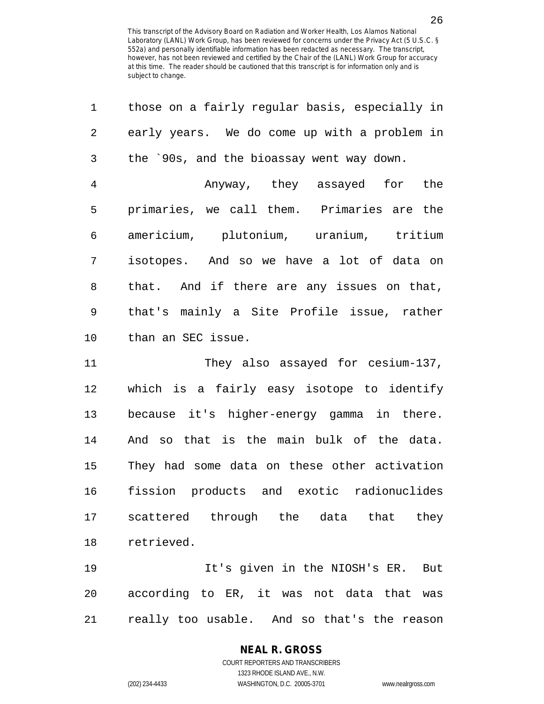| 1              | those on a fairly regular basis, especially in |
|----------------|------------------------------------------------|
| 2              | early years. We do come up with a problem in   |
| 3              | the `90s, and the bioassay went way down.      |
| $\overline{4}$ | Anyway, they assayed for the                   |
| 5              | primaries, we call them. Primaries are the     |
| 6              | americium, plutonium, uranium, tritium         |
| 7              | isotopes. And so we have a lot of data on      |
| 8              | that. And if there are any issues on that,     |
| 9              | that's mainly a Site Profile issue, rather     |
| 10             | than an SEC issue.                             |
| 11             | They also assayed for cesium-137,              |
| 12             | which is a fairly easy isotope to identify     |
|                |                                                |

13 because it's higher-energy gamma in there. 14 And so that is the main bulk of the data. 15 They had some data on these other activation 16 fission products and exotic radionuclides 17 scattered through the data that they 18 retrieved.

19 It's given in the NIOSH's ER. But 20 according to ER, it was not data that was 21 really too usable. And so that's the reason

#### **NEAL R. GROSS** COURT REPORTERS AND TRANSCRIBERS

1323 RHODE ISLAND AVE., N.W. (202) 234-4433 WASHINGTON, D.C. 20005-3701 www.nealrgross.com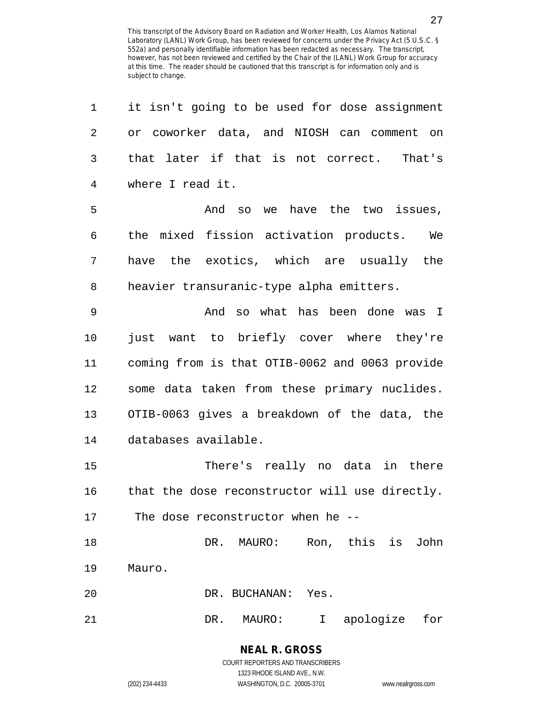| 1  | it isn't going to be used for dose assignment     |
|----|---------------------------------------------------|
| 2  | or coworker data, and NIOSH can comment on        |
| 3  | that later if that is not correct. That's         |
| 4  | where I read it.                                  |
| 5  | And so we have the two issues,                    |
| 6  | the mixed fission activation products. We         |
| 7  | have the exotics, which are usually the           |
| 8  | heavier transuranic-type alpha emitters.          |
| 9  | And so what has been done was I                   |
| 10 | just want to briefly cover where they're          |
| 11 | coming from is that OTIB-0062 and 0063 provide    |
| 12 | some data taken from these primary nuclides.      |
| 13 | OTIB-0063 gives a breakdown of the data, the      |
| 14 | databases available.                              |
| 15 | There's really no data in there                   |
| 16 | that the dose reconstructor will use directly.    |
| 17 | The dose reconstructor when he --                 |
| 18 | DR.<br>MAURO: Ron, this is<br>John                |
| 19 | Mauro.                                            |
| 20 | DR. BUCHANAN: Yes.                                |
| 21 | apologize<br>DR.<br>for<br>MAURO:<br>$\mathbb{I}$ |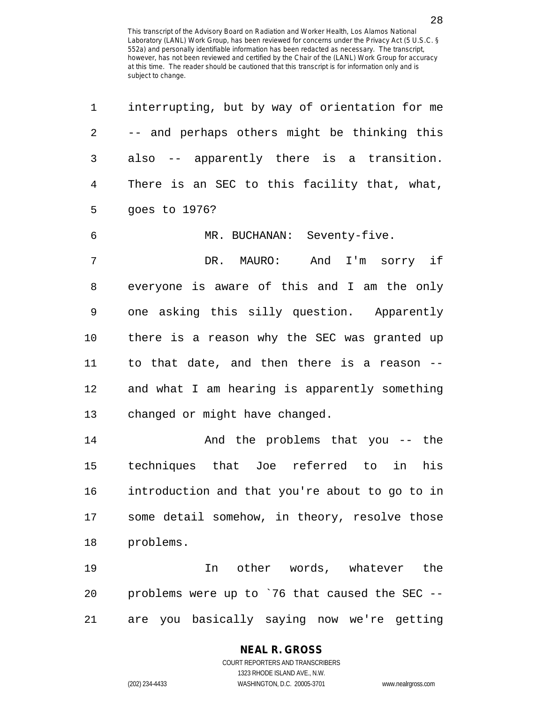| 1  | interrupting, but by way of orientation for me |
|----|------------------------------------------------|
| 2  | -- and perhaps others might be thinking this   |
| 3  | also -- apparently there is a transition.      |
| 4  | There is an SEC to this facility that, what,   |
| 5  | goes to 1976?                                  |
| 6  | MR. BUCHANAN: Seventy-five.                    |
| 7  | And I'm sorry if<br>DR. MAURO:                 |
| 8  | everyone is aware of this and I am the only    |
| 9  | one asking this silly question. Apparently     |
| 10 | there is a reason why the SEC was granted up   |
| 11 | to that date, and then there is a reason --    |
| 12 | and what I am hearing is apparently something  |
| 13 | changed or might have changed.                 |
| 14 | And the problems that you -- the               |
| 15 | techniques that Joe referred to in<br>his      |
| 16 | introduction and that you're about to go to in |
| 17 | some detail somehow, in theory, resolve those  |
| 18 | problems.                                      |
| 19 | In other words, whatever the                   |
| 20 | problems were up to '76 that caused the SEC -- |
| 21 | are you basically saying now we're getting     |

**NEAL R. GROSS**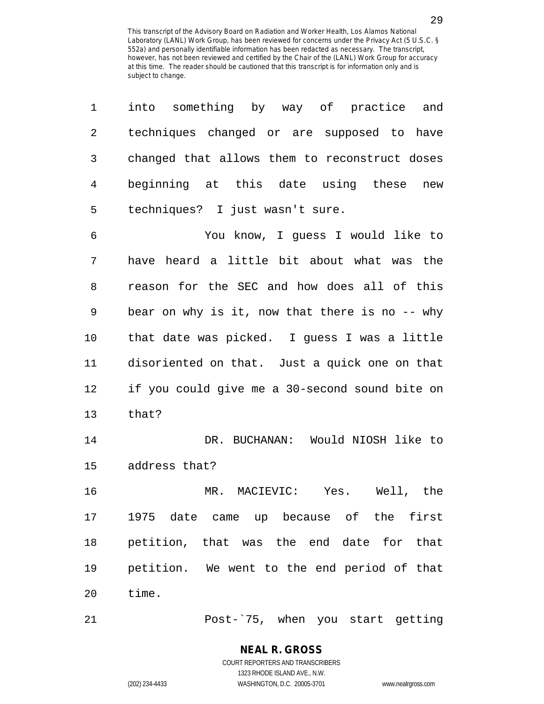| 1  | something by way of practice and<br>into          |
|----|---------------------------------------------------|
| 2  | techniques changed or are supposed to have        |
| 3  | changed that allows them to reconstruct doses     |
| 4  | beginning at this date using these<br>new         |
| 5  | techniques? I just wasn't sure.                   |
| 6  | You know, I guess I would like to                 |
| 7  | have heard a little bit about what was the        |
| 8  | reason for the SEC and how does all of this       |
| 9  | bear on why is it, now that there is no $-$ - why |
| 10 | that date was picked. I guess I was a little      |
| 11 | disoriented on that. Just a quick one on that     |
| 12 | if you could give me a 30-second sound bite on    |
| 13 | that?                                             |
| 14 | DR. BUCHANAN: Would NIOSH like to                 |
| 15 | address that?                                     |
| 16 | MR. MACIEVIC: Yes. Well, the                      |
| 17 | 1975 date came up because of the first            |
| 18 | petition, that was the end date for that          |
| 19 | petition. We went to the end period of that       |
| 20 | time.                                             |
| 21 | Post-`75, when you start getting                  |

1323 RHODE ISLAND AVE., N.W.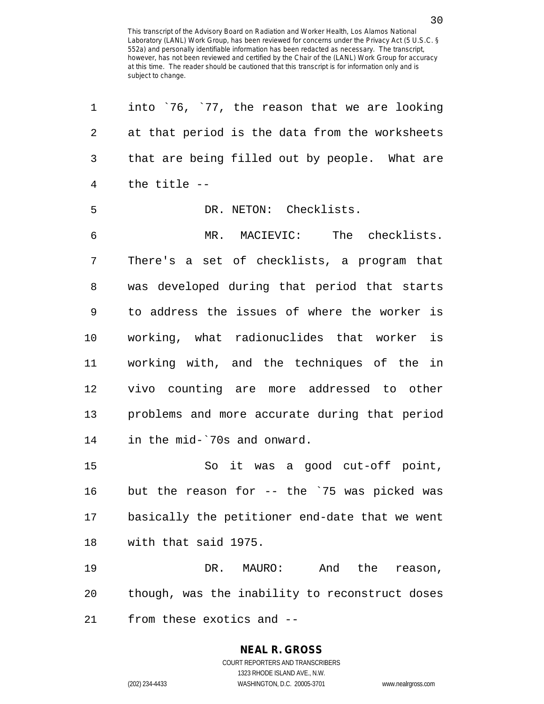1 into `76, `77, the reason that we are looking 2 at that period is the data from the worksheets 3 that are being filled out by people. What are 4 the title -- 5 DR. NETON: Checklists. 6 MR. MACIEVIC: The checklists. 7 There's a set of checklists, a program that 8 was developed during that period that starts 9 to address the issues of where the worker is 10 working, what radionuclides that worker is 11 working with, and the techniques of the in 12 vivo counting are more addressed to other 13 problems and more accurate during that period 14 in the mid-`70s and onward. 15 So it was a good cut-off point, 16 but the reason for -- the `75 was picked was 17 basically the petitioner end-date that we went 18 with that said 1975. 19 DR. MAURO: And the reason, 20 though, was the inability to reconstruct doses 21 from these exotics and --

#### **NEAL R. GROSS** COURT REPORTERS AND TRANSCRIBERS

1323 RHODE ISLAND AVE., N.W.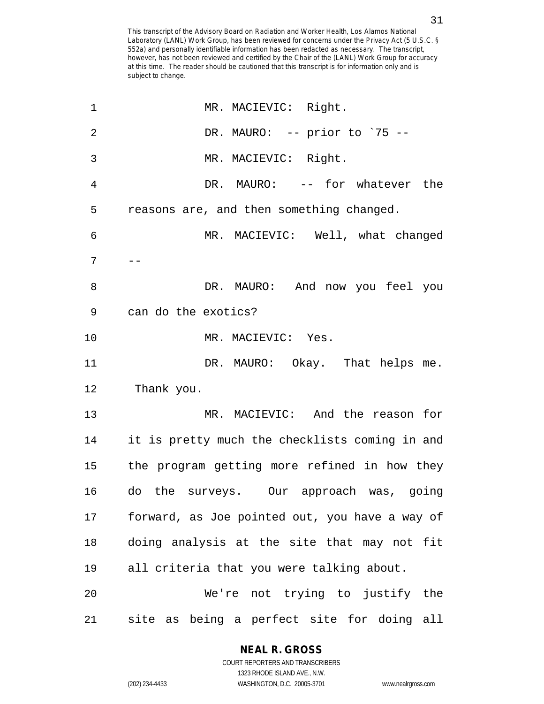| 1              | MR. MACIEVIC: Right.                           |
|----------------|------------------------------------------------|
| $\overline{2}$ | DR. MAURO: -- prior to '75 --                  |
| 3              | MR. MACIEVIC: Right.                           |
| 4              | DR. MAURO: -- for whatever the                 |
| 5              | reasons are, and then something changed.       |
| 6              | MR. MACIEVIC: Well, what changed               |
| 7              |                                                |
| 8              | DR. MAURO: And now you feel you                |
| 9              | can do the exotics?                            |
| 10             | MR. MACIEVIC: Yes.                             |
| 11             | DR. MAURO: Okay. That helps me.                |
| 12             | Thank you.                                     |
| 13             | MR. MACIEVIC: And the reason for               |
| 14             | it is pretty much the checklists coming in and |
| 15             | the program getting more refined in how they   |
| 16             | do the surveys. Our approach was, going        |
| 17             | forward, as Joe pointed out, you have a way of |
| 18             | doing analysis at the site that may not fit    |
| 19             | all criteria that you were talking about.      |
| 20             | We're not trying to justify the                |
| 21             | site as being a perfect site for doing all     |

1323 RHODE ISLAND AVE., N.W.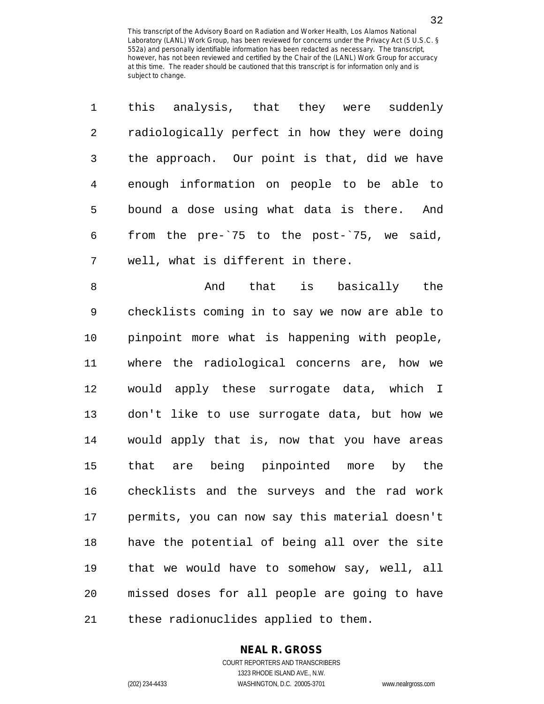1 this analysis, that they were suddenly

| 2              | radiologically perfect in how they were doing  |
|----------------|------------------------------------------------|
| 3              | the approach. Our point is that, did we have   |
| $\overline{4}$ | enough information on people to be able to     |
| 5              | bound a dose using what data is there. And     |
| 6              | from the pre-'75 to the post-'75, we said,     |
| 7              | well, what is different in there.              |
| 8              | And that is basically the                      |
| 9              | checklists coming in to say we now are able to |
| 10             | pinpoint more what is happening with people,   |
| 11             | where the radiological concerns are, how we    |
| 12             | would apply these surrogate data, which I      |
| 13             | don't like to use surrogate data, but how we   |
| 14             | would apply that is, now that you have areas   |
| 15             | that are being pinpointed more by the          |
| 16             | checklists and the surveys and the rad work    |
| 17             | permits, you can now say this material doesn't |
| $18\,$         | have the potential of being all over the site  |
| 19             | that we would have to somehow say, well, all   |
| 20             | missed doses for all people are going to have  |
| 21             | these radionuclides applied to them.           |

**NEAL R. GROSS**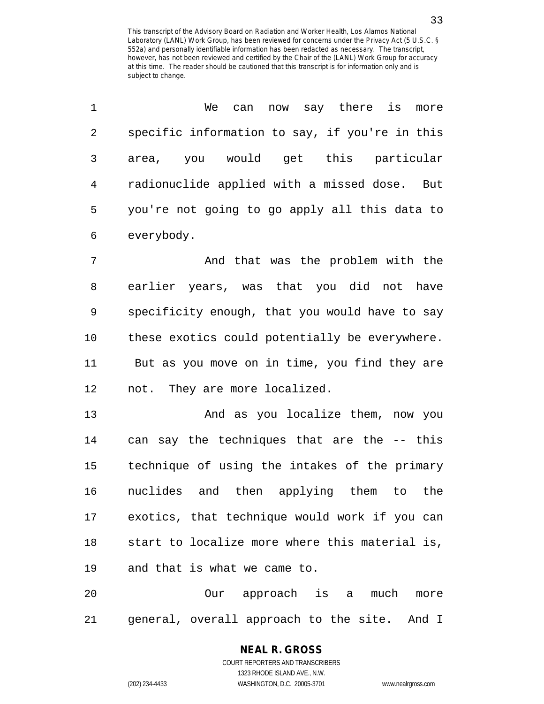| 1              | can now say there<br>We<br>is<br>more          |
|----------------|------------------------------------------------|
| $\overline{2}$ | specific information to say, if you're in this |
| 3              | you would get this particular<br>area,         |
| $\overline{4}$ | radionuclide applied with a missed dose. But   |
| 5              | you're not going to go apply all this data to  |
| 6              | everybody.                                     |
| 7              | And that was the problem with the              |
| 8              | earlier years, was that you did not have       |
| 9              | specificity enough, that you would have to say |
| 10             | these exotics could potentially be everywhere. |
| 11             | But as you move on in time, you find they are  |
| 12             | not. They are more localized.                  |
| 13             | And as you localize them, now you              |
| 14             | can say the techniques that are the -- this    |
| 15             | technique of using the intakes of the primary  |
| 16             | nuclides and then applying them to the         |
| 17             | exotics, that technique would work if you can  |
| 18             | start to localize more where this material is, |
| 19             | and that is what we came to.                   |
| 20             | Our approach is a much<br>more                 |
| 21             | general, overall approach to the site. And I   |

1323 RHODE ISLAND AVE., N.W.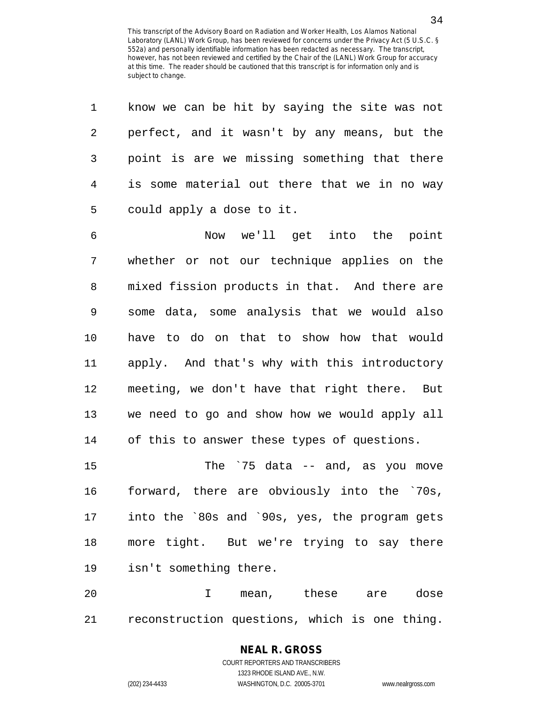| $\mathbf 1$    | know we can be hit by saying the site was not |
|----------------|-----------------------------------------------|
| 2              | perfect, and it wasn't by any means, but the  |
| $\mathsf{3}$   | point is are we missing something that there  |
| $\overline{4}$ | is some material out there that we in no way  |
| 5              | could apply a dose to it.                     |
| 6              | Now we'll get into the point                  |
| 7              | whether or not our technique applies on the   |
| 8              | mixed fission products in that. And there are |
| 9              | some data, some analysis that we would also   |
| 10             | have to do on that to show how that would     |
| 11             | apply. And that's why with this introductory  |
| 12             | meeting, we don't have that right there. But  |
| 13             | we need to go and show how we would apply all |
| 14             | of this to answer these types of questions.   |
| 15             | The `75 data -- and, as you move              |
| 16             | forward, there are obviously into the `70s,   |
| 17             | into the `80s and `90s, yes, the program gets |
| 18             | more tight. But we're trying to say there     |
| 19             | isn't something there.                        |
| 20             | I mean, these are dose                        |
| 21             | reconstruction questions, which is one thing. |

**NEAL R. GROSS** COURT REPORTERS AND TRANSCRIBERS

1323 RHODE ISLAND AVE., N.W.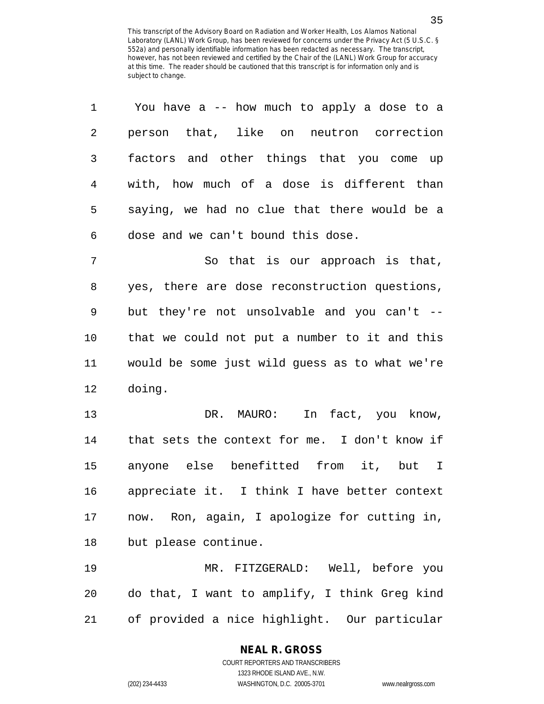| 1              | You have a -- how much to apply a dose to a    |
|----------------|------------------------------------------------|
| 2              | person that, like on neutron correction        |
| $\mathfrak{Z}$ | factors and other things that you come up      |
| $\overline{4}$ | with, how much of a dose is different than     |
| 5              | saying, we had no clue that there would be a   |
| 6              | dose and we can't bound this dose.             |
| 7              | So that is our approach is that,               |
| 8              | yes, there are dose reconstruction questions,  |
| 9              | but they're not unsolvable and you can't --    |
| 10             | that we could not put a number to it and this  |
| 11             | would be some just wild guess as to what we're |
| 12             | doing.                                         |
| 13             | DR. MAURO:<br>In fact, you know,               |
| 14             | that sets the context for me. I don't know if  |
| 15             | anyone else benefitted from it, but I          |
| 16             | appreciate it. I think I have better context   |
| 17             | now. Ron, again, I apologize for cutting in,   |
| 18             | but please continue.                           |
| 19             | MR. FITZGERALD: Well, before you               |
| 20             | do that, I want to amplify, I think Greg kind  |
| 21             | of provided a nice highlight. Our particular   |

## **NEAL R. GROSS**

COURT REPORTERS AND TRANSCRIBERS 1323 RHODE ISLAND AVE., N.W. (202) 234-4433 WASHINGTON, D.C. 20005-3701 www.nealrgross.com

35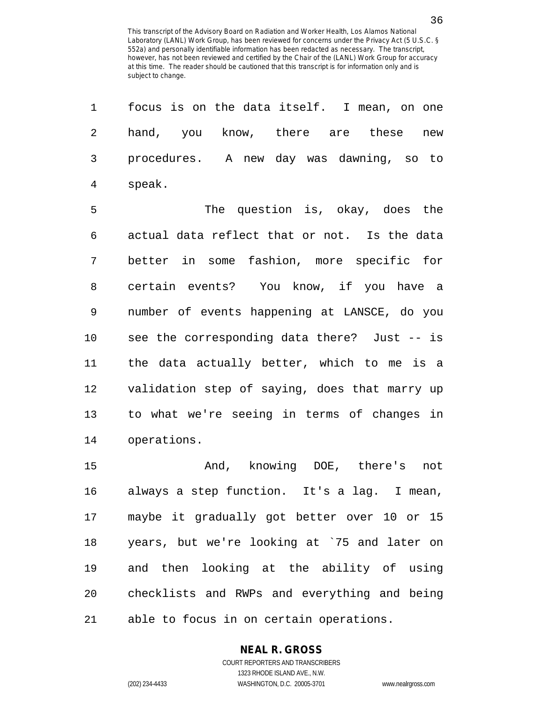1 focus is on the data itself. I mean, on one 2 hand, you know, there are these new 3 procedures. A new day was dawning, so to 4 speak.

5 The question is, okay, does the 6 actual data reflect that or not. Is the data 7 better in some fashion, more specific for 8 certain events? You know, if you have a 9 number of events happening at LANSCE, do you 10 see the corresponding data there? Just -- is 11 the data actually better, which to me is a 12 validation step of saying, does that marry up 13 to what we're seeing in terms of changes in 14 operations.

15 And, knowing DOE, there's not 16 always a step function. It's a lag. I mean, 17 maybe it gradually got better over 10 or 15 18 years, but we're looking at `75 and later on 19 and then looking at the ability of using 20 checklists and RWPs and everything and being 21 able to focus in on certain operations.

## **NEAL R. GROSS**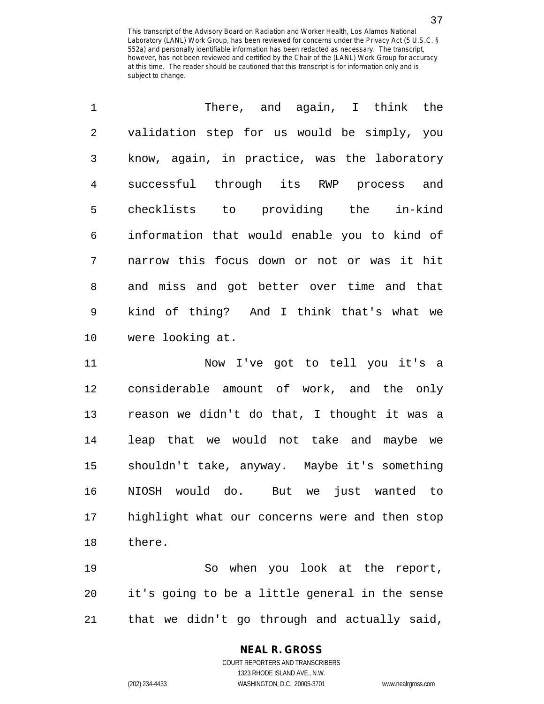| $\mathbf{1}$ | There, and again, I think the                |
|--------------|----------------------------------------------|
| 2            | validation step for us would be simply, you  |
| 3            | know, again, in practice, was the laboratory |
| 4            | successful through its RWP process and       |
| 5            | checklists to providing the in-kind          |
| 6            | information that would enable you to kind of |
| 7            | narrow this focus down or not or was it hit  |
| 8            | and miss and got better over time and that   |
| 9            | kind of thing? And I think that's what we    |
|              | 10 were looking at.                          |

11 Now I've got to tell you it's a 12 considerable amount of work, and the only 13 reason we didn't do that, I thought it was a 14 leap that we would not take and maybe we 15 shouldn't take, anyway. Maybe it's something 16 NIOSH would do. But we just wanted to 17 highlight what our concerns were and then stop 18 there.

19 So when you look at the report, 20 it's going to be a little general in the sense 21 that we didn't go through and actually said,

#### **NEAL R. GROSS**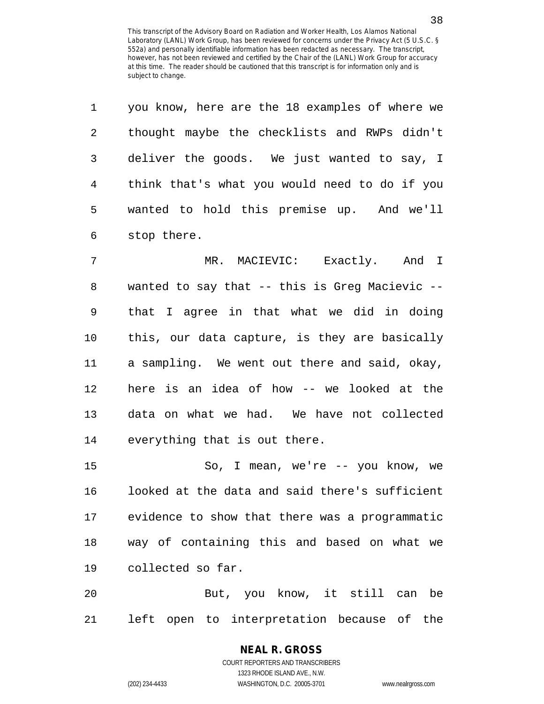1 you know, here are the 18 examples of where we

| 2  | thought maybe the checklists and RWPs didn't   |
|----|------------------------------------------------|
| 3  | deliver the goods. We just wanted to say, I    |
| 4  | think that's what you would need to do if you  |
| 5  | wanted to hold this premise up. And we'll      |
| 6  | stop there.                                    |
| 7  | MR. MACIEVIC: Exactly. And I                   |
| 8  | wanted to say that -- this is Greg Macievic -- |
| 9  | that I agree in that what we did in doing      |
| 10 | this, our data capture, is they are basically  |
| 11 | a sampling. We went out there and said, okay,  |
| 12 | here is an idea of how -- we looked at the     |
| 13 | data on what we had. We have not collected     |
| 14 | everything that is out there.                  |
| 15 | So, I mean, we're -- you know, we              |
| 16 | looked at the data and said there's sufficient |
| 17 | evidence to show that there was a programmatic |
| 18 | way of containing this and based on what we    |
| 19 | collected so far.                              |
|    |                                                |

20 But, you know, it still can be 21 left open to interpretation because of the

## **NEAL R. GROSS**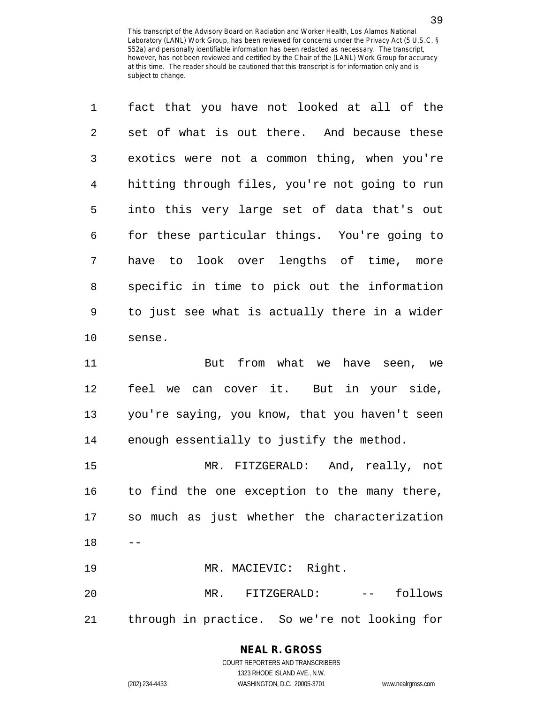| $\mathbf 1$    | fact that you have not looked at all of the    |
|----------------|------------------------------------------------|
| $\overline{2}$ | set of what is out there. And because these    |
| 3              | exotics were not a common thing, when you're   |
| 4              | hitting through files, you're not going to run |
| 5              | into this very large set of data that's out    |
| 6              | for these particular things. You're going to   |
| 7              | have to look over lengths of time, more        |
| 8              | specific in time to pick out the information   |
| 9              | to just see what is actually there in a wider  |
| 10             | sense.                                         |
|                |                                                |

11 But from what we have seen, we 12 feel we can cover it. But in your side, 13 you're saying, you know, that you haven't seen 14 enough essentially to justify the method.

15 MR. FITZGERALD: And, really, not 16 to find the one exception to the many there, 17 so much as just whether the characterization  $18 - -$ 19 MR. MACIEVIC: Right.

20 MR. FITZGERALD: -- follows 21 through in practice. So we're not looking for

# **NEAL R. GROSS**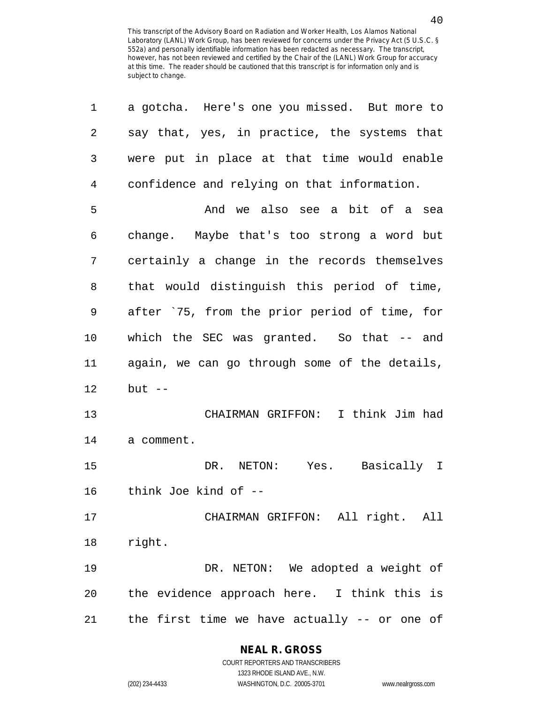| 1  | a gotcha. Here's one you missed. But more to  |
|----|-----------------------------------------------|
| 2  | say that, yes, in practice, the systems that  |
| 3  | were put in place at that time would enable   |
| 4  | confidence and relying on that information.   |
| 5  | And we also see a bit of a sea                |
| 6  | change. Maybe that's too strong a word but    |
| 7  | certainly a change in the records themselves  |
| 8  | that would distinguish this period of time,   |
| 9  | after '75, from the prior period of time, for |
| 10 | which the SEC was granted. So that $-$ and    |
| 11 | again, we can go through some of the details, |
| 12 | $but --$                                      |
| 13 | I think Jim had<br>CHAIRMAN GRIFFON:          |
| 14 | a comment.                                    |
| 15 | NETON: Yes. Basically I<br>DR.                |
| 16 | think Joe kind of --                          |
| 17 | CHAIRMAN GRIFFON: All right. All              |
| 18 | right.                                        |
| 19 | DR. NETON: We adopted a weight of             |
| 20 | the evidence approach here. I think this is   |
| 21 | the first time we have actually -- or one of  |

### **NEAL R. GROSS**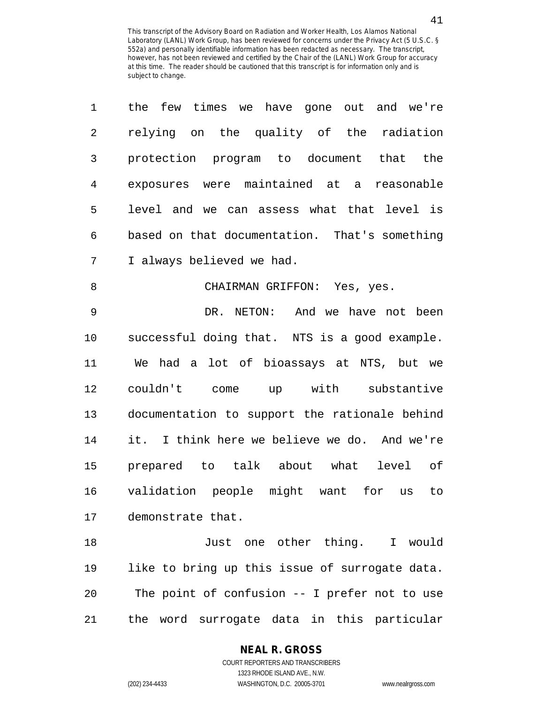| 1              | the<br>few times we have gone out and we're    |
|----------------|------------------------------------------------|
| $\overline{2}$ | relying on the quality of the radiation        |
| 3              | protection program to document that the        |
| $\overline{4}$ | exposures were maintained at a reasonable      |
| 5              | level and we can assess what that level is     |
| 6              | based on that documentation. That's something  |
| 7              | I always believed we had.                      |
| 8              | CHAIRMAN GRIFFON: Yes, yes.                    |
| $\mathsf 9$    | DR. NETON: And we have not been                |
| 10             | successful doing that. NTS is a good example.  |
| 11             | We had a lot of bioassays at NTS, but we       |
| 12             | up with substantive<br>couldn't come           |
| 13             | documentation to support the rationale behind  |
| 14             | it. I think here we believe we do. And we're   |
| 15             | prepared to talk about what<br>level of        |
| 16             | validation people might want for us<br>to      |
| 17             | demonstrate that.                              |
| 18             | Just one other thing. I would                  |
| 19             | like to bring up this issue of surrogate data. |
| 20             | The point of confusion -- I prefer not to use  |
|                |                                                |

21 the word surrogate data in this particular

## **NEAL R. GROSS**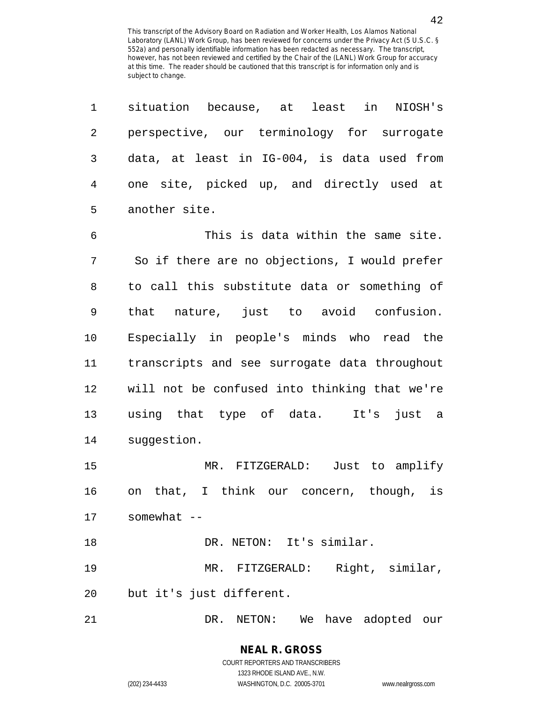| 1  | situation because, at least in NIOSH's        |
|----|-----------------------------------------------|
| 2  | perspective, our terminology for surrogate    |
| 3  | data, at least in IG-004, is data used from   |
| 4  | one site, picked up, and directly used at     |
| 5  | another site.                                 |
| 6  | This is data within the same site.            |
| 7  | So if there are no objections, I would prefer |
| 8  | to call this substitute data or something of  |
| 9  | that nature, just to avoid confusion.         |
| 10 | Especially in people's minds who read the     |
| 11 | transcripts and see surrogate data throughout |
| 12 | will not be confused into thinking that we're |
| 13 | using that type of data. It's just a          |
| 14 | suggestion.                                   |
| 15 | MR. FITZGERALD: Just to amplify               |
| 16 | on that, I think our concern, though, is      |
| 17 | somewhat --                                   |
| 18 | DR. NETON: It's similar.                      |
| 19 | Right, similar,<br>MR.<br>FITZGERALD:         |
| 20 | but it's just different.                      |
| 21 | DR.<br>NETON:<br>have adopted<br>We<br>our    |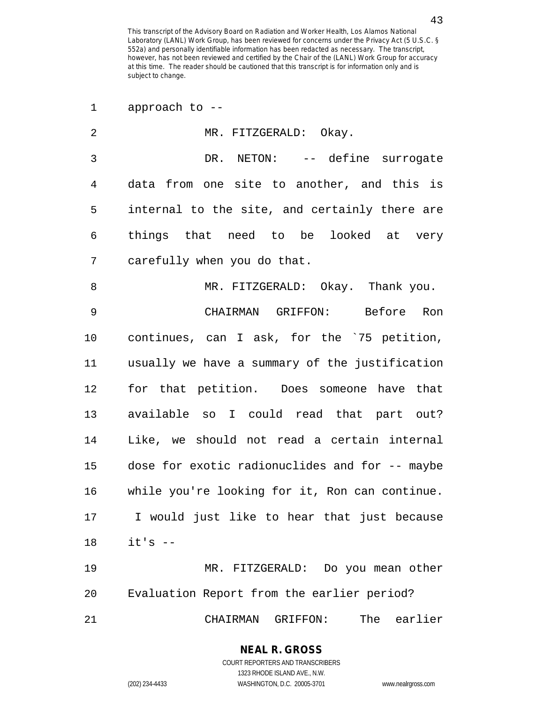1 approach to --

| $\overline{2}$ | MR. FITZGERALD: Okay.                          |
|----------------|------------------------------------------------|
| 3              | DR. NETON: -- define surrogate                 |
| 4              | data from one site to another, and this is     |
| 5              | internal to the site, and certainly there are  |
| 6              | things that need to be looked at very          |
| 7              | carefully when you do that.                    |
| 8              | MR. FITZGERALD: Okay. Thank you.               |
| $\mathsf 9$    | CHAIRMAN GRIFFON: Before Ron                   |
| 10             | continues, can I ask, for the '75 petition,    |
| 11             | usually we have a summary of the justification |
| 12             | for that petition. Does someone have that      |
| 13             | available so I could read that part out?       |
| 14             | Like, we should not read a certain internal    |
| 15             | dose for exotic radionuclides and for -- maybe |
| 16             | while you're looking for it, Ron can continue. |
| 17             | I would just like to hear that just because    |
| 18             | $it's$ --                                      |
| 19             | MR. FITZGERALD: Do you mean other              |

20 Evaluation Report from the earlier period?

21 CHAIRMAN GRIFFON: The earlier

**NEAL R. GROSS** COURT REPORTERS AND TRANSCRIBERS

1323 RHODE ISLAND AVE., N.W.

(202) 234-4433 WASHINGTON, D.C. 20005-3701 www.nealrgross.com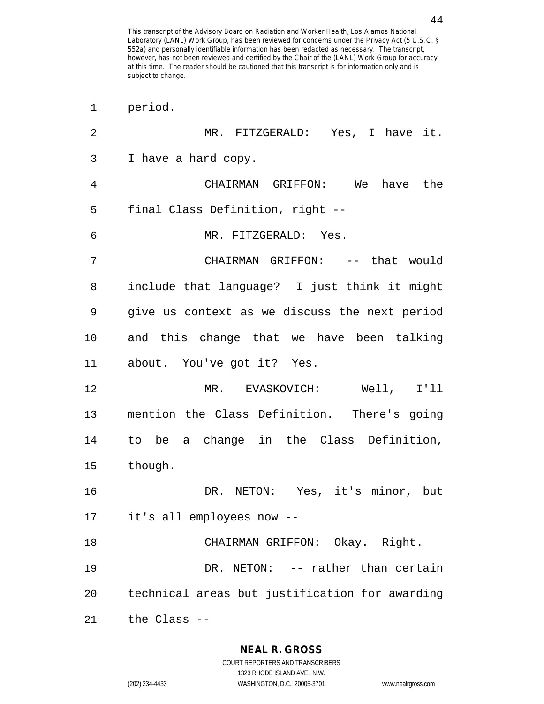2 MR. FITZGERALD: Yes, I have it. 3 I have a hard copy. 4 CHAIRMAN GRIFFON: We have the 5 final Class Definition, right -- 6 MR. FITZGERALD: Yes. 7 CHAIRMAN GRIFFON: -- that would 8 include that language? I just think it might 9 give us context as we discuss the next period 10 and this change that we have been talking 11 about. You've got it? Yes. 12 MR. EVASKOVICH: Well, I'll 13 mention the Class Definition. There's going 14 to be a change in the Class Definition, 15 though. 16 DR. NETON: Yes, it's minor, but 17 it's all employees now -- 18 CHAIRMAN GRIFFON: Okay. Right. 19 DR. NETON: -- rather than certain 20 technical areas but justification for awarding 21 the Class --

### **NEAL R. GROSS**

1 period.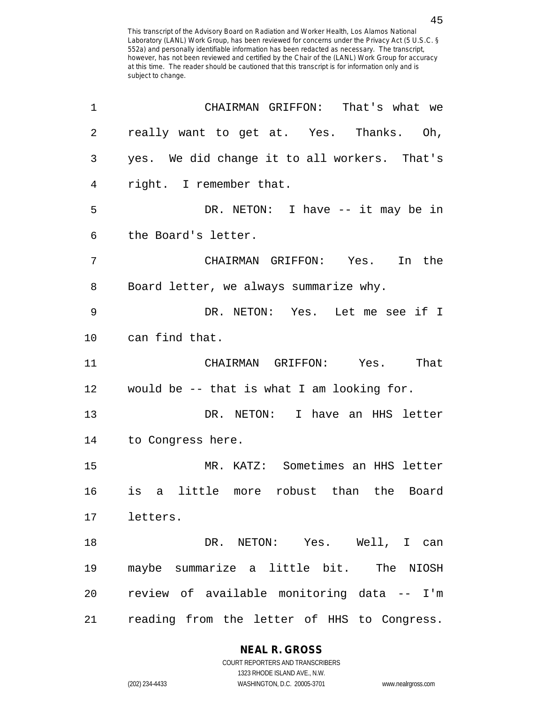| 1              | CHAIRMAN GRIFFON: That's what we             |
|----------------|----------------------------------------------|
| $\overline{c}$ | really want to get at. Yes. Thanks. Oh,      |
| 3              | yes. We did change it to all workers. That's |
| $\overline{4}$ | right. I remember that.                      |
| 5              | DR. NETON: I have $-$ it may be in           |
| 6              | the Board's letter.                          |
| 7              | CHAIRMAN GRIFFON: Yes. In the                |
| 8              | Board letter, we always summarize why.       |
| 9              | DR. NETON: Yes. Let me see if I              |
| 10             | can find that.                               |
| 11             | CHAIRMAN GRIFFON: Yes. That                  |
| 12             | would be -- that is what I am looking for.   |
| 13             | DR. NETON: I have an HHS letter              |
| 14             | to Congress here.                            |
| 15             | MR. KATZ: Sometimes an HHS letter            |
| 16             | is a little more robust than the Board       |
| 17             | letters.                                     |
| 18             | DR. NETON: Yes. Well, I can                  |
| 19             | maybe summarize a little bit. The NIOSH      |
| 20             | review of available monitoring data -- I'm   |
| 21             | reading from the letter of HHS to Congress.  |

**NEAL R. GROSS**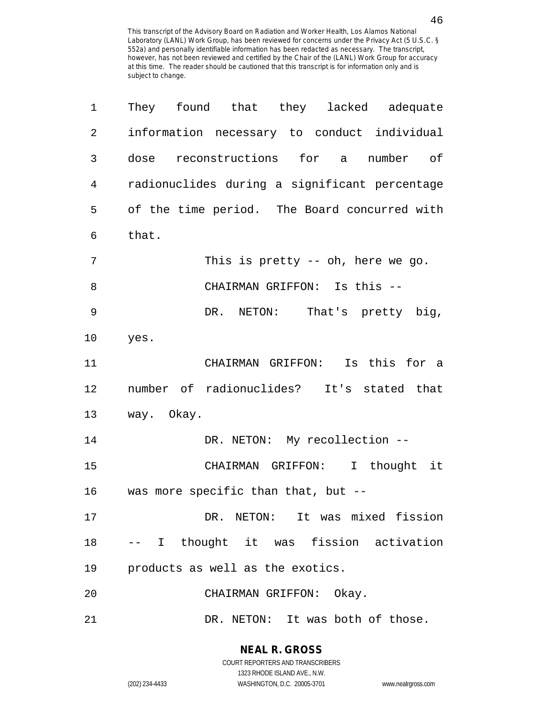| 1              | They found that they lacked adequate          |
|----------------|-----------------------------------------------|
| $\overline{2}$ | information necessary to conduct individual   |
| 3              | dose reconstructions for a number of          |
| 4              | radionuclides during a significant percentage |
| 5              | of the time period. The Board concurred with  |
| 6              | that.                                         |
| 7              | This is pretty -- oh, here we go.             |
| 8              | CHAIRMAN GRIFFON: Is this --                  |
| 9              | DR. NETON: That's pretty big,                 |
| 10             | yes.                                          |
| 11             | CHAIRMAN GRIFFON: Is this for a               |
| 12             | number of radionuclides? It's stated that     |
| 13             | way. Okay.                                    |
| 14             | DR. NETON: My recollection --                 |
| 15             | CHAIRMAN GRIFFON: I thought it                |
| 16             | was more specific than that, but --           |
| 17             | DR. NETON: It was mixed fission               |
| 18             | -- I thought it was fission activation        |
| 19             | products as well as the exotics.              |
| 20             | CHAIRMAN GRIFFON: Okay.                       |
| 21             | DR. NETON: It was both of those.              |

### **NEAL R. GROSS**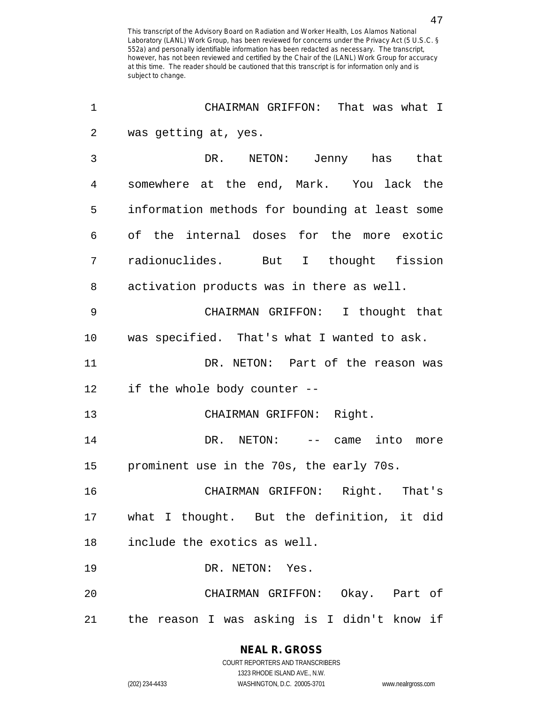1 CHAIRMAN GRIFFON: That was what I 2 was getting at, yes. 3 DR. NETON: Jenny has that 4 somewhere at the end, Mark. You lack the 5 information methods for bounding at least some 6 of the internal doses for the more exotic 7 radionuclides. But I thought fission 8 activation products was in there as well. 9 CHAIRMAN GRIFFON: I thought that 10 was specified. That's what I wanted to ask. 11 DR. NETON: Part of the reason was 12 if the whole body counter -- 13 CHAIRMAN GRIFFON: Right. 14 DR. NETON: -- came into more 15 prominent use in the 70s, the early 70s. 16 CHAIRMAN GRIFFON: Right. That's 17 what I thought. But the definition, it did 18 include the exotics as well. 19 DR. NETON: Yes. 20 CHAIRMAN GRIFFON: Okay. Part of 21 the reason I was asking is I didn't know if

(202) 234-4433 WASHINGTON, D.C. 20005-3701 www.nealrgross.com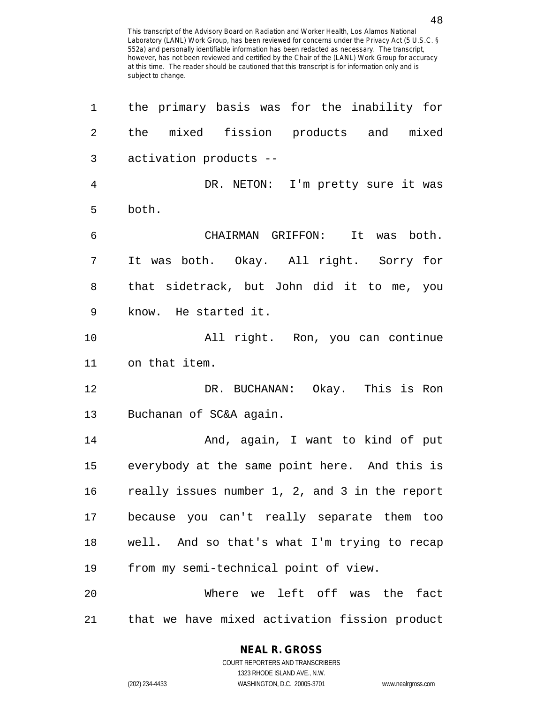| 1              | the primary basis was for the inability for    |
|----------------|------------------------------------------------|
| $\overline{2}$ | the mixed fission products and mixed           |
| 3              | activation products --                         |
| $\overline{4}$ | DR. NETON: I'm pretty sure it was              |
| 5              | both.                                          |
| 6              | CHAIRMAN GRIFFON: It was both.                 |
| 7              | It was both. Okay. All right. Sorry for        |
| 8              | that sidetrack, but John did it to me, you     |
| 9              | know. He started it.                           |
| 10             | All right. Ron, you can continue               |
| 11             | on that item.                                  |
| 12             | DR. BUCHANAN: Okay. This is Ron                |
| 13             | Buchanan of SC&A again.                        |
| 14             | And, again, I want to kind of put              |
| 15             | everybody at the same point here. And this is  |
| 16             | really issues number 1, 2, and 3 in the report |
| 17             | because you can't really separate them too     |
| 18             | well. And so that's what I'm trying to recap   |
| 19             | from my semi-technical point of view.          |
| 20             | Where we left off was the fact                 |
| 21             | that we have mixed activation fission product  |

#### **NEAL R. GROSS**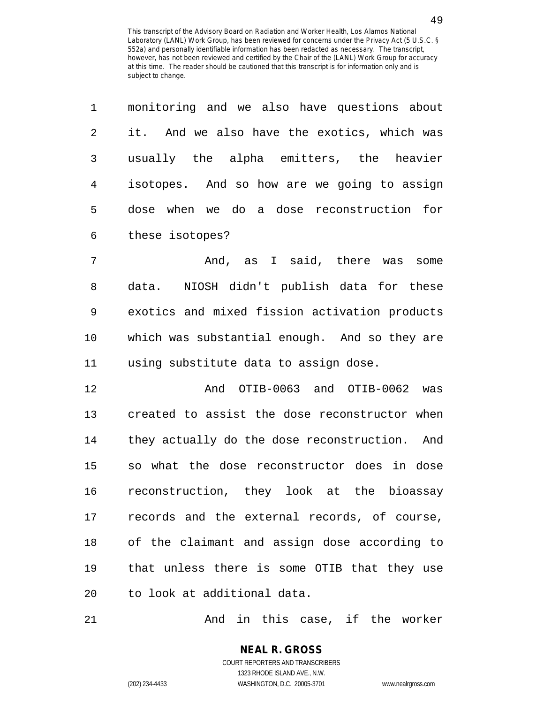| $\mathbf{1}$ | monitoring and we also have questions about |
|--------------|---------------------------------------------|
| 2            | it. And we also have the exotics, which was |
| 3            | usually the alpha emitters, the heavier     |
| 4            | isotopes. And so how are we going to assign |
| 5            | dose when we do a dose reconstruction for   |
| 6            | these isotopes?                             |

7 And, as I said, there was some 8 data. NIOSH didn't publish data for these 9 exotics and mixed fission activation products 10 which was substantial enough. And so they are 11 using substitute data to assign dose.

12 And OTIB-0063 and OTIB-0062 was 13 created to assist the dose reconstructor when 14 they actually do the dose reconstruction. And 15 so what the dose reconstructor does in dose 16 reconstruction, they look at the bioassay 17 records and the external records, of course, 18 of the claimant and assign dose according to 19 that unless there is some OTIB that they use 20 to look at additional data.

21 And in this case, if the worker

**NEAL R. GROSS** COURT REPORTERS AND TRANSCRIBERS 1323 RHODE ISLAND AVE., N.W.

(202) 234-4433 WASHINGTON, D.C. 20005-3701 www.nealrgross.com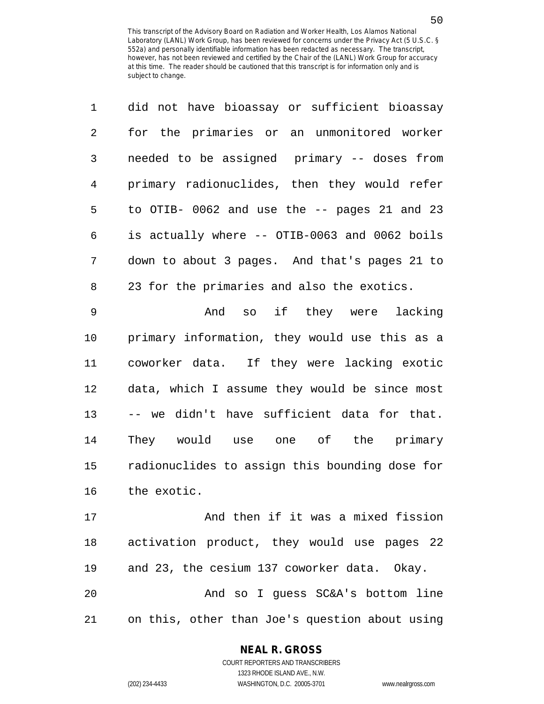| 1               | did not have bioassay or sufficient bioassay      |
|-----------------|---------------------------------------------------|
| $\overline{a}$  | for the primaries or an unmonitored worker        |
| 3               | needed to be assigned primary -- doses from       |
| $4\overline{ }$ | primary radionuclides, then they would refer      |
| 5               | to OTIB-0062 and use the -- pages 21 and 23       |
| 6               | is actually where -- OTIB-0063 and 0062 boils     |
| 7               | down to about 3 pages. And that's pages 21 to     |
| 8               | 23 for the primaries and also the exotics.        |
| $\sim$          | المعتلمات المتحدد المحافظة المكان المحتار المتحدد |

9 And so if they were lacking 10 primary information, they would use this as a 11 coworker data. If they were lacking exotic 12 data, which I assume they would be since most 13 -- we didn't have sufficient data for that. 14 They would use one of the primary 15 radionuclides to assign this bounding dose for 16 the exotic.

17 And then if it was a mixed fission 18 activation product, they would use pages 22 19 and 23, the cesium 137 coworker data. Okay. 20 And so I guess SC&A's bottom line 21 on this, other than Joe's question about using

### **NEAL R. GROSS**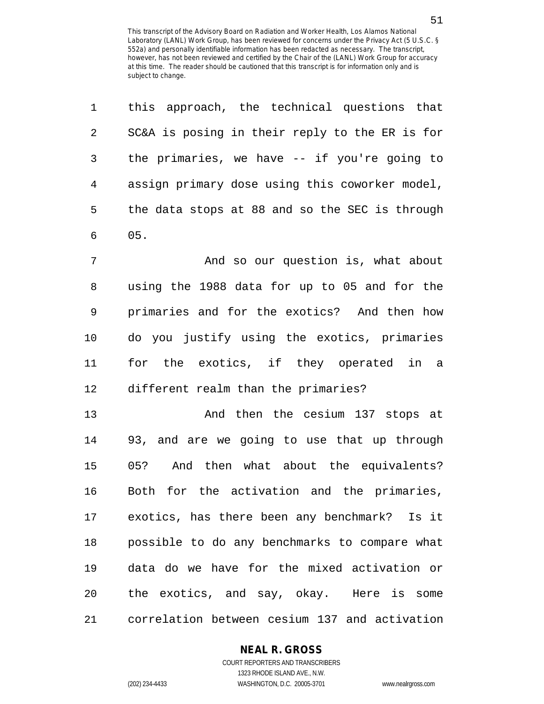1 this approach, the technical questions that

| 2  | SC&A is posing in their reply to the ER is for |
|----|------------------------------------------------|
| 3  | the primaries, we have -- if you're going to   |
| 4  | assign primary dose using this coworker model, |
| 5  | the data stops at 88 and so the SEC is through |
| 6  | 05.                                            |
| 7  | And so our question is, what about             |
| 8  | using the 1988 data for up to 05 and for the   |
| 9  | primaries and for the exotics? And then how    |
| 10 | do you justify using the exotics, primaries    |
| 11 | for the exotics, if they operated in a         |
| 12 | different realm than the primaries?            |
| 13 | And then the cesium 137 stops at               |
| 14 | 93, and are we going to use that up through    |
| 15 | 05? And then what about the equivalents?       |
| 16 | Both for the activation and the primaries,     |
| 17 | exotics, has there been any benchmark? Is it   |
| 18 | possible to do any benchmarks to compare what  |
| 19 | data do we have for the mixed activation or    |
| 20 | the exotics, and say, okay. Here is some       |

21 correlation between cesium 137 and activation

## **NEAL R. GROSS**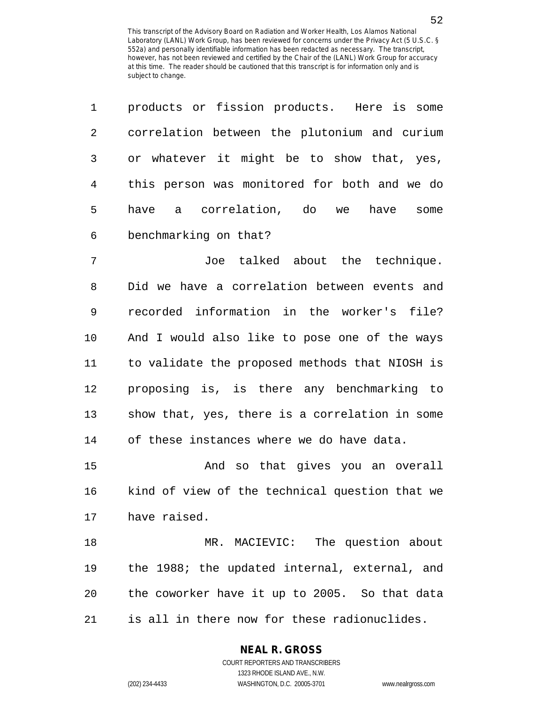| 1  | products or fission products. Here is some     |
|----|------------------------------------------------|
| 2  | correlation between the plutonium and curium   |
| 3  | or whatever it might be to show that, yes,     |
| 4  | this person was monitored for both and we do   |
| 5  | a correlation, do we<br>have<br>have<br>some   |
| 6  | benchmarking on that?                          |
| 7  | Joe talked about the technique.                |
| 8  | Did we have a correlation between events and   |
| 9  | recorded information in the worker's file?     |
| 10 | And I would also like to pose one of the ways  |
| 11 | to validate the proposed methods that NIOSH is |
| 12 | proposing is, is there any benchmarking to     |
| 13 | show that, yes, there is a correlation in some |
| 14 | of these instances where we do have data.      |
| 15 | And so that gives you an overall               |
| 16 | kind of view of the technical question that we |
| 17 | have raised.                                   |
| 18 | MR. MACIEVIC: The question about               |
| 19 | the 1988; the updated internal, external, and  |
| 20 | the coworker have it up to 2005. So that data  |

21 is all in there now for these radionuclides.

### **NEAL R. GROSS**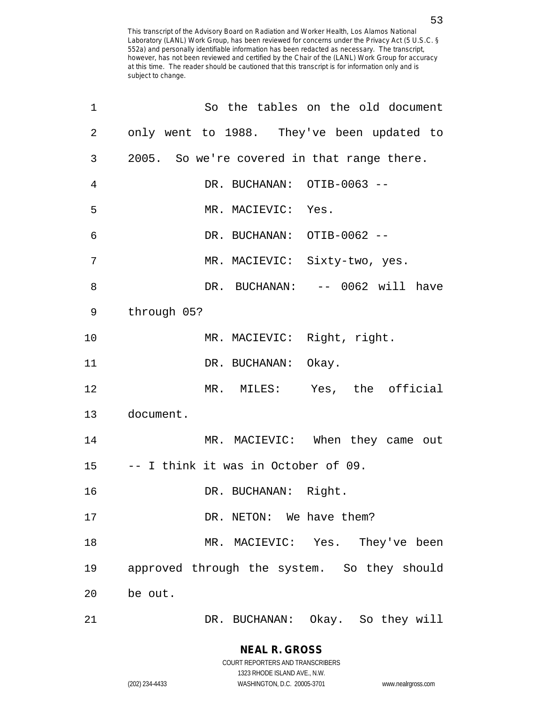| 1              | So the tables on the old document           |
|----------------|---------------------------------------------|
| $\overline{2}$ | only went to 1988. They've been updated to  |
| 3              | 2005. So we're covered in that range there. |
| 4              | DR. BUCHANAN: OTIB-0063 --                  |
| 5              | MR. MACIEVIC: Yes.                          |
| 6              | DR. BUCHANAN: OTIB-0062 --                  |
| 7              | MR. MACIEVIC: Sixty-two, yes.               |
| 8              | DR. BUCHANAN: -- 0062 will have             |
| 9              | through 05?                                 |
| 10             | MR. MACIEVIC: Right, right.                 |
| 11             | DR. BUCHANAN: Okay.                         |
| 12             | MR. MILES: Yes, the official                |
| 13             | document.                                   |
| 14             | MR. MACIEVIC: When they came out            |
|                | 15 -- I think it was in October of 09.      |
| 16             | DR. BUCHANAN: Right.                        |
| 17             | DR. NETON: We have them?                    |
| 18             | MR. MACIEVIC: Yes. They've been             |
| 19             | approved through the system. So they should |
| 20             | be out.                                     |
| 21             | DR. BUCHANAN: Okay. So they will            |

(202) 234-4433 WASHINGTON, D.C. 20005-3701 www.nealrgross.com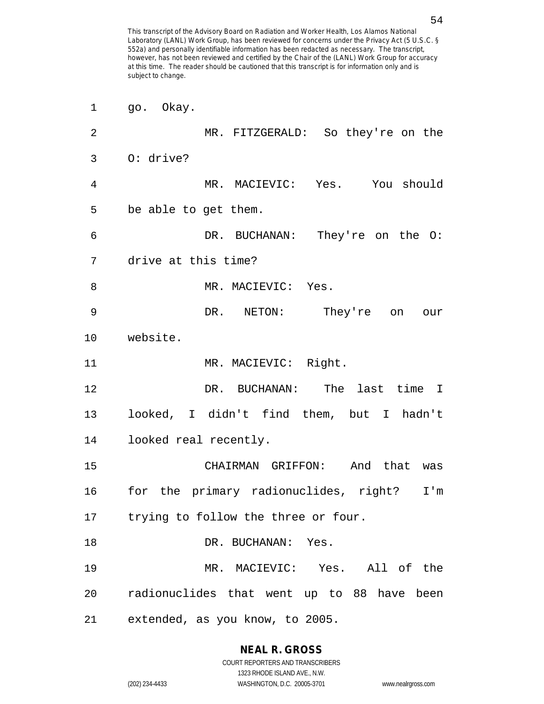| 1              | go. Okay.                                  |
|----------------|--------------------------------------------|
| $\overline{2}$ | MR. FITZGERALD: So they're on the          |
| 3              | $0:$ drive?                                |
| 4              | MR. MACIEVIC: Yes. You should              |
| 5              | be able to get them.                       |
| 6              | DR. BUCHANAN: They're on the O:            |
| 7              | drive at this time?                        |
| 8              | MR. MACIEVIC: Yes.                         |
| 9              | DR. NETON: They're on<br>our               |
| 10             | website.                                   |
| 11             | MR. MACIEVIC: Right.                       |
| 12             | DR. BUCHANAN: The last time I              |
| 13             | looked, I didn't find them, but I hadn't   |
| 14             | looked real recently.                      |
| 15             | that was<br>CHAIRMAN GRIFFON: And          |
| 16             | for the primary radionuclides, right? I'm  |
|                | 17 trying to follow the three or four.     |
| 18             | DR. BUCHANAN: Yes.                         |
| 19             | MR. MACIEVIC: Yes. All of the              |
| 20             | radionuclides that went up to 88 have been |
| 21             | extended, as you know, to 2005.            |

**NEAL R. GROSS** COURT REPORTERS AND TRANSCRIBERS

1323 RHODE ISLAND AVE., N.W. (202) 234-4433 WASHINGTON, D.C. 20005-3701 www.nealrgross.com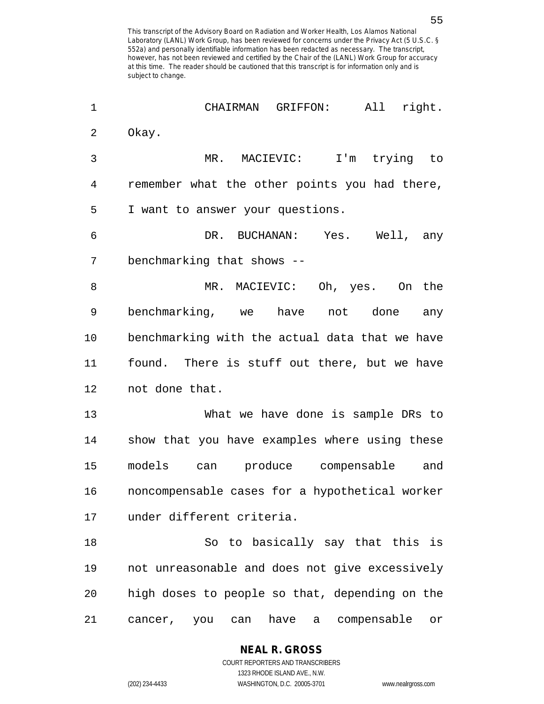| 1              | CHAIRMAN<br>GRIFFON:<br>All<br>right.                   |
|----------------|---------------------------------------------------------|
| $\overline{2}$ | Okay.                                                   |
| $\mathbf{3}$   | MACIEVIC:<br>I'm trying to<br>MR.                       |
| 4              | remember what the other points you had there,           |
| 5              | I want to answer your questions.                        |
| 6              | DR. BUCHANAN: Yes. Well, any                            |
| 7              | benchmarking that shows --                              |
| 8              | MR. MACIEVIC: Oh, yes. On the                           |
| 9              | benchmarking, we have not done<br>any                   |
| 10             | benchmarking with the actual data that we have          |
| 11             | found. There is stuff out there, but we have            |
| 12             | not done that.                                          |
| 13             | What we have done is sample DRs to                      |
| 14             | show that you have examples where using these           |
| 15             | models can produce compensable<br>and                   |
| 16             | noncompensable cases for a hypothetical worker          |
| 17             | under different criteria.                               |
| 18             | So to basically say that this is                        |
| 19             | not unreasonable and does not give excessively          |
| 20             | high doses to people so that, depending on the          |
| 21             | have<br>compensable<br>cancer,<br>you<br>can<br>a<br>or |

**NEAL R. GROSS** COURT REPORTERS AND TRANSCRIBERS 1323 RHODE ISLAND AVE., N.W.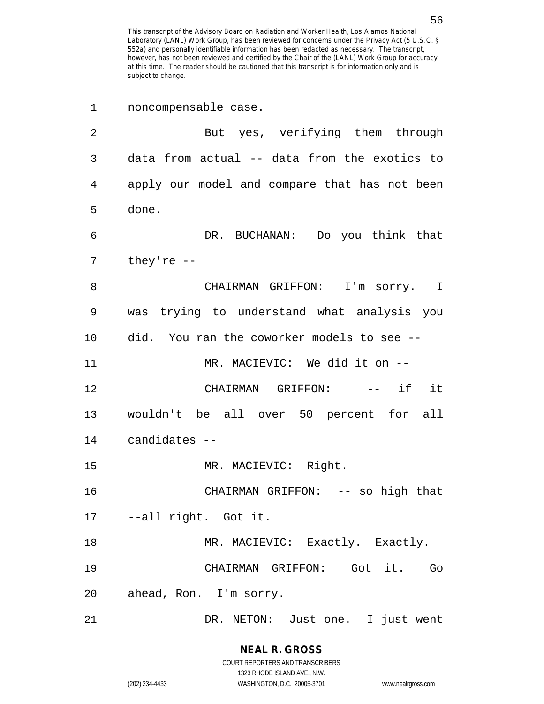| 1              | noncompensable case.                          |
|----------------|-----------------------------------------------|
| $\overline{2}$ | But yes, verifying them through               |
| 3              | data from actual -- data from the exotics to  |
| 4              | apply our model and compare that has not been |
| 5              | done.                                         |
| 6              | DR. BUCHANAN: Do you think that               |
| 7              | they're $--$                                  |
| 8              | CHAIRMAN GRIFFON: I'm sorry. I                |
| 9              | was trying to understand what analysis you    |
| 10             | did. You ran the coworker models to see --    |
| 11             | MR. MACIEVIC: We did it on --                 |
| 12             | CHAIRMAN GRIFFON: -- if it                    |
| 13             | wouldn't be all over 50 percent for all       |
| 14             | candidates --                                 |
| 15             | MR. MACIEVIC: Right.                          |
| 16             | CHAIRMAN GRIFFON: -- so high that             |
|                | 17 --all right. Got it.                       |
| 18             | MR. MACIEVIC: Exactly. Exactly.               |
| 19             | CHAIRMAN GRIFFON: Got it. Go                  |
| 20             | ahead, Ron. I'm sorry.                        |
| 21             | DR. NETON: Just one. I just went              |

1323 RHODE ISLAND AVE., N.W.

(202) 234-4433 WASHINGTON, D.C. 20005-3701 www.nealrgross.com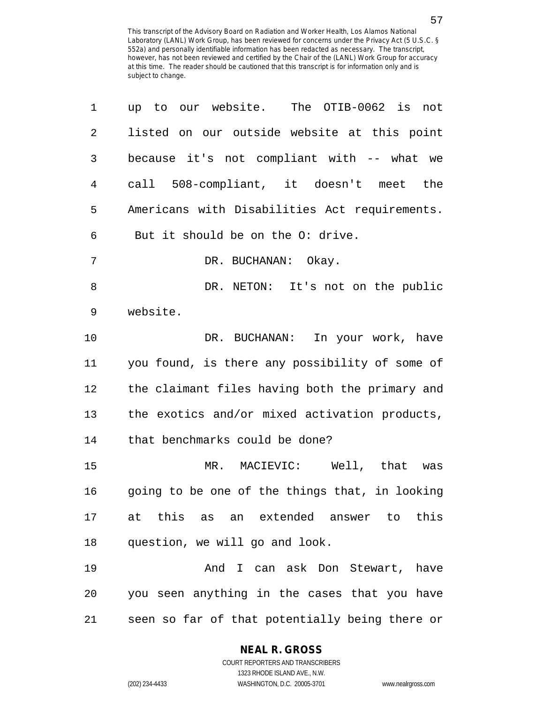| 1  | up to our website. The OTIB-0062 is not        |
|----|------------------------------------------------|
| 2  | listed on our outside website at this point    |
| 3  | because it's not compliant with -- what we     |
| 4  | call 508-compliant, it doesn't meet the        |
| 5  | Americans with Disabilities Act requirements.  |
| 6  | But it should be on the O: drive.              |
| 7  | DR. BUCHANAN: Okay.                            |
| 8  | DR. NETON: It's not on the public              |
| 9  | website.                                       |
| 10 | DR. BUCHANAN: In your work, have               |
| 11 | you found, is there any possibility of some of |
| 12 | the claimant files having both the primary and |
| 13 | the exotics and/or mixed activation products,  |
| 14 | that benchmarks could be done?                 |
| 15 | MR. MACIEVIC: Well, that was                   |
| 16 | going to be one of the things that, in looking |
| 17 | at this as an extended answer to this          |
| 18 | question, we will go and look.                 |
| 19 | And I can ask Don Stewart, have                |
| 20 | you seen anything in the cases that you have   |
| 21 | seen so far of that potentially being there or |

#### **NEAL R. GROSS**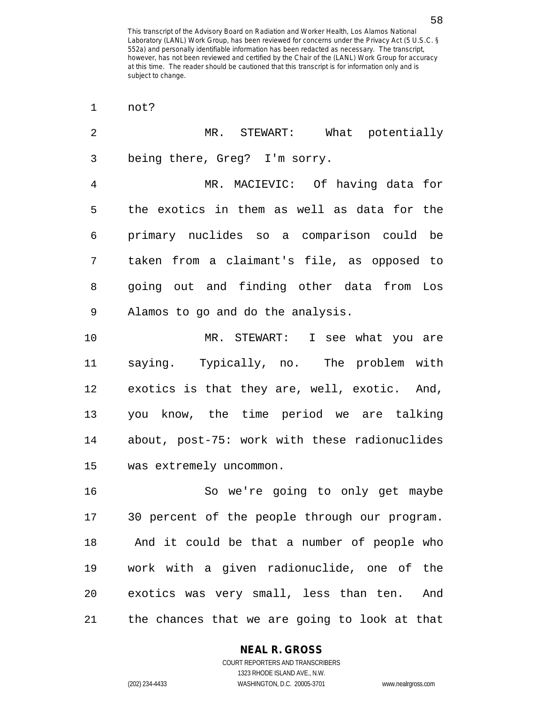1 not? 2 MR. STEWART: What potentially 3 being there, Greg? I'm sorry. 4 MR. MACIEVIC: Of having data for 5 the exotics in them as well as data for the 6 primary nuclides so a comparison could be 7 taken from a claimant's file, as opposed to 8 going out and finding other data from Los 9 Alamos to go and do the analysis. 10 MR. STEWART: I see what you are 11 saying. Typically, no. The problem with 12 exotics is that they are, well, exotic. And, 13 you know, the time period we are talking 14 about, post-75: work with these radionuclides 15 was extremely uncommon. 16 So we're going to only get maybe 17 30 percent of the people through our program. 18 And it could be that a number of people who 19 work with a given radionuclide, one of the 20 exotics was very small, less than ten. And 21 the chances that we are going to look at that

**NEAL R. GROSS**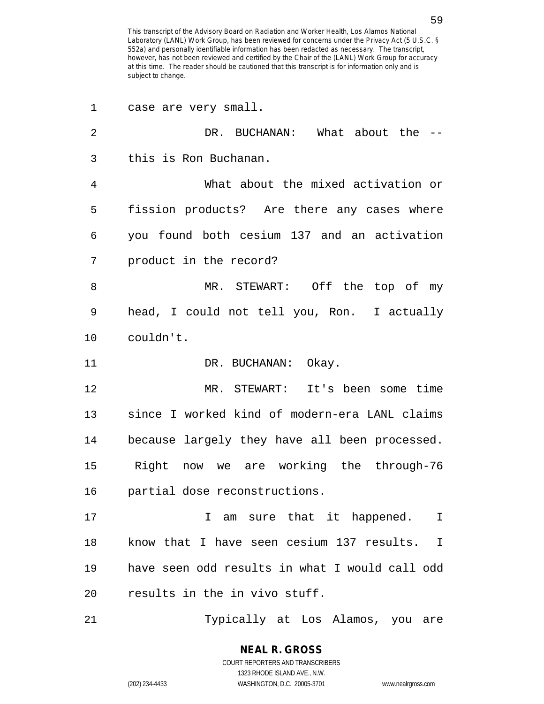| 1  | case are very small.                                     |
|----|----------------------------------------------------------|
| 2  | DR. BUCHANAN: What about the --                          |
| 3  | this is Ron Buchanan.                                    |
| 4  | What about the mixed activation or                       |
| 5  | fission products? Are there any cases where              |
| 6  | you found both cesium 137 and an activation              |
| 7  | product in the record?                                   |
| 8  | MR. STEWART: Off the top of my                           |
| 9  | head, I could not tell you, Ron. I actually              |
| 10 | couldn't.                                                |
| 11 | DR. BUCHANAN: Okay.                                      |
| 12 | MR. STEWART: It's been some time                         |
| 13 | since I worked kind of modern-era LANL claims            |
| 14 | because largely they have all been processed.            |
| 15 | Right now we are working the through-76                  |
| 16 | partial dose reconstructions.                            |
| 17 | I am sure that it happened.<br>I                         |
| 18 | know that I have seen cesium 137 results.<br>$\mathbf I$ |
| 19 | have seen odd results in what I would call odd           |
| 20 | results in the in vivo stuff.                            |
| 21 | Typically at Los Alamos, you are                         |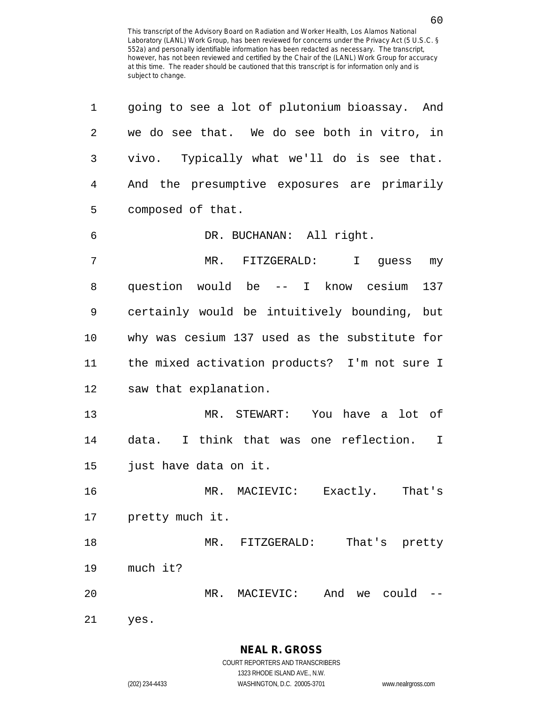| 1  | going to see a lot of plutonium bioassay. And |
|----|-----------------------------------------------|
| 2  | we do see that. We do see both in vitro, in   |
| 3  | vivo. Typically what we'll do is see that.    |
| 4  | And the presumptive exposures are primarily   |
| 5  | composed of that.                             |
| 6  | DR. BUCHANAN: All right.                      |
| 7  | MR. FITZGERALD: I guess my                    |
| 8  | question would be -- I know cesium<br>137     |
| 9  | certainly would be intuitively bounding, but  |
| 10 | why was cesium 137 used as the substitute for |
| 11 | the mixed activation products? I'm not sure I |
| 12 | saw that explanation.                         |
| 13 | MR. STEWART: You have a lot of                |
| 14 | data. I think that was one reflection. I      |
| 15 | just have data on it.                         |
| 16 | MR. MACIEVIC:<br>Exactly. That's              |
| 17 | pretty much it.                               |
| 18 | That's pretty<br>FITZGERALD:<br>MR.           |
| 19 | much it?                                      |
| 20 | And we could<br>MR. MACIEVIC:                 |
| 21 | yes.                                          |

1323 RHODE ISLAND AVE., N.W. (202) 234-4433 WASHINGTON, D.C. 20005-3701 www.nealrgross.com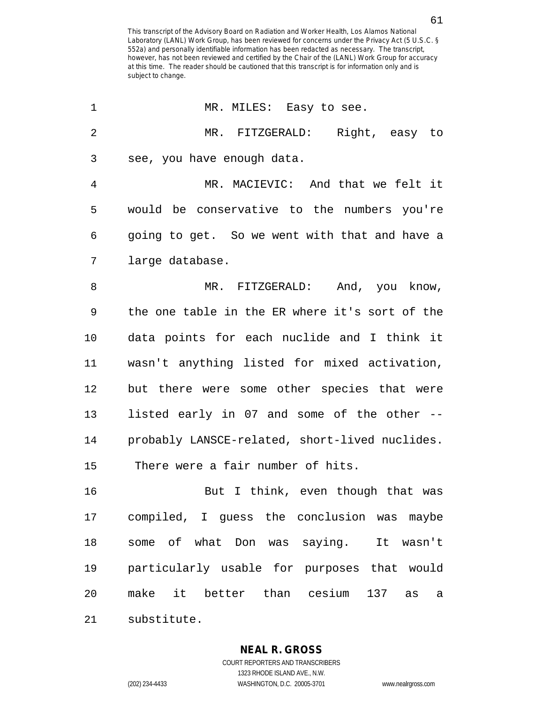| 1              | MR. MILES: Easy to see.                             |
|----------------|-----------------------------------------------------|
| $\overline{2}$ | MR. FITZGERALD: Right, easy to                      |
| 3              | see, you have enough data.                          |
| 4              | MR. MACIEVIC: And that we felt it                   |
| 5              | would be conservative to the numbers you're         |
| 6              | going to get. So we went with that and have a       |
| 7              | large database.                                     |
| 8              | MR. FITZGERALD: And, you know,                      |
| 9              | the one table in the ER where it's sort of the      |
| 10             | data points for each nuclide and I think it         |
| 11             | wasn't anything listed for mixed activation,        |
| 12             | but there were some other species that were         |
| 13             | listed early in 07 and some of the other --         |
| 14             | probably LANSCE-related, short-lived nuclides.      |
| 15             | There were a fair number of hits.                   |
| 16             | But I think, even though that was                   |
| 17             | compiled, I guess the conclusion was maybe          |
| 18             | some of what Don was saying. It wasn't              |
| 19             | particularly usable for purposes that would         |
| 20             | make it better than cesium 137<br>as<br>$\mathsf a$ |
| 21             | substitute.                                         |

(202) 234-4433 WASHINGTON, D.C. 20005-3701 www.nealrgross.com

61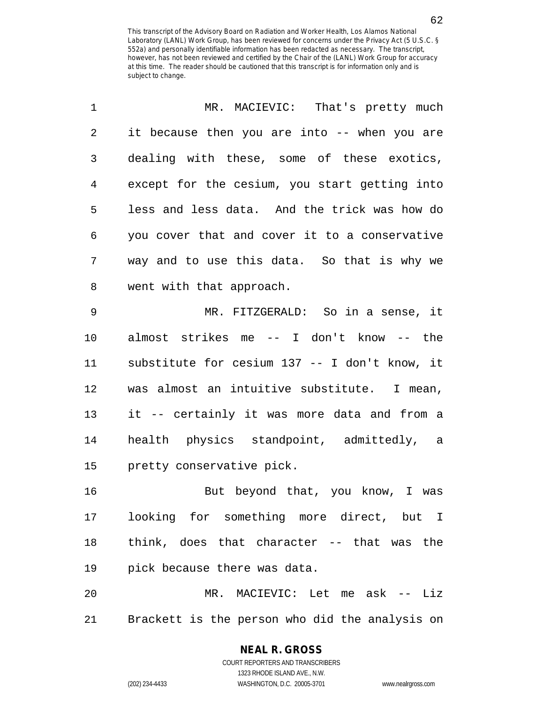| 1              | MR. MACIEVIC: That's pretty much               |
|----------------|------------------------------------------------|
| $\overline{2}$ | it because then you are into -- when you are   |
| 3              | dealing with these, some of these exotics,     |
| 4              | except for the cesium, you start getting into  |
| 5              | less and less data. And the trick was how do   |
| 6              | you cover that and cover it to a conservative  |
| 7              | way and to use this data. So that is why we    |
| 8              | went with that approach.                       |
| 9              | MR. FITZGERALD: So in a sense, it              |
| 10             | almost strikes me -- I don't know -- the       |
| 11             | substitute for cesium 137 -- I don't know, it  |
| 12             | was almost an intuitive substitute. I mean,    |
| 13             | it -- certainly it was more data and from a    |
| 14             | health physics standpoint, admittedly, a       |
| 15             | pretty conservative pick.                      |
| 16             | But beyond that, you know, I was               |
| 17             | looking for something more direct, but I       |
| 18             | think, does that character -- that was the     |
| 19             | pick because there was data.                   |
| 20             | MR. MACIEVIC: Let me ask -- Liz                |
| 21             | Brackett is the person who did the analysis on |

**NEAL R. GROSS** COURT REPORTERS AND TRANSCRIBERS

1323 RHODE ISLAND AVE., N.W.

(202) 234-4433 WASHINGTON, D.C. 20005-3701 www.nealrgross.com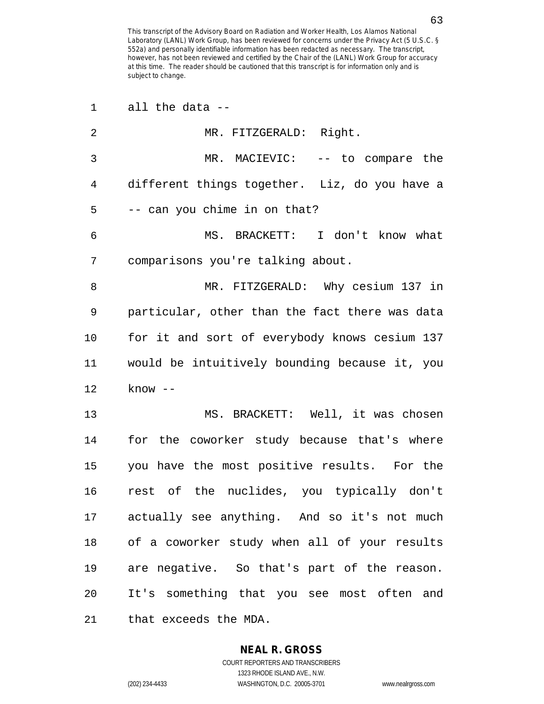| 1  | all the data --                                |
|----|------------------------------------------------|
| 2  | MR. FITZGERALD: Right.                         |
| 3  | MR. MACIEVIC: -- to compare the                |
| 4  | different things together. Liz, do you have a  |
| 5  | -- can you chime in on that?                   |
| 6  | MS. BRACKETT: I don't know what                |
| 7  | comparisons you're talking about.              |
| 8  | MR. FITZGERALD: Why cesium 137 in              |
| 9  | particular, other than the fact there was data |
| 10 | for it and sort of everybody knows cesium 137  |
| 11 | would be intuitively bounding because it, you  |
| 12 | $know --$                                      |
| 13 | MS. BRACKETT: Well, it was chosen              |
| 14 | for the coworker study because that's where    |
| 15 | you have the most positive results. For the    |
| 16 | rest of the nuclides, you typically don't      |
| 17 | actually see anything. And so it's not much    |
| 18 | of a coworker study when all of your results   |
| 19 | are negative. So that's part of the reason.    |
| 20 | It's something that you see most often and     |
| 21 | that exceeds the MDA.                          |

### **NEAL R. GROSS**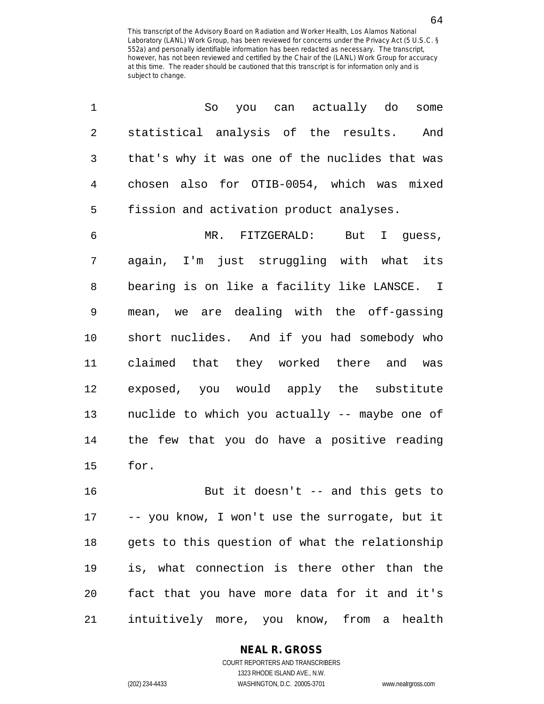1 So you can actually do some

| 2  | statistical analysis of the results.<br>And    |
|----|------------------------------------------------|
| 3  | that's why it was one of the nuclides that was |
| 4  | chosen also for OTIB-0054, which was mixed     |
| 5  | fission and activation product analyses.       |
| 6  | MR. FITZGERALD: But I guess,                   |
| 7  | again, I'm just struggling with what its       |
| 8  | bearing is on like a facility like LANSCE. I   |
| 9  | mean, we are dealing with the off-gassing      |
| 10 | short nuclides. And if you had somebody who    |
| 11 | claimed that they worked there and was         |
| 12 | exposed, you would apply the substitute        |
| 13 | nuclide to which you actually -- maybe one of  |
| 14 | the few that you do have a positive reading    |
| 15 | for.                                           |
| 16 | But it doesn't $-$ and this gets to            |
| 17 | -- you know, I won't use the surrogate, but it |
| 18 | gets to this question of what the relationship |
| 19 | is, what connection is there other than the    |
| 20 | fact that you have more data for it and it's   |

21 intuitively more, you know, from a health

**NEAL R. GROSS** COURT REPORTERS AND TRANSCRIBERS

1323 RHODE ISLAND AVE., N.W. (202) 234-4433 WASHINGTON, D.C. 20005-3701 www.nealrgross.com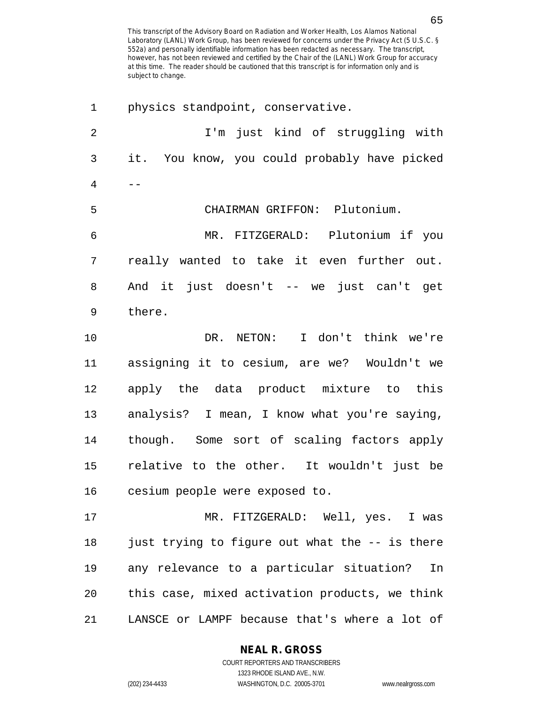1 physics standpoint, conservative. 2 I'm just kind of struggling with 3 it. You know, you could probably have picked  $4 \qquad --$ 5 CHAIRMAN GRIFFON: Plutonium. 6 MR. FITZGERALD: Plutonium if you 7 really wanted to take it even further out. 8 And it just doesn't -- we just can't get 9 there. 10 DR. NETON: I don't think we're 11 assigning it to cesium, are we? Wouldn't we 12 apply the data product mixture to this 13 analysis? I mean, I know what you're saying, 14 though. Some sort of scaling factors apply 15 relative to the other. It wouldn't just be 16 cesium people were exposed to. 17 MR. FITZGERALD: Well, yes. I was 18 just trying to figure out what the -- is there 19 any relevance to a particular situation? In 20 this case, mixed activation products, we think 21 LANSCE or LAMPF because that's where a lot of

**NEAL R. GROSS**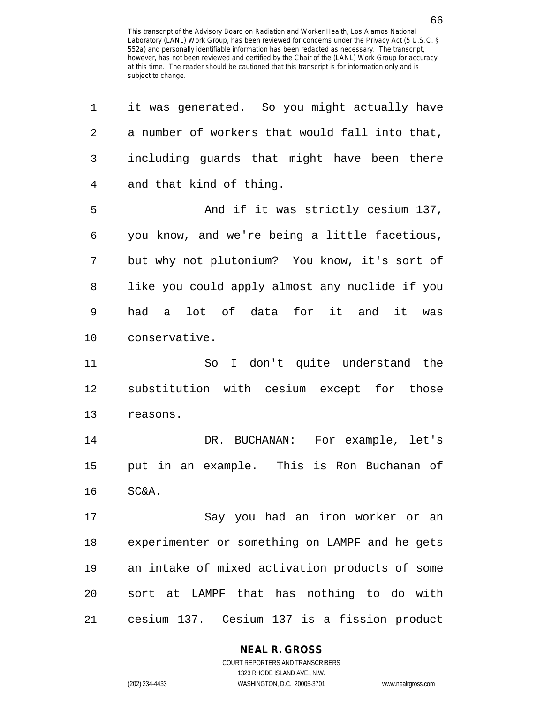| 1           | it was generated. So you might actually have   |
|-------------|------------------------------------------------|
| 2           | a number of workers that would fall into that, |
| 3           | including guards that might have been there    |
| 4           | and that kind of thing.                        |
| 5           | And if it was strictly cesium 137,             |
| 6           | you know, and we're being a little facetious,  |
| 7           | but why not plutonium? You know, it's sort of  |
| 8           | like you could apply almost any nuclide if you |
| $\mathsf 9$ | had a lot of data for it<br>and<br>it was      |
| 10          | conservative.                                  |
| 11          | So I don't quite understand the                |
| 12          | substitution with cesium except for those      |
| 13          | reasons.                                       |
| 14          | DR. BUCHANAN: For example, let's               |
| 15          | put in an example. This is Ron Buchanan of     |
| 16          | SC&A.                                          |
| 17          | Say you had an iron worker or an               |
| 18          | experimenter or something on LAMPF and he gets |
| 19          | an intake of mixed activation products of some |
| 20          | sort at LAMPF that has nothing to do with      |
| 21          | cesium 137. Cesium 137 is a fission product    |

#### **NEAL R. GROSS**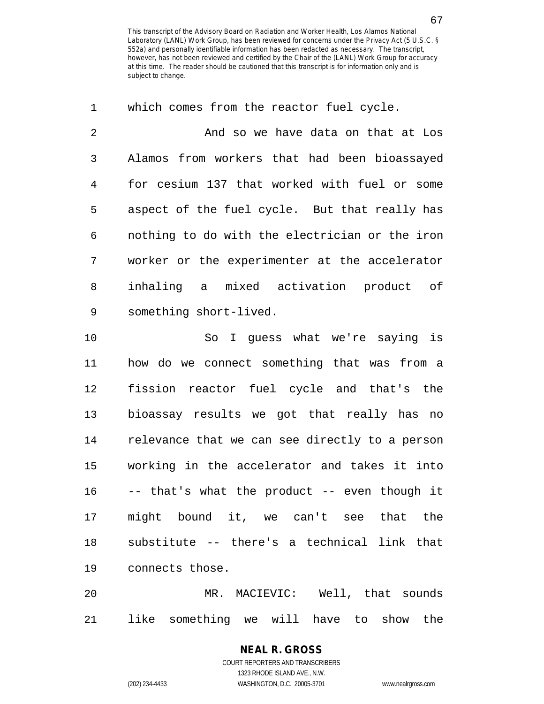1 which comes from the reactor fuel cycle. 2 And so we have data on that at Los 3 Alamos from workers that had been bioassayed 4 for cesium 137 that worked with fuel or some 5 aspect of the fuel cycle. But that really has 6 nothing to do with the electrician or the iron 7 worker or the experimenter at the accelerator 8 inhaling a mixed activation product of 9 something short-lived.

10 So I guess what we're saying is 11 how do we connect something that was from a 12 fission reactor fuel cycle and that's the 13 bioassay results we got that really has no 14 relevance that we can see directly to a person 15 working in the accelerator and takes it into 16 -- that's what the product -- even though it 17 might bound it, we can't see that the 18 substitute -- there's a technical link that 19 connects those.

20 MR. MACIEVIC: Well, that sounds 21 like something we will have to show the

#### **NEAL R. GROSS** COURT REPORTERS AND TRANSCRIBERS 1323 RHODE ISLAND AVE., N.W.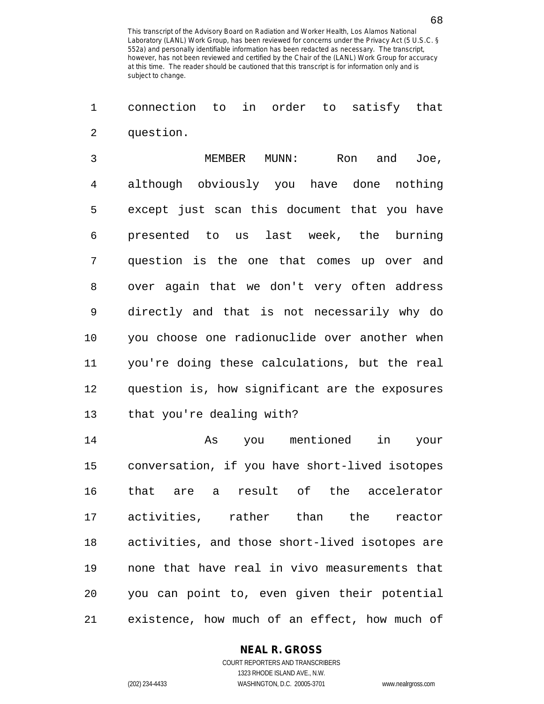1 connection to in order to satisfy that 2 question.

3 MEMBER MUNN: Ron and Joe, 4 although obviously you have done nothing 5 except just scan this document that you have 6 presented to us last week, the burning 7 question is the one that comes up over and 8 over again that we don't very often address 9 directly and that is not necessarily why do 10 you choose one radionuclide over another when 11 you're doing these calculations, but the real 12 question is, how significant are the exposures 13 that you're dealing with?

14 As you mentioned in your 15 conversation, if you have short-lived isotopes 16 that are a result of the accelerator 17 activities, rather than the reactor 18 activities, and those short-lived isotopes are 19 none that have real in vivo measurements that 20 you can point to, even given their potential 21 existence, how much of an effect, how much of

### **NEAL R. GROSS**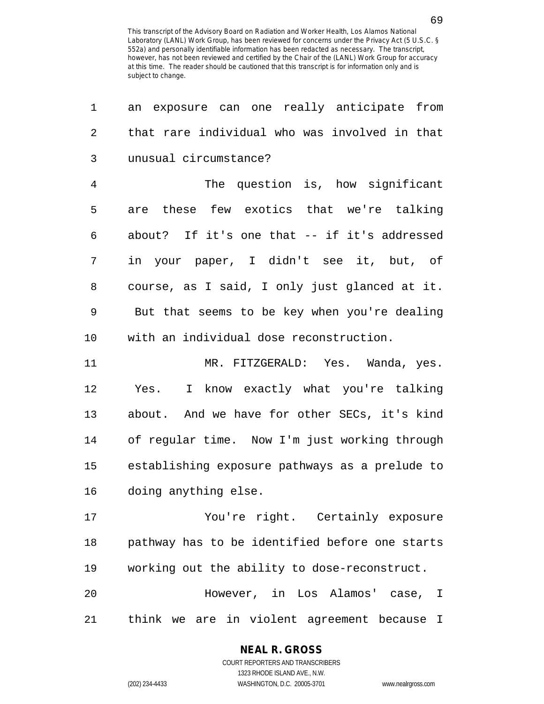| 1              | an exposure can one really anticipate from     |
|----------------|------------------------------------------------|
| 2              | that rare individual who was involved in that  |
| 3              | unusual circumstance?                          |
| $\overline{4}$ | The question is, how significant               |
| 5              | are these few exotics that we're talking       |
| 6              | about? If it's one that -- if it's addressed   |
| 7              | in your paper, I didn't see it, but, of        |
| 8              | course, as I said, I only just glanced at it.  |
| 9              | But that seems to be key when you're dealing   |
| 10             | with an individual dose reconstruction.        |
| 11             | MR. FITZGERALD: Yes. Wanda, yes.               |
| 12             | I know exactly what you're talking<br>Yes.     |
| 13             | about. And we have for other SECs, it's kind   |
| 14             | of regular time. Now I'm just working through  |
| 15             | establishing exposure pathways as a prelude to |
| 16             | doing anything else.                           |
| 17             | You're right. Certainly exposure               |
| 18             | pathway has to be identified before one starts |
| 19             | working out the ability to dose-reconstruct.   |
| 20             | However, in Los Alamos' case, I                |
| 21             | think we are in violent agreement because I    |

## **NEAL R. GROSS**

COURT REPORTERS AND TRANSCRIBERS 1323 RHODE ISLAND AVE., N.W. (202) 234-4433 WASHINGTON, D.C. 20005-3701 www.nealrgross.com

69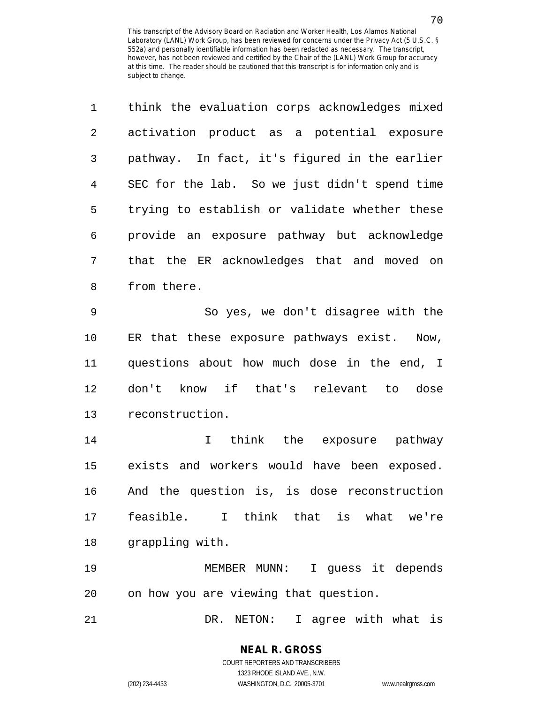| 1              | think the evaluation corps acknowledges mixed  |
|----------------|------------------------------------------------|
| $\overline{2}$ | activation product as a potential exposure     |
| 3              | pathway. In fact, it's figured in the earlier  |
| 4              | SEC for the lab. So we just didn't spend time  |
| 5              | trying to establish or validate whether these  |
| 6              | provide an exposure pathway but acknowledge    |
| 7              | that the ER acknowledges that and moved on     |
| 8              | from there.                                    |
| 9              | So yes, we don't disagree with the             |
| 10             | ER that these exposure pathways exist.<br>Now, |
| 11             | questions about how much dose in the end, I    |
| 12             | know if that's relevant to dose<br>don't       |
| 13             | reconstruction.                                |
| 14             | think the exposure pathway<br>$\mathbf{I}$     |
| 15             | exists and workers would have been exposed.    |
| 16             | And the question is, is dose reconstruction    |
| 17             | feasible. I think that is what we're           |
| 18             | grappling with.                                |
| 19             | MEMBER MUNN: I guess it depends                |
| 20             | on how you are viewing that question.          |
| 21             | DR. NETON: I agree with what is                |

**NEAL R. GROSS** COURT REPORTERS AND TRANSCRIBERS

1323 RHODE ISLAND AVE., N.W.

(202) 234-4433 WASHINGTON, D.C. 20005-3701 www.nealrgross.com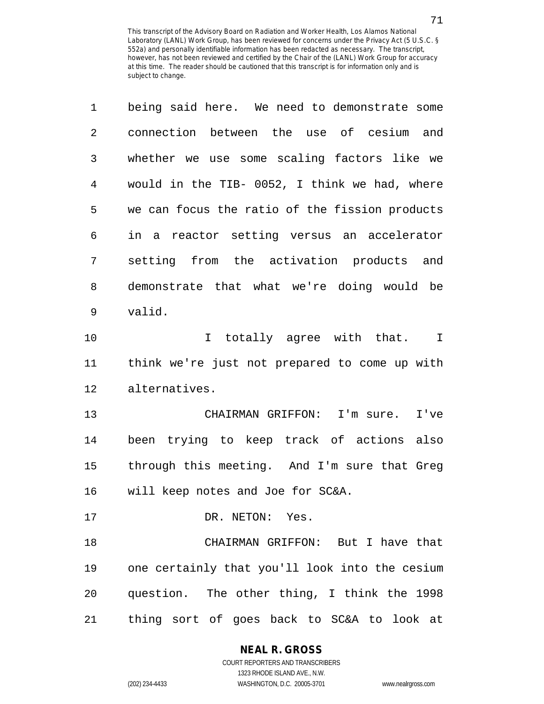| 1              | being said here. We need to demonstrate some   |
|----------------|------------------------------------------------|
| $\overline{2}$ | connection between the use of cesium and       |
| 3              | whether we use some scaling factors like we    |
| $\overline{4}$ | would in the TIB- 0052, I think we had, where  |
| 5              | we can focus the ratio of the fission products |
| 6              | in a reactor setting versus an accelerator     |
| 7              | setting from the activation products and       |
| 8              | demonstrate that what we're doing would be     |
| 9              | valid.                                         |
| 10             | I totally agree with that. I                   |
| 11             | think we're just not prepared to come up with  |
| 12             | alternatives.                                  |
| 13             | CHAIRMAN GRIFFON: I'm sure.<br>I've            |
| 14             | been trying to keep track of actions also      |
| 15             | through this meeting. And I'm sure that Greg   |
| 16             | will keep notes and Joe for SC&A.              |
| 17             | DR. NETON: Yes.                                |
| 18             | CHAIRMAN GRIFFON: But I have that              |
| 19             | one certainly that you'll look into the cesium |
| 20             | question. The other thing, I think the 1998    |
| 21             | thing sort of goes back to SC&A to look at     |

### **NEAL R. GROSS**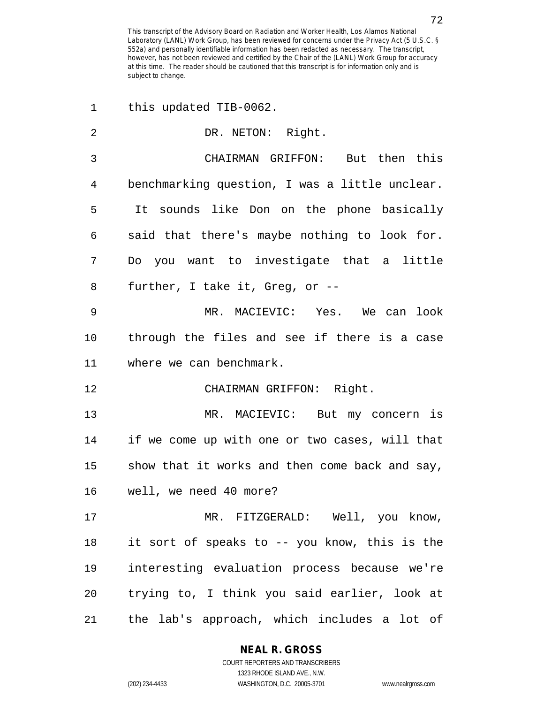| 1  | this updated TIB-0062.                         |
|----|------------------------------------------------|
| 2  | DR. NETON: Right.                              |
| 3  | CHAIRMAN GRIFFON: But then this                |
| 4  | benchmarking question, I was a little unclear. |
| 5  | It sounds like Don on the phone basically      |
| 6  | said that there's maybe nothing to look for.   |
| 7  | Do you want to investigate that a little       |
| 8  | further, I take it, Greg, or --                |
| 9  | MR. MACIEVIC: Yes. We can look                 |
| 10 | through the files and see if there is a case   |
| 11 | where we can benchmark.                        |
| 12 | CHAIRMAN GRIFFON: Right.                       |
| 13 | MR. MACIEVIC: But my concern is                |
| 14 | if we come up with one or two cases, will that |
| 15 | show that it works and then come back and say, |
| 16 | well, we need 40 more?                         |
| 17 | MR. FITZGERALD: Well, you know,                |
| 18 | it sort of speaks to -- you know, this is the  |
| 19 | interesting evaluation process because we're   |
| 20 | trying to, I think you said earlier, look at   |
| 21 | the lab's approach, which includes a lot of    |

### **NEAL R. GROSS**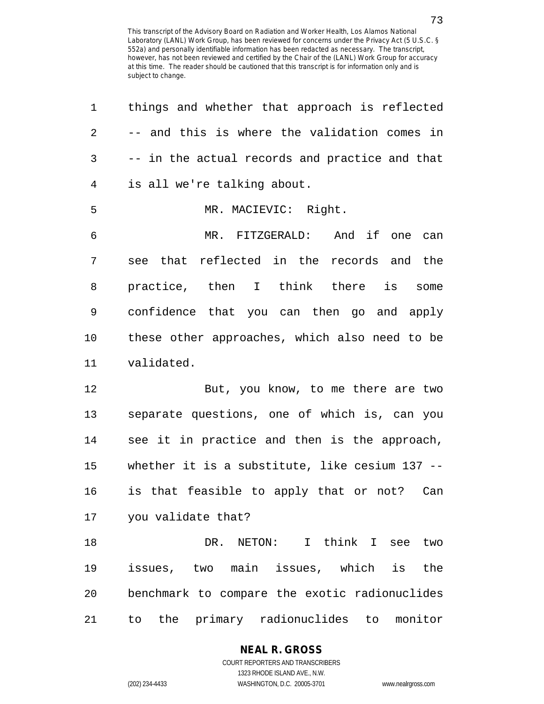| 1              | things and whether that approach is reflected  |
|----------------|------------------------------------------------|
| $\overline{2}$ | -- and this is where the validation comes in   |
| $\mathfrak{Z}$ | -- in the actual records and practice and that |
| 4              | is all we're talking about.                    |
| 5              | MR. MACIEVIC: Right.                           |
| 6              | MR. FITZGERALD: And if one can                 |
| 7              | see that reflected in the records and the      |
| 8              | practice, then I think there is<br>some        |
| 9              | confidence that you can then go and apply      |
| 10             | these other approaches, which also need to be  |
| 11             | validated.                                     |
| 12             | But, you know, to me there are two             |
| 13             | separate questions, one of which is, can you   |
| 14             | see it in practice and then is the approach,   |
| 15             | whether it is a substitute, like cesium 137 -- |
| 16             | is that feasible to apply that or not? Can     |
| 17             | you validate that?                             |
| 18             | DR. NETON: I think I see two                   |
| 19             | issues, two main issues, which is the          |
| 20             | benchmark to compare the exotic radionuclides  |
| 21             | the primary radionuclides to<br>monitor<br>to  |

## **NEAL R. GROSS**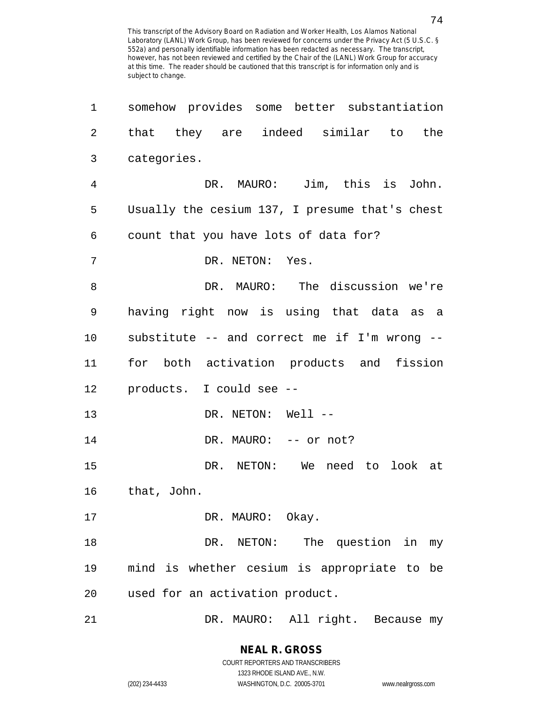| 1  | somehow provides some better substantiation    |
|----|------------------------------------------------|
| 2  | that they are indeed similar to the            |
| 3  | categories.                                    |
| 4  | DR. MAURO: Jim, this is John.                  |
| 5  | Usually the cesium 137, I presume that's chest |
| 6  | count that you have lots of data for?          |
| 7  | DR. NETON: Yes.                                |
| 8  | DR. MAURO: The discussion we're                |
| 9  | having right now is using that data as a       |
| 10 | substitute -- and correct me if I'm wrong --   |
| 11 | for both activation products and fission       |
| 12 | products. I could see --                       |
| 13 | DR. NETON: Well --                             |
| 14 | DR. MAURO: -- or not?                          |
| 15 | DR. NETON: We need to look at                  |
| 16 | that, John.                                    |
| 17 | DR. MAURO: Okay.                               |
| 18 | DR. NETON:<br>The question in my               |
| 19 | mind is whether cesium is appropriate to be    |
| 20 | used for an activation product.                |
| 21 | DR. MAURO: All right. Because my               |

1323 RHODE ISLAND AVE., N.W.

(202) 234-4433 WASHINGTON, D.C. 20005-3701 www.nealrgross.com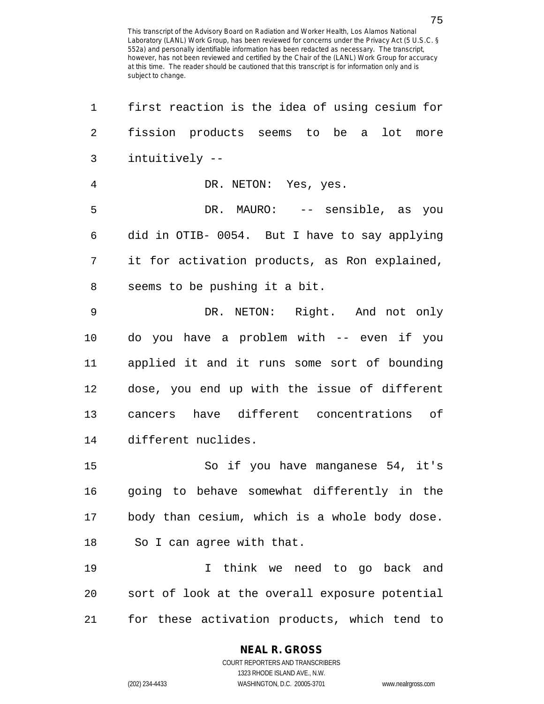| $\mathbf 1$ | first reaction is the idea of using cesium for |
|-------------|------------------------------------------------|
| 2           | fission products seems to be a<br>lot<br>more  |
| 3           | intuitively --                                 |
| 4           | DR. NETON: Yes, yes.                           |
| 5           | DR. MAURO: -- sensible, as you                 |
| 6           | did in OTIB- 0054. But I have to say applying  |
| 7           | it for activation products, as Ron explained,  |
| 8           | seems to be pushing it a bit.                  |
| 9           | DR. NETON: Right. And not only                 |
| 10          | do you have a problem with -- even if you      |
| 11          | applied it and it runs some sort of bounding   |
| 12          | dose, you end up with the issue of different   |
| 13          | cancers have different concentrations of       |
| 14          | different nuclides.                            |
| 15          | So if you have manganese 54, it's              |
| 16          | going to behave somewhat differently in the    |
| 17          | body than cesium, which is a whole body dose.  |
| 18          | So I can agree with that.                      |
| 19          | I think we need to go back and                 |
| 20          | sort of look at the overall exposure potential |
| 21          | for these activation products, which tend to   |

#### **NEAL R. GROSS**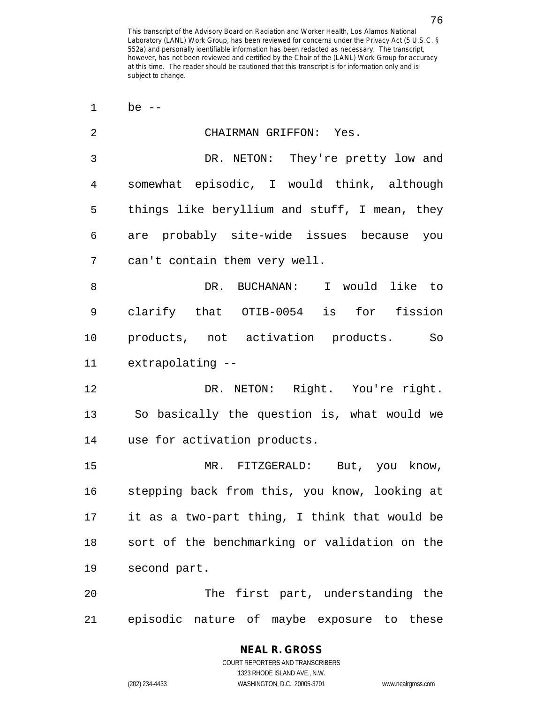| 1              | be $--$                                       |
|----------------|-----------------------------------------------|
| $\overline{2}$ | CHAIRMAN GRIFFON: Yes.                        |
| $\mathbf{3}$   | DR. NETON: They're pretty low and             |
| 4              | somewhat episodic, I would think, although    |
| 5              | things like beryllium and stuff, I mean, they |
| 6              | are probably site-wide issues because you     |
| 7              | can't contain them very well.                 |
| 8              | DR. BUCHANAN: I would like to                 |
| 9              | clarify that OTIB-0054 is for fission         |
| 10             | products, not activation products.<br>So      |
| 11             | extrapolating --                              |
| 12             | DR. NETON: Right. You're right.               |
| 13             | So basically the question is, what would we   |
| 14             | use for activation products.                  |
| 15             | MR. FITZGERALD: But, you know,                |
| 16             | stepping back from this, you know, looking at |
| 17             | it as a two-part thing, I think that would be |
| 18             | sort of the benchmarking or validation on the |
| 19             | second part.                                  |
| 20             | The first part, understanding the             |
| 21             | episodic nature of maybe exposure to these    |

## **NEAL R. GROSS**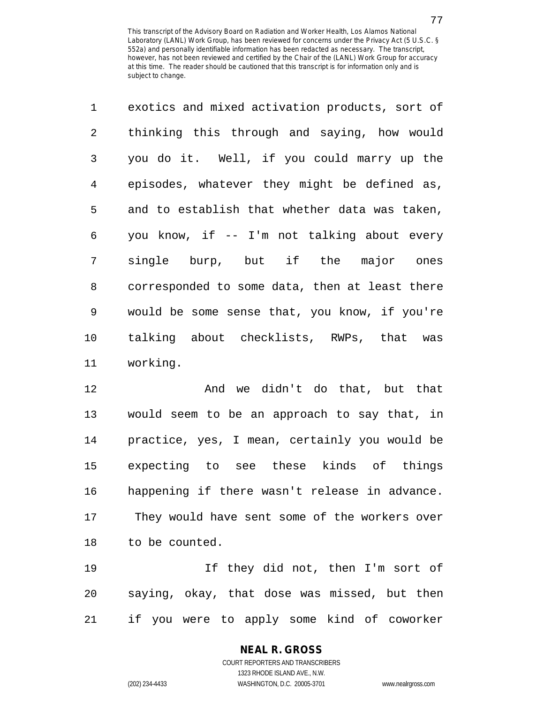| $\mathbf{1}$   | exotics and mixed activation products, sort of |
|----------------|------------------------------------------------|
| $\overline{2}$ | thinking this through and saying, how would    |
| 3              | you do it. Well, if you could marry up the     |
| 4              | episodes, whatever they might be defined as,   |
| 5              | and to establish that whether data was taken,  |
| 6              | you know, if -- I'm not talking about every    |
| 7              | single burp, but if the major ones             |
| 8              | corresponded to some data, then at least there |
| 9              | would be some sense that, you know, if you're  |
| 10             | talking about checklists, RWPs, that was       |
| 11             | working.                                       |

12 And we didn't do that, but that 13 would seem to be an approach to say that, in 14 practice, yes, I mean, certainly you would be 15 expecting to see these kinds of things 16 happening if there wasn't release in advance. 17 They would have sent some of the workers over 18 to be counted.

19 If they did not, then I'm sort of 20 saying, okay, that dose was missed, but then 21 if you were to apply some kind of coworker

## **NEAL R. GROSS**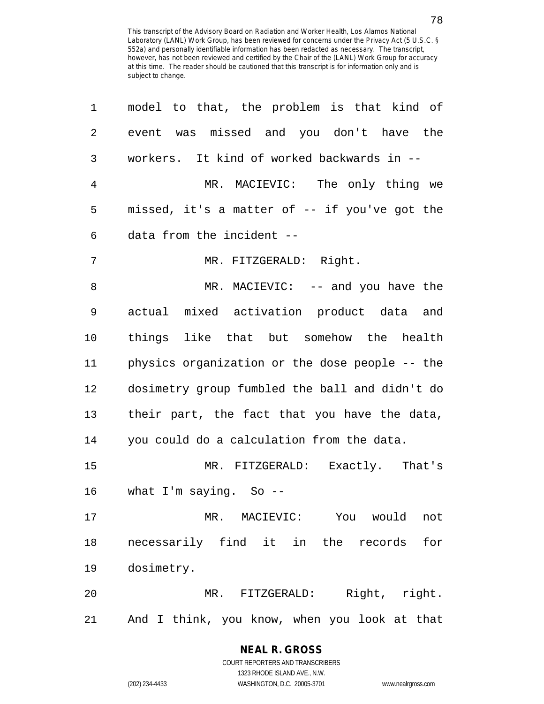| 1  | model to that, the problem is that kind of     |
|----|------------------------------------------------|
| 2  | event was missed and you don't have the        |
| 3  | workers. It kind of worked backwards in --     |
| 4  | MR. MACIEVIC: The only thing we                |
| 5  | missed, it's a matter of -- if you've got the  |
| 6  | data from the incident --                      |
| 7  | MR. FITZGERALD: Right.                         |
| 8  | MR. MACIEVIC: -- and you have the              |
| 9  | actual mixed activation product data and       |
| 10 | things like that but somehow the health        |
| 11 | physics organization or the dose people -- the |
| 12 | dosimetry group fumbled the ball and didn't do |
| 13 | their part, the fact that you have the data,   |
| 14 | you could do a calculation from the data.      |
| 15 | Exactly. That's<br>MR. FITZGERALD:             |
| 16 | what $I'm$ saying. So --                       |
| 17 | MR. MACIEVIC: You would<br>not                 |
| 18 | necessarily find it in the records<br>for      |
| 19 | dosimetry.                                     |
| 20 | MR. FITZGERALD: Right, right.                  |
| 21 | And I think, you know, when you look at that   |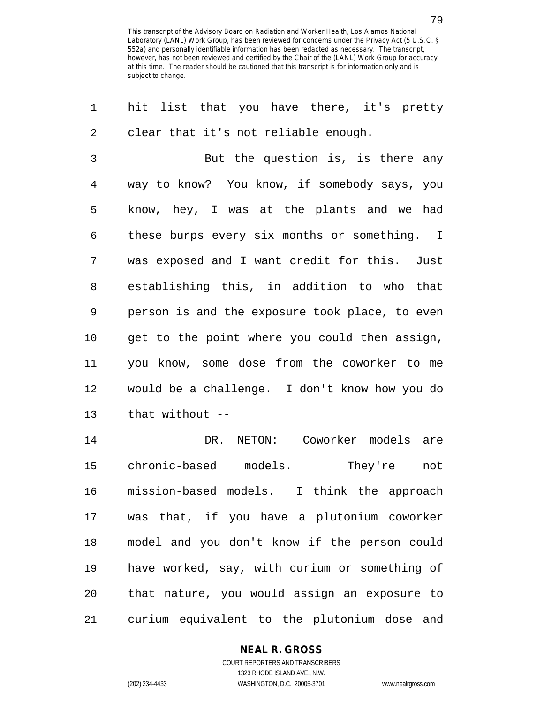| 1              | hit list that you have there, it's pretty      |
|----------------|------------------------------------------------|
| 2              | clear that it's not reliable enough.           |
| $\mathfrak{Z}$ | But the question is, is there any              |
| 4              | way to know? You know, if somebody says, you   |
| 5              | know, hey, I was at the plants and we had      |
| 6              | these burps every six months or something. I   |
| 7              | was exposed and I want credit for this. Just   |
| 8              | establishing this, in addition to who that     |
| 9              | person is and the exposure took place, to even |
| 10             | get to the point where you could then assign,  |
| 11             | you know, some dose from the coworker to me    |
| 12             | would be a challenge. I don't know how you do  |
| 13             | that without --                                |
| 14             | DR. NETON: Coworker models are                 |
| 15             | chronic-based models. They're<br>not           |
| 16             | mission-based models. I think the approach     |
| 17             | was that, if you have a plutonium coworker     |
| 18             | model and you don't know if the person could   |
| 19             | have worked, say, with curium or something of  |
| 20             | that nature, you would assign an exposure to   |

21 curium equivalent to the plutonium dose and

## **NEAL R. GROSS**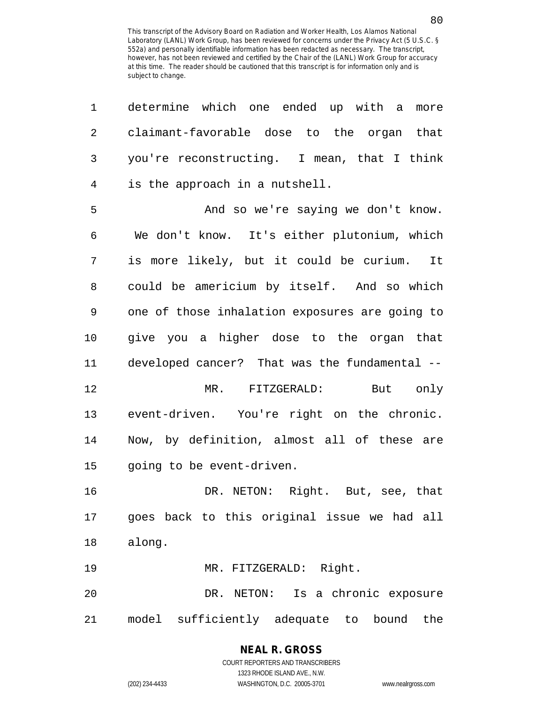| $\mathbf{1}$ | determine which one ended up with a<br>more    |
|--------------|------------------------------------------------|
| 2            | claimant-favorable dose to the organ that      |
| 3            | you're reconstructing. I mean, that I think    |
| 4            | is the approach in a nutshell.                 |
| 5            | And so we're saying we don't know.             |
| 6            | We don't know. It's either plutonium, which    |
| 7            | is more likely, but it could be curium. It     |
| 8            | could be americium by itself. And so which     |
| 9            | one of those inhalation exposures are going to |
| 10           | give you a higher dose to the organ that       |
| 11           | developed cancer? That was the fundamental --  |
| 12           | MR. FITZGERALD: But only                       |
| 13           | event-driven. You're right on the chronic.     |
| 14           | Now, by definition, almost all of these are    |
| 15           | going to be event-driven.                      |
| 16           | DR. NETON: Right. But, see, that               |
| 17           | goes back to this original issue we had all    |
| 18           | along.                                         |
| 19           | MR. FITZGERALD: Right.                         |
| 20           | DR. NETON: Is a chronic exposure               |
| 21           | model sufficiently adequate to bound the       |

## **NEAL R. GROSS**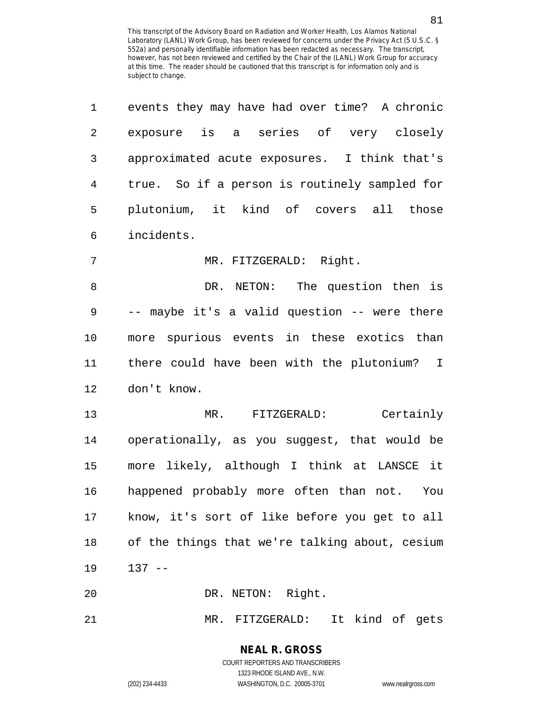| 1              | events they may have had over time? A chronic  |
|----------------|------------------------------------------------|
| $\overline{2}$ | exposure is a series of very closely           |
| $\mathbf{3}$   | approximated acute exposures. I think that's   |
| $\overline{4}$ | true. So if a person is routinely sampled for  |
| 5              | plutonium, it kind of covers all those         |
| 6              | incidents.                                     |
| 7              | MR. FITZGERALD: Right.                         |
| 8              | DR. NETON: The question then is                |
| 9              | -- maybe it's a valid question -- were there   |
| 10             | more spurious events in these exotics than     |
| 11             | there could have been with the plutonium? I    |
| 12             | don't know.                                    |
| 13             | FITZGERALD: Certainly<br>$MR$ .                |
| 14             | operationally, as you suggest, that would be   |
| 15             | more likely, although I think at LANSCE it     |
| 16             | happened probably more often than not. You     |
| 17             | know, it's sort of like before you get to all  |
| 18             | of the things that we're talking about, cesium |
| 19             | $137 - -$                                      |
| 20             | DR. NETON: Right.                              |
| 21             | It kind of gets<br>MR. FITZGERALD:             |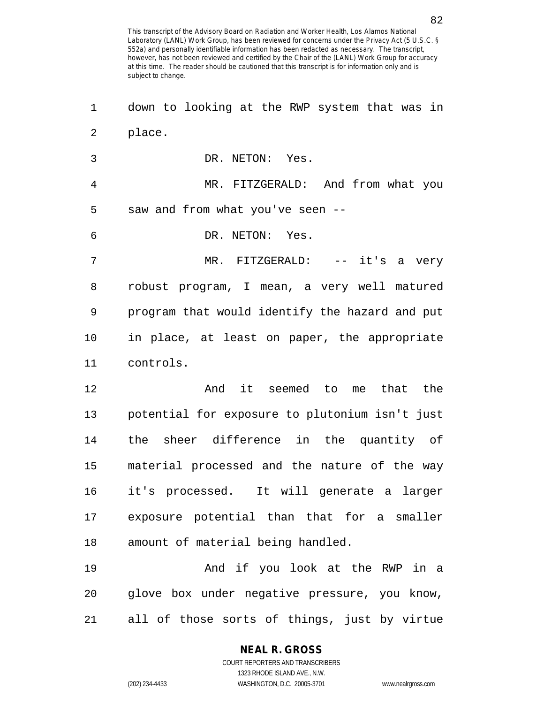| 1              | down to looking at the RWP system that was in  |
|----------------|------------------------------------------------|
| 2              | place.                                         |
| 3              | DR. NETON: Yes.                                |
| $\overline{4}$ | MR. FITZGERALD: And from what you              |
| 5              | saw and from what you've seen --               |
| 6              | DR. NETON: Yes.                                |
| 7              | MR. FITZGERALD: -- it's a very                 |
| 8              | robust program, I mean, a very well matured    |
| 9              | program that would identify the hazard and put |
| 10             | in place, at least on paper, the appropriate   |
| 11             | controls.                                      |
| 12             | And it seemed to me that the                   |
| 13             | potential for exposure to plutonium isn't just |
| 14             | the sheer difference in the quantity of        |
| 15             | material processed and the nature of the way   |
| 16             | it's processed. It will generate a larger      |
| 17             | exposure potential than that for a smaller     |
| 18             | amount of material being handled.              |
| 19             | And if you look at the RWP in a                |
| 20             | glove box under negative pressure, you know,   |
| 21             | all of those sorts of things, just by virtue   |

**NEAL R. GROSS**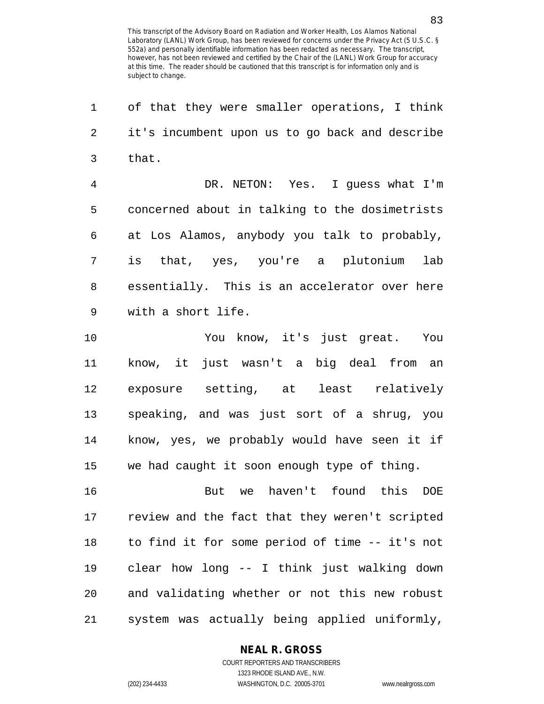1 of that they were smaller operations, I think 2 it's incumbent upon us to go back and describe 3 that. 4 DR. NETON: Yes. I guess what I'm 5 concerned about in talking to the dosimetrists 6 at Los Alamos, anybody you talk to probably, 7 is that, yes, you're a plutonium lab 8 essentially. This is an accelerator over here 9 with a short life. 10 You know, it's just great. You 11 know, it just wasn't a big deal from an 12 exposure setting, at least relatively 13 speaking, and was just sort of a shrug, you 14 know, yes, we probably would have seen it if 15 we had caught it soon enough type of thing. 16 But we haven't found this DOE 17 review and the fact that they weren't scripted 18 to find it for some period of time -- it's not 19 clear how long -- I think just walking down 20 and validating whether or not this new robust

21 system was actually being applied uniformly,

## **NEAL R. GROSS**

COURT REPORTERS AND TRANSCRIBERS 1323 RHODE ISLAND AVE., N.W. (202) 234-4433 WASHINGTON, D.C. 20005-3701 www.nealrgross.com

83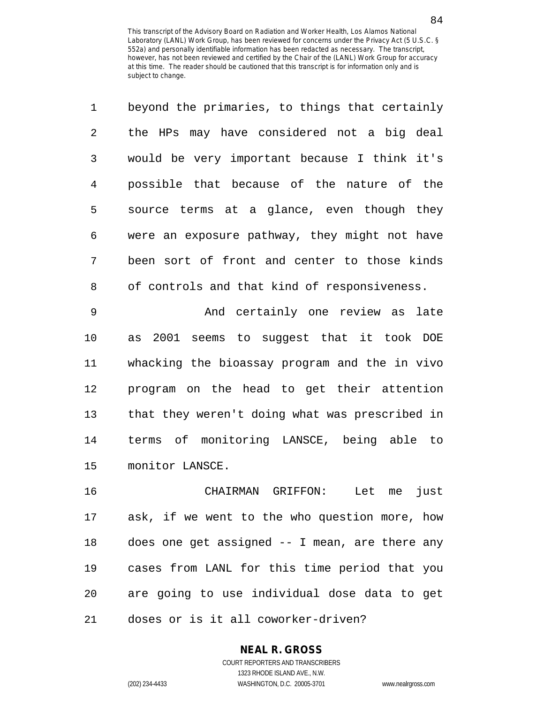| $\mathbf{1}$  | beyond the primaries, to things that certainly |
|---------------|------------------------------------------------|
| $\mathcal{L}$ | the HPs may have considered not a big deal     |
| 3             | would be very important because I think it's   |
| 4             | possible that because of the nature of the     |
| 5             | source terms at a glance, even though they     |
| 6             | were an exposure pathway, they might not have  |
| 7             | been sort of front and center to those kinds   |
| 8             | of controls and that kind of responsiveness.   |
|               |                                                |

9 And certainly one review as late 10 as 2001 seems to suggest that it took DOE 11 whacking the bioassay program and the in vivo 12 program on the head to get their attention 13 that they weren't doing what was prescribed in 14 terms of monitoring LANSCE, being able to 15 monitor LANSCE.

16 CHAIRMAN GRIFFON: Let me just 17 ask, if we went to the who question more, how 18 does one get assigned -- I mean, are there any 19 cases from LANL for this time period that you 20 are going to use individual dose data to get 21 doses or is it all coworker-driven?

## **NEAL R. GROSS**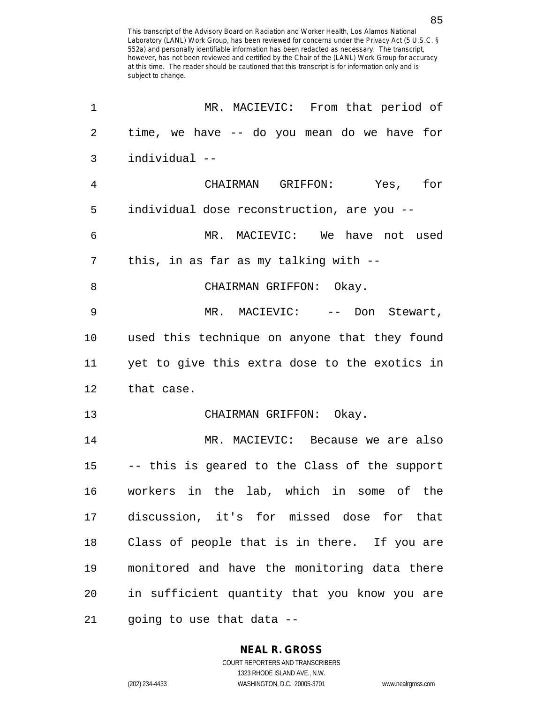| 1  | MR. MACIEVIC: From that period of                |
|----|--------------------------------------------------|
| 2  | time, we have -- do you mean do we have for      |
| 3  | individual --                                    |
| 4  | CHAIRMAN GRIFFON: Yes, for                       |
| 5  | individual dose reconstruction, are you --       |
| 6  | MR. MACIEVIC: We have not used                   |
| 7  | this, in as far as my talking with --            |
| 8  | CHAIRMAN GRIFFON: Okay.                          |
| 9  | MR. MACIEVIC: -- Don Stewart,                    |
| 10 | used this technique on anyone that they found    |
| 11 | yet to give this extra dose to the exotics in    |
| 12 | that case.                                       |
| 13 | CHAIRMAN GRIFFON: Okay.                          |
| 14 | MR. MACIEVIC: Because we are also                |
|    | 15 -- this is geared to the Class of the support |
|    | 16 workers in the lab, which in some of the      |
| 17 | discussion, it's for missed dose for that        |
| 18 | Class of people that is in there. If you are     |
| 19 | monitored and have the monitoring data there     |
| 20 | in sufficient quantity that you know you are     |
| 21 | going to use that data --                        |

**NEAL R. GROSS** COURT REPORTERS AND TRANSCRIBERS

1323 RHODE ISLAND AVE., N.W. (202) 234-4433 WASHINGTON, D.C. 20005-3701 www.nealrgross.com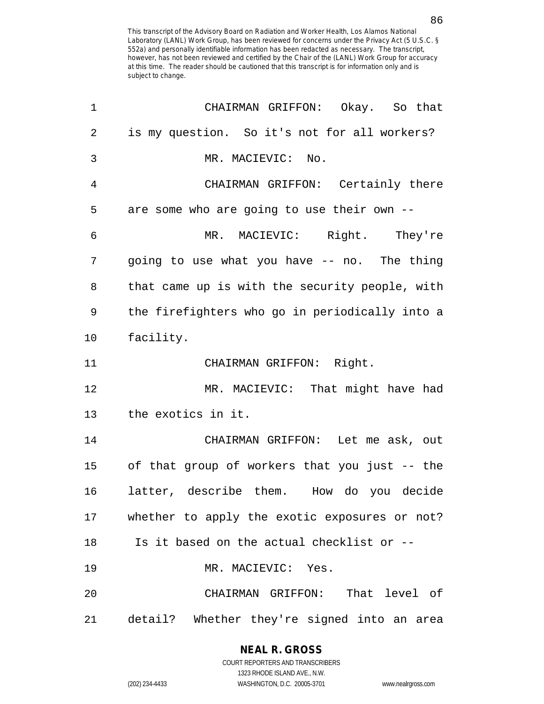| 1  | CHAIRMAN GRIFFON: Okay. So that                  |
|----|--------------------------------------------------|
| 2  | is my question. So it's not for all workers?     |
| 3  | MR. MACIEVIC: No.                                |
| 4  | CHAIRMAN GRIFFON: Certainly there                |
| 5  | are some who are going to use their own --       |
| 6  | MR. MACIEVIC: Right. They're                     |
| 7  | going to use what you have -- no. The thing      |
| 8  | that came up is with the security people, with   |
| 9  | the firefighters who go in periodically into a   |
| 10 | facility.                                        |
| 11 | CHAIRMAN GRIFFON: Right.                         |
| 12 | MR. MACIEVIC: That might have had                |
| 13 | the exotics in it.                               |
| 14 | CHAIRMAN GRIFFON: Let me ask, out                |
| 15 | of that group of workers that you just -- the    |
| 16 | latter, describe them. How do you decide         |
|    | 17 whether to apply the exotic exposures or not? |
| 18 | Is it based on the actual checklist or --        |
| 19 | MR. MACIEVIC: Yes.                               |
| 20 | CHAIRMAN GRIFFON: That level of                  |
| 21 | detail? Whether they're signed into an area      |

**NEAL R. GROSS** COURT REPORTERS AND TRANSCRIBERS

1323 RHODE ISLAND AVE., N.W.

(202) 234-4433 WASHINGTON, D.C. 20005-3701 www.nealrgross.com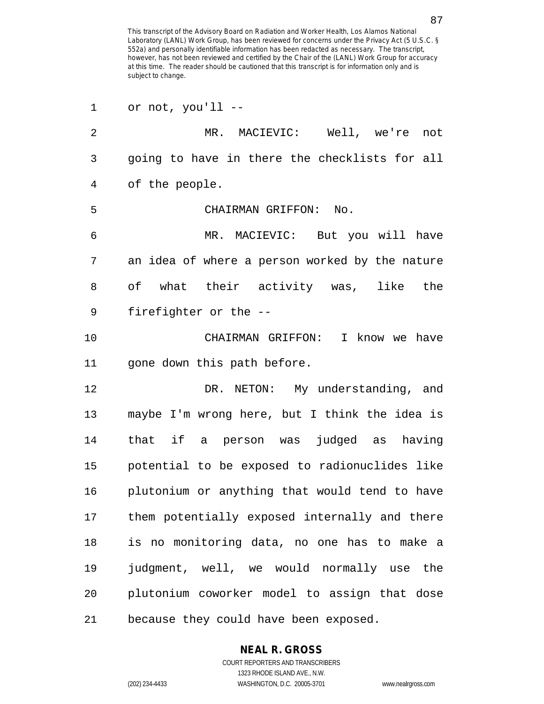| 1              | or not, you'll --                                 |
|----------------|---------------------------------------------------|
| $\overline{2}$ | MR. MACIEVIC: Well, we're not                     |
| 3              | going to have in there the checklists for all     |
| 4              | of the people.                                    |
| 5              | CHAIRMAN GRIFFON:<br>$\mathop{\rm No}\nolimits$ . |
| 6              | MR. MACIEVIC: But you will have                   |
| 7              | an idea of where a person worked by the nature    |
| 8              | of what their activity was, like the              |
| 9              | firefighter or the --                             |
| 10             | CHAIRMAN GRIFFON: I know we have                  |
| 11             | gone down this path before.                       |
| 12             | DR. NETON: My understanding, and                  |
| 13             | maybe I'm wrong here, but I think the idea is     |
| 14             | that if a person was judged as having             |
| 15             | potential to be exposed to radionuclides like     |
| 16             | plutonium or anything that would tend to have     |
| 17             | them potentially exposed internally and there     |
| 18             | is no monitoring data, no one has to make a       |
| 19             | judgment, well, we would normally use the         |
| 20             | plutonium coworker model to assign that dose      |
| 21             | because they could have been exposed.             |

## **NEAL R. GROSS**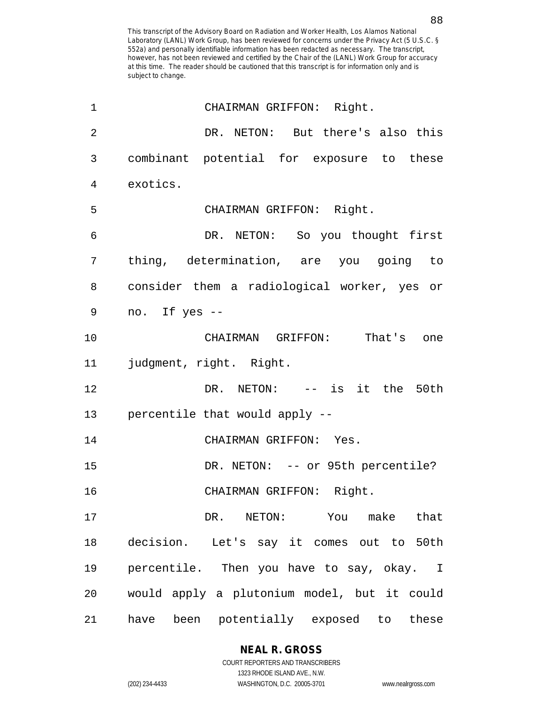| 1  | CHAIRMAN GRIFFON: Right.                    |
|----|---------------------------------------------|
| 2  | DR. NETON: But there's also this            |
| 3  | combinant potential for exposure to these   |
| 4  | exotics.                                    |
| 5  | CHAIRMAN GRIFFON: Right.                    |
| 6  | DR. NETON: So you thought first             |
| 7  | thing, determination, are you going to      |
| 8  | consider them a radiological worker, yes or |
| 9  | no. If yes --                               |
| 10 | CHAIRMAN GRIFFON: That's one                |
| 11 | judgment, right. Right.                     |
| 12 | DR. NETON: -- is it the 50th                |
| 13 | -- percentile that would apply              |
| 14 | CHAIRMAN GRIFFON: Yes.                      |
| 15 | DR. NETON: -- or 95th percentile?           |
| 16 | CHAIRMAN GRIFFON: Right.                    |
| 17 | DR. NETON: You make that                    |
| 18 | decision. Let's say it comes out to 50th    |
| 19 | percentile. Then you have to say, okay. I   |
| 20 | would apply a plutonium model, but it could |
| 21 | have been potentially exposed to these      |

**NEAL R. GROSS** COURT REPORTERS AND TRANSCRIBERS

1323 RHODE ISLAND AVE., N.W. (202) 234-4433 WASHINGTON, D.C. 20005-3701 www.nealrgross.com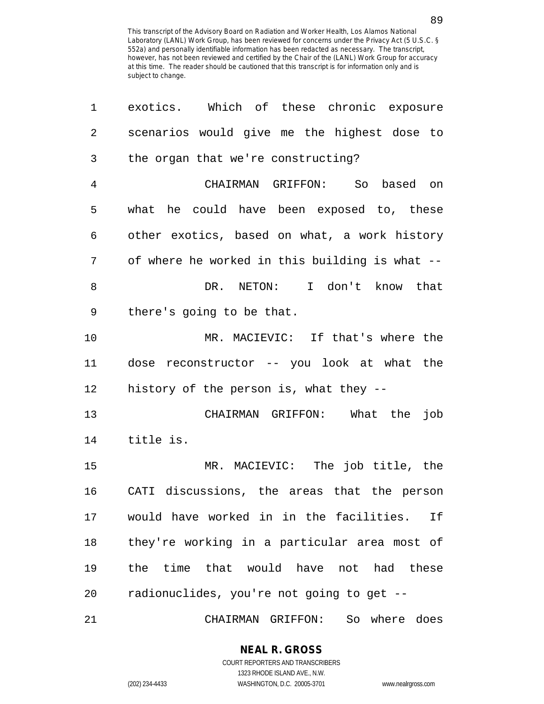| 1              | exotics. Which of these chronic exposure       |
|----------------|------------------------------------------------|
| $\overline{2}$ | scenarios would give me the highest dose to    |
| 3              | the organ that we're constructing?             |
| $\overline{4}$ | CHAIRMAN GRIFFON: So based on                  |
| 5              | what he could have been exposed to, these      |
| 6              | other exotics, based on what, a work history   |
| 7              | of where he worked in this building is what -- |
| 8              | DR. NETON: I don't know that                   |
| 9              | there's going to be that.                      |
| 10             | MR. MACIEVIC: If that's where the              |
| 11             | dose reconstructor -- you look at what the     |
| 12             | history of the person is, what they --         |
| 13             | CHAIRMAN GRIFFON: What the<br>job              |
| 14             | title is.                                      |
| 15             | MR. MACIEVIC: The job title, the               |
| 16             | CATI discussions, the areas that the person    |
| 17             | would have worked in in the facilities. If     |
| 18             | they're working in a particular area most of   |
| 19             | the time that would have not had these         |
| 20             | radionuclides, you're not going to get --      |
| 21             | So where does<br>CHAIRMAN GRIFFON:             |

**NEAL R. GROSS**

COURT REPORTERS AND TRANSCRIBERS 1323 RHODE ISLAND AVE., N.W. (202) 234-4433 WASHINGTON, D.C. 20005-3701 www.nealrgross.com

89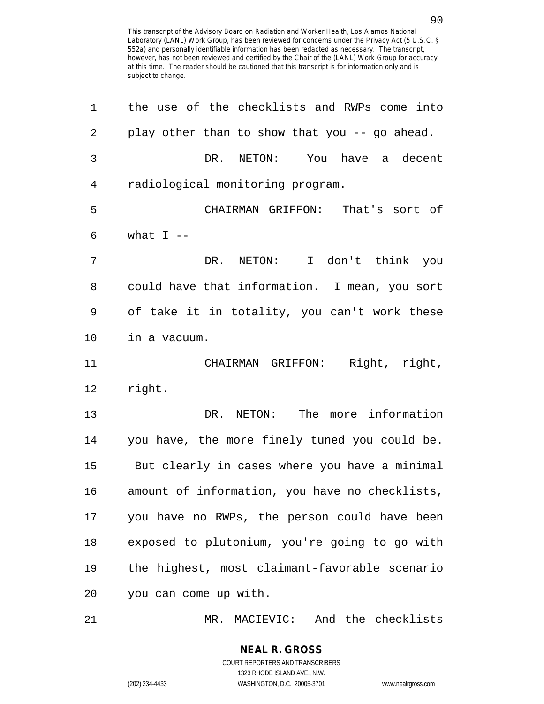| 1              | the use of the checklists and RWPs come into    |
|----------------|-------------------------------------------------|
| $\overline{2}$ | play other than to show that you -- go ahead.   |
| 3              | DR. NETON: You have a decent                    |
| 4              | radiological monitoring program.                |
| 5              | CHAIRMAN GRIFFON: That's sort of                |
| 6              | what $I$ --                                     |
| 7              | DR.<br>NETON:<br>$\mathbf I$<br>don't think you |
| 8              | could have that information. I mean, you sort   |
| 9              | of take it in totality, you can't work these    |
| 10             | in a vacuum.                                    |
| 11             | CHAIRMAN GRIFFON: Right, right,                 |
| 12             | right.                                          |
| 13             | The more information<br>DR. NETON:              |
| 14             | you have, the more finely tuned you could be.   |
| 15             | But clearly in cases where you have a minimal   |
| 16             | amount of information, you have no checklists,  |
| 17             | you have no RWPs, the person could have been    |
| 18             | exposed to plutonium, you're going to go with   |
| 19             | the highest, most claimant-favorable scenario   |
| 20             | you can come up with.                           |
| 21             | MR. MACIEVIC: And the checklists                |

**NEAL R. GROSS**

COURT REPORTERS AND TRANSCRIBERS

1323 RHODE ISLAND AVE., N.W. (202) 234-4433 WASHINGTON, D.C. 20005-3701 www.nealrgross.com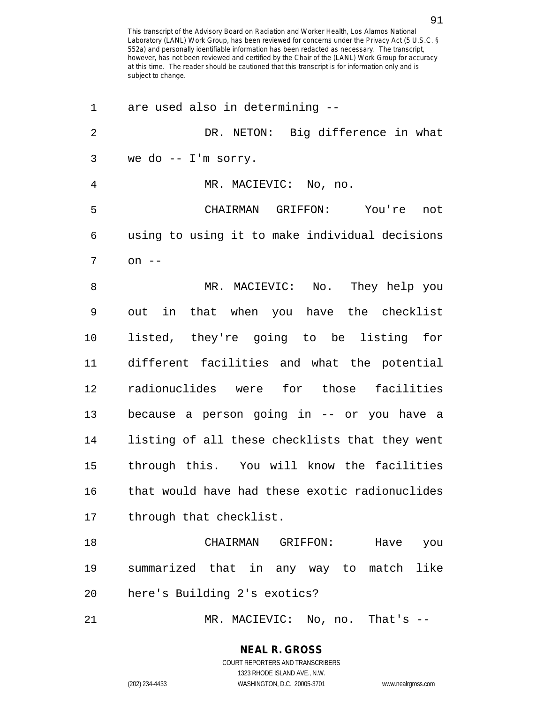| 1  | are used also in determining --                |
|----|------------------------------------------------|
| 2  | DR. NETON: Big difference in what              |
| 3  | we do $-$ I'm sorry.                           |
| 4  | MR. MACIEVIC: No, no.                          |
| 5  | CHAIRMAN GRIFFON: You're not                   |
| 6  | using to using it to make individual decisions |
| 7  | on $--$                                        |
| 8  | MR. MACIEVIC: No. They help you                |
| 9  | out in that when you have the checklist        |
| 10 | listed, they're going to be listing for        |
| 11 | different facilities and what the potential    |
| 12 | radionuclides were for those facilities        |
| 13 | because a person going in -- or you have a     |
| 14 | listing of all these checklists that they went |
| 15 | through this. You will know the facilities     |
| 16 | that would have had these exotic radionuclides |
| 17 | through that checklist.                        |
| 18 | CHAIRMAN<br>GRIFFON: Have you                  |
| 19 | summarized that in any way to match like       |
| 20 | here's Building 2's exotics?                   |
| 21 | MR. MACIEVIC: No, no. That's --                |

**NEAL R. GROSS** COURT REPORTERS AND TRANSCRIBERS

1323 RHODE ISLAND AVE., N.W. (202) 234-4433 WASHINGTON, D.C. 20005-3701 www.nealrgross.com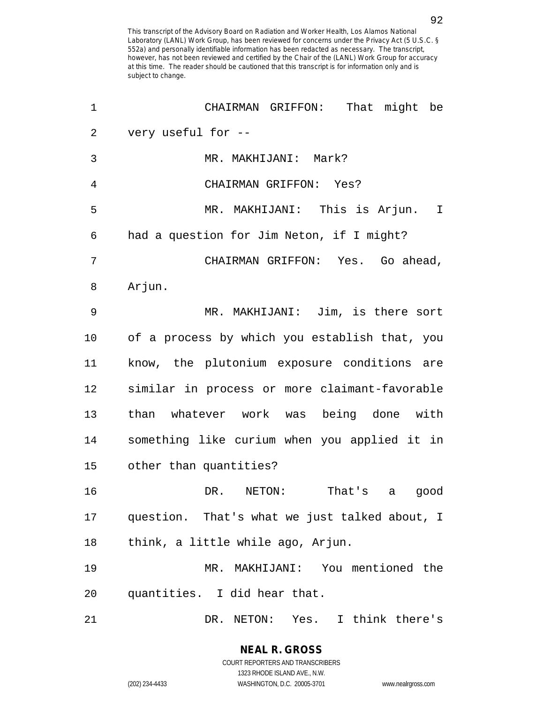| 1              | CHAIRMAN GRIFFON:<br>That might be            |
|----------------|-----------------------------------------------|
| $\overline{2}$ | very useful for --                            |
| 3              | MR. MAKHIJANI: Mark?                          |
| 4              | CHAIRMAN GRIFFON: Yes?                        |
| 5              | MR. MAKHIJANI: This is Arjun. I               |
| 6              | had a question for Jim Neton, if I might?     |
| 7              | CHAIRMAN GRIFFON: Yes. Go ahead,              |
| 8              | Arjun.                                        |
| 9              | MR. MAKHIJANI: Jim, is there sort             |
| 10             | of a process by which you establish that, you |
| 11             | know, the plutonium exposure conditions are   |
| 12             | similar in process or more claimant-favorable |
| 13             | than whatever work was being done with        |
| 14             | something like curium when you applied it in  |
| 15             | other than quantities?                        |
| 16             | That's<br>DR. NETON:<br>good<br>a             |
| 17             | question. That's what we just talked about, I |
| 18             | think, a little while ago, Arjun.             |
| 19             | MR. MAKHIJANI: You mentioned the              |
| 20             | quantities. I did hear that.                  |
| 21             | DR. NETON: Yes. I think there's               |

COURT REPORTERS AND TRANSCRIBERS 1323 RHODE ISLAND AVE., N.W. (202) 234-4433 WASHINGTON, D.C. 20005-3701 www.nealrgross.com

**NEAL R. GROSS**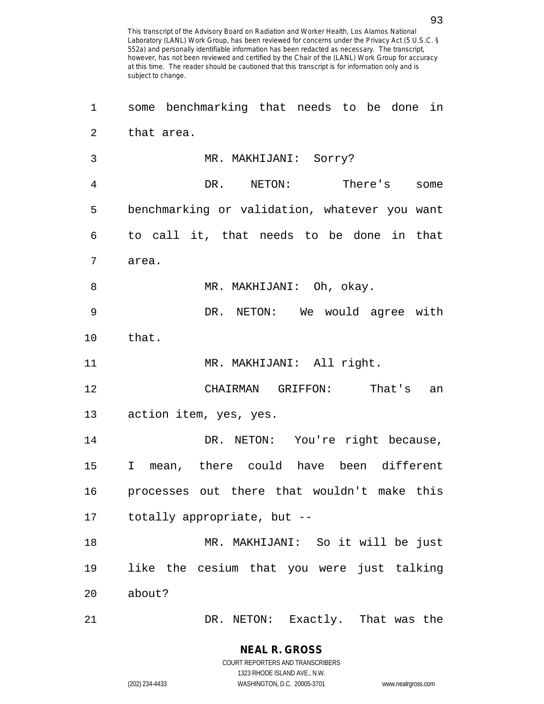| 1  | some benchmarking that needs to be done<br>in         |
|----|-------------------------------------------------------|
| 2  | that area.                                            |
| 3  | MR. MAKHIJANI: Sorry?                                 |
| 4  | DR. NETON:<br>There's<br>some                         |
| 5  | benchmarking or validation, whatever you want         |
| 6  | to call it, that needs to be done in that             |
| 7  | area.                                                 |
| 8  | MR. MAKHIJANI: Oh, okay.                              |
| 9  | DR. NETON: We would agree with                        |
| 10 | that.                                                 |
| 11 | MR. MAKHIJANI: All right.                             |
| 12 | CHAIRMAN GRIFFON:<br>That's<br>an                     |
| 13 | action item, yes, yes.                                |
| 14 | DR. NETON: You're right because,                      |
| 15 | mean, there could have been different<br>$\mathbf{I}$ |
| 16 | processes out there that wouldn't make this           |
| 17 | totally appropriate, but --                           |
| 18 | MR. MAKHIJANI: So it will be just                     |
| 19 | like the cesium that you were just talking            |
| 20 | about?                                                |
| 21 | DR. NETON: Exactly. That was the                      |

**NEAL R. GROSS** COURT REPORTERS AND TRANSCRIBERS

1323 RHODE ISLAND AVE., N.W.

(202) 234-4433 WASHINGTON, D.C. 20005-3701 www.nealrgross.com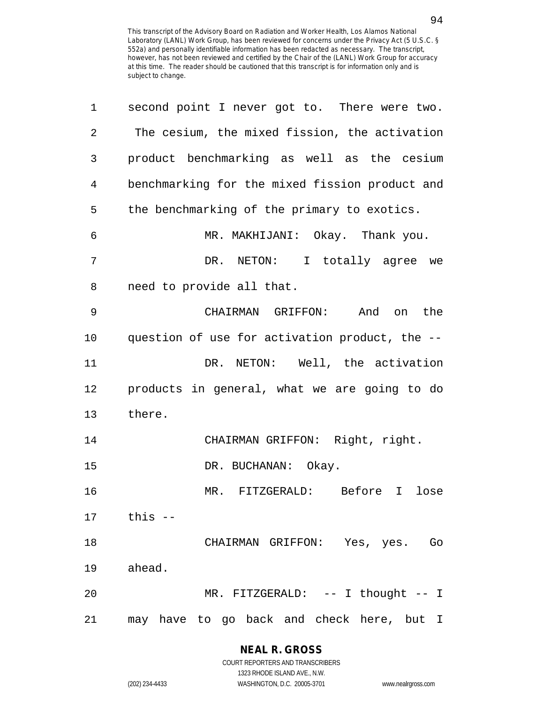| 1  | second point I never got to. There were two.   |
|----|------------------------------------------------|
| 2  | The cesium, the mixed fission, the activation  |
| 3  | product benchmarking as well as the cesium     |
| 4  | benchmarking for the mixed fission product and |
| 5  | the benchmarking of the primary to exotics.    |
| 6  | MR. MAKHIJANI: Okay. Thank you.                |
| 7  | DR. NETON: I totally agree we                  |
| 8  | need to provide all that.                      |
| 9  | CHAIRMAN GRIFFON:<br>And on the                |
| 10 | question of use for activation product, the -- |
| 11 | DR. NETON: Well, the activation                |
| 12 | products in general, what we are going to do   |
| 13 | there.                                         |
| 14 | CHAIRMAN GRIFFON: Right, right.                |
| 15 | DR. BUCHANAN: Okay.                            |
| 16 | MR. FITZGERALD: Before<br>$\mathbf I$<br>lose  |
| 17 | this $-$                                       |
| 18 | CHAIRMAN GRIFFON: Yes, yes.<br>Go              |
| 19 | ahead.                                         |
| 20 | MR. FITZGERALD: -- I thought -- I              |
| 21 | may have to go back and check here, but I      |

## **NEAL R. GROSS**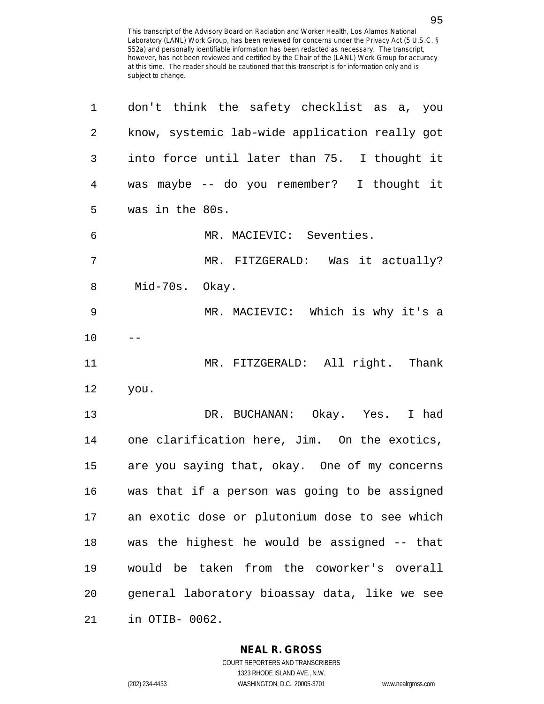| 1              | don't think the safety checklist as a, you     |
|----------------|------------------------------------------------|
| $\overline{2}$ | know, systemic lab-wide application really got |
| 3              | into force until later than 75. I thought it   |
| 4              | was maybe -- do you remember? I thought it     |
| 5              | was in the 80s.                                |
| 6              | MR. MACIEVIC: Seventies.                       |
| 7              | MR. FITZGERALD: Was it actually?               |
| 8              | Mid-70s. Okay.                                 |
| 9              | MR. MACIEVIC: Which is why it's a              |
| 10             |                                                |
| 11             | MR. FITZGERALD: All right. Thank               |
| 12             | you.                                           |
| 13             | DR. BUCHANAN: Okay. Yes. I had                 |
| 14             | one clarification here, Jim. On the exotics,   |
| 15             | are you saying that, okay. One of my concerns  |
| 16             | was that if a person was going to be assigned  |
| 17             | an exotic dose or plutonium dose to see which  |
| 18             | was the highest he would be assigned -- that   |
| 19             | would be taken from the coworker's overall     |
| 20             | general laboratory bioassay data, like we see  |
| 21             | in OTIB- 0062.                                 |

### **NEAL R. GROSS** COURT REPORTERS AND TRANSCRIBERS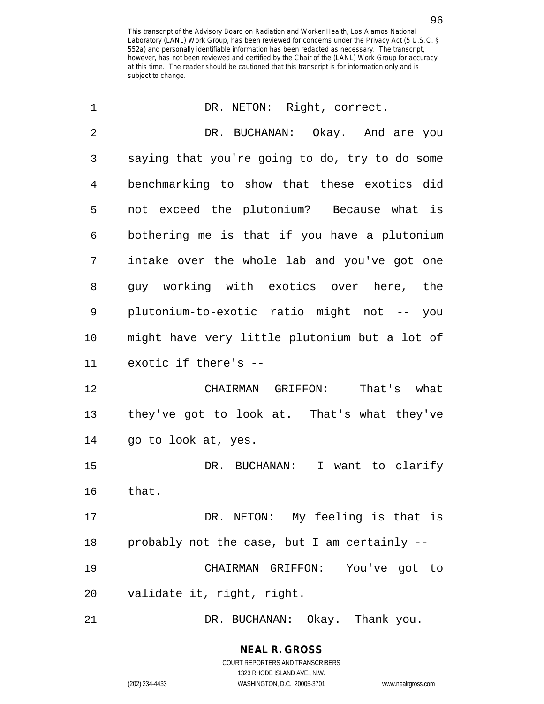| 1              | DR. NETON: Right, correct.                     |
|----------------|------------------------------------------------|
| $\overline{2}$ | DR. BUCHANAN: Okay. And are you                |
| 3              | saying that you're going to do, try to do some |
| 4              | benchmarking to show that these exotics did    |
| 5              | not exceed the plutonium? Because what is      |
| 6              | bothering me is that if you have a plutonium   |
| 7              | intake over the whole lab and you've got one   |
| 8              | guy working with exotics over here, the        |
| 9              | plutonium-to-exotic ratio might not -- you     |
| 10             | might have very little plutonium but a lot of  |
| 11             | exotic if there's --                           |
| 12             | That's what<br>CHAIRMAN GRIFFON:               |
| 13             | they've got to look at. That's what they've    |
| 14             | go to look at, yes.                            |
| 15             | DR. BUCHANAN:<br>I want to clarify             |
| 16             | that.                                          |
| 17             | DR. NETON: My feeling is that is               |
| 18             | probably not the case, but I am certainly --   |
| 19             | CHAIRMAN GRIFFON: You've got to                |
| 20             | validate it, right, right.                     |
| 21             | DR. BUCHANAN: Okay. Thank you.                 |

**NEAL R. GROSS** COURT REPORTERS AND TRANSCRIBERS 1323 RHODE ISLAND AVE., N.W.

(202) 234-4433 WASHINGTON, D.C. 20005-3701 www.nealrgross.com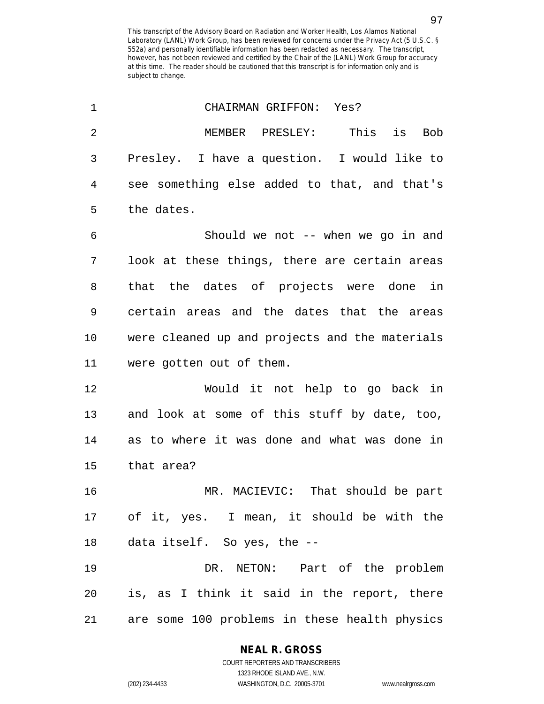| $\mathbf 1$    | CHAIRMAN GRIFFON: Yes?                         |
|----------------|------------------------------------------------|
| $\overline{2}$ | This<br>MEMBER PRESLEY:<br>is Bob              |
| 3              | Presley. I have a question. I would like to    |
| 4              | see something else added to that, and that's   |
| 5              | the dates.                                     |
| 6              | Should we not -- when we go in and             |
| 7              | look at these things, there are certain areas  |
| 8              | that the dates of projects were done in        |
| 9              | certain areas and the dates that the areas     |
| 10             | were cleaned up and projects and the materials |
| 11             | were gotten out of them.                       |
| 12             | Would it not help to go back in                |
| 13             | and look at some of this stuff by date, too,   |
| 14             | as to where it was done and what was done in   |
| 15             | that area?                                     |
| 16             | MR. MACIEVIC: That should be part              |
|                | 17 of it, yes. I mean, it should be with the   |
|                | 18 data itself. So yes, the --                 |
| 19             | DR. NETON: Part of the problem                 |
| 20             | is, as I think it said in the report, there    |
| 21             | are some 100 problems in these health physics  |

## **NEAL R. GROSS**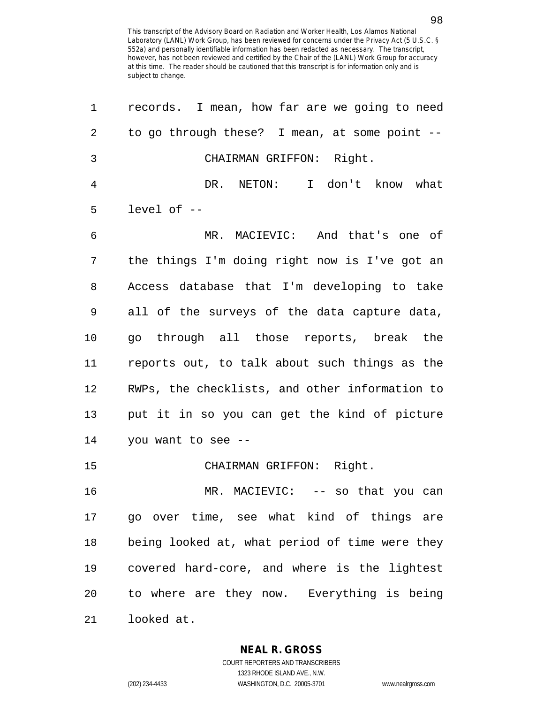| $\mathbf{1}$   | records. I mean, how far are we going to need  |
|----------------|------------------------------------------------|
| 2              | to go through these? I mean, at some point --  |
| 3              | CHAIRMAN GRIFFON: Right.                       |
| $\overline{4}$ | DR. NETON: I don't know what                   |
| 5              | level of $-$                                   |
| 6              | MR. MACIEVIC: And that's one of                |
| 7              | the things I'm doing right now is I've got an  |
| 8              | Access database that I'm developing to take    |
| 9              | all of the surveys of the data capture data,   |
| 10             | go through all those reports, break the        |
| 11             | reports out, to talk about such things as the  |
| 12             | RWPs, the checklists, and other information to |
| 13             | put it in so you can get the kind of picture   |
| 14             | you want to see --                             |
| 15             | CHAIRMAN GRIFFON: Right.                       |
| 16             | MR. MACIEVIC: -- so that you can               |
| 17             | go over time, see what kind of things are      |
| 18             | being looked at, what period of time were they |
| 19             | covered hard-core, and where is the lightest   |
| 20             | to where are they now. Everything is being     |
| 21             | looked at.                                     |

**NEAL R. GROSS** COURT REPORTERS AND TRANSCRIBERS

1323 RHODE ISLAND AVE., N.W.

(202) 234-4433 WASHINGTON, D.C. 20005-3701 www.nealrgross.com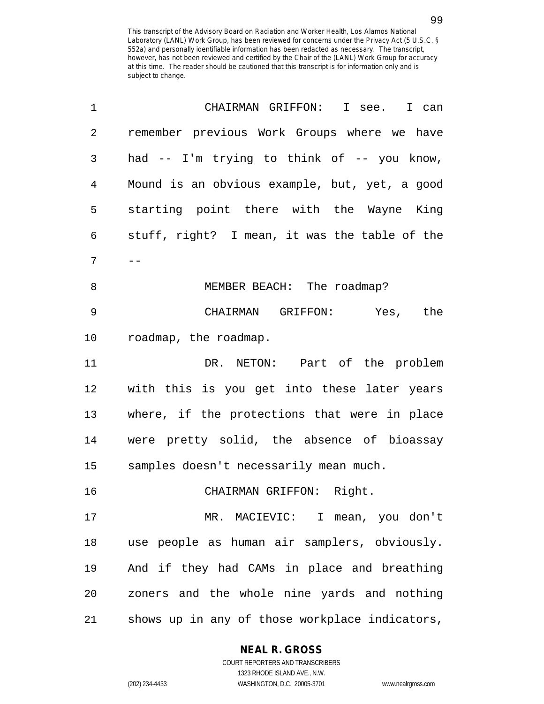| 1  | CHAIRMAN GRIFFON: I see. I can                 |
|----|------------------------------------------------|
| 2  | remember previous Work Groups where we have    |
| 3  | had -- I'm trying to think of -- you know,     |
| 4  | Mound is an obvious example, but, yet, a good  |
| 5  | starting point there with the Wayne King       |
| 6  | stuff, right? I mean, it was the table of the  |
| 7  | $- -$                                          |
| 8  | MEMBER BEACH: The roadmap?                     |
| 9  | CHAIRMAN GRIFFON: Yes, the                     |
| 10 | roadmap, the roadmap.                          |
| 11 | DR. NETON: Part of the problem                 |
| 12 | with this is you get into these later years    |
| 13 | where, if the protections that were in place   |
| 14 | were pretty solid, the absence of bioassay     |
| 15 | samples doesn't necessarily mean much.         |
| 16 | CHAIRMAN GRIFFON: Right.                       |
| 17 | MR. MACIEVIC: I mean, you don't                |
| 18 | use people as human air samplers, obviously.   |
| 19 | And if they had CAMs in place and breathing    |
| 20 | zoners and the whole nine yards and nothing    |
| 21 | shows up in any of those workplace indicators, |

## **NEAL R. GROSS**

COURT REPORTERS AND TRANSCRIBERS 1323 RHODE ISLAND AVE., N.W. (202) 234-4433 WASHINGTON, D.C. 20005-3701 www.nealrgross.com

99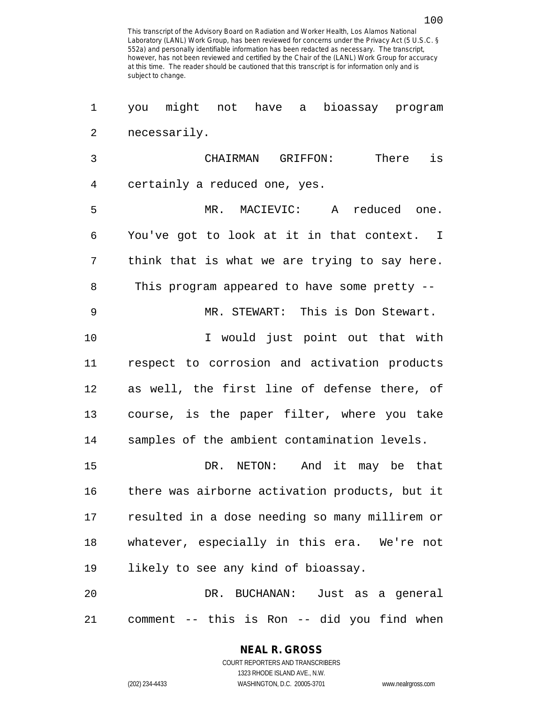1 you might not have a bioassay program 2 necessarily. 3 CHAIRMAN GRIFFON: There is 4 certainly a reduced one, yes. 5 MR. MACIEVIC: A reduced one. 6 You've got to look at it in that context. I 7 think that is what we are trying to say here. 8 This program appeared to have some pretty -- 9 MR. STEWART: This is Don Stewart. 10 I would just point out that with 11 respect to corrosion and activation products 12 as well, the first line of defense there, of 13 course, is the paper filter, where you take 14 samples of the ambient contamination levels. 15 DR. NETON: And it may be that 16 there was airborne activation products, but it 17 resulted in a dose needing so many millirem or 18 whatever, especially in this era. We're not 19 likely to see any kind of bioassay. 20 DR. BUCHANAN: Just as a general 21 comment -- this is Ron -- did you find when

#### **NEAL R. GROSS**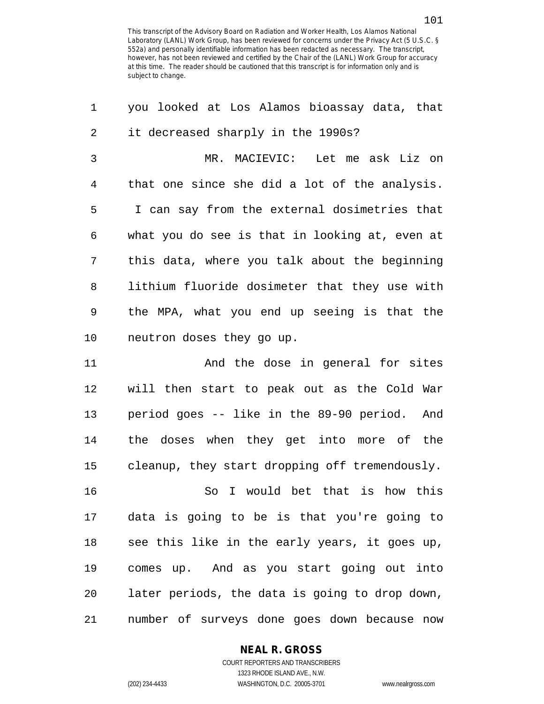| 1              | you looked at Los Alamos bioassay data, that    |
|----------------|-------------------------------------------------|
| $\overline{2}$ | it decreased sharply in the 1990s?              |
| 3              | MR. MACIEVIC: Let me ask Liz on                 |
| 4              | that one since she did a lot of the analysis.   |
| 5              | I can say from the external dosimetries that    |
| 6              | what you do see is that in looking at, even at  |
| 7              | this data, where you talk about the beginning   |
| 8              | lithium fluoride dosimeter that they use with   |
| 9              | the MPA, what you end up seeing is that the     |
| 10             | neutron doses they go up.                       |
| 11             | And the dose in general for sites               |
| 12             | will then start to peak out as the Cold War     |
| 13             | period goes -- like in the 89-90 period.<br>And |
| 14             | the doses when they get into more of the        |
| 15             | cleanup, they start dropping off tremendously.  |
| 16             | I would bet that is how this<br>So              |
| 17             | data is going to be is that you're going to     |
| 18             | see this like in the early years, it goes up,   |
| 19             | comes up. And as you start going out into       |
| 20             | later periods, the data is going to drop down,  |
| 21             | number of surveys done goes down because now    |

**NEAL R. GROSS**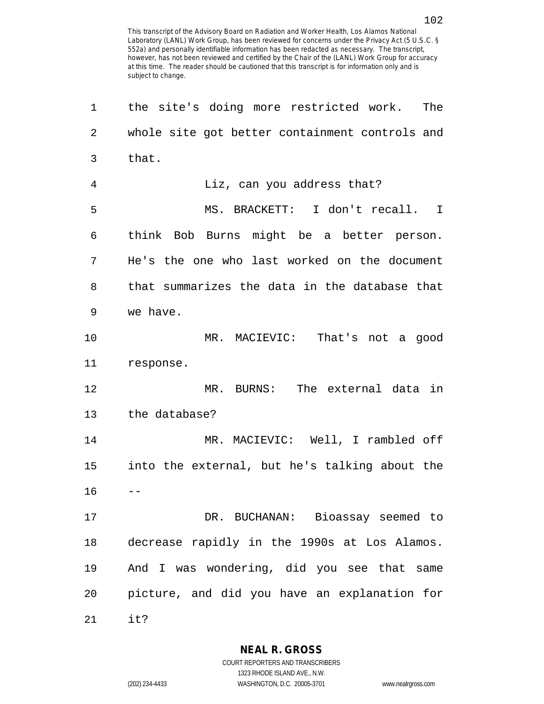| 1  | the site's doing more restricted work.<br>The  |
|----|------------------------------------------------|
| 2  | whole site got better containment controls and |
| 3  | that.                                          |
| 4  | Liz, can you address that?                     |
| 5  | MS. BRACKETT: I don't recall. I                |
| 6  | think Bob Burns might be a better person.      |
| 7  | He's the one who last worked on the document   |
| 8  | that summarizes the data in the database that  |
| 9  | we have.                                       |
| 10 | MR. MACIEVIC: That's not a good                |
| 11 | response.                                      |
| 12 | MR. BURNS: The external data in                |
| 13 | the database?                                  |
| 14 | MR. MACIEVIC: Well, I rambled off              |
| 15 | into the external, but he's talking about the  |
| 16 |                                                |
| 17 | DR. BUCHANAN: Bioassay seemed to               |
| 18 | decrease rapidly in the 1990s at Los Alamos.   |
| 19 | And I was wondering, did you see that same     |
| 20 | picture, and did you have an explanation for   |
| 21 | it?                                            |

**NEAL R. GROSS**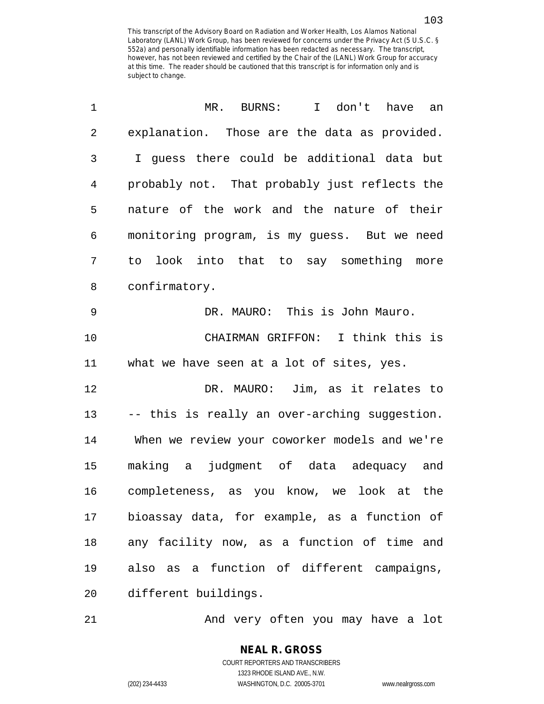| MR.<br>BURNS:<br>I don't have<br>an           |
|-----------------------------------------------|
| explanation. Those are the data as provided.  |
| I guess there could be additional data but    |
| probably not. That probably just reflects the |
| nature of the work and the nature of their    |
| monitoring program, is my guess. But we need  |
| to look into that to say something<br>more    |
| confirmatory.                                 |
| DR. MAURO: This is John Mauro.                |
| CHAIRMAN GRIFFON: I think this is             |
| what we have seen at a lot of sites, yes.     |
| DR. MAURO: Jim, as it relates to              |
| -- this is really an over-arching suggestion. |
| When we review your coworker models and we're |
| judgment of data adequacy and<br>making a     |
| completeness, as you know, we look at the     |
| bioassay data, for example, as a function of  |
| any facility now, as a function of time and   |
|                                               |
| also as a function of different campaigns,    |
|                                               |

21 And very often you may have a lot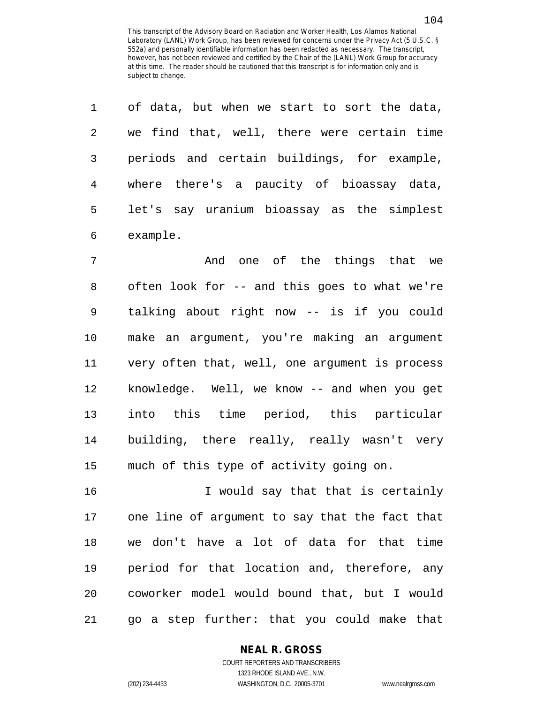| $\mathbf 1$    | of data, but when we start to sort the data,  |
|----------------|-----------------------------------------------|
| $\overline{2}$ | we find that, well, there were certain time   |
| 3              | periods and certain buildings, for example,   |
| 4              | where there's a paucity of bioassay data,     |
| 5              | let's say uranium bioassay as the simplest    |
| 6              | example.                                      |
| 7              | And one of the things that we                 |
| 8              | often look for -- and this goes to what we're |
| 9              | talking about right now -- is if you could    |
| 10             | make an argument, you're making an argument   |

10 make an argument, you're making an argument 11 very often that, well, one argument is process 12 knowledge. Well, we know -- and when you get 13 into this time period, this particular 14 building, there really, really wasn't very 15 much of this type of activity going on.

16 I would say that that is certainly 17 one line of argument to say that the fact that 18 we don't have a lot of data for that time 19 period for that location and, therefore, any 20 coworker model would bound that, but I would 21 go a step further: that you could make that

## **NEAL R. GROSS**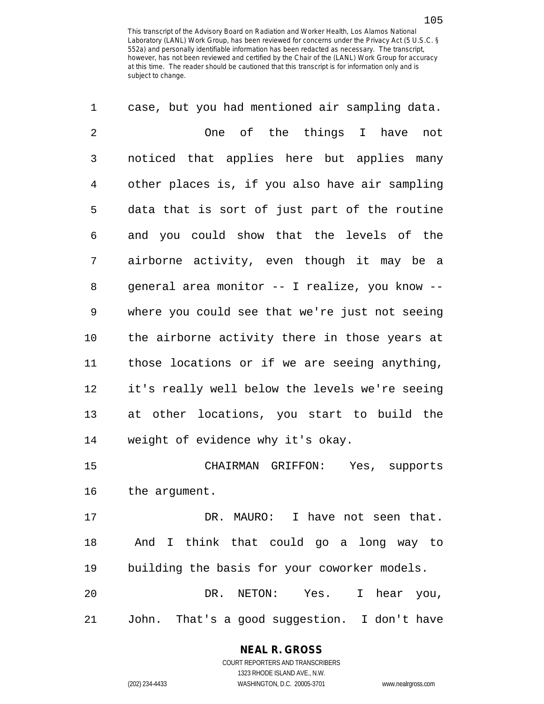| 1              | case, but you had mentioned air sampling data. |
|----------------|------------------------------------------------|
| 2              | One of the things I have<br>not                |
| 3              | noticed that applies here but applies many     |
| $\overline{4}$ | other places is, if you also have air sampling |
| 5              | data that is sort of just part of the routine  |
| 6              | and you could show that the levels of the      |
| 7              | airborne activity, even though it may be a     |
| 8              | general area monitor -- I realize, you know -- |
| 9              | where you could see that we're just not seeing |
| 10             | the airborne activity there in those years at  |
| 11             | those locations or if we are seeing anything,  |
| 12             | it's really well below the levels we're seeing |
| 13             | at other locations, you start to build the     |
| 14             | weight of evidence why it's okay.              |
| 15             | CHAIRMAN GRIFFON:<br>Yes, supports             |
| 16             | the argument.                                  |
| 17             | DR. MAURO: I have not seen that.               |
| 18             | And I think that could go a long way to        |
| 19             | building the basis for your coworker models.   |
| 20             | DR. NETON: Yes.<br>I hear you,                 |
| 21             | John. That's a good suggestion. I don't have   |

## **NEAL R. GROSS**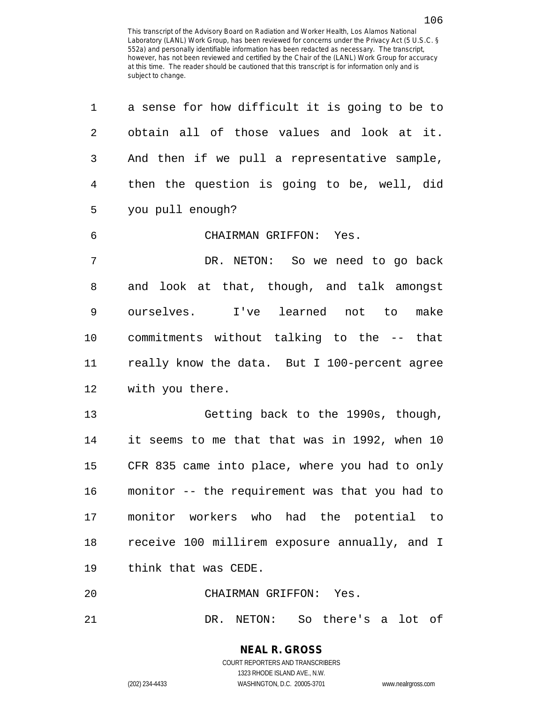| 1              | a sense for how difficult it is going to be to |
|----------------|------------------------------------------------|
| $\overline{2}$ | obtain all of those values and look at it.     |
| 3              | And then if we pull a representative sample,   |
| $\overline{4}$ | then the question is going to be, well, did    |
| 5              | you pull enough?                               |
| $\epsilon$     | CHAIRMAN GRIFFON: Yes.                         |
| 7              | DR. NETON: So we need to go back               |
| 8              | and look at that, though, and talk amongst     |
| 9              | ourselves.<br>I've learned not to<br>make      |
| 10             | commitments without talking to the -- that     |
| 11             | really know the data. But I 100-percent agree  |
| 12             | with you there.                                |
| 13             | Getting back to the 1990s, though,             |
| 14             | it seems to me that that was in 1992, when 10  |
| 15             | CFR 835 came into place, where you had to only |
| 16             | monitor -- the requirement was that you had to |
|                | 17 monitor workers who had the potential to    |
| 18             | receive 100 millirem exposure annually, and I  |
|                | 19 think that was CEDE.                        |
| 20             | CHAIRMAN GRIFFON: Yes.                         |
| 21             | DR. NETON: So there's a lot of                 |

(202) 234-4433 WASHINGTON, D.C. 20005-3701 www.nealrgross.com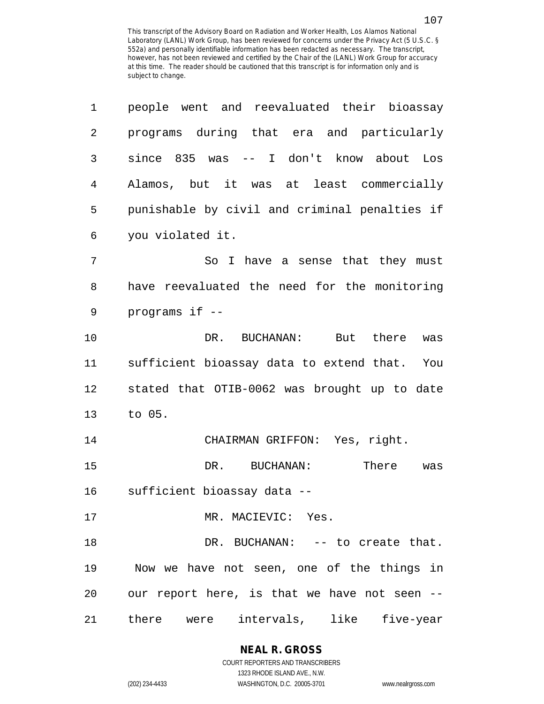| 1              | people went and reevaluated their bioassay    |
|----------------|-----------------------------------------------|
| $\overline{2}$ | programs during that era and particularly     |
| 3              | since 835 was -- I don't know about Los       |
| 4              | Alamos, but it was at least commercially      |
| 5              | punishable by civil and criminal penalties if |
| 6              | you violated it.                              |
| 7              | So I have a sense that they must              |
| 8              | have reevaluated the need for the monitoring  |
| 9              | programs if --                                |
| 10             | there<br>DR.<br>BUCHANAN:<br>But<br>was       |
| 11             | sufficient bioassay data to extend that. You  |
| 12             | stated that OTIB-0062 was brought up to date  |
| 13             | to 05.                                        |
| 14             | CHAIRMAN GRIFFON: Yes, right.                 |
| 15             | There<br>DR.<br>BUCHANAN:<br>was              |
| 16             | sufficient bioassay data --                   |
| 17             | MR. MACIEVIC: Yes.                            |
| 18             | DR. BUCHANAN: -- to create that.              |
| 19             | Now we have not seen, one of the things in    |
| 20             | our report here, is that we have not seen --  |
| 21             | intervals, like five-year<br>there<br>were    |

## **NEAL R. GROSS**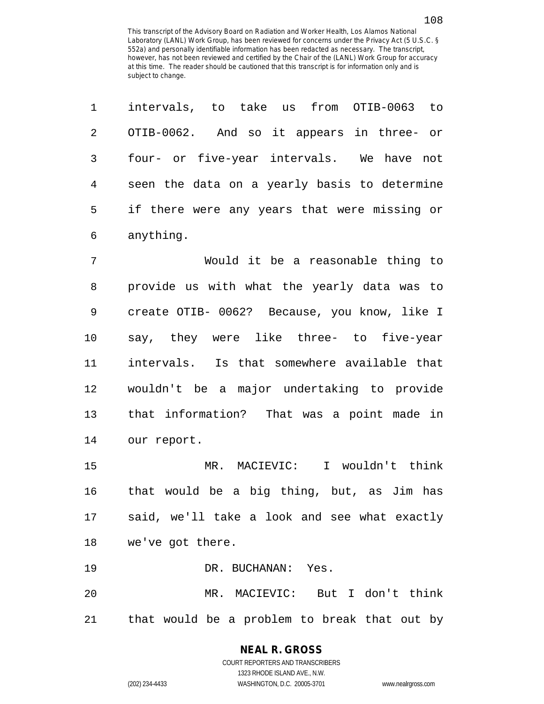| 1              | intervals, to take us from OTIB-0063 to         |
|----------------|-------------------------------------------------|
| $\sqrt{2}$     | OTIB-0062. And so it appears in three- or       |
| $\mathfrak{Z}$ | four- or five-year intervals. We have not       |
| $\overline{4}$ | seen the data on a yearly basis to determine    |
| 5              | if there were any years that were missing or    |
| 6              | anything.                                       |
| 7              | Would it be a reasonable thing to               |
| 8              | provide us with what the yearly data was to     |
| 9              | create OTIB- 0062? Because, you know, like I    |
| 10             | say, they were like three- to five-year         |
| 11             | intervals. Is that somewhere available that     |
| 12             | wouldn't be a major undertaking to provide      |
| 13             | that information? That was a point made in      |
| 14             | our report.                                     |
| 15             | MR. MACIEVIC: I wouldn't think                  |
| 16             | that would be a big thing, but, as Jim has      |
|                | 17 said, we'll take a look and see what exactly |
|                | 18 we've got there.                             |
| 19             | DR. BUCHANAN: Yes.                              |
| 20             | MR. MACIEVIC: But I don't think                 |
| 21             | that would be a problem to break that out by    |

# **NEAL R. GROSS**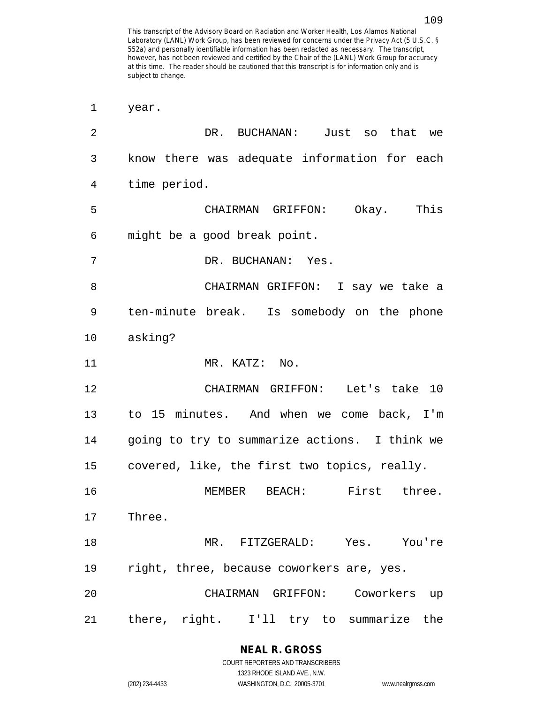1 year. 2 DR. BUCHANAN: Just so that we 3 know there was adequate information for each 4 time period. 5 CHAIRMAN GRIFFON: Okay. This 6 might be a good break point. 7 DR. BUCHANAN: Yes. 8 CHAIRMAN GRIFFON: I say we take a 9 ten-minute break. Is somebody on the phone 10 asking? 11 MR. KATZ: No. 12 CHAIRMAN GRIFFON: Let's take 10 13 to 15 minutes. And when we come back, I'm 14 going to try to summarize actions. I think we 15 covered, like, the first two topics, really. 16 MEMBER BEACH: First three. 17 Three. 18 MR. FITZGERALD: Yes. You're 19 right, three, because coworkers are, yes. 20 CHAIRMAN GRIFFON: Coworkers up 21 there, right. I'll try to summarize the

> **NEAL R. GROSS** COURT REPORTERS AND TRANSCRIBERS

> > 1323 RHODE ISLAND AVE., N.W.

(202) 234-4433 WASHINGTON, D.C. 20005-3701 www.nealrgross.com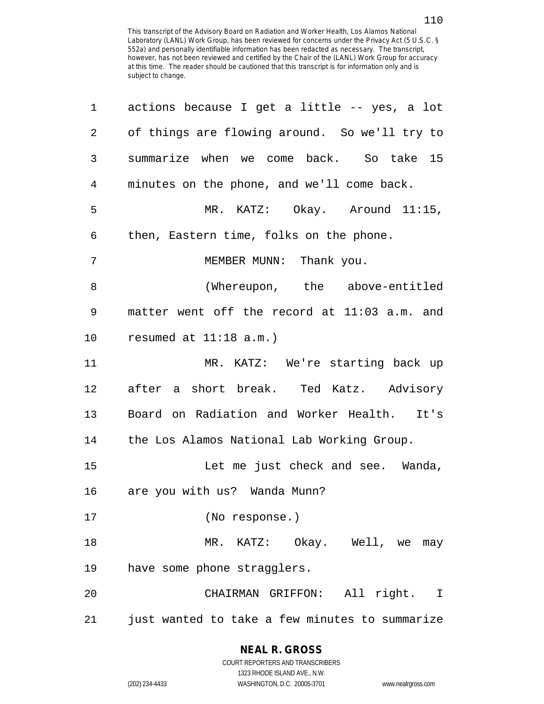| $\mathbf 1$ | actions because I get a little -- yes, a lot   |
|-------------|------------------------------------------------|
| 2           | of things are flowing around. So we'll try to  |
| 3           | summarize when we come back. So take 15        |
| 4           | minutes on the phone, and we'll come back.     |
| 5           | MR. KATZ: Okay. Around 11:15,                  |
| 6           | then, Eastern time, folks on the phone.        |
| 7           | MEMBER MUNN: Thank you.                        |
| 8           | (Whereupon, the above-entitled                 |
| 9           | matter went off the record at 11:03 a.m. and   |
| 10          | resumed at $11:18$ a.m.)                       |
| 11          | MR. KATZ: We're starting back up               |
| 12          | after a short break. Ted Katz. Advisory        |
| 13          | Board on Radiation and Worker Health. It's     |
| 14          | the Los Alamos National Lab Working Group.     |
| 15          | Let me just check and see. Wanda,              |
| 16          | are you with us? Wanda Munn?                   |
| 17          | (No response.)                                 |
| 18          | MR. KATZ: Okay. Well, we may                   |
| 19          | have some phone stragglers.                    |
| 20          | CHAIRMAN GRIFFON: All right. I                 |
| 21          | just wanted to take a few minutes to summarize |

# **NEAL R. GROSS**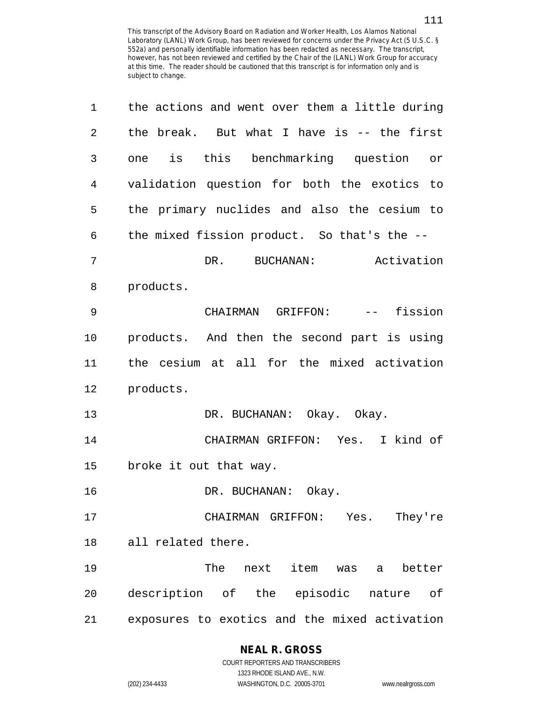| 1  | the actions and went over them a little during |
|----|------------------------------------------------|
| 2  | the break. But what I have is -- the first     |
| 3  | is this benchmarking question<br>one<br>or     |
| 4  | validation question for both the exotics to    |
| 5  | the primary nuclides and also the cesium to    |
| 6  | the mixed fission product. So that's the --    |
| 7  | BUCHANAN: Activation<br>DR.                    |
| 8  | products.                                      |
| 9  | CHAIRMAN GRIFFON: --<br>fission                |
| 10 | products. And then the second part is using    |
| 11 | the cesium at all for the mixed activation     |
| 12 | products.                                      |
| 13 | DR. BUCHANAN: Okay. Okay.                      |
| 14 | CHAIRMAN GRIFFON: Yes. I kind of               |
| 15 | broke it out that way.                         |
| 16 | DR. BUCHANAN: Okay.                            |
| 17 | CHAIRMAN GRIFFON: Yes.<br>They're              |
| 18 | all related there.                             |
| 19 | The next<br>item was<br>better<br>a            |
| 20 | description of the episodic nature of          |
| 21 | exposures to exotics and the mixed activation  |

### **NEAL R. GROSS**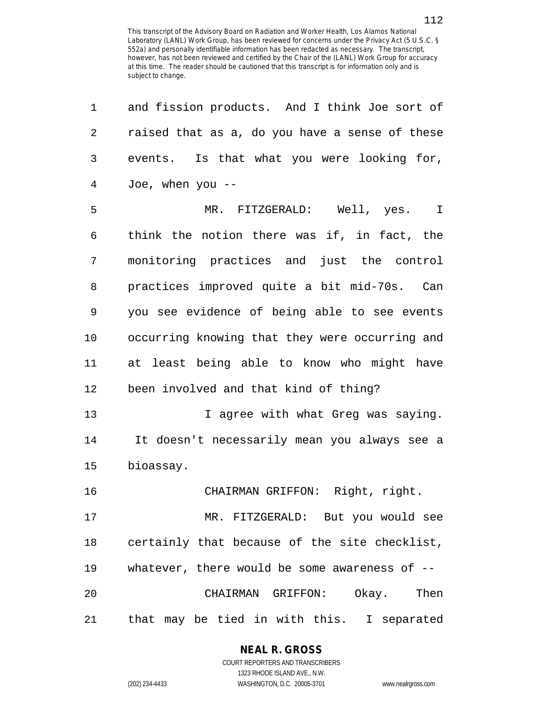| 1  | and fission products. And I think Joe sort of    |
|----|--------------------------------------------------|
| 2  | raised that as a, do you have a sense of these   |
| 3  | events. Is that what you were looking for,       |
| 4  | Joe, when you --                                 |
| 5  | MR. FITZGERALD: Well, yes. I                     |
| 6  | think the notion there was if, in fact, the      |
| 7  | monitoring practices and just the control        |
| 8  | practices improved quite a bit mid-70s. Can      |
| 9  | you see evidence of being able to see events     |
| 10 | occurring knowing that they were occurring and   |
| 11 | at least being able to know who might have       |
| 12 | been involved and that kind of thing?            |
| 13 | I agree with what Greg was saying.               |
| 14 | It doesn't necessarily mean you always see a     |
| 15 | bioassay.                                        |
| 16 | CHAIRMAN GRIFFON: Right, right.                  |
| 17 | MR. FITZGERALD: But you would see                |
| 18 | certainly that because of the site checklist,    |
| 19 | whatever, there would be some awareness of $-$ - |
| 20 | CHAIRMAN GRIFFON: Okay. Then                     |
| 21 | that may be tied in with this. I separated       |

### **NEAL R. GROSS**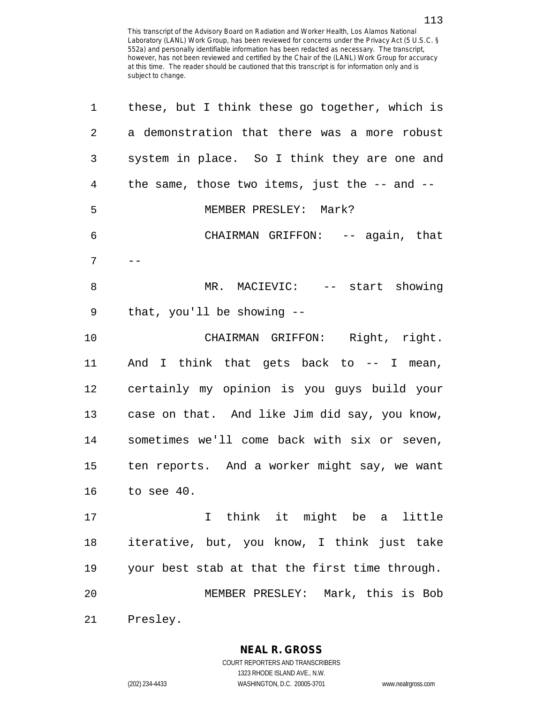| 1              | these, but I think these go together, which is  |
|----------------|-------------------------------------------------|
| $\overline{2}$ | a demonstration that there was a more robust    |
| 3              | system in place. So I think they are one and    |
| 4              | the same, those two items, just the $-$ and $-$ |
| 5              | MEMBER PRESLEY: Mark?                           |
| 6              | CHAIRMAN GRIFFON: -- again, that                |
| 7              |                                                 |
| 8              | MR. MACIEVIC: -- start showing                  |
| 9              | that, you'll be showing $-$ -                   |
| 10             | CHAIRMAN GRIFFON: Right, right.                 |
| 11             | And I think that gets back to -- I mean,        |
| 12             | certainly my opinion is you guys build your     |
| 13             | case on that. And like Jim did say, you know,   |
| 14             | sometimes we'll come back with six or seven,    |
| 15             | ten reports. And a worker might say, we want    |
| 16             | to see 40.                                      |
| 17             | I think it might be a little                    |
| $18$           | iterative, but, you know, I think just take     |
| 19             | your best stab at that the first time through.  |
| 20             | MEMBER PRESLEY: Mark, this is Bob               |
| 21             | Presley.                                        |

**NEAL R. GROSS** COURT REPORTERS AND TRANSCRIBERS

1323 RHODE ISLAND AVE., N.W.

(202) 234-4433 WASHINGTON, D.C. 20005-3701 www.nealrgross.com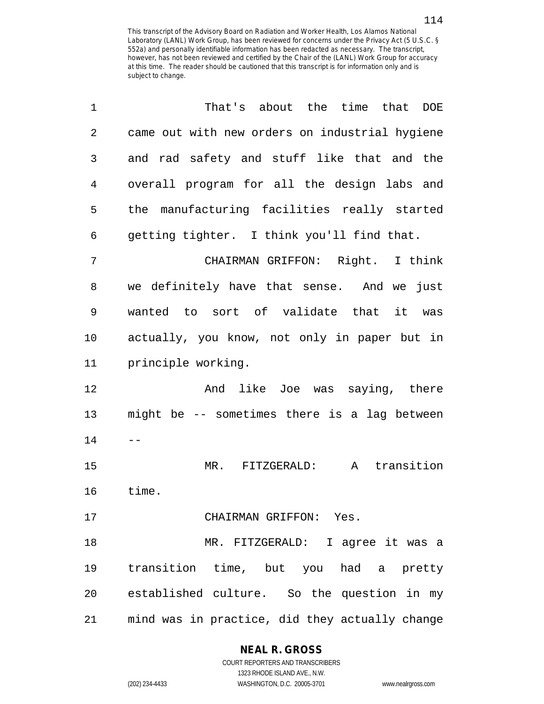| 1  | That's about the time that DOE                 |
|----|------------------------------------------------|
| 2  | came out with new orders on industrial hygiene |
| 3  | and rad safety and stuff like that and the     |
| 4  | overall program for all the design labs and    |
| 5  | the manufacturing facilities really started    |
| 6  | getting tighter. I think you'll find that.     |
| 7  | CHAIRMAN GRIFFON: Right. I think               |
| 8  | we definitely have that sense. And we just     |
| 9  | wanted to sort of validate that it was         |
| 10 | actually, you know, not only in paper but in   |
| 11 | principle working.                             |
| 12 | And like Joe was saying, there                 |
| 13 | might be -- sometimes there is a lag between   |
| 14 |                                                |
| 15 | transition<br>MR. FITZGERALD:<br>$\mathbf{A}$  |
| 16 | time.                                          |
| 17 | CHAIRMAN GRIFFON: Yes.                         |
| 18 | MR. FITZGERALD: I agree it was a               |
| 19 | transition time, but you had a pretty          |
| 20 | established culture. So the question in my     |
| 21 | mind was in practice, did they actually change |

**NEAL R. GROSS** COURT REPORTERS AND TRANSCRIBERS

1323 RHODE ISLAND AVE., N.W. (202) 234-4433 WASHINGTON, D.C. 20005-3701 www.nealrgross.com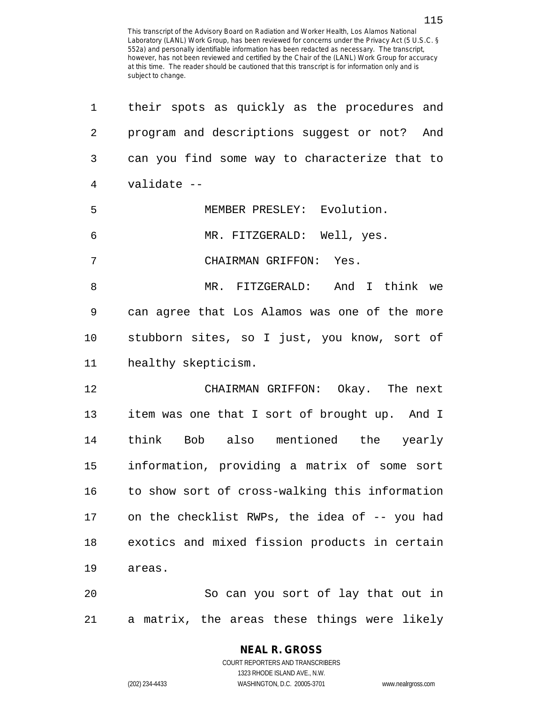| 1              | their spots as quickly as the procedures and   |
|----------------|------------------------------------------------|
| 2              | program and descriptions suggest or not? And   |
| 3              | can you find some way to characterize that to  |
| $\overline{4}$ | validate --                                    |
| 5              | MEMBER PRESLEY: Evolution.                     |
| 6              | MR. FITZGERALD: Well, yes.                     |
| 7              | CHAIRMAN GRIFFON: Yes.                         |
| 8              | MR. FITZGERALD: And I think we                 |
| $\mathsf 9$    | can agree that Los Alamos was one of the more  |
| 10             | stubborn sites, so I just, you know, sort of   |
| 11             | healthy skepticism.                            |
| 12             | CHAIRMAN GRIFFON: Okay. The next               |
| 13             | item was one that I sort of brought up. And I  |
| 14             | think Bob also mentioned the yearly            |
| 15             | information, providing a matrix of some sort   |
| 16             | to show sort of cross-walking this information |
| 17             | on the checklist RWPs, the idea of -- you had  |
| 18             | exotics and mixed fission products in certain  |
| 19             | areas.                                         |
| 20             | So can you sort of lay that out in             |
| 21             | a matrix, the areas these things were likely   |

### **NEAL R. GROSS**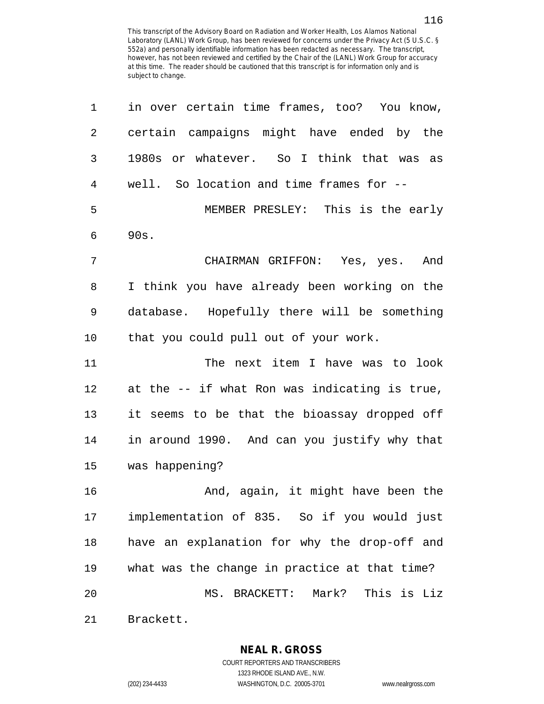| 1  | in over certain time frames, too? You know,   |
|----|-----------------------------------------------|
| 2  | certain campaigns might have ended by the     |
| 3  | 1980s or whatever. So I think that was as     |
| 4  | well. So location and time frames for --      |
| 5  | MEMBER PRESLEY: This is the early             |
| 6  | 90s.                                          |
| 7  | CHAIRMAN GRIFFON: Yes, yes. And               |
| 8  | I think you have already been working on the  |
| 9  | database. Hopefully there will be something   |
| 10 | that you could pull out of your work.         |
| 11 | The next item I have was to look              |
| 12 | at the -- if what Ron was indicating is true, |
| 13 | it seems to be that the bioassay dropped off  |
| 14 | in around 1990. And can you justify why that  |
| 15 | was happening?                                |
| 16 | And, again, it might have been the            |
| 17 | implementation of 835. So if you would just   |
| 18 | have an explanation for why the drop-off and  |
| 19 | what was the change in practice at that time? |
| 20 | MS. BRACKETT: Mark? This is Liz               |
| 21 | Brackett.                                     |

**NEAL R. GROSS** COURT REPORTERS AND TRANSCRIBERS

1323 RHODE ISLAND AVE., N.W. (202) 234-4433 WASHINGTON, D.C. 20005-3701 www.nealrgross.com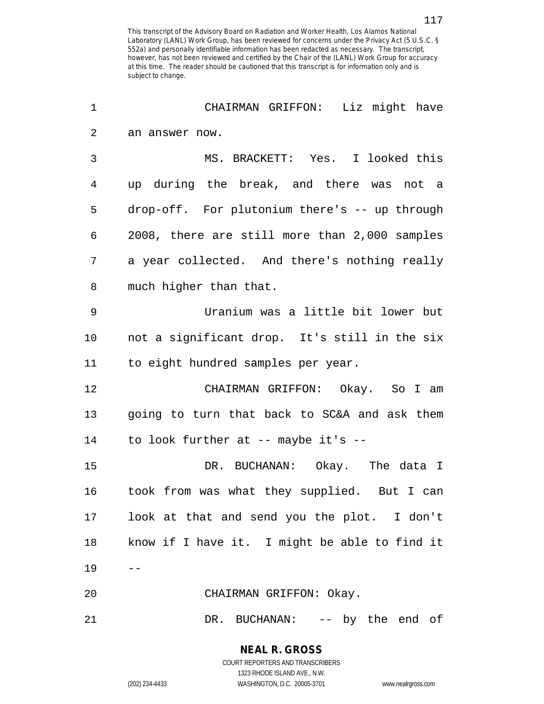| 1              | CHAIRMAN GRIFFON: Liz might have              |
|----------------|-----------------------------------------------|
| $\overline{2}$ | an answer now.                                |
| 3              | MS. BRACKETT: Yes. I looked this              |
| 4              | up during the break, and there was not a      |
| 5              | drop-off. For plutonium there's -- up through |
| 6              | 2008, there are still more than 2,000 samples |
| 7              | a year collected. And there's nothing really  |
| 8              | much higher than that.                        |
| 9              | Uranium was a little bit lower but            |
| $10$           | not a significant drop. It's still in the six |
| 11             | to eight hundred samples per year.            |
| 12             | CHAIRMAN GRIFFON: Okay. So I am               |
| 13             | going to turn that back to SC&A and ask them  |
| 14             | to look further at -- maybe it's --           |
| 15             | DR. BUCHANAN: Okay. The data I                |
| 16             | took from was what they supplied. But I can   |
| 17             | look at that and send you the plot. I don't   |
| 18             | know if I have it. I might be able to find it |
| 19             |                                               |
| 20             | CHAIRMAN GRIFFON: Okay.                       |
| 21             | DR. BUCHANAN: -- by the end of                |

**NEAL R. GROSS** COURT REPORTERS AND TRANSCRIBERS 1323 RHODE ISLAND AVE., N.W.

(202) 234-4433 WASHINGTON, D.C. 20005-3701 www.nealrgross.com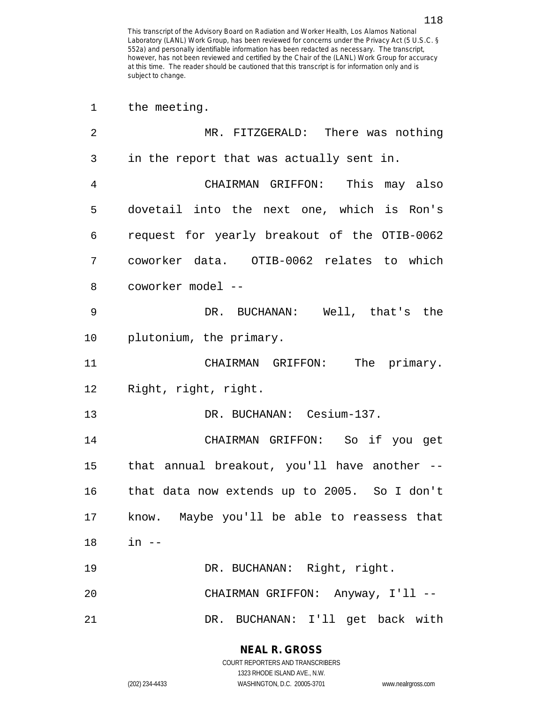1 the meeting.

2 MR. FITZGERALD: There was nothing 3 in the report that was actually sent in. 4 CHAIRMAN GRIFFON: This may also 5 dovetail into the next one, which is Ron's 6 request for yearly breakout of the OTIB-0062 7 coworker data. OTIB-0062 relates to which 8 coworker model -- 9 DR. BUCHANAN: Well, that's the 10 plutonium, the primary. 11 CHAIRMAN GRIFFON: The primary. 12 Right, right, right. 13 DR. BUCHANAN: Cesium-137. 14 CHAIRMAN GRIFFON: So if you get 15 that annual breakout, you'll have another -- 16 that data now extends up to 2005. So I don't 17 know. Maybe you'll be able to reassess that 18 in -- 19 DR. BUCHANAN: Right, right. 20 CHAIRMAN GRIFFON: Anyway, I'll -- 21 DR. BUCHANAN: I'll get back with

> COURT REPORTERS AND TRANSCRIBERS 1323 RHODE ISLAND AVE., N.W. (202) 234-4433 WASHINGTON, D.C. 20005-3701 www.nealrgross.com

**NEAL R. GROSS**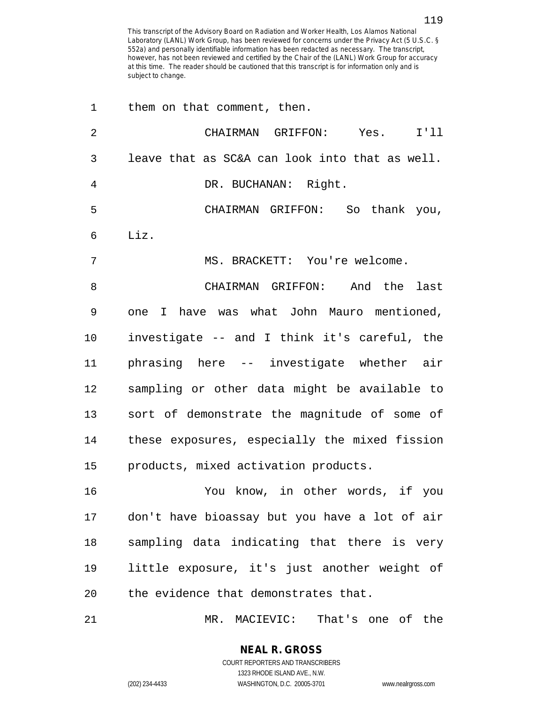| 1              | them on that comment, then.                    |
|----------------|------------------------------------------------|
| $\overline{2}$ | CHAIRMAN GRIFFON:<br>Yes. I'll                 |
| 3              | leave that as SC&A can look into that as well. |
| 4              | DR. BUCHANAN: Right.                           |
| 5              | CHAIRMAN GRIFFON: So thank you,                |
| 6              | Liz.                                           |
| 7              | MS. BRACKETT: You're welcome.                  |
| 8              | CHAIRMAN GRIFFON: And the<br>last              |
| 9              | one I have was what John Mauro mentioned,      |
| 10             | investigate -- and I think it's careful, the   |
| 11             | phrasing here -- investigate whether air       |
| 12             | sampling or other data might be available to   |
| 13             | sort of demonstrate the magnitude of some of   |
| 14             | these exposures, especially the mixed fission  |
| 15             | products, mixed activation products.           |
| 16             | You know, in other words, if you               |
| 17             | don't have bioassay but you have a lot of air  |
| 18             | sampling data indicating that there is very    |
| 19             | little exposure, it's just another weight of   |
| 20             | the evidence that demonstrates that.           |
| 21             | MR. MACIEVIC:<br>That's one of the             |

COURT REPORTERS AND TRANSCRIBERS 1323 RHODE ISLAND AVE., N.W. (202) 234-4433 WASHINGTON, D.C. 20005-3701 www.nealrgross.com

**NEAL R. GROSS**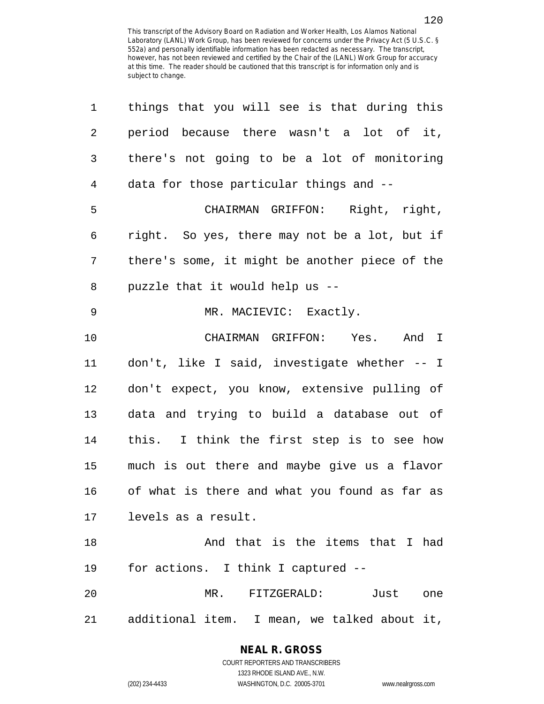| 1              | things that you will see is that during this   |
|----------------|------------------------------------------------|
| 2              | period because there wasn't a lot of it,       |
| $\mathbf{3}$   | there's not going to be a lot of monitoring    |
| $\overline{4}$ | data for those particular things and --        |
| 5              | CHAIRMAN GRIFFON: Right, right,                |
| 6              | right. So yes, there may not be a lot, but if  |
| 7              | there's some, it might be another piece of the |
| 8              | puzzle that it would help us --                |
| $\mathsf 9$    | MR. MACIEVIC: Exactly.                         |
| 10             | CHAIRMAN GRIFFON: Yes. And I                   |
| 11             | don't, like I said, investigate whether -- I   |
| 12             | don't expect, you know, extensive pulling of   |
| 13             | data and trying to build a database out of     |
| 14             | this. I think the first step is to see how     |
| 15             | much is out there and maybe give us a flavor   |
| 16             | of what is there and what you found as far as  |
|                | 17 levels as a result.                         |
| 18             | And that is the items that I had               |
| 19             | for actions. I think I captured --             |
| 20             | MR. FITZGERALD: Just<br>one                    |
| 21             | additional item. I mean, we talked about it,   |

1323 RHODE ISLAND AVE., N.W.

(202) 234-4433 WASHINGTON, D.C. 20005-3701 www.nealrgross.com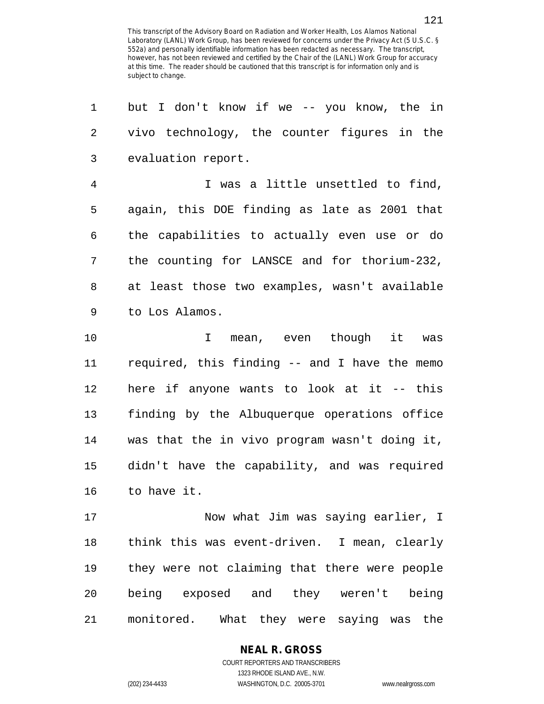| 1              | but I don't know if we -- you know, the in    |
|----------------|-----------------------------------------------|
| 2              | vivo technology, the counter figures in the   |
| 3              | evaluation report.                            |
| $\overline{4}$ | I was a little unsettled to find,             |
| 5              | again, this DOE finding as late as 2001 that  |
| 6              | the capabilities to actually even use or do   |
| 7              | the counting for LANSCE and for thorium-232,  |
| 8              | at least those two examples, wasn't available |
| 9              | to Los Alamos.                                |
| 10             | mean, even though it was<br>I.                |
| 11             | required, this finding -- and I have the memo |
| 12             | here if anyone wants to look at it -- this    |
| 13             | finding by the Albuquerque operations office  |
| 14             | was that the in vivo program wasn't doing it, |
| 15             | didn't have the capability, and was required  |
| 16             | to have it.                                   |
| 17             | Now what Jim was saying earlier, I            |
| 18             | think this was event-driven. I mean, clearly  |
| 19             | they were not claiming that there were people |
| 20             | being exposed and they weren't being          |
| 21             | monitored. What they were saying was the      |

**NEAL R. GROSS**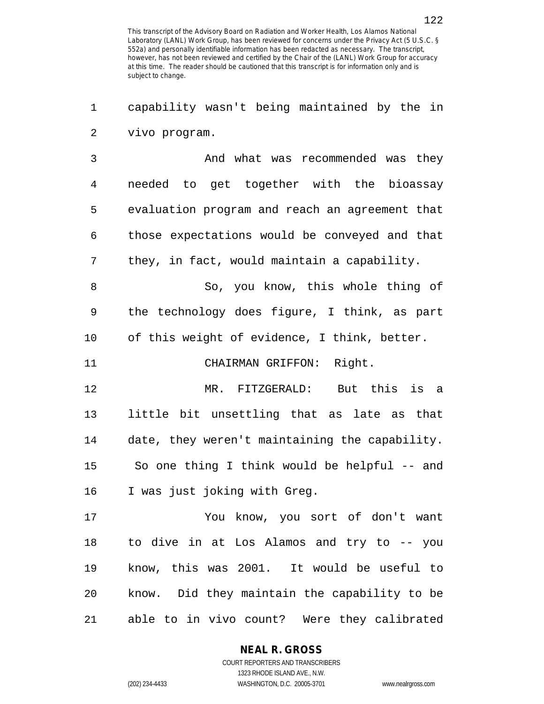1 capability wasn't being maintained by the in 2 vivo program.

3 And what was recommended was they 4 needed to get together with the bioassay 5 evaluation program and reach an agreement that 6 those expectations would be conveyed and that 7 they, in fact, would maintain a capability.

8 So, you know, this whole thing of 9 the technology does figure, I think, as part 10 of this weight of evidence, I think, better.

11 CHAIRMAN GRIFFON: Right.

12 MR. FITZGERALD: But this is a 13 little bit unsettling that as late as that 14 date, they weren't maintaining the capability. 15 So one thing I think would be helpful -- and 16 I was just joking with Greg.

17 You know, you sort of don't want 18 to dive in at Los Alamos and try to -- you 19 know, this was 2001. It would be useful to 20 know. Did they maintain the capability to be 21 able to in vivo count? Were they calibrated

**NEAL R. GROSS**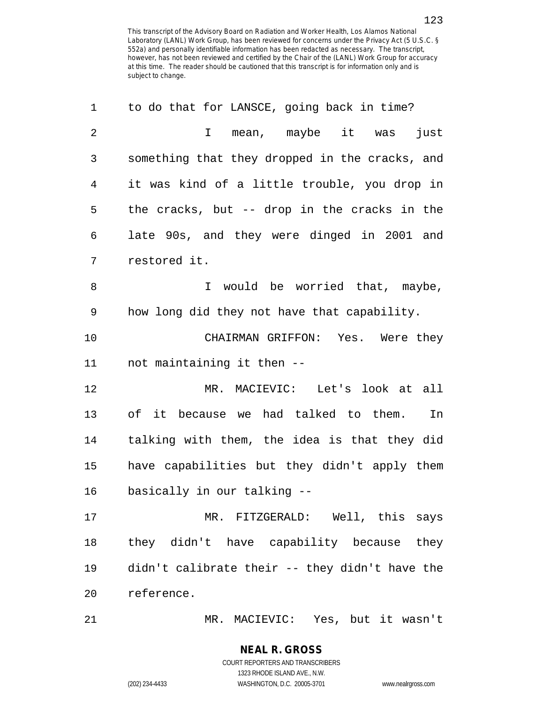| 1              | to do that for LANSCE, going back in time?     |
|----------------|------------------------------------------------|
| $\overline{2}$ | mean, maybe it was<br>just<br>$\mathbf{I}$     |
| 3              | something that they dropped in the cracks, and |
| 4              | it was kind of a little trouble, you drop in   |
| 5              | the cracks, but -- drop in the cracks in the   |
| 6              | late 90s, and they were dinged in 2001 and     |
| 7              | restored it.                                   |
| 8              | would be worried that, maybe,<br>I.            |
| 9              | how long did they not have that capability.    |
| 10             | CHAIRMAN GRIFFON: Yes. Were they               |
| 11             | not maintaining it then --                     |
| 12             | MR. MACIEVIC: Let's look at all                |
| 13             | of it because we had talked to them.<br>In     |
| 14             | talking with them, the idea is that they did   |
| 15             | have capabilities but they didn't apply them   |
| 16             | basically in our talking --                    |
| 17             | MR. FITZGERALD: Well, this says                |
| 18             | they didn't have capability because they       |
| 19             | didn't calibrate their -- they didn't have the |
| 20             | reference.                                     |
| 21             | MR. MACIEVIC: Yes, but it wasn't               |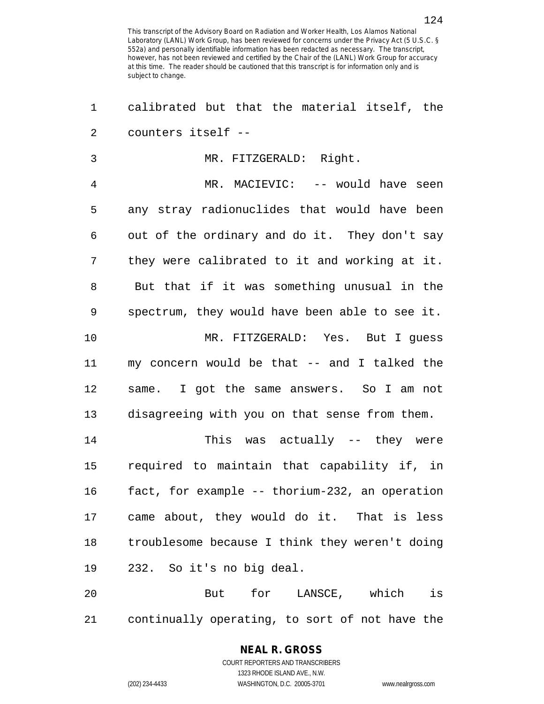| 1              | calibrated but that the material itself, the   |
|----------------|------------------------------------------------|
| $\overline{2}$ | counters itself --                             |
| 3              | MR. FITZGERALD: Right.                         |
| $\overline{4}$ | MR. MACIEVIC: -- would have seen               |
| 5              | any stray radionuclides that would have been   |
| 6              | out of the ordinary and do it. They don't say  |
| 7              | they were calibrated to it and working at it.  |
| 8              | But that if it was something unusual in the    |
| 9              | spectrum, they would have been able to see it. |
| 10             | MR. FITZGERALD: Yes. But I quess               |
| 11             | my concern would be that -- and I talked the   |
| 12             | same. I got the same answers. So I am not      |
| 13             | disagreeing with you on that sense from them.  |
| 14             | This was actually -- they were                 |
| 15             | required to maintain that capability if, in    |
| 16             | fact, for example -- thorium-232, an operation |
| 17             | came about, they would do it. That is less     |
| 18             | troublesome because I think they weren't doing |
| 19             | 232. So it's no big deal.                      |
| 20             | But for LANSCE, which is                       |
| 21             | continually operating, to sort of not have the |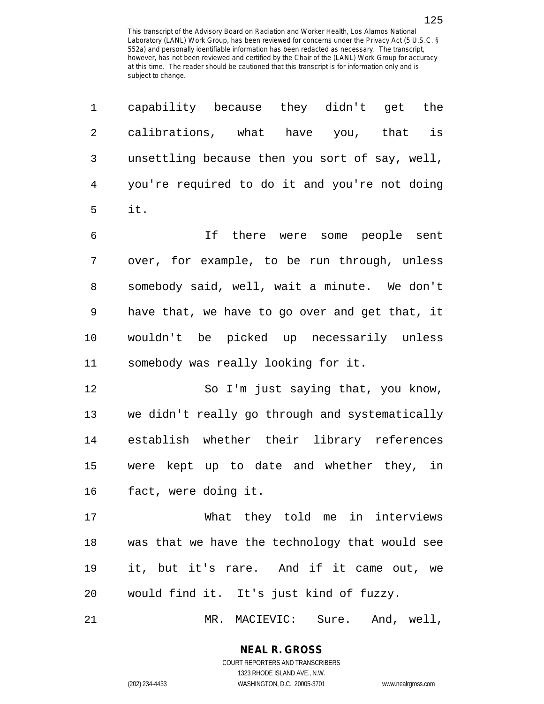| 1          | capability because they didn't get the         |
|------------|------------------------------------------------|
| $\sqrt{2}$ | calibrations, what have you, that is           |
| 3          | unsettling because then you sort of say, well, |
| 4          | you're required to do it and you're not doing  |
| 5          | it.                                            |
| 6          | If there were some people sent                 |
| 7          | over, for example, to be run through, unless   |
| 8          | somebody said, well, wait a minute. We don't   |
| 9          | have that, we have to go over and get that, it |
| 10         | wouldn't be picked up necessarily unless       |
| 11         | somebody was really looking for it.            |
| 12         | So I'm just saying that, you know,             |
| 13         | we didn't really go through and systematically |
| 14         | establish whether their library references     |
| 15         | were kept up to date and whether they, in      |
| 16         | fact, were doing it.                           |
| 17         | What they told me in interviews                |
| 18         | was that we have the technology that would see |
| 19         | it, but it's rare. And if it came out, we      |
| 20         | would find it. It's just kind of fuzzy.        |
| 21         | MR. MACIEVIC: Sure. And, well,                 |

1323 RHODE ISLAND AVE., N.W.

(202) 234-4433 WASHINGTON, D.C. 20005-3701 www.nealrgross.com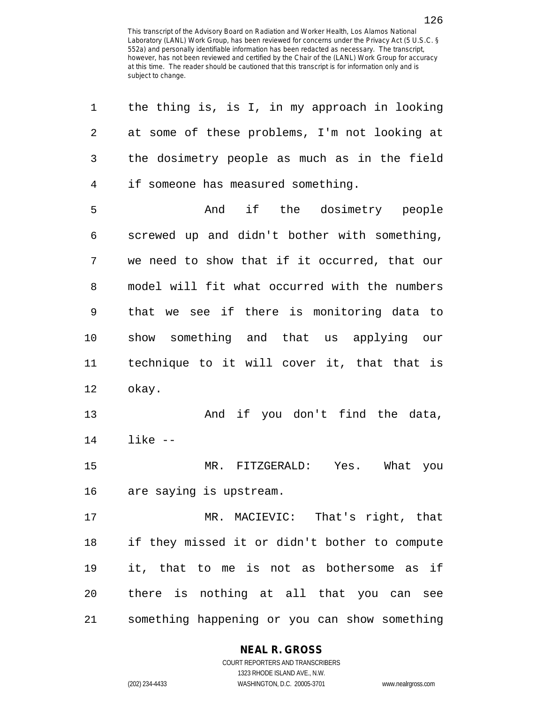| 1  | the thing is, is I, in my approach in looking |
|----|-----------------------------------------------|
| 2  | at some of these problems, I'm not looking at |
| 3  | the dosimetry people as much as in the field  |
| 4  | if someone has measured something.            |
| 5  | And if the dosimetry people                   |
| 6  | screwed up and didn't bother with something,  |
| 7  | we need to show that if it occurred, that our |
| 8  | model will fit what occurred with the numbers |
| 9  | that we see if there is monitoring data to    |
| 10 | show something and that us applying our       |
| 11 | technique to it will cover it, that that is   |
| 12 | okay.                                         |
| 13 | And if you don't find the data,               |
| 14 | $like - -$                                    |
| 15 | MR. FITZGERALD: Yes. What you                 |
| 16 | are saying is upstream.                       |
| 17 | MR. MACIEVIC: That's right, that              |
| 18 | if they missed it or didn't bother to compute |
| 19 | it, that to me is not as bothersome as if     |
| 20 | there is nothing at all that you can see      |
| 21 | something happening or you can show something |

**NEAL R. GROSS**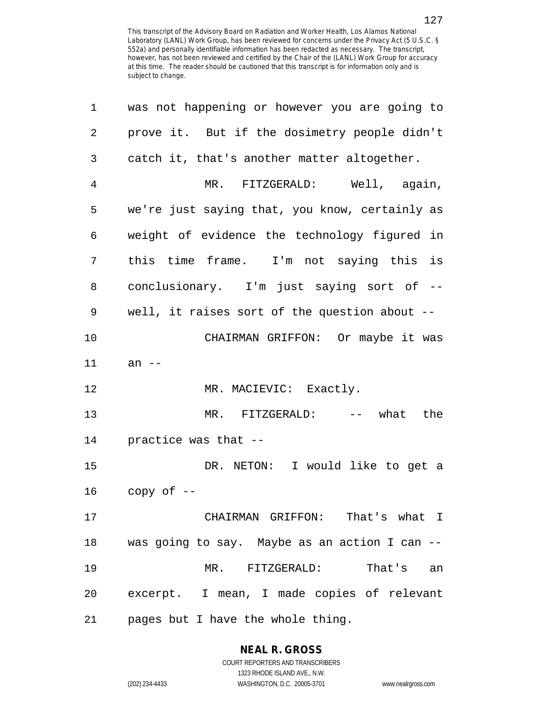| 1  | was not happening or however you are going to  |
|----|------------------------------------------------|
| 2  | prove it. But if the dosimetry people didn't   |
| 3  | catch it, that's another matter altogether.    |
| 4  | MR. FITZGERALD: Well, again,                   |
| 5  | we're just saying that, you know, certainly as |
| 6  | weight of evidence the technology figured in   |
| 7  | this time frame. I'm not saying this is        |
| 8  | conclusionary. I'm just saying sort of --      |
| 9  | well, it raises sort of the question about $-$ |
| 10 | CHAIRMAN GRIFFON: Or maybe it was              |
| 11 | an $--$                                        |
| 12 | MR. MACIEVIC: Exactly.                         |
| 13 | MR. FITZGERALD: -- what the                    |
| 14 | practice was that --                           |
| 15 | DR. NETON: I would like to get a               |
| 16 | copy of --                                     |
| 17 | CHAIRMAN GRIFFON: That's what I                |
| 18 | was going to say. Maybe as an action I can --  |
| 19 | MR. FITZGERALD: That's an                      |
| 20 | excerpt. I mean, I made copies of relevant     |
| 21 | pages but I have the whole thing.              |

### **NEAL R. GROSS**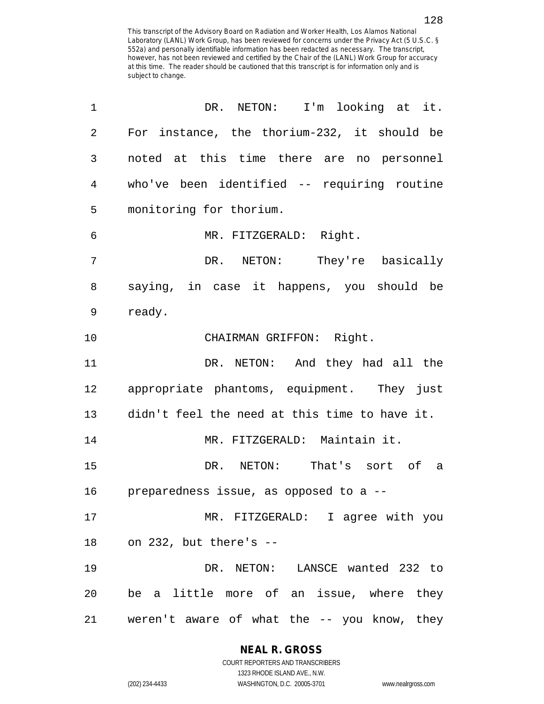| 1  | DR. NETON:<br>I'm looking at it.              |
|----|-----------------------------------------------|
| 2  | For instance, the thorium-232, it should be   |
| 3  | noted at this time there are no personnel     |
| 4  | who've been identified -- requiring routine   |
| 5  | monitoring for thorium.                       |
| 6  | MR. FITZGERALD: Right.                        |
| 7  | DR. NETON: They're basically                  |
| 8  | saying, in case it happens, you should be     |
| 9  | ready.                                        |
| 10 | CHAIRMAN GRIFFON: Right.                      |
| 11 | DR. NETON: And they had all the               |
| 12 | appropriate phantoms, equipment. They just    |
| 13 | didn't feel the need at this time to have it. |
| 14 | MR. FITZGERALD: Maintain it.                  |
| 15 | DR. NETON: That's sort of a                   |
| 16 | preparedness issue, as opposed to a --        |
| 17 | MR. FITZGERALD: I agree with you              |
| 18 | on 232, but there's --                        |
| 19 | DR. NETON: LANSCE wanted 232 to               |
| 20 | be a little more of an issue, where they      |
| 21 | weren't aware of what the -- you know, they   |

### **NEAL R. GROSS**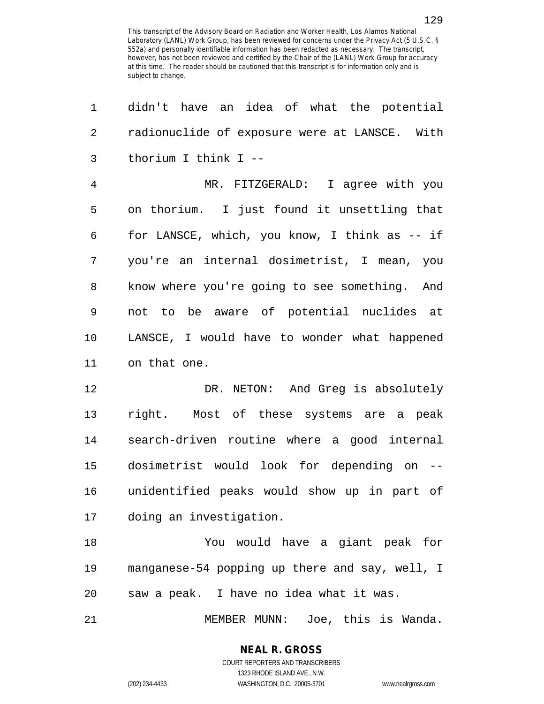| 1  | didn't have an idea of what the potential      |
|----|------------------------------------------------|
| 2  | radionuclide of exposure were at LANSCE. With  |
| 3  | thorium I think I --                           |
| 4  | MR. FITZGERALD: I agree with you               |
| 5  | on thorium. I just found it unsettling that    |
| 6  | for LANSCE, which, you know, I think as -- if  |
| 7  | you're an internal dosimetrist, I mean, you    |
| 8  | know where you're going to see something. And  |
| 9  | not to be aware of potential nuclides at       |
| 10 | LANSCE, I would have to wonder what happened   |
| 11 | on that one.                                   |
| 12 | DR. NETON: And Greg is absolutely              |
| 13 | right. Most of these systems are a peak        |
| 14 | search-driven routine where a good internal    |
| 15 | dosimetrist would look for depending on --     |
| 16 | unidentified peaks would show up in part of    |
| 17 | doing an investigation.                        |
| 18 | You would have a giant peak for                |
| 19 | manganese-54 popping up there and say, well, I |
| 20 | saw a peak. I have no idea what it was.        |
| 21 | MEMBER MUNN: Joe, this is Wanda.               |

**NEAL R. GROSS** COURT REPORTERS AND TRANSCRIBERS

1323 RHODE ISLAND AVE., N.W. (202) 234-4433 WASHINGTON, D.C. 20005-3701 www.nealrgross.com

129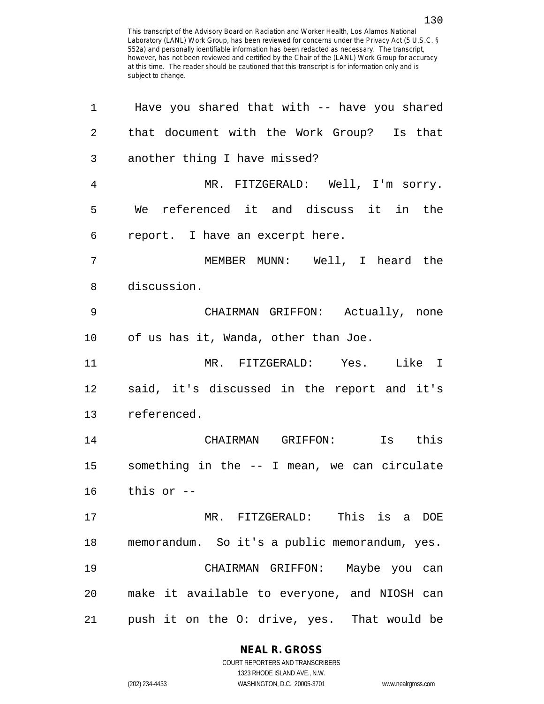| 1       | Have you shared that with -- have you shared    |
|---------|-------------------------------------------------|
| 2       | that document with the Work Group? Is that      |
| 3       | another thing I have missed?                    |
| 4       | MR. FITZGERALD: Well, I'm sorry.                |
| 5       | We referenced it and discuss it in the          |
| 6       | report. I have an excerpt here.                 |
| 7       | MEMBER MUNN: Well, I heard the                  |
| 8       | discussion.                                     |
| 9       | CHAIRMAN GRIFFON: Actually, none                |
| $10 \,$ | of us has it, Wanda, other than Joe.            |
| 11      | MR. FITZGERALD: Yes. Like I                     |
| 12      | said, it's discussed in the report and it's     |
| 13      | referenced.                                     |
| 14      | CHAIRMAN GRIFFON: Is this                       |
|         | 15 something in the -- I mean, we can circulate |
|         | $16$ this or $-$                                |
| 17      | MR. FITZGERALD: This is a DOE                   |
| 18      | memorandum. So it's a public memorandum, yes.   |
| 19      | CHAIRMAN GRIFFON: Maybe you can                 |
| 20      | make it available to everyone, and NIOSH can    |
| 21      | push it on the O: drive, yes. That would be     |

### **NEAL R. GROSS**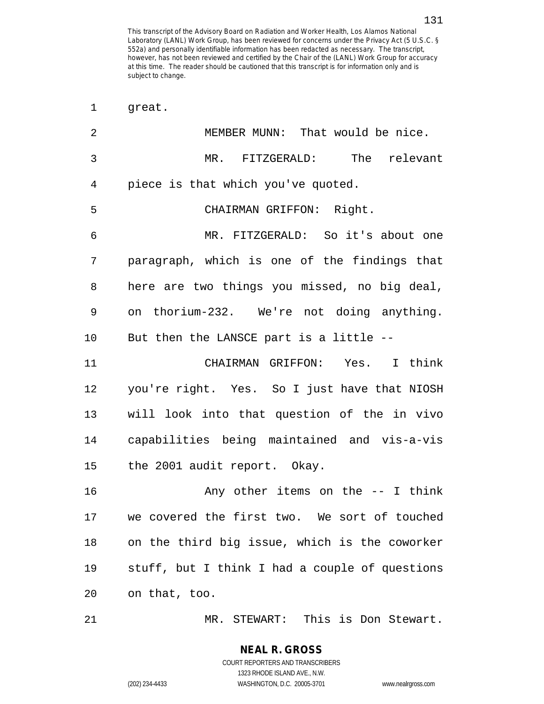1 qreat. 2 MEMBER MUNN: That would be nice. 3 MR. FITZGERALD: The relevant 4 piece is that which you've quoted. 5 CHAIRMAN GRIFFON: Right. 6 MR. FITZGERALD: So it's about one 7 paragraph, which is one of the findings that 8 here are two things you missed, no big deal, 9 on thorium-232. We're not doing anything. 10 But then the LANSCE part is a little -- 11 CHAIRMAN GRIFFON: Yes. I think 12 you're right. Yes. So I just have that NIOSH 13 will look into that question of the in vivo 14 capabilities being maintained and vis-a-vis 15 the 2001 audit report. Okay. 16 Any other items on the -- I think 17 we covered the first two. We sort of touched 18 on the third big issue, which is the coworker 19 stuff, but I think I had a couple of questions 20 on that, too. 21 MR. STEWART: This is Don Stewart.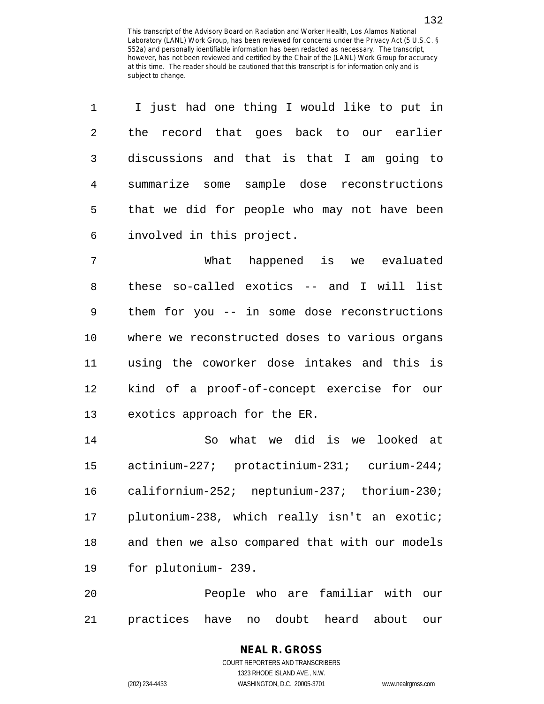| 1  | I just had one thing I would like to put in    |
|----|------------------------------------------------|
| 2  | the record that goes back to our earlier       |
| 3  | discussions and that is that I am going to     |
| 4  | summarize some sample dose reconstructions     |
| 5  | that we did for people who may not have been   |
| 6  | involved in this project.                      |
| 7  | What happened is we evaluated                  |
| 8  | these so-called exotics -- and I will list     |
| 9  | them for you -- in some dose reconstructions   |
| 10 | where we reconstructed doses to various organs |
| 11 | using the coworker dose intakes and this is    |
| 12 | kind of a proof-of-concept exercise for our    |
|    |                                                |
| 13 | exotics approach for the ER.                   |
| 14 | what we did is we looked at<br>So.             |
| 15 | actinium-227; protactinium-231; curium-244;    |
| 16 | californium-252; neptunium-237; thorium-230;   |
| 17 | plutonium-238, which really isn't an exotic;   |
| 18 | and then we also compared that with our models |
| 19 | for plutonium- 239.                            |

21 practices have no doubt heard about our

# **NEAL R. GROSS** COURT REPORTERS AND TRANSCRIBERS

1323 RHODE ISLAND AVE., N.W. (202) 234-4433 WASHINGTON, D.C. 20005-3701 www.nealrgross.com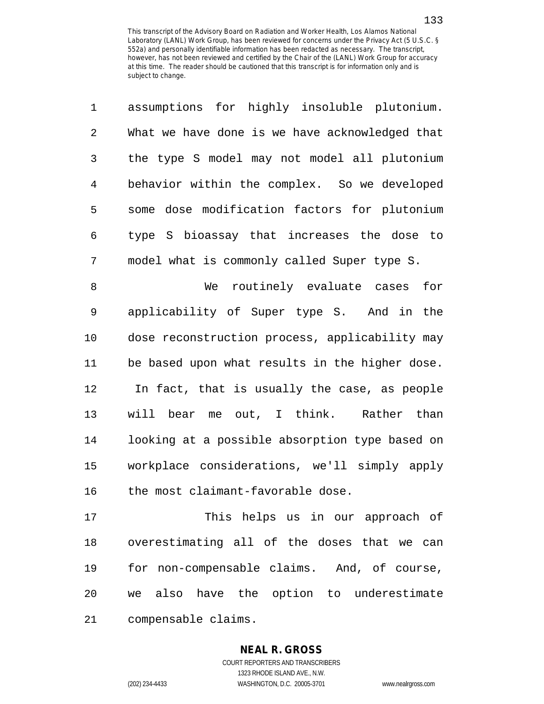| $\mathbf{1}$ | assumptions for highly insoluble plutonium.    |
|--------------|------------------------------------------------|
| 2            | What we have done is we have acknowledged that |
| 3            | the type S model may not model all plutonium   |
| 4            | behavior within the complex. So we developed   |
| 5            | some dose modification factors for plutonium   |
| 6            | type S bioassay that increases the dose to     |
| 7            | model what is commonly called Super type S.    |

8 We routinely evaluate cases for 9 applicability of Super type S. And in the 10 dose reconstruction process, applicability may 11 be based upon what results in the higher dose. 12 In fact, that is usually the case, as people 13 will bear me out, I think. Rather than 14 looking at a possible absorption type based on 15 workplace considerations, we'll simply apply 16 the most claimant-favorable dose.

17 This helps us in our approach of 18 overestimating all of the doses that we can 19 for non-compensable claims. And, of course, 20 we also have the option to underestimate 21 compensable claims.

### **NEAL R. GROSS**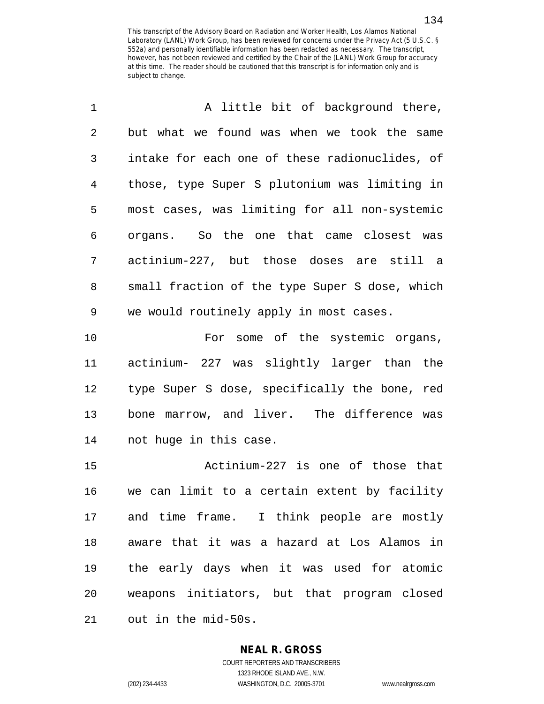| 1              | A little bit of background there,              |
|----------------|------------------------------------------------|
| $\overline{2}$ | but what we found was when we took the same    |
| 3              | intake for each one of these radionuclides, of |
| $\overline{4}$ | those, type Super S plutonium was limiting in  |
| 5              | most cases, was limiting for all non-systemic  |
| 6              | organs. So the one that came closest was       |
| 7              | actinium-227, but those doses are still a      |
| 8              | small fraction of the type Super S dose, which |
| 9              | we would routinely apply in most cases.        |
| 10             | For some of the systemic organs,               |
| 11             | actinium- 227 was slightly larger than the     |
| 12             | type Super S dose, specifically the bone, red  |
| 13             | bone marrow, and liver. The difference was     |
| 14             | not huge in this case.                         |
| 15             | Actinium-227 is one of those that              |
| 16             | we can limit to a certain extent by facility   |
| 17             | and time frame. I think people are mostly      |
| 18             | aware that it was a hazard at Los Alamos in    |
| 19             | the early days when it was used for atomic     |
| 20             | weapons initiators, but that program closed    |
| 21             | out in the mid-50s.                            |

1323 RHODE ISLAND AVE., N.W.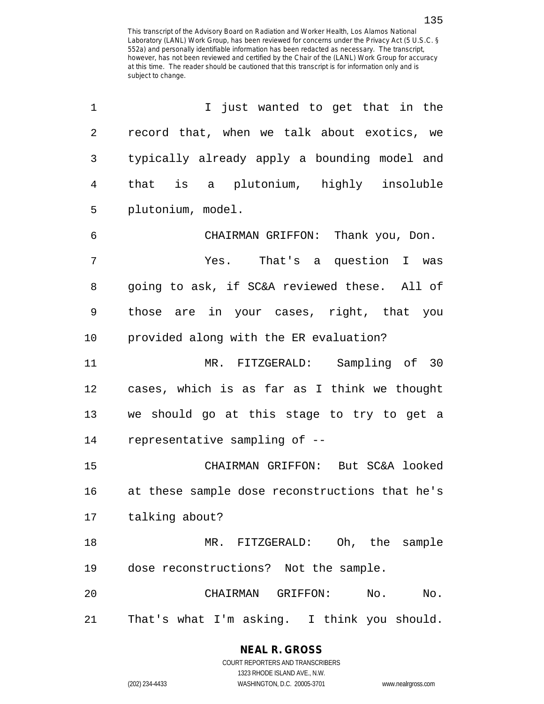| $\mathbf 1$ | I just wanted to get that in the               |
|-------------|------------------------------------------------|
| 2           | record that, when we talk about exotics, we    |
| 3           | typically already apply a bounding model and   |
| 4           | that is a plutonium, highly insoluble          |
| 5           | plutonium, model.                              |
| 6           | CHAIRMAN GRIFFON: Thank you, Don.              |
| 7           | Yes. That's a question I was                   |
| 8           | going to ask, if SC&A reviewed these. All of   |
| 9           | those are in your cases, right, that you       |
| 10          | provided along with the ER evaluation?         |
| 11          | MR. FITZGERALD: Sampling of 30                 |
| 12          | cases, which is as far as I think we thought   |
| 13          | we should go at this stage to try to get a     |
| 14          | representative sampling of --                  |
| 15          | CHAIRMAN GRIFFON: But SC&A looked              |
| 16          | at these sample dose reconstructions that he's |
|             | 17 talking about?                              |
| 18          | MR. FITZGERALD: Oh, the sample                 |
| 19          | dose reconstructions? Not the sample.          |
| 20          | No.<br>CHAIRMAN GRIFFON:<br>No.                |
| 21          | That's what I'm asking. I think you should.    |

1323 RHODE ISLAND AVE., N.W. (202) 234-4433 WASHINGTON, D.C. 20005-3701 www.nealrgross.com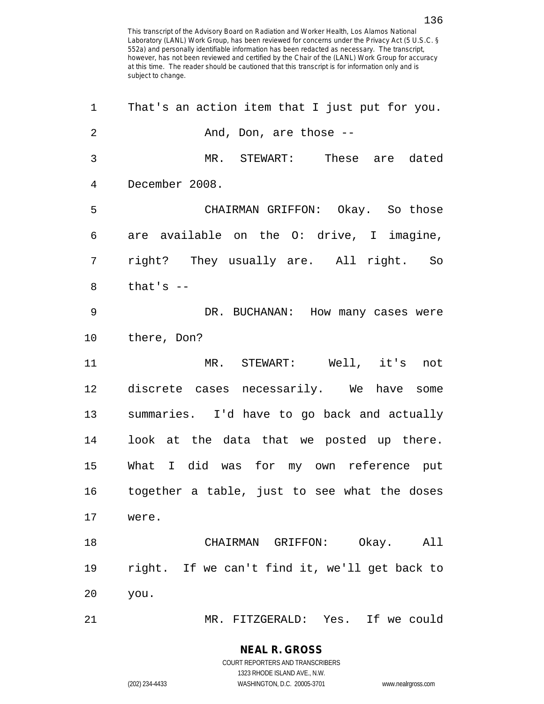| 1              | That's an action item that I just put for you. |
|----------------|------------------------------------------------|
| $\overline{2}$ | And, Don, are those --                         |
| 3              | MR. STEWART: These are dated                   |
| $\overline{4}$ | December 2008.                                 |
| 5              | CHAIRMAN GRIFFON: Okay. So those               |
| 6              | are available on the 0: drive, I imagine,      |
| 7              | right? They usually are. All right. So         |
| 8              | that's $--$                                    |
| 9              | DR. BUCHANAN: How many cases were              |
| 10             | there, Don?                                    |
| 11             | MR. STEWART: Well, it's not                    |
| 12             | discrete cases necessarily. We have some       |
| 13             | summaries. I'd have to go back and actually    |
| 14             | look at the data that we posted up there.      |
| 15             | What I did was for my own reference put        |
| 16             | together a table, just to see what the doses   |
| 17             | were.                                          |
| 18             | CHAIRMAN GRIFFON: Okay. All                    |
| 19             | right. If we can't find it, we'll get back to  |
| 20             | you.                                           |
| 21             | MR. FITZGERALD: Yes. If we could               |

1323 RHODE ISLAND AVE., N.W.

(202) 234-4433 WASHINGTON, D.C. 20005-3701 www.nealrgross.com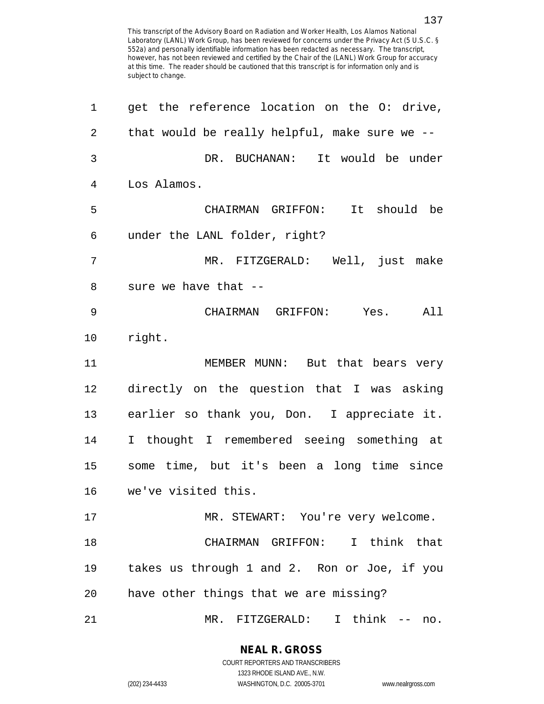| 1  | get the reference location on the 0: drive,   |
|----|-----------------------------------------------|
| 2  | that would be really helpful, make sure we -- |
| 3  | It would be under<br>DR. BUCHANAN:            |
| 4  | Los Alamos.                                   |
| 5  | should be<br>CHAIRMAN GRIFFON: It             |
| 6  | under the LANL folder, right?                 |
| 7  | MR. FITZGERALD: Well, just make               |
| 8  | sure we have that --                          |
| 9  | CHAIRMAN GRIFFON:<br>All<br>Yes.              |
| 10 | right.                                        |
| 11 | MEMBER MUNN: But that bears very              |
| 12 | directly on the question that I was asking    |
| 13 | earlier so thank you, Don. I appreciate it.   |
| 14 | I thought I remembered seeing something at    |
| 15 | some time, but it's been a long time since    |
| 16 | we've visited this.                           |
| 17 | MR. STEWART: You're very welcome.             |
| 18 | CHAIRMAN GRIFFON: I think that                |
| 19 | takes us through 1 and 2. Ron or Joe, if you  |
| 20 | have other things that we are missing?        |
| 21 | MR. FITZGERALD: I think -- no.                |

**NEAL R. GROSS** COURT REPORTERS AND TRANSCRIBERS

1323 RHODE ISLAND AVE., N.W.

(202) 234-4433 WASHINGTON, D.C. 20005-3701 www.nealrgross.com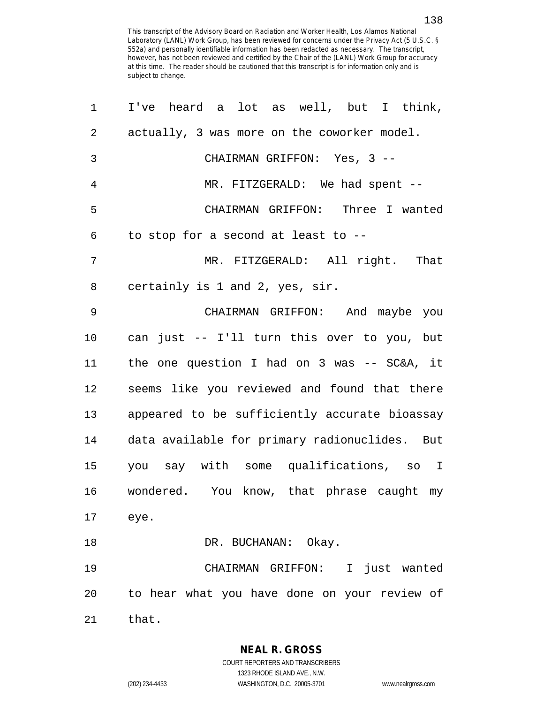| 1              | I've heard a lot as well, but I think,        |
|----------------|-----------------------------------------------|
| $\mathbf{2}$   | actually, 3 was more on the coworker model.   |
| $\mathfrak{Z}$ | CHAIRMAN GRIFFON: Yes, 3 --                   |
| $\overline{4}$ | MR. FITZGERALD: We had spent --               |
| 5              | CHAIRMAN GRIFFON: Three I wanted              |
| 6              | to stop for a second at least to --           |
| 7              | MR. FITZGERALD: All right. That               |
| 8              | certainly is 1 and 2, yes, sir.               |
| 9              | CHAIRMAN GRIFFON: And maybe you               |
| 10             | can just -- I'll turn this over to you, but   |
| 11             | the one question I had on 3 was -- SC&A, it   |
| 12             | seems like you reviewed and found that there  |
| 13             | appeared to be sufficiently accurate bioassay |
| 14             | data available for primary radionuclides. But |
| 15             | you say with some qualifications, so I        |
| 16             | wondered. You know, that phrase caught my     |
| 17             | eye.                                          |
| 18             | DR. BUCHANAN: Okay.                           |
| 19             | CHAIRMAN GRIFFON: I just wanted               |
| 20             | to hear what you have done on your review of  |
| 21             | that.                                         |

**NEAL R. GROSS**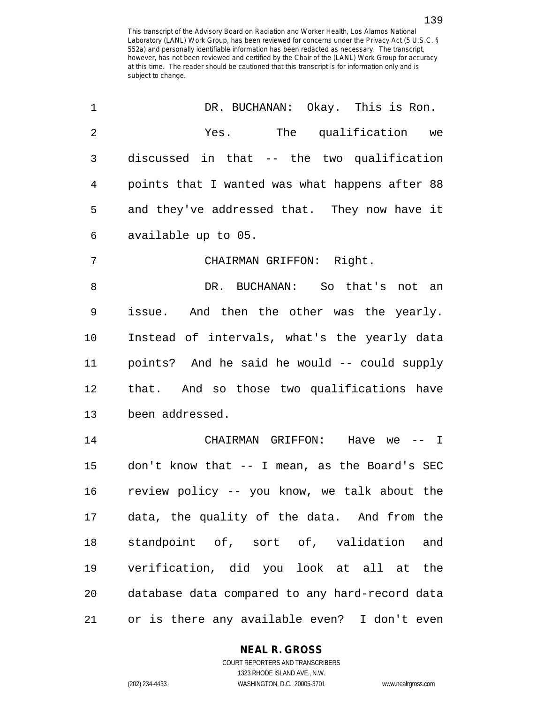| 1              | DR. BUCHANAN: Okay. This is Ron.               |
|----------------|------------------------------------------------|
| $\overline{2}$ | The qualification we<br>Yes.                   |
| 3              | discussed in that -- the two qualification     |
| 4              | points that I wanted was what happens after 88 |
| 5              | and they've addressed that. They now have it   |
| 6              | available up to 05.                            |
| 7              | CHAIRMAN GRIFFON: Right.                       |
| 8              | DR. BUCHANAN: So that's not an                 |
| 9              | issue. And then the other was the yearly.      |
| 10             | Instead of intervals, what's the yearly data   |
| 11             | points? And he said he would -- could supply   |
| 12             | that. And so those two qualifications have     |
| 13             | been addressed.                                |
| 14             | CHAIRMAN GRIFFON: Have we -- I                 |
| 15             | don't know that -- I mean, as the Board's SEC  |
| 16             | review policy -- you know, we talk about the   |
| 17             | data, the quality of the data. And from the    |
| 18             | standpoint of, sort of, validation<br>and      |
| 19             | verification, did you look at all at the       |
| 20             | database data compared to any hard-record data |
| 21             | or is there any available even? I don't even   |

**NEAL R. GROSS**

COURT REPORTERS AND TRANSCRIBERS 1323 RHODE ISLAND AVE., N.W. (202) 234-4433 WASHINGTON, D.C. 20005-3701 www.nealrgross.com

139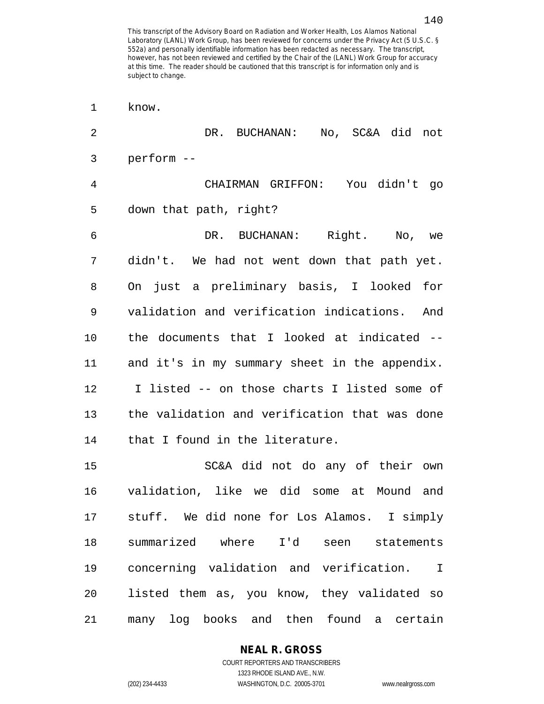| 1  | know.                                         |
|----|-----------------------------------------------|
| 2  | No, SC&A did not<br>DR. BUCHANAN:             |
| 3  | perform --                                    |
| 4  | CHAIRMAN GRIFFON: You didn't go               |
| 5  | down that path, right?                        |
| 6  | DR. BUCHANAN: Right. No, we                   |
| 7  | didn't. We had not went down that path yet.   |
| 8  | On just a preliminary basis, I looked for     |
| 9  | validation and verification indications. And  |
| 10 | the documents that I looked at indicated --   |
| 11 | and it's in my summary sheet in the appendix. |
| 12 | I listed -- on those charts I listed some of  |
| 13 | the validation and verification that was done |
| 14 | that I found in the literature.               |
| 15 | SC&A did not do any of their own              |
| 16 | validation, like we did some at<br>Mound and  |
| 17 | stuff. We did none for Los Alamos. I simply   |
| 18 | summarized where I'd seen statements          |
| 19 | concerning validation and verification. I     |
| 20 | listed them as, you know, they validated so   |
| 21 | many log books and then found a certain       |

**NEAL R. GROSS**

COURT REPORTERS AND TRANSCRIBERS 1323 RHODE ISLAND AVE., N.W. (202) 234-4433 WASHINGTON, D.C. 20005-3701 www.nealrgross.com

140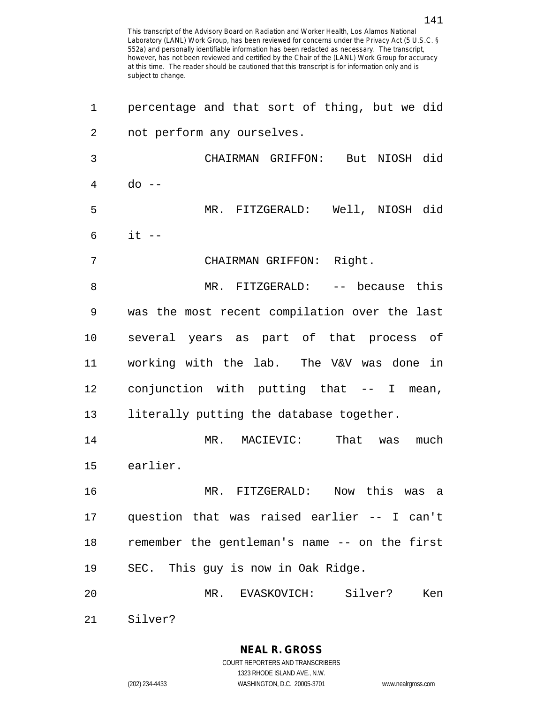| 1  | percentage and that sort of thing, but we did |
|----|-----------------------------------------------|
| 2  | not perform any ourselves.                    |
| 3  | CHAIRMAN GRIFFON: But NIOSH did               |
| 4  | $do --$                                       |
| 5  | MR. FITZGERALD: Well, NIOSH did               |
| 6  | $it$ $-$                                      |
| 7  | CHAIRMAN GRIFFON: Right.                      |
| 8  | MR. FITZGERALD: -- because this               |
| 9  | was the most recent compilation over the last |
| 10 | several years as part of that process of      |
| 11 | working with the lab. The V&V was done in     |
| 12 | conjunction with putting that $--$ I mean,    |
| 13 | literally putting the database together.      |
| 14 | MACIEVIC:<br>That was<br>MR.<br>much          |
| 15 | earlier.                                      |
| 16 | Now this<br>MR. FITZGERALD:<br>was<br>a       |
| 17 | question that was raised earlier -- I can't   |
| 18 | remember the gentleman's name -- on the first |
| 19 | SEC. This guy is now in Oak Ridge.            |
| 20 | MR. EVASKOVICH: Silver?<br>Ken                |
| 21 | Silver?                                       |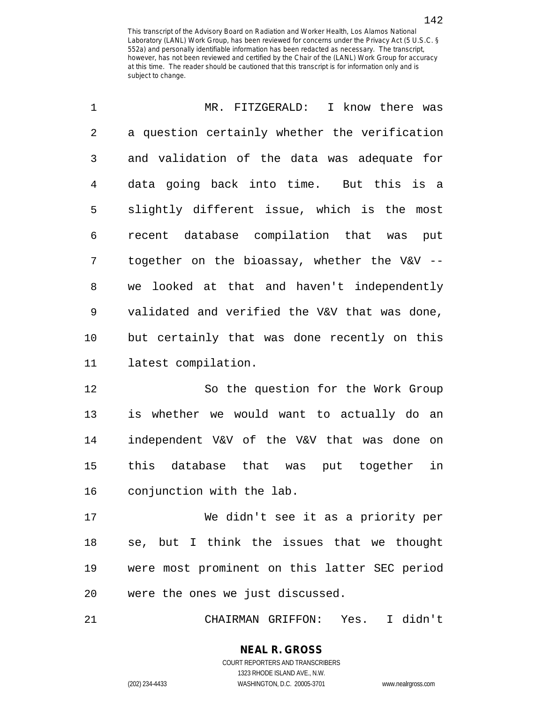| $\mathbf 1$ | MR. FITZGERALD:<br>I know there was           |
|-------------|-----------------------------------------------|
| 2           | a question certainly whether the verification |
| 3           | and validation of the data was adequate for   |
| 4           | data going back into time. But this is a      |
| 5           | slightly different issue, which is the most   |
| 6           | recent database compilation that was put      |
| 7           | together on the bioassay, whether the V&V --  |
| 8           | we looked at that and haven't independently   |
| 9           | validated and verified the V&V that was done, |
| 10          | but certainly that was done recently on this  |
| 11          | latest compilation.                           |
| 12          | So the question for the Work Group            |
|             |                                               |

13 is whether we would want to actually do an 14 independent V&V of the V&V that was done on 15 this database that was put together in 16 conjunction with the lab.

17 We didn't see it as a priority per 18 se, but I think the issues that we thought 19 were most prominent on this latter SEC period 20 were the ones we just discussed.

21 CHAIRMAN GRIFFON: Yes. I didn't

COURT REPORTERS AND TRANSCRIBERS 1323 RHODE ISLAND AVE., N.W. (202) 234-4433 WASHINGTON, D.C. 20005-3701 www.nealrgross.com

**NEAL R. GROSS**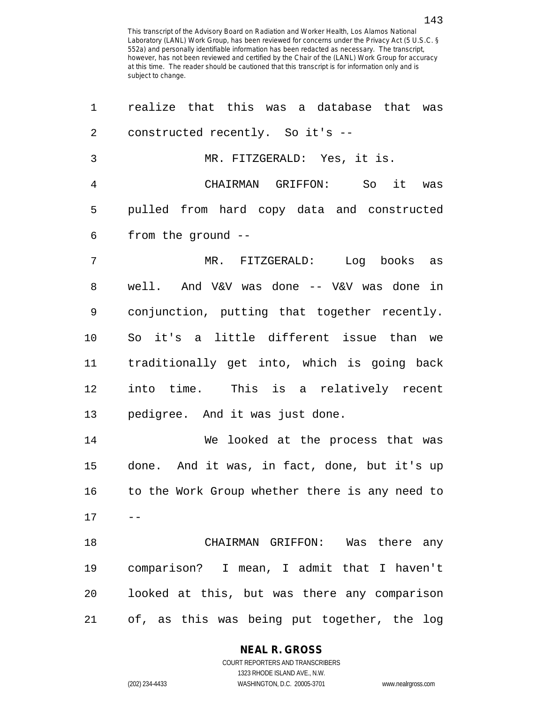| 1              | realize that this was a database that was      |
|----------------|------------------------------------------------|
| 2              | constructed recently. So it's --               |
| 3              | MR. FITZGERALD: Yes, it is.                    |
| $\overline{4}$ | CHAIRMAN GRIFFON: So it was                    |
| 5              | pulled from hard copy data and constructed     |
| 6              | from the ground --                             |
| 7              | MR. FITZGERALD: Log books as                   |
| 8              | well. And V&V was done -- V&V was done in      |
| 9              | conjunction, putting that together recently.   |
| 10             | So it's a little different issue than we       |
| 11             | traditionally get into, which is going back    |
| 12             | into time. This is a relatively recent         |
| 13             | pedigree. And it was just done.                |
| 14             | We looked at the process that was              |
| 15             | done. And it was, in fact, done, but it's up   |
| 16             | to the Work Group whether there is any need to |
| 17             |                                                |
| 18             | CHAIRMAN GRIFFON: Was there any                |
| 19             | comparison? I mean, I admit that I haven't     |
| 20             | looked at this, but was there any comparison   |
| 21             | of, as this was being put together, the log    |

### **NEAL R. GROSS**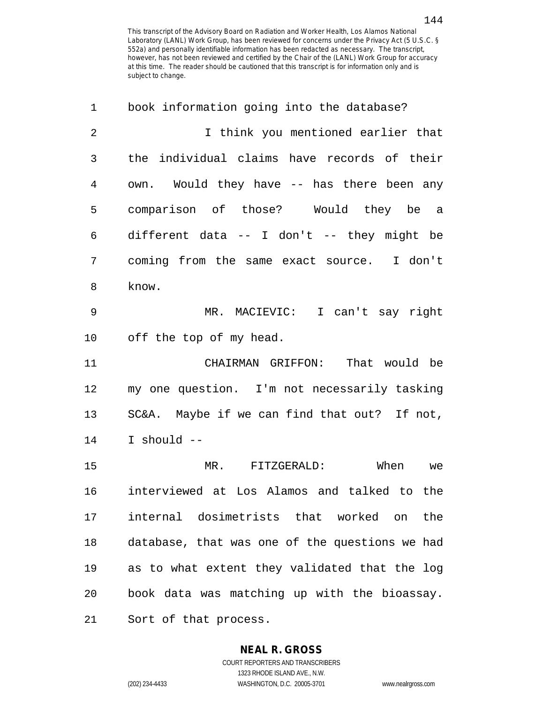| 1              | book information going into the database?      |
|----------------|------------------------------------------------|
| $\overline{2}$ | I think you mentioned earlier that             |
| 3              | the individual claims have records of their    |
| 4              | own. Would they have -- has there been any     |
| 5              | comparison of those? Would they be a           |
| 6              | different data -- I don't -- they might be     |
| 7              | coming from the same exact source. I don't     |
| 8              | know.                                          |
| 9              | MR. MACIEVIC: I can't say right                |
| 10             | off the top of my head.                        |
| 11             | CHAIRMAN GRIFFON: That would be                |
| 12             | my one question. I'm not necessarily tasking   |
| 13             | SC&A. Maybe if we can find that out? If not,   |
| 14             | I should --                                    |
| 15             | MR. FITZGERALD: When<br>we                     |
| 16             | interviewed at Los Alamos and talked to the    |
| 17             | internal dosimetrists that worked on the       |
| 18             | database, that was one of the questions we had |
| 19             | as to what extent they validated that the log  |
| 20             | book data was matching up with the bioassay.   |
| 21             | Sort of that process.                          |

### **NEAL R. GROSS**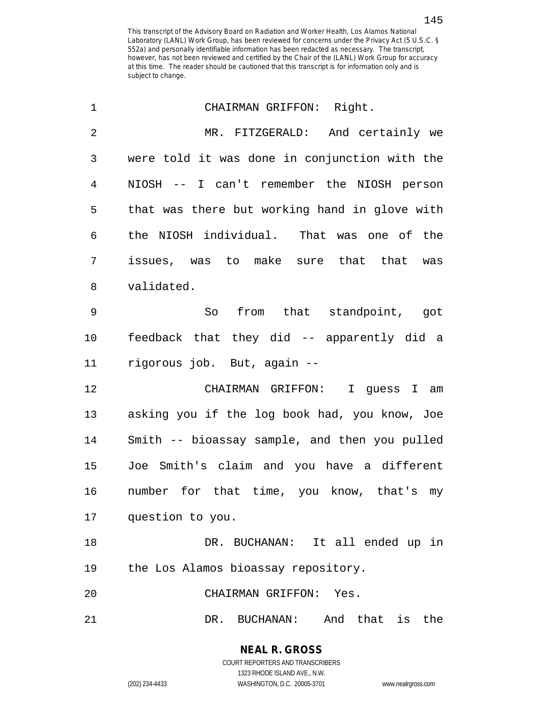| $\mathbf 1$ | CHAIRMAN GRIFFON: Right.                      |
|-------------|-----------------------------------------------|
| 2           | MR. FITZGERALD: And certainly we              |
| 3           | were told it was done in conjunction with the |
| 4           | NIOSH -- I can't remember the NIOSH person    |
| 5           | that was there but working hand in glove with |
| 6           | the NIOSH individual. That was one of the     |
| 7           | issues, was to make sure that that was        |
| 8           | validated.                                    |
| 9           | So from that standpoint, got                  |
| 10          | feedback that they did -- apparently did a    |
| 11          | rigorous job. But, again --                   |
| 12          | CHAIRMAN GRIFFON: I guess I am                |
| 13          | asking you if the log book had, you know, Joe |
| 14          | Smith -- bioassay sample, and then you pulled |
| 15          | Joe Smith's claim and you have a different    |
| 16          | number for that time, you know, that's my     |
| 17          | question to you.                              |
| 18          | DR. BUCHANAN: It all ended up in              |
| 19          | the Los Alamos bioassay repository.           |
| 20          | CHAIRMAN GRIFFON: Yes.                        |
| 21          | DR.<br>BUCHANAN:<br>And<br>that<br>the<br>is  |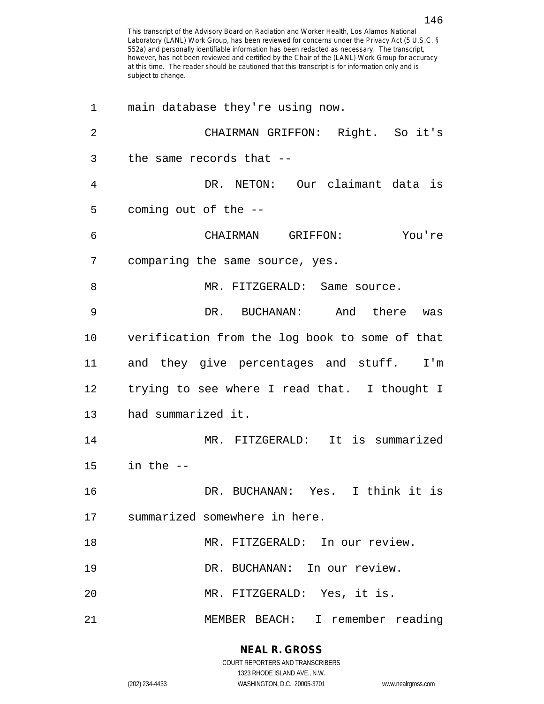| $\mathbf 1$ | main database they're using now.               |
|-------------|------------------------------------------------|
| 2           | CHAIRMAN GRIFFON: Right. So it's               |
| 3           | the same records that --                       |
| 4           | DR. NETON: Our claimant data is                |
| 5           | coming out of the --                           |
| 6           | You're<br>CHAIRMAN GRIFFON:                    |
| 7           | comparing the same source, yes.                |
| 8           | MR. FITZGERALD: Same source.                   |
| 9           | DR. BUCHANAN: And there was                    |
| 10          | verification from the log book to some of that |
| 11          | and they give percentages and stuff. I'm       |
| 12          | trying to see where I read that. I thought I   |
| 13          | had summarized it.                             |
| 14          | MR. FITZGERALD:<br>It is summarized            |
| 15          | in the $-$                                     |
| 16          | DR. BUCHANAN: Yes. I think it is               |
|             | 17 summarized somewhere in here.               |
| 18          | MR. FITZGERALD: In our review.                 |
| 19          | DR. BUCHANAN: In our review.                   |
| 20          | MR. FITZGERALD: Yes, it is.                    |
| 21          | MEMBER BEACH: I remember reading               |

**NEAL R. GROSS** COURT REPORTERS AND TRANSCRIBERS 1323 RHODE ISLAND AVE., N.W.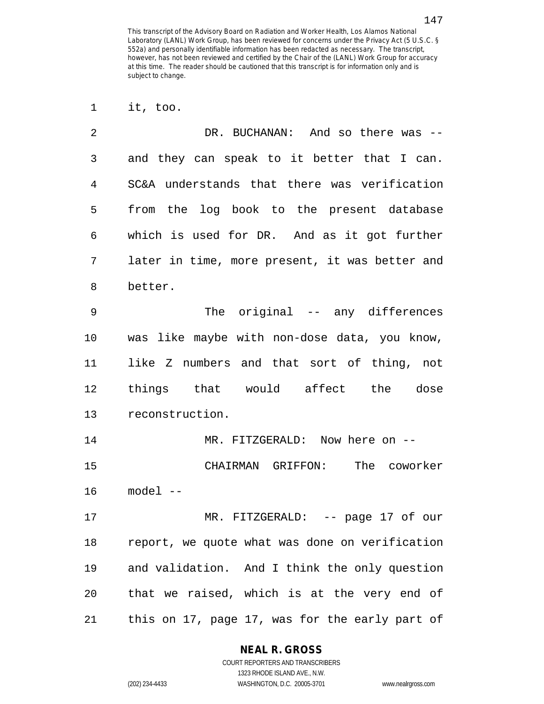2 DR. BUCHANAN: And so there was -- 3 and they can speak to it better that I can. 4 SC&A understands that there was verification 5 from the log book to the present database 6 which is used for DR. And as it got further 7 later in time, more present, it was better and 8 better. 9 The original -- any differences 10 was like maybe with non-dose data, you know, 11 like Z numbers and that sort of thing, not 12 things that would affect the dose 13 reconstruction. 14 MR. FITZGERALD: Now here on -- 15 CHAIRMAN GRIFFON: The coworker 16 model -- 17 MR. FITZGERALD: -- page 17 of our 18 report, we quote what was done on verification 19 and validation. And I think the only question 20 that we raised, which is at the very end of

### **NEAL R. GROSS**

1 it, too.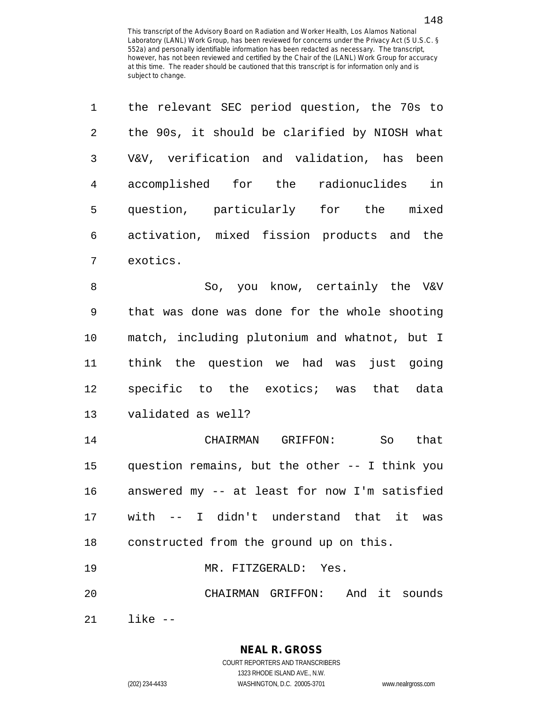| $\mathbf{1}$  | the relevant SEC period question, the 70s to  |
|---------------|-----------------------------------------------|
| $\mathcal{L}$ | the 90s, it should be clarified by NIOSH what |
| 3             | V&V, verification and validation, has been    |
| 4             | in<br>accomplished for the radionuclides      |
| 5             | question, particularly for the mixed          |
| 6             | activation, mixed fission products and the    |
| 7             | exotics.                                      |

8 So, you know, certainly the V&V 9 that was done was done for the whole shooting 10 match, including plutonium and whatnot, but I 11 think the question we had was just going 12 specific to the exotics; was that data 13 validated as well?

14 CHAIRMAN GRIFFON: So that 15 question remains, but the other -- I think you 16 answered my -- at least for now I'm satisfied 17 with -- I didn't understand that it was 18 constructed from the ground up on this.

19 MR. FITZGERALD: Yes.

20 CHAIRMAN GRIFFON: And it sounds 21 like --

# **NEAL R. GROSS**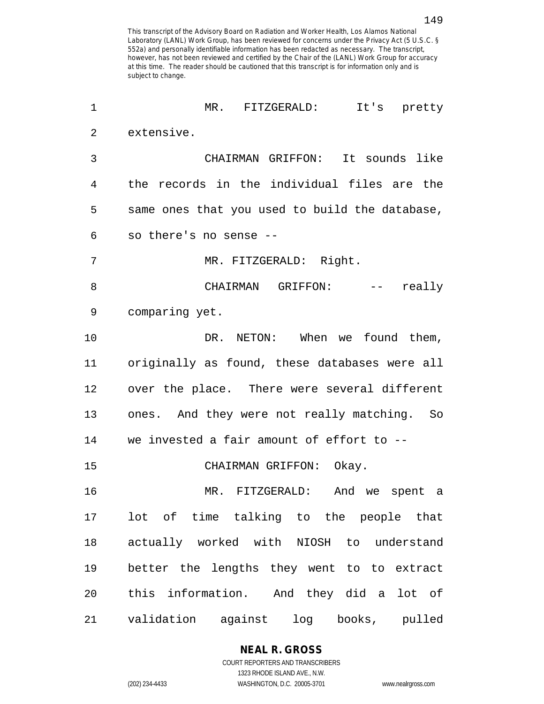| 1  | MR. FITZGERALD: It's pretty                    |
|----|------------------------------------------------|
| 2  | extensive.                                     |
| 3  | CHAIRMAN GRIFFON: It sounds like               |
| 4  | the records in the individual files are the    |
| 5  | same ones that you used to build the database, |
| 6  | so there's no sense --                         |
| 7  | MR. FITZGERALD: Right.                         |
| 8  | CHAIRMAN GRIFFON: -- really                    |
| 9  | comparing yet.                                 |
| 10 | DR. NETON: When we found them,                 |
| 11 | originally as found, these databases were all  |
| 12 | over the place. There were several different   |
| 13 | ones. And they were not really matching. So    |
| 14 | we invested a fair amount of effort to --      |
| 15 | CHAIRMAN GRIFFON: Okay.                        |
| 16 | MR. FITZGERALD: And we spent a                 |
| 17 | lot of time talking to the people that         |
| 18 | actually worked with NIOSH to understand       |
| 19 | better the lengths they went to to extract     |
| 20 | this information. And they did a lot of        |
| 21 | validation against log books, pulled           |

### **NEAL R. GROSS**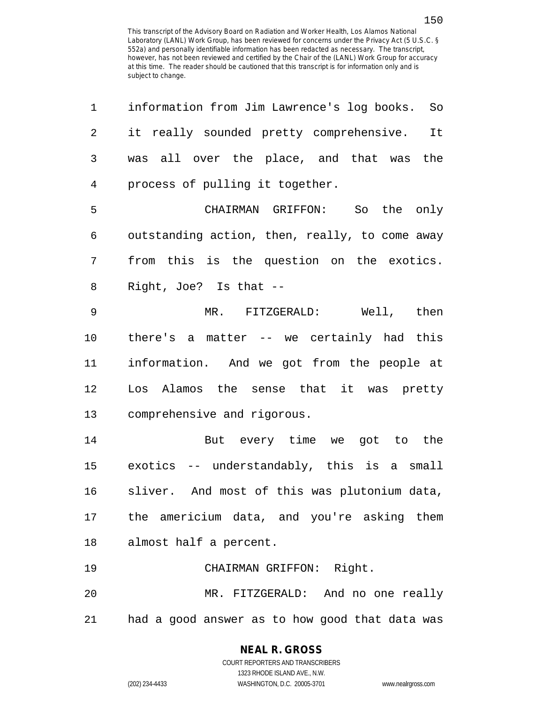| 1          | information from Jim Lawrence's log books.<br>So |
|------------|--------------------------------------------------|
| $\sqrt{2}$ | it really sounded pretty comprehensive. It       |
| 3          | was all over the place, and that was the         |
| 4          | process of pulling it together.                  |
| 5          | CHAIRMAN GRIFFON: So the only                    |
| 6          | outstanding action, then, really, to come away   |
| 7          | from this is the question on the exotics.        |
| 8          | Right, Joe? Is that --                           |
| 9          | MR. FITZGERALD: Well, then                       |
| 10         | there's a matter -- we certainly had this        |
| 11         | information. And we got from the people at       |
| 12         | Los Alamos the sense that it was pretty          |
| 13         | comprehensive and rigorous.                      |
| 14         | But every time we got to the                     |
| 15         | exotics -- understandably, this is a small       |
| 16         | sliver. And most of this was plutonium data,     |
|            | 17 the americium data, and you're asking them    |
| 18         | almost half a percent.                           |
| 19         | CHAIRMAN GRIFFON: Right.                         |
| 20         | MR. FITZGERALD: And no one really                |
| 21         | had a good answer as to how good that data was   |

### **NEAL R. GROSS**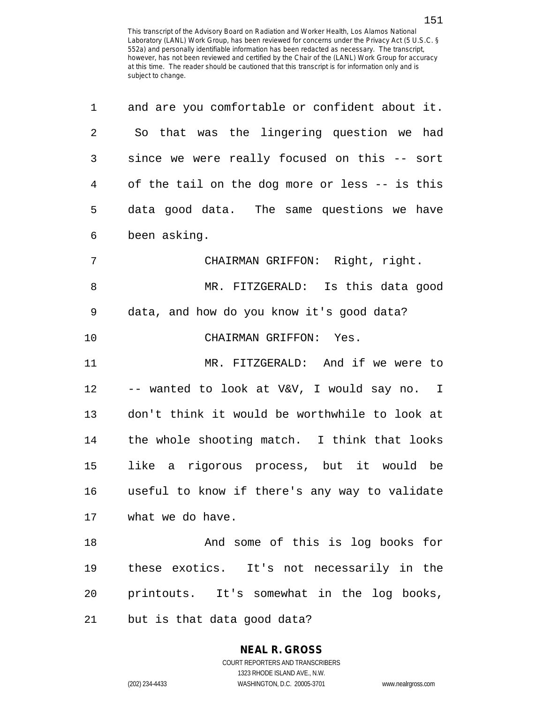| 1              | and are you comfortable or confident about it. |
|----------------|------------------------------------------------|
| $\overline{2}$ | So that was the lingering question we had      |
| 3              | since we were really focused on this -- sort   |
| 4              | of the tail on the dog more or less -- is this |
| 5              | data good data. The same questions we have     |
| 6              | been asking.                                   |
| 7              | CHAIRMAN GRIFFON: Right, right.                |
| 8              | MR. FITZGERALD: Is this data good              |
| 9              | data, and how do you know it's good data?      |
| 10             | CHAIRMAN GRIFFON: Yes.                         |
| 11             | MR. FITZGERALD: And if we were to              |
| 12             | -- wanted to look at V&V, I would say no. I    |
| 13             | don't think it would be worthwhile to look at  |
| 14             | the whole shooting match. I think that looks   |
| 15             | like a rigorous process, but it would be       |
| 16             | useful to know if there's any way to validate  |
| 17             | what we do have.                               |
| 18             | And some of this is log books for              |
| 19             | these exotics. It's not necessarily in the     |
| 20             | printouts. It's somewhat in the log books,     |
| 21             | but is that data good data?                    |

**NEAL R. GROSS** COURT REPORTERS AND TRANSCRIBERS

1323 RHODE ISLAND AVE., N.W. (202) 234-4433 WASHINGTON, D.C. 20005-3701 www.nealrgross.com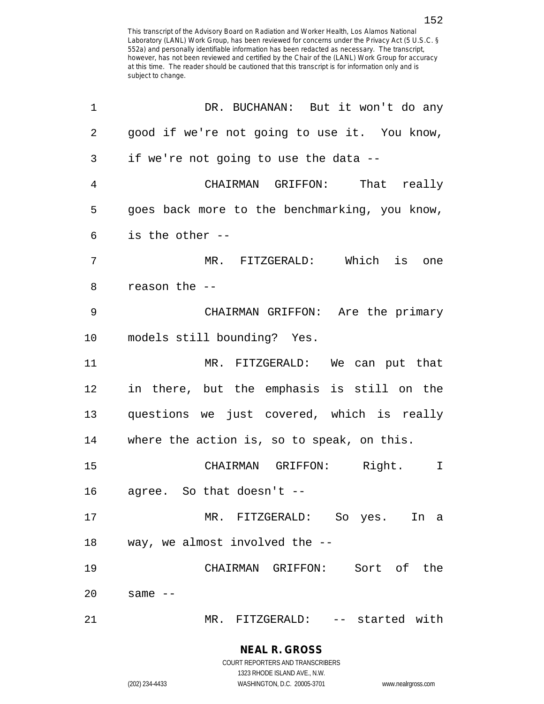| 1  | DR. BUCHANAN: But it won't do any             |
|----|-----------------------------------------------|
| 2  | good if we're not going to use it. You know,  |
| 3  | if we're not going to use the data --         |
| 4  | CHAIRMAN GRIFFON: That really                 |
| 5  | goes back more to the benchmarking, you know, |
| 6  | is the other --                               |
| 7  | MR. FITZGERALD: Which<br>is one               |
| 8  | reason the --                                 |
| 9  | CHAIRMAN GRIFFON: Are the primary             |
| 10 | models still bounding? Yes.                   |
| 11 | MR. FITZGERALD: We can put that               |
| 12 | in there, but the emphasis is still on the    |
| 13 | questions we just covered, which is really    |
| 14 | where the action is, so to speak, on this.    |
| 15 | CHAIRMAN GRIFFON: Right.<br>$\mathbf I$       |
| 16 | agree. So that doesn't --                     |
| 17 | MR. FITZGERALD: So yes. In a                  |
| 18 | way, we almost involved the --                |
| 19 | CHAIRMAN GRIFFON: Sort of<br>the              |
| 20 | same $--$                                     |
| 21 | MR. FITZGERALD: -- started with               |

1323 RHODE ISLAND AVE., N.W.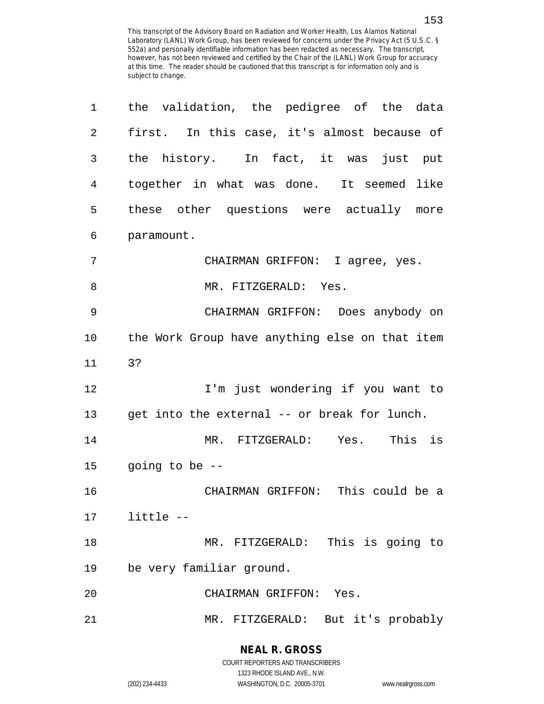| 1  | the validation, the pedigree of the data       |
|----|------------------------------------------------|
| 2  | first. In this case, it's almost because of    |
| 3  | the history. In fact, it was just put          |
| 4  | together in what was done. It seemed like      |
| 5  | these other questions were actually more       |
| 6  | paramount.                                     |
| 7  | CHAIRMAN GRIFFON: I agree, yes.                |
| 8  | MR. FITZGERALD: Yes.                           |
| 9  | CHAIRMAN GRIFFON: Does anybody on              |
| 10 | the Work Group have anything else on that item |
| 11 | 3?                                             |
| 12 | I'm just wondering if you want to              |
| 13 | get into the external -- or break for lunch.   |
| 14 | MR. FITZGERALD: Yes. This is                   |
| 15 | going to be --                                 |
| 16 | CHAIRMAN GRIFFON: This could be a              |
| 17 | little --                                      |
| 18 | This is going to<br>MR. FITZGERALD:            |
| 19 | be very familiar ground.                       |
| 20 | CHAIRMAN GRIFFON: Yes.                         |
| 21 | MR. FITZGERALD: But it's probably              |

**NEAL R. GROSS** COURT REPORTERS AND TRANSCRIBERS

1323 RHODE ISLAND AVE., N.W.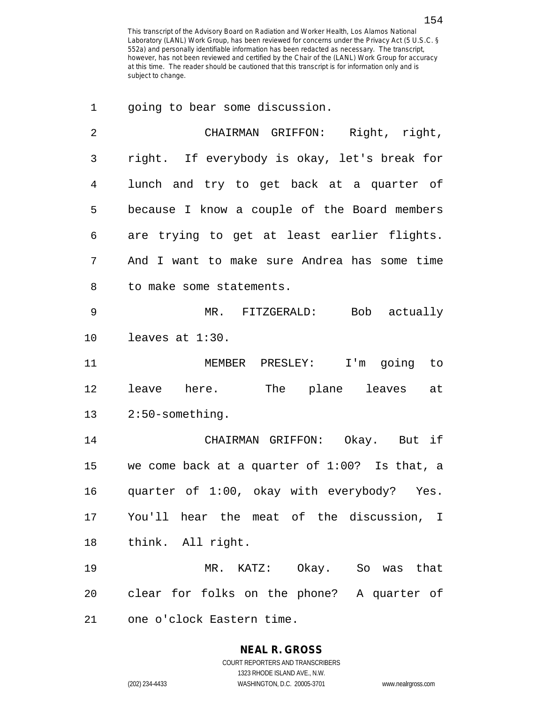1 going to bear some discussion.

| $\overline{2}$ | CHAIRMAN GRIFFON: Right, right,               |
|----------------|-----------------------------------------------|
| 3              | right. If everybody is okay, let's break for  |
| 4              | lunch and try to get back at a quarter of     |
| 5              | because I know a couple of the Board members  |
| 6              | are trying to get at least earlier flights.   |
| 7              | And I want to make sure Andrea has some time  |
| 8              | to make some statements.                      |
| 9              | MR. FITZGERALD: Bob actually                  |
| 10             | leaves at 1:30.                               |
| 11             | MEMBER PRESLEY: I'm going to                  |
| 12             | leave here. The plane leaves at               |
| 13             | $2:50$ -something.                            |
| 14             | CHAIRMAN GRIFFON: Okay. But if                |
| 15             | we come back at a quarter of 1:00? Is that, a |
| 16             | quarter of 1:00, okay with everybody? Yes.    |
| 17             | You'll hear the meat of the discussion, I     |
| 18             | think. All right.                             |
| 19             | MR. KATZ: Okay. So was that                   |
| 20             | clear for folks on the phone? A quarter of    |
| 21             | one o'clock Eastern time.                     |

**NEAL R. GROSS** COURT REPORTERS AND TRANSCRIBERS

1323 RHODE ISLAND AVE., N.W. (202) 234-4433 WASHINGTON, D.C. 20005-3701 www.nealrgross.com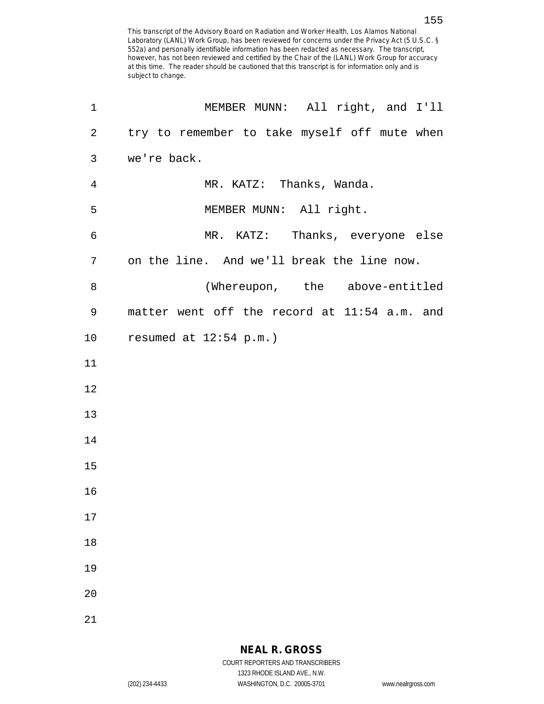| $\mathbf 1$    | MEMBER MUNN: All right, and I'll             |
|----------------|----------------------------------------------|
| $\overline{2}$ | try to remember to take myself off mute when |
| 3              | we're back.                                  |
| $\overline{4}$ | MR. KATZ: Thanks, Wanda.                     |
| 5              | MEMBER MUNN: All right.                      |
| 6              | MR. KATZ: Thanks, everyone else              |
| 7              | on the line. And we'll break the line now.   |
| 8              | (Whereupon, the above-entitled               |
| 9              | matter went off the record at 11:54 a.m. and |
| 10             | resumed at $12:54$ p.m.)                     |
| 11             |                                              |
| 12             |                                              |
| 13             |                                              |
| 14             |                                              |
| 15             |                                              |
| 16             |                                              |
| $17$           |                                              |
| 18             |                                              |
| 19             |                                              |
| 20             |                                              |
| 21             |                                              |

1323 RHODE ISLAND AVE., N.W.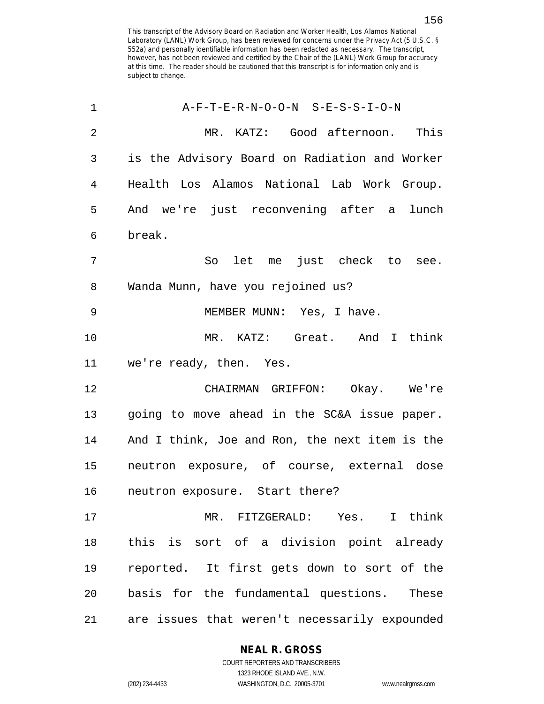| 1              | A-F-T-E-R-N-O-O-N S-E-S-S-I-O-N                |
|----------------|------------------------------------------------|
| $\overline{2}$ | MR. KATZ: Good afternoon. This                 |
| 3              | is the Advisory Board on Radiation and Worker  |
| $\overline{4}$ | Health Los Alamos National Lab Work Group.     |
| 5              | And we're just reconvening after a lunch       |
| 6              | break.                                         |
| 7              | So let me just check to see.                   |
| 8              | Wanda Munn, have you rejoined us?              |
| 9              | MEMBER MUNN: Yes, I have.                      |
| 10             | MR. KATZ: Great. And I think                   |
| 11             | we're ready, then. Yes.                        |
| 12             | CHAIRMAN GRIFFON: Okay. We're                  |
| 13             | going to move ahead in the SC&A issue paper.   |
| 14             | And I think, Joe and Ron, the next item is the |
| 15             | neutron exposure, of course, external dose     |
| 16             | neutron exposure. Start there?                 |
| 17             | MR. FITZGERALD: Yes. I think                   |
| 18             | this is sort of a division point already       |
| 19             | reported. It first gets down to sort of the    |
| 20             | basis for the fundamental questions. These     |
| 21             | are issues that weren't necessarily expounded  |

### **NEAL R. GROSS**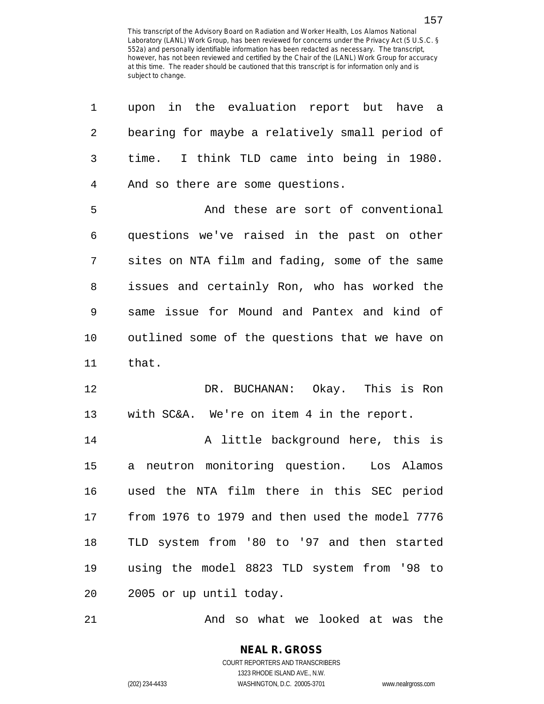| 1  | upon in the evaluation report but have a       |
|----|------------------------------------------------|
| 2  | bearing for maybe a relatively small period of |
| 3  | I think TLD came into being in 1980.<br>time.  |
| 4  | And so there are some questions.               |
| 5  | And these are sort of conventional             |
| 6  | questions we've raised in the past on other    |
| 7  | sites on NTA film and fading, some of the same |
| 8  | issues and certainly Ron, who has worked the   |
| 9  | same issue for Mound and Pantex and kind of    |
| 10 | outlined some of the questions that we have on |
| 11 | that.                                          |
| 12 | DR. BUCHANAN: Okay. This is Ron                |
| 13 | with SC&A. We're on item 4 in the report.      |
| 14 | A little background here, this is              |
| 15 | a neutron monitoring question. Los Alamos      |
| 16 | used the NTA film there in this SEC period     |
| 17 | from 1976 to 1979 and then used the model 7776 |
| 18 | TLD system from '80 to '97 and then started    |
| 19 | using the model 8823 TLD system from '98 to    |
| 20 | 2005 or up until today.                        |
| 21 | And so what we looked at was the               |

157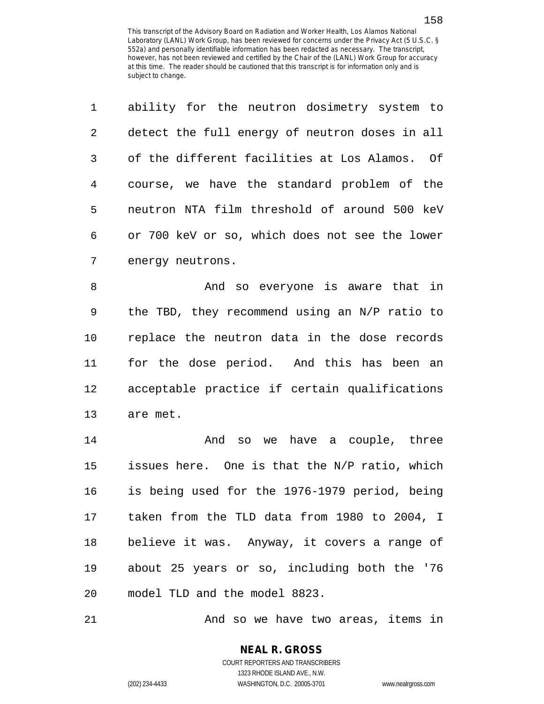| 1  | ability for the neutron dosimetry system to    |
|----|------------------------------------------------|
| 2  | detect the full energy of neutron doses in all |
| 3  | of the different facilities at Los Alamos. Of  |
| 4  | course, we have the standard problem of the    |
| 5  | neutron NTA film threshold of around 500 keV   |
| 6  | or 700 keV or so, which does not see the lower |
| 7  | energy neutrons.                               |
| 8  | And so everyone is aware that in               |
| 9  | the TBD, they recommend using an N/P ratio to  |
| 10 | replace the neutron data in the dose records   |
| 11 | for the dose period. And this has been an      |
| 12 | acceptable practice if certain qualifications  |
| 13 | are met.                                       |
| 14 | And so we have a couple, three                 |
| 15 | issues here. One is that the N/P ratio, which  |
| 16 | is being used for the 1976-1979 period, being  |
| 17 | taken from the TLD data from 1980 to 2004, I   |
| 18 | believe it was. Anyway, it covers a range of   |
| 19 | about 25 years or so, including both the '76   |
| 20 | model TLD and the model 8823.                  |
|    |                                                |

21 And so we have two areas, items in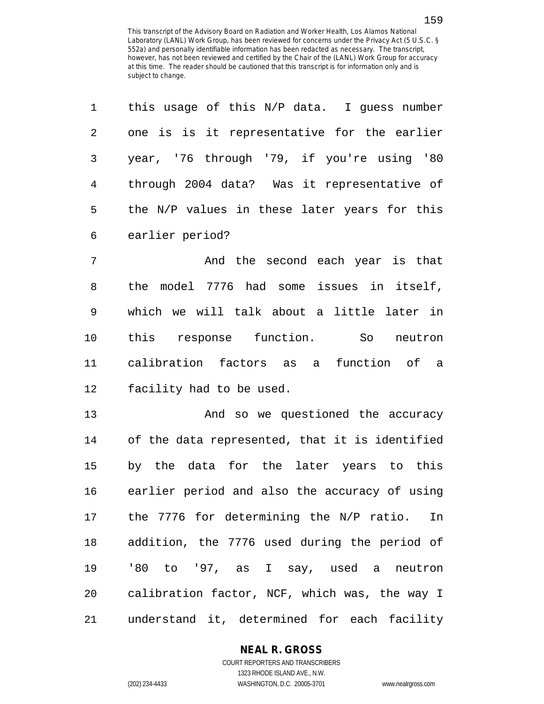| $\mathbf{1}$ | this usage of this N/P data. I guess number  |
|--------------|----------------------------------------------|
| 2            | one is is it representative for the earlier  |
| $\mathbf{3}$ | year, '76 through '79, if you're using '80   |
| 4            | through 2004 data? Was it representative of  |
| 5            | the N/P values in these later years for this |
| 6            | earlier period?                              |

7 and the second each year is that 8 the model 7776 had some issues in itself, 9 which we will talk about a little later in 10 this response function. So neutron 11 calibration factors as a function of a 12 facility had to be used.

13 And so we questioned the accuracy 14 of the data represented, that it is identified 15 by the data for the later years to this 16 earlier period and also the accuracy of using 17 the 7776 for determining the N/P ratio. In 18 addition, the 7776 used during the period of 19 '80 to '97, as I say, used a neutron 20 calibration factor, NCF, which was, the way I 21 understand it, determined for each facility

### **NEAL R. GROSS**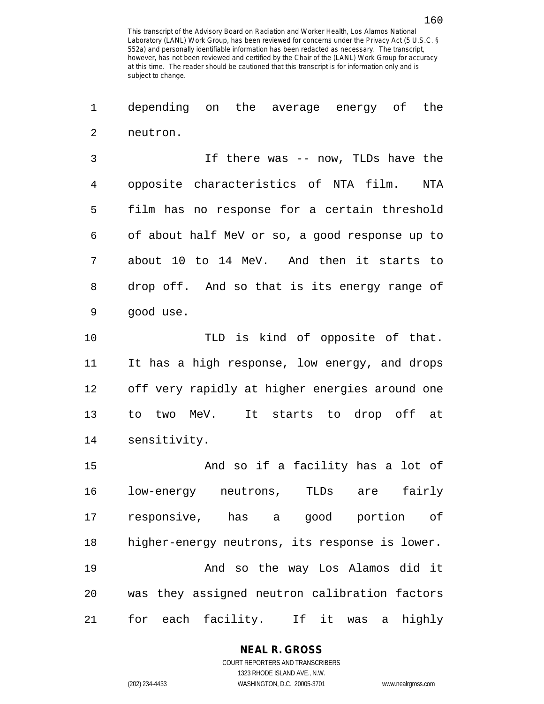1 depending on the average energy of the 2 neutron.

3 If there was -- now, TLDs have the 4 opposite characteristics of NTA film. NTA 5 film has no response for a certain threshold 6 of about half MeV or so, a good response up to 7 about 10 to 14 MeV. And then it starts to 8 drop off. And so that is its energy range of 9 good use.

10 TLD is kind of opposite of that. 11 It has a high response, low energy, and drops 12 off very rapidly at higher energies around one 13 to two MeV. It starts to drop off at 14 sensitivity.

15 And so if a facility has a lot of 16 low-energy neutrons, TLDs are fairly 17 responsive, has a good portion of 18 higher-energy neutrons, its response is lower. 19 And so the way Los Alamos did it 20 was they assigned neutron calibration factors 21 for each facility. If it was a highly

### **NEAL R. GROSS** COURT REPORTERS AND TRANSCRIBERS

1323 RHODE ISLAND AVE., N.W.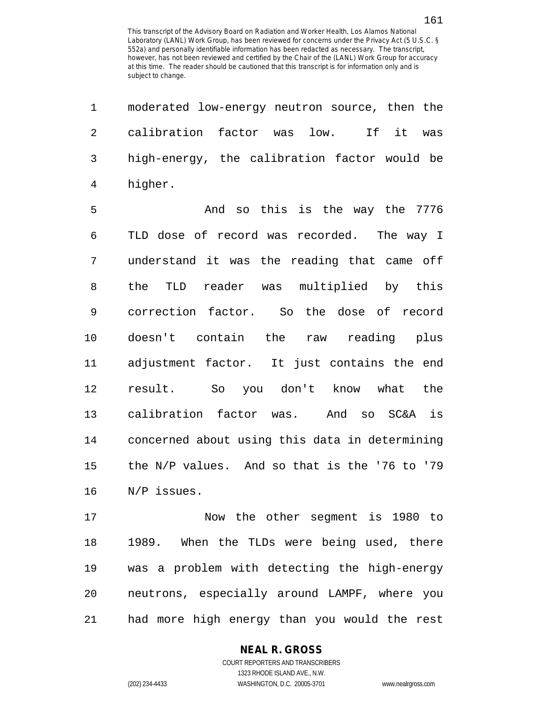1 moderated low-energy neutron source, then the 2 calibration factor was low. If it was 3 high-energy, the calibration factor would be 4 higher.

5 And so this is the way the 7776 6 TLD dose of record was recorded. The way I 7 understand it was the reading that came off 8 the TLD reader was multiplied by this 9 correction factor. So the dose of record 10 doesn't contain the raw reading plus 11 adjustment factor. It just contains the end 12 result. So you don't know what the 13 calibration factor was. And so SC&A is 14 concerned about using this data in determining 15 the N/P values. And so that is the '76 to '79 16 N/P issues.

17 Now the other segment is 1980 to 18 1989. When the TLDs were being used, there 19 was a problem with detecting the high-energy 20 neutrons, especially around LAMPF, where you 21 had more high energy than you would the rest

### **NEAL R. GROSS**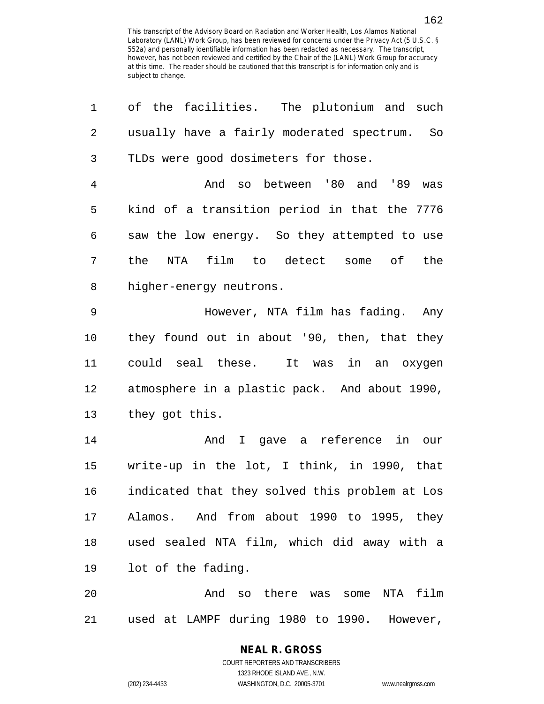| 1              | of the facilities. The plutonium and such      |
|----------------|------------------------------------------------|
| $\overline{2}$ | usually have a fairly moderated spectrum. So   |
| 3              | TLDs were good dosimeters for those.           |
| $\overline{4}$ | And so between '80 and '89 was                 |
| 5              | kind of a transition period in that the 7776   |
| 6              | saw the low energy. So they attempted to use   |
| 7              | film<br>NTA<br>to detect some of<br>the<br>the |
| 8              | higher-energy neutrons.                        |
| 9              | However, NTA film has fading. Any              |
| 10             | they found out in about '90, then, that they   |
| 11             | could seal these. It was in an oxygen          |
| 12             | atmosphere in a plastic pack. And about 1990,  |
| 13             | they got this.                                 |
| 14             | And I gave a reference in our                  |
| 15             | write-up in the lot, I think, in 1990, that    |
| 16             | indicated that they solved this problem at Los |
| 17             | Alamos. And from about 1990 to 1995, they      |
| 18             | used sealed NTA film, which did away with a    |
| 19             | lot of the fading.                             |
| 20             | And so there was some NTA film                 |
| 21             | used at LAMPF during 1980 to 1990. However,    |

## **NEAL R. GROSS**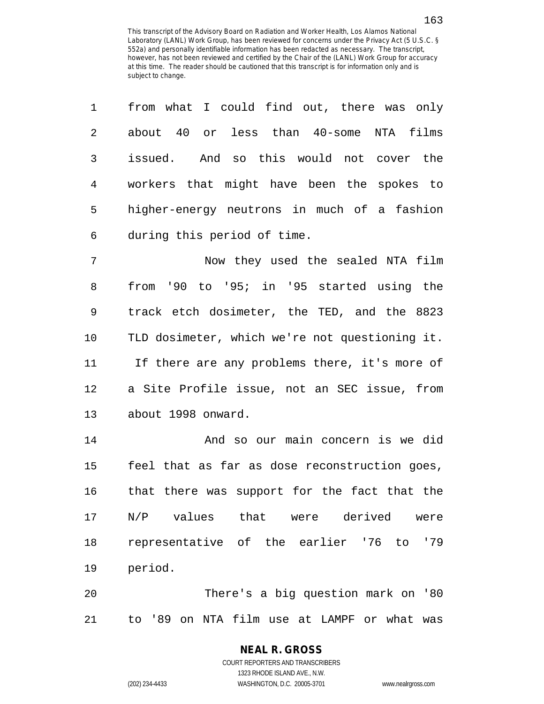| 1  | from what I could find out, there was only     |
|----|------------------------------------------------|
| 2  | about 40 or less than 40-some NTA films        |
| 3  | issued. And so this would not cover the        |
| 4  | workers that might have been the spokes to     |
| 5  | higher-energy neutrons in much of a fashion    |
| 6  | during this period of time.                    |
| 7  | Now they used the sealed NTA film              |
| 8  | from '90 to '95; in '95 started using the      |
| 9  | track etch dosimeter, the TED, and the 8823    |
| 10 | TLD dosimeter, which we're not questioning it. |
| 11 | If there are any problems there, it's more of  |
| 12 | a Site Profile issue, not an SEC issue, from   |
| 13 | about 1998 onward.                             |
| 14 | And so our main concern is we did              |
| 15 | feel that as far as dose reconstruction goes,  |
| 16 | that there was support for the fact that the   |
| 17 | N/P values that were derived were              |
| 18 | representative of the earlier '76 to<br>'79    |
| 19 | period.                                        |
| 20 | There's a big question mark on '80             |

21 to '89 on NTA film use at LAMPF or what was

# **NEAL R. GROSS**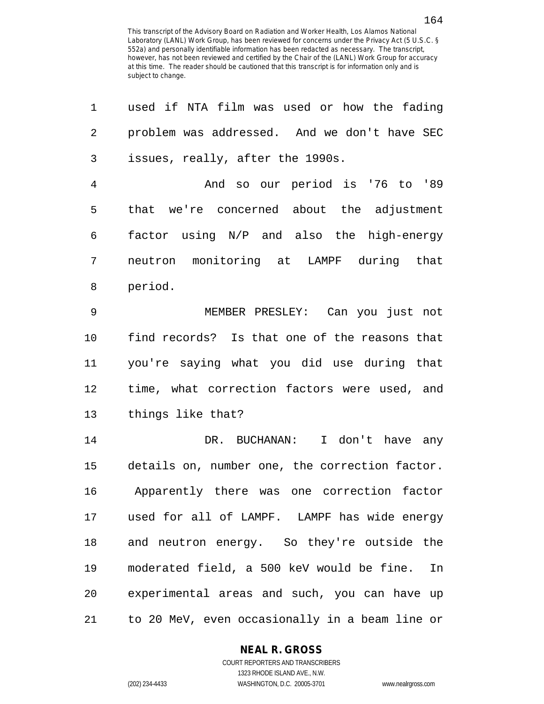| 1  | used if NTA film was used or how the fading     |
|----|-------------------------------------------------|
| 2  | problem was addressed. And we don't have SEC    |
| 3  | issues, really, after the 1990s.                |
| 4  | And so our period is '76 to '89                 |
| 5  | we're concerned about the adjustment<br>that    |
| 6  | factor using N/P and also the high-energy       |
| 7  | neutron monitoring at LAMPF during that         |
| 8  | period.                                         |
| 9  | MEMBER PRESLEY: Can you just not                |
| 10 | find records? Is that one of the reasons that   |
| 11 | you're saying what you did use during that      |
| 12 | time, what correction factors were used, and    |
| 13 | things like that?                               |
| 14 | DR. BUCHANAN: I don't have any                  |
| 15 | details on, number one, the correction factor.  |
| 16 | Apparently there was one correction factor      |
|    | 17 used for all of LAMPF. LAMPF has wide energy |
| 18 | and neutron energy. So they're outside the      |
| 19 | moderated field, a 500 keV would be fine.<br>In |
| 20 | experimental areas and such, you can have up    |
| 21 | to 20 MeV, even occasionally in a beam line or  |

**NEAL R. GROSS**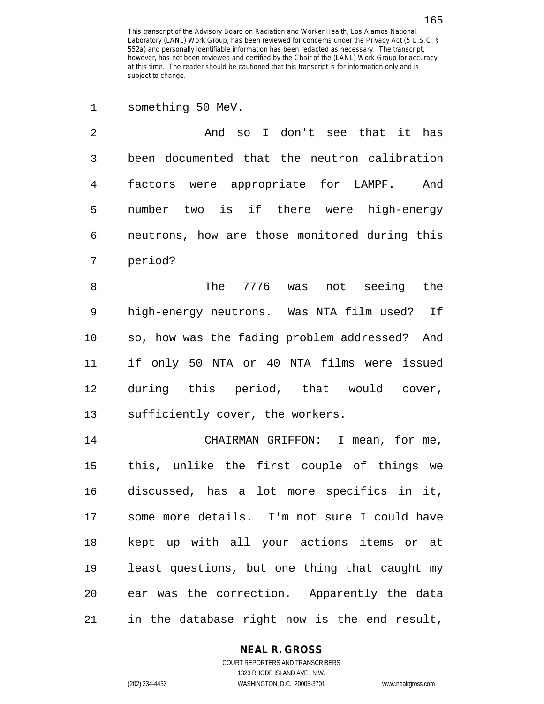1 something 50 MeV.

2 And so I don't see that it has 3 been documented that the neutron calibration 4 factors were appropriate for LAMPF. And 5 number two is if there were high-energy 6 neutrons, how are those monitored during this 7 period?

8 The 7776 was not seeing the 9 high-energy neutrons. Was NTA film used? If 10 so, how was the fading problem addressed? And 11 if only 50 NTA or 40 NTA films were issued 12 during this period, that would cover, 13 sufficiently cover, the workers.

14 CHAIRMAN GRIFFON: I mean, for me, 15 this, unlike the first couple of things we 16 discussed, has a lot more specifics in it, 17 some more details. I'm not sure I could have 18 kept up with all your actions items or at 19 least questions, but one thing that caught my 20 ear was the correction. Apparently the data 21 in the database right now is the end result,

### **NEAL R. GROSS**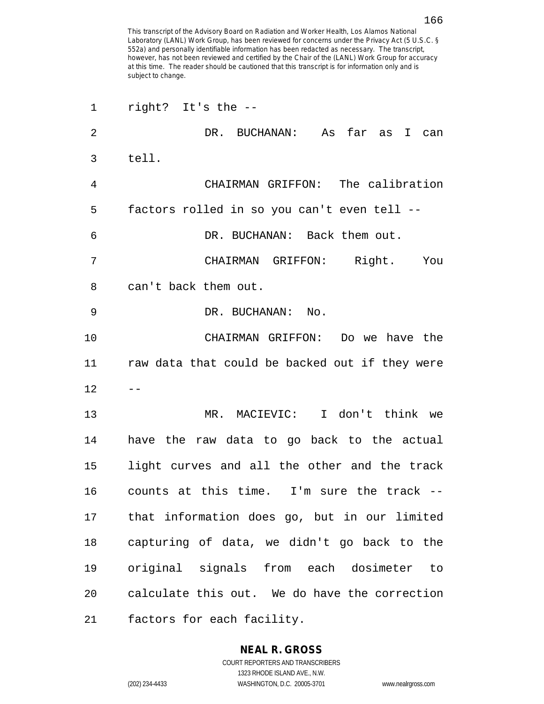| 1              | right? It's the --                             |
|----------------|------------------------------------------------|
| $\overline{2}$ | DR. BUCHANAN: As far as I can                  |
| 3              | tell.                                          |
| 4              | CHAIRMAN GRIFFON: The calibration              |
| 5              | factors rolled in so you can't even tell --    |
| 6              | DR. BUCHANAN: Back them out.                   |
| 7              | CHAIRMAN GRIFFON: Right. You                   |
| 8              | can't back them out.                           |
| 9              | DR. BUCHANAN: No.                              |
| 10             | CHAIRMAN GRIFFON: Do we have the               |
| 11             | raw data that could be backed out if they were |
| 12             |                                                |
| 13             | MR. MACIEVIC: I don't think we                 |
| 14             | have the raw data to go back to the actual     |
| 15             | light curves and all the other and the track   |
| 16             | counts at this time. I'm sure the track --     |
| 17             | that information does go, but in our limited   |
| 18             | capturing of data, we didn't go back to the    |
| 19             | original signals from each dosimeter<br>to     |
| 20             | calculate this out. We do have the correction  |
| 21             | factors for each facility.                     |

**NEAL R. GROSS** COURT REPORTERS AND TRANSCRIBERS

1323 RHODE ISLAND AVE., N.W.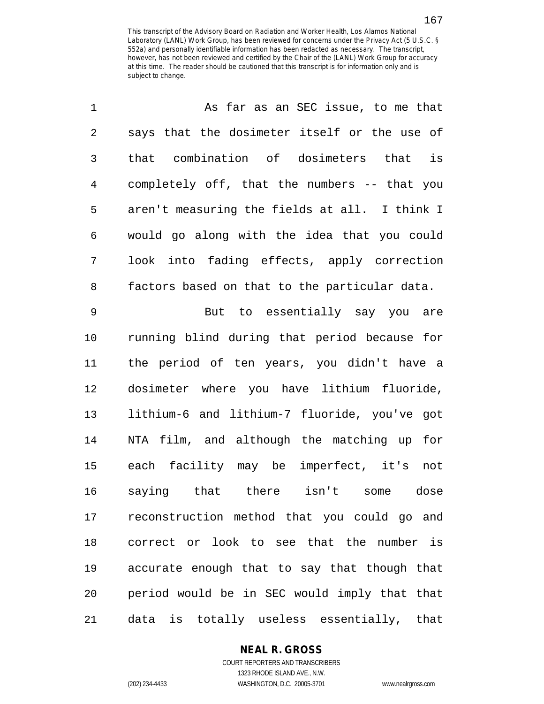| 1              | As far as an SEC issue, to me that            |
|----------------|-----------------------------------------------|
| $\sqrt{2}$     | says that the dosimeter itself or the use of  |
| 3              | combination of dosimeters that is<br>that     |
| $\overline{4}$ | completely off, that the numbers -- that you  |
| 5              | aren't measuring the fields at all. I think I |
| 6              | would go along with the idea that you could   |
| 7              | look into fading effects, apply correction    |
| 8              | factors based on that to the particular data. |
| $\mathsf 9$    | But to essentially say you are                |
| $10$           | running blind during that period because for  |
| 11             | the period of ten years, you didn't have a    |
| 12             | dosimeter where you have lithium fluoride,    |
| 13             | lithium-6 and lithium-7 fluoride, you've got  |
| 14             | NTA film, and although the matching up for    |
| 15             | each facility may be imperfect, it's<br>not   |
| 16             | saying that there isn't some<br>dose          |
| 17             | reconstruction method that you could go and   |
| 18             | correct or look to see that the number is     |
| 19             | accurate enough that to say that though that  |
| 20             | period would be in SEC would imply that that  |
| 21             | data is totally useless essentially, that     |

**NEAL R. GROSS**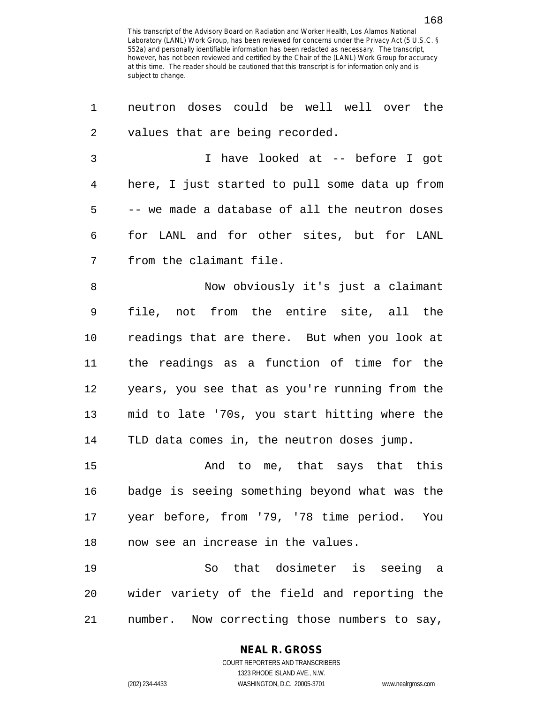| 1              | neutron doses could be well well over the      |
|----------------|------------------------------------------------|
| 2              | values that are being recorded.                |
| $\mathfrak{Z}$ | I have looked at -- before I got               |
| 4              | here, I just started to pull some data up from |
| 5              | -- we made a database of all the neutron doses |
| 6              | for LANL and for other sites, but for LANL     |
| 7              | from the claimant file.                        |
| 8              | Now obviously it's just a claimant             |
| 9              | file, not from the entire site, all the        |
| 10             | readings that are there. But when you look at  |
| 11             | the readings as a function of time for the     |
| 12             | years, you see that as you're running from the |
| 13             | mid to late '70s, you start hitting where the  |
| 14             | TLD data comes in, the neutron doses jump.     |
| 15             | And to me, that says that this                 |
| 16             | badge is seeing something beyond what was the  |
| 17             | year before, from '79, '78 time period. You    |
| 18             | now see an increase in the values.             |
| 19             | So that dosimeter is seeing a                  |
| 20             | wider variety of the field and reporting the   |
| 21             | number. Now correcting those numbers to say,   |

#### **NEAL R. GROSS**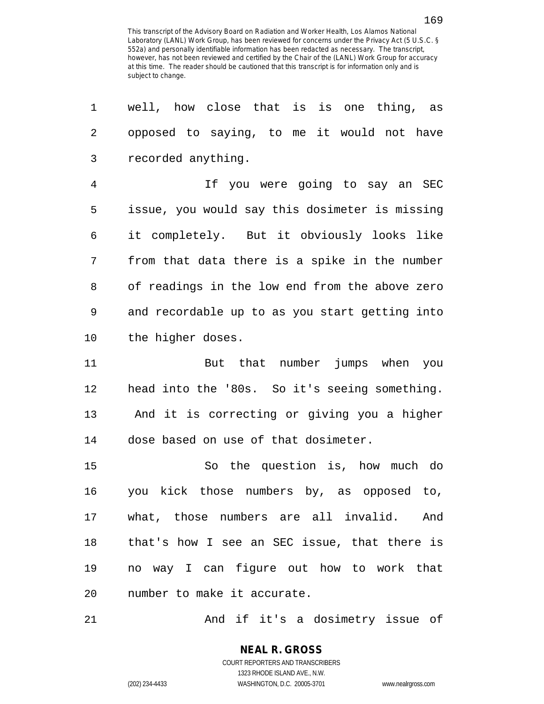| 1  | well, how close that is<br>is one thing, as    |
|----|------------------------------------------------|
| 2  | opposed to saying, to me it would not have     |
| 3  | recorded anything.                             |
| 4  | If you were going to say an SEC                |
| 5  | issue, you would say this dosimeter is missing |
| 6  | it completely. But it obviously looks like     |
| 7  | from that data there is a spike in the number  |
| 8  | of readings in the low end from the above zero |
| 9  | and recordable up to as you start getting into |
| 10 | the higher doses.                              |
| 11 | But that number jumps when you                 |
| 12 | head into the '80s. So it's seeing something.  |
| 13 | And it is correcting or giving you a higher    |
| 14 | dose based on use of that dosimeter.           |
| 15 | So the question is, how much do                |
| 16 | you kick those numbers by, as opposed to,      |
| 17 | what, those numbers are all invalid. And       |
| 18 | that's how I see an SEC issue, that there is   |
| 19 | no way I can figure out how to work that       |
| 20 | number to make it accurate.                    |
|    |                                                |

21 And if it's a dosimetry issue of

**NEAL R. GROSS** COURT REPORTERS AND TRANSCRIBERS 1323 RHODE ISLAND AVE., N.W.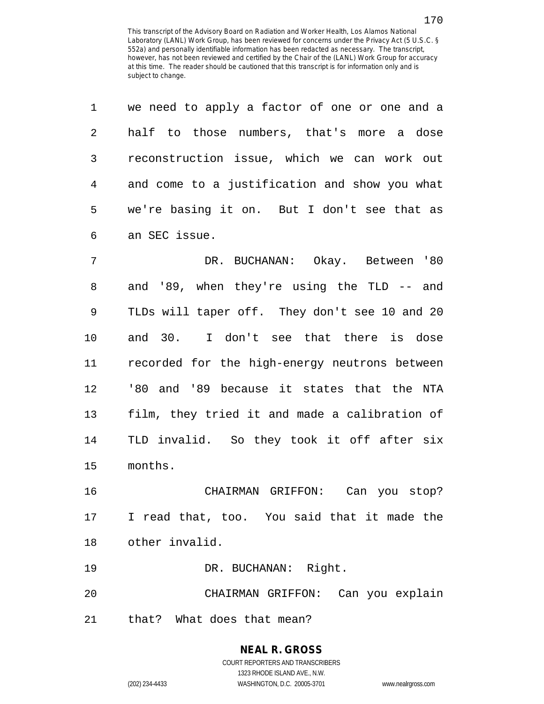| 1              | we need to apply a factor of one or one and a |
|----------------|-----------------------------------------------|
| $\overline{2}$ | half to those numbers, that's more a dose     |
| 3              | reconstruction issue, which we can work out   |
| 4              | and come to a justification and show you what |
| 5              | we're basing it on. But I don't see that as   |
| 6              | an SEC issue.                                 |
| 7              | DR. BUCHANAN: Okay. Between '80               |
| 8              | and '89, when they're using the TLD -- and    |
| 9              | TLDs will taper off. They don't see 10 and 20 |
| 10             | and 30. I don't see that there is dose        |
| 11             | recorded for the high-energy neutrons between |
| 12             | '80 and '89 because it states that the NTA    |
| 13             | film, they tried it and made a calibration of |
| 14             | TLD invalid. So they took it off after six    |
| 15             | months.                                       |
| 16             | CHAIRMAN GRIFFON: Can you stop?               |
| 17             | I read that, too. You said that it made the   |
| 18             | other invalid.                                |

19 DR. BUCHANAN: Right.

20 CHAIRMAN GRIFFON: Can you explain 21 that? What does that mean?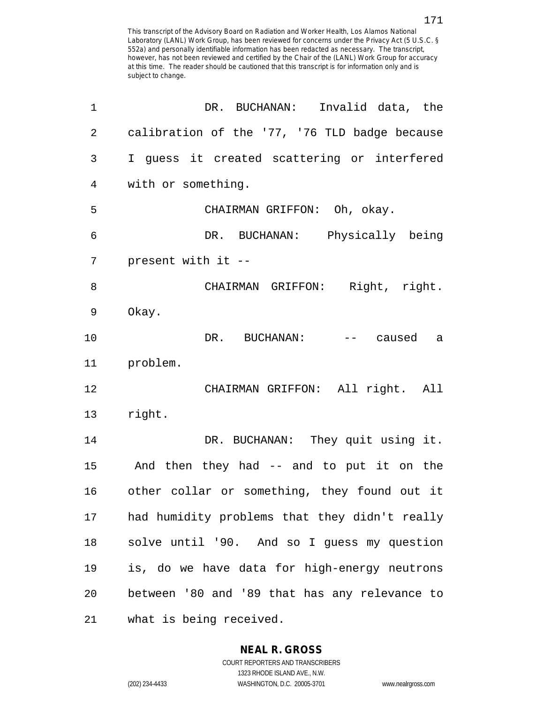| 1  | DR. BUCHANAN: Invalid data, the               |
|----|-----------------------------------------------|
| 2  | calibration of the '77, '76 TLD badge because |
| 3  | I guess it created scattering or interfered   |
| 4  | with or something.                            |
| 5  | CHAIRMAN GRIFFON: Oh, okay.                   |
| 6  | DR. BUCHANAN: Physically being                |
| 7  | present with it --                            |
| 8  | CHAIRMAN GRIFFON: Right, right.               |
| 9  | Okay.                                         |
| 10 | DR. BUCHANAN: -- caused a                     |
| 11 | problem.                                      |
| 12 | CHAIRMAN GRIFFON: All right. All              |
| 13 | right.                                        |
| 14 | DR. BUCHANAN: They quit using it.             |
| 15 | And then they had -- and to put it on the     |
| 16 | other collar or something, they found out it  |
| 17 | had humidity problems that they didn't really |
| 18 | solve until '90. And so I guess my question   |
| 19 | is, do we have data for high-energy neutrons  |
| 20 | between '80 and '89 that has any relevance to |
| 21 | what is being received.                       |

1323 RHODE ISLAND AVE., N.W.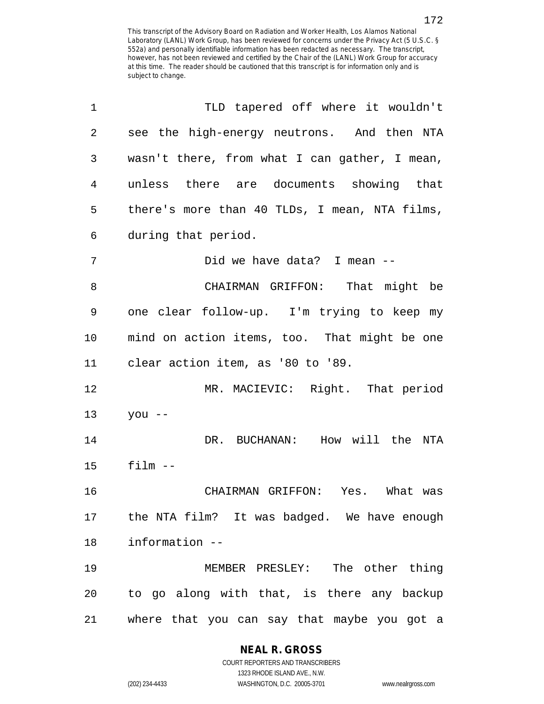| 1  | TLD tapered off where it wouldn't              |
|----|------------------------------------------------|
| 2  | see the high-energy neutrons. And then NTA     |
| 3  | wasn't there, from what I can gather, I mean,  |
| 4  | unless there are documents showing that        |
| 5  | there's more than 40 TLDs, I mean, NTA films,  |
| 6  | during that period.                            |
| 7  | Did we have data? I mean --                    |
| 8  | CHAIRMAN GRIFFON: That might be                |
| 9  | one clear follow-up. I'm trying to keep my     |
| 10 | mind on action items, too. That might be one   |
| 11 | clear action item, as '80 to '89.              |
| 12 | MR. MACIEVIC: Right. That period               |
| 13 | $you --$                                       |
| 14 | DR. BUCHANAN: How will the NTA                 |
| 15 | $film --$                                      |
| 16 | CHAIRMAN GRIFFON: Yes. What was                |
|    | 17 the NTA film? It was badged. We have enough |
| 18 | information --                                 |
| 19 | MEMBER PRESLEY: The other thing                |
| 20 | to go along with that, is there any backup     |
| 21 | where that you can say that maybe you got a    |

### **NEAL R. GROSS**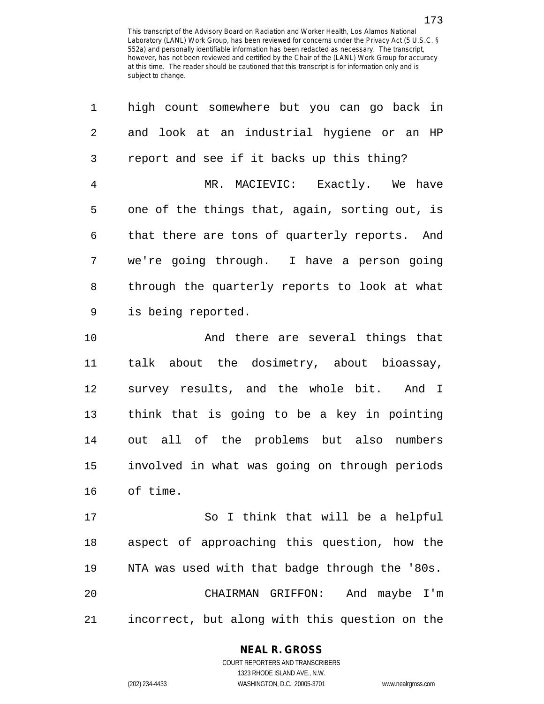| 1              | high count somewhere but you can go back in    |
|----------------|------------------------------------------------|
| 2              | and look at an industrial hygiene or an HP     |
| 3              | report and see if it backs up this thing?      |
| $\overline{4}$ | MR. MACIEVIC: Exactly. We have                 |
| 5              | one of the things that, again, sorting out, is |
| 6              | that there are tons of quarterly reports. And  |
| 7              | we're going through. I have a person going     |
| 8              | through the quarterly reports to look at what  |
| $\mathsf 9$    | is being reported.                             |
| 10             | And there are several things that              |
| 11             | talk about the dosimetry, about bioassay,      |
| 12             | survey results, and the whole bit. And I       |
| 13             | think that is going to be a key in pointing    |
| 14             | out all of the problems but also numbers       |
| 15             | involved in what was going on through periods  |
| 16             | of time.                                       |
| 17             | So I think that will be a helpful              |
| 18             | aspect of approaching this question, how the   |
| 19             | NTA was used with that badge through the '80s. |
|                |                                                |

21 incorrect, but along with this question on the

20 CHAIRMAN GRIFFON: And maybe I'm

#### **NEAL R. GROSS**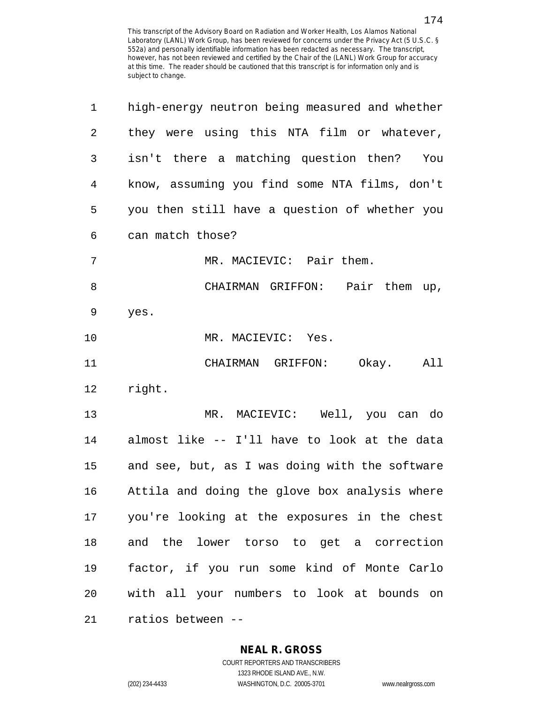| 1              | high-energy neutron being measured and whether |
|----------------|------------------------------------------------|
| $\overline{2}$ | they were using this NTA film or whatever,     |
| 3              | isn't there a matching question then? You      |
| $\overline{4}$ | know, assuming you find some NTA films, don't  |
| 5              | you then still have a question of whether you  |
| 6              | can match those?                               |
| 7              | MR. MACIEVIC: Pair them.                       |
| 8              | CHAIRMAN GRIFFON: Pair them up,                |
| 9              | yes.                                           |
| 10             | MR. MACIEVIC: Yes.                             |
| 11             | All<br>CHAIRMAN GRIFFON:<br>Okay.              |
| 12             | right.                                         |
| 13             | MR. MACIEVIC: Well, you can do                 |
| 14             | almost like -- I'll have to look at the data   |
| 15             | and see, but, as I was doing with the software |
| 16             | Attila and doing the glove box analysis where  |
| 17             | you're looking at the exposures in the chest   |
| 18             | and the lower torso to get a correction        |
| 19             | factor, if you run some kind of Monte Carlo    |
| 20             | with all your numbers to look at bounds on     |
| 21             | ratios between --                              |

**NEAL R. GROSS**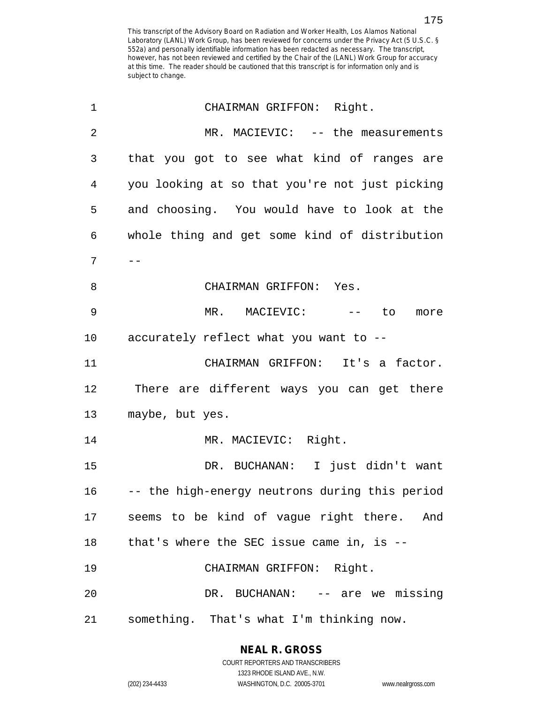| $\mathbf 1$ | CHAIRMAN GRIFFON: Right.                       |
|-------------|------------------------------------------------|
| 2           | MR. MACIEVIC: -- the measurements              |
| 3           | that you got to see what kind of ranges are    |
| 4           | you looking at so that you're not just picking |
| 5           | and choosing. You would have to look at the    |
| 6           | whole thing and get some kind of distribution  |
| 7           |                                                |
| 8           | CHAIRMAN GRIFFON: Yes.                         |
| 9           | MR. MACIEVIC: -- to<br>more                    |
| 10          | accurately reflect what you want to --         |
| 11          | CHAIRMAN GRIFFON: It's a factor.               |
| 12          | There are different ways you can get there     |
| 13          | maybe, but yes.                                |
| 14          | MR. MACIEVIC: Right.                           |
| 15          | DR. BUCHANAN: I just didn't want               |
| 16          | -- the high-energy neutrons during this period |
|             | 17 seems to be kind of vague right there. And  |
| 18          | that's where the SEC issue came in, is --      |
| 19          | CHAIRMAN GRIFFON: Right.                       |
| 20          | DR. BUCHANAN: -- are we missing                |
| 21          | something. That's what I'm thinking now.       |

### **NEAL R. GROSS**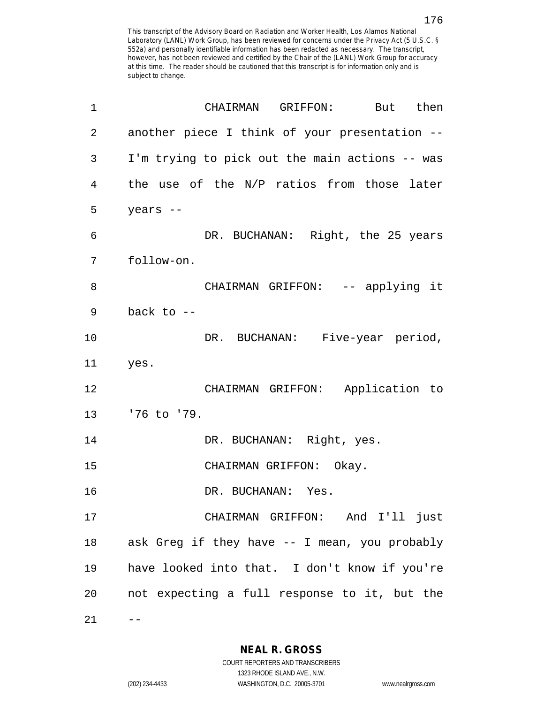| 1      | CHAIRMAN<br>GRIFFON:<br>But<br>then            |
|--------|------------------------------------------------|
| 2      | another piece I think of your presentation --  |
| 3      | I'm trying to pick out the main actions -- was |
| 4      | the use of the N/P ratios from those later     |
| 5      | years --                                       |
| 6      | DR. BUCHANAN: Right, the 25 years              |
| 7      | follow-on.                                     |
| 8      | CHAIRMAN GRIFFON: -- applying it               |
| 9      | back to $-$                                    |
| 10     | DR. BUCHANAN: Five-year period,                |
| 11     | yes.                                           |
| 12     | CHAIRMAN GRIFFON: Application to               |
| 13     | '76 to '79.                                    |
| 14     | DR. BUCHANAN: Right, yes.                      |
| 15     | CHAIRMAN GRIFFON: Okay.                        |
| 16     | DR. BUCHANAN: Yes.                             |
| 17     | CHAIRMAN GRIFFON: And I'll just                |
| $18\,$ | ask Greg if they have -- I mean, you probably  |
| 19     | have looked into that. I don't know if you're  |
| 20     | not expecting a full response to it, but the   |
| 21     |                                                |

**NEAL R. GROSS**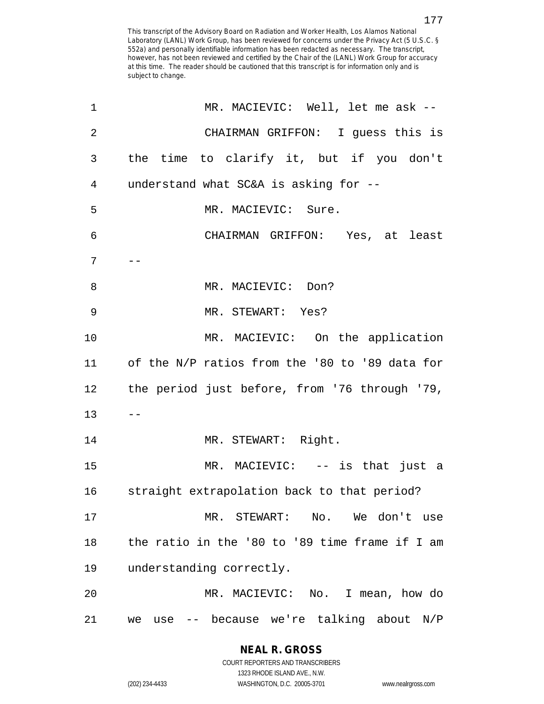| 1              | MR. MACIEVIC: Well, let me ask --               |
|----------------|-------------------------------------------------|
| $\overline{2}$ | CHAIRMAN GRIFFON: I guess this is               |
| 3              | the time to clarify it, but if you don't        |
| 4              | understand what SC&A is asking for --           |
| 5              | MR. MACIEVIC: Sure.                             |
| 6              | CHAIRMAN GRIFFON: Yes, at least                 |
| 7              |                                                 |
| 8              | MR. MACIEVIC: Don?                              |
| 9              | MR. STEWART: Yes?                               |
| 10             | MR. MACIEVIC: On the application                |
| 11             | of the N/P ratios from the '80 to '89 data for  |
| 12             | the period just before, from '76 through '79,   |
| 13             |                                                 |
| 14             | MR. STEWART: Right.                             |
| 15             | MR. MACIEVIC: -- is that just a                 |
| 16             | straight extrapolation back to that period?     |
| 17             | MR. STEWART: No. We don't use                   |
| 18             | the ratio in the '80 to '89 time frame if I am  |
| 19             | understanding correctly.                        |
| 20             | MR. MACIEVIC: No. I mean, how do                |
| 21             | -- because we're talking about N/P<br>use<br>we |

**NEAL R. GROSS** COURT REPORTERS AND TRANSCRIBERS

1323 RHODE ISLAND AVE., N.W.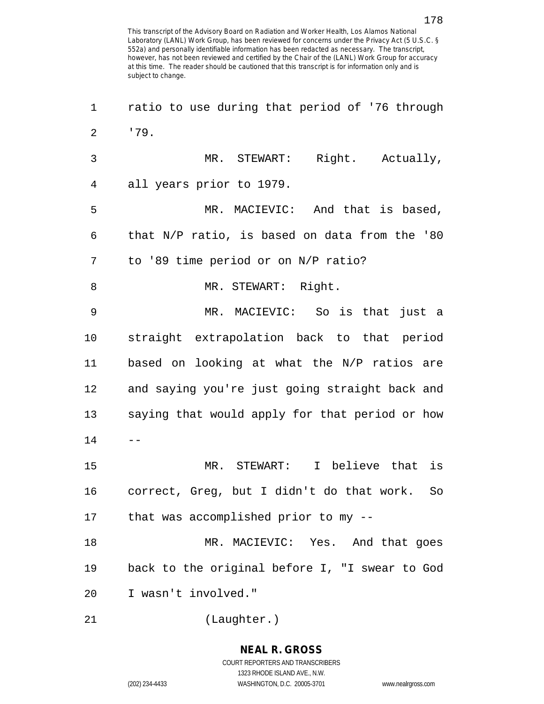1 ratio to use during that period of '76 through 2 '79. 3 MR. STEWART: Right. Actually, 4 all years prior to 1979. 5 MR. MACIEVIC: And that is based, 6 that N/P ratio, is based on data from the '80 7 to '89 time period or on N/P ratio? 8 MR. STEWART: Right. 9 MR. MACIEVIC: So is that just a 10 straight extrapolation back to that period 11 based on looking at what the N/P ratios are 12 and saying you're just going straight back and 13 saying that would apply for that period or how  $14$ 15 MR. STEWART: I believe that is 16 correct, Greg, but I didn't do that work. So 17 that was accomplished prior to my -- 18 MR. MACIEVIC: Yes. And that goes 19 back to the original before I, "I swear to God 20 I wasn't involved." 21 (Laughter.)

> **NEAL R. GROSS** COURT REPORTERS AND TRANSCRIBERS 1323 RHODE ISLAND AVE., N.W.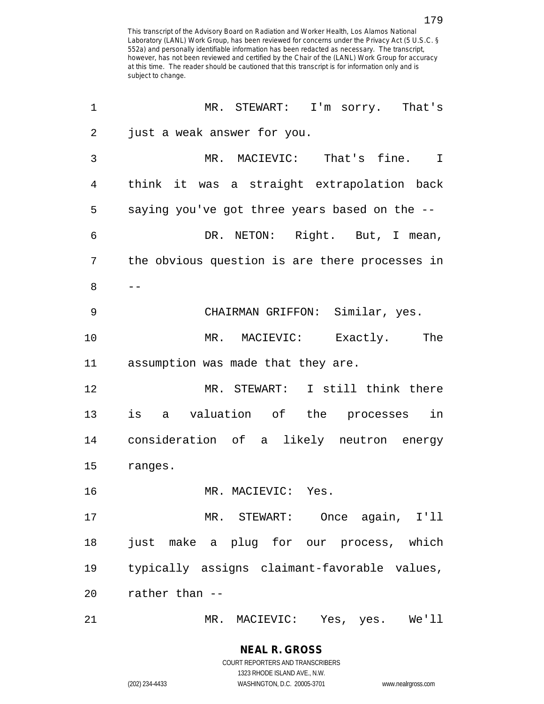| 1              | MR. STEWART: I'm sorry. That's                 |
|----------------|------------------------------------------------|
| $\overline{2}$ | just a weak answer for you.                    |
| 3              | MR. MACIEVIC: That's fine.<br>$\mathbf I$      |
| 4              | think it was a straight extrapolation back     |
| 5              | saying you've got three years based on the --  |
| 6              | DR. NETON: Right. But, I mean,                 |
| 7              | the obvious question is are there processes in |
| 8              |                                                |
| 9              | CHAIRMAN GRIFFON: Similar, yes.                |
| 10             | MR. MACIEVIC: Exactly.<br>The                  |
| 11             | assumption was made that they are.             |
| 12             | MR. STEWART: I still think there               |
| 13             | is<br>a valuation of the processes<br>in       |
| 14             | consideration of a likely neutron energy       |
| 15             | ranges.                                        |
| 16             | MR. MACIEVIC: Yes.                             |
| 17             | MR. STEWART: Once again, I'll                  |
| 18             | just make a plug for our process, which        |
| 19             | typically assigns claimant-favorable values,   |
| 20             | rather than --                                 |
| 21             | MR. MACIEVIC: Yes, yes.<br>We'll               |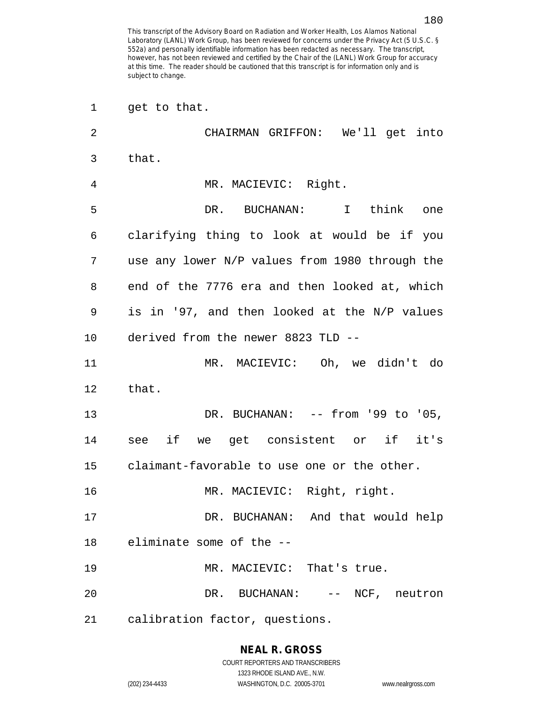| 1              | get to that.                                   |
|----------------|------------------------------------------------|
| $\overline{2}$ | CHAIRMAN GRIFFON: We'll get into               |
| 3              | that.                                          |
| 4              | MR. MACIEVIC: Right.                           |
| 5              | BUCHANAN: I think<br>DR.<br>one                |
| 6              | clarifying thing to look at would be if you    |
| 7              | use any lower N/P values from 1980 through the |
| 8              | end of the 7776 era and then looked at, which  |
| 9              | is in '97, and then looked at the N/P values   |
| 10             | derived from the newer 8823 TLD --             |
| 11             | MR. MACIEVIC: Oh, we didn't do                 |
| 12             | that.                                          |
| 13             | DR. BUCHANAN: -- from '99 to '05,              |
| 14             | see if we get consistent or if<br>it's         |
| 15             | claimant-favorable to use one or the other.    |
| 16             | MR. MACIEVIC: Right, right.                    |
| 17             | DR. BUCHANAN: And that would help              |
| 18             | eliminate some of the --                       |
| 19             | MR. MACIEVIC: That's true.                     |
| 20             | DR. BUCHANAN: -- NCF, neutron                  |
| 21             | calibration factor, questions.                 |

### **NEAL R. GROSS**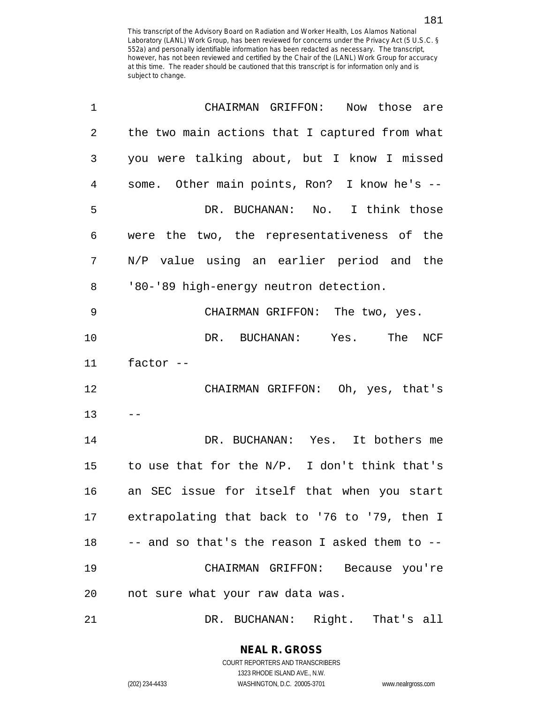| 1  | CHAIRMAN GRIFFON: Now those are                  |
|----|--------------------------------------------------|
| 2  | the two main actions that I captured from what   |
| 3  | you were talking about, but I know I missed      |
| 4  | some. Other main points, Ron? I know he's --     |
| 5  | DR. BUCHANAN: No. I think those                  |
| 6  | were the two, the representativeness of the      |
| 7  | N/P value using an earlier period and the        |
| 8  | '80-'89 high-energy neutron detection.           |
| 9  | CHAIRMAN GRIFFON: The two, yes.                  |
| 10 | DR. BUCHANAN: Yes. The NCF                       |
| 11 | factor --                                        |
| 12 | CHAIRMAN GRIFFON: Oh, yes, that's                |
| 13 |                                                  |
| 14 | DR. BUCHANAN: Yes. It bothers me                 |
| 15 | to use that for the N/P. I don't think that's    |
| 16 | an SEC issue for itself that when you start      |
|    | 17 extrapolating that back to '76 to '79, then I |
| 18 | -- and so that's the reason I asked them to --   |
| 19 | CHAIRMAN GRIFFON: Because you're                 |
| 20 | not sure what your raw data was.                 |
| 21 | DR. BUCHANAN: Right. That's all                  |

1323 RHODE ISLAND AVE., N.W.

(202) 234-4433 WASHINGTON, D.C. 20005-3701 www.nealrgross.com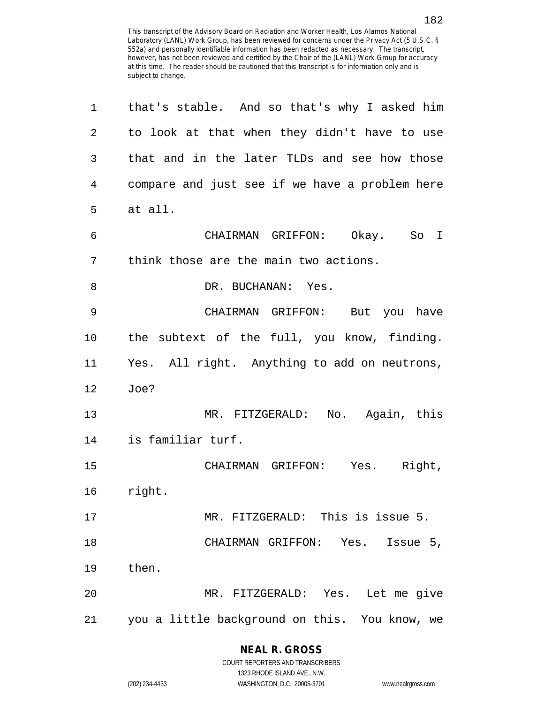| 1  | that's stable. And so that's why I asked him   |
|----|------------------------------------------------|
| 2  | to look at that when they didn't have to use   |
| 3  | that and in the later TLDs and see how those   |
| 4  | compare and just see if we have a problem here |
| 5  | at all.                                        |
| 6  | CHAIRMAN GRIFFON: Okay. So I                   |
| 7  | think those are the main two actions.          |
| 8  | DR. BUCHANAN: Yes.                             |
| 9  | CHAIRMAN GRIFFON: But you have                 |
| 10 | the subtext of the full, you know, finding.    |
| 11 | Yes. All right. Anything to add on neutrons,   |
| 12 | Joe?                                           |
| 13 | MR. FITZGERALD: No. Again, this                |
| 14 | is familiar turf.                              |
| 15 | CHAIRMAN GRIFFON:<br>Yes.<br>Right,            |
| 16 | right.                                         |
| 17 | MR. FITZGERALD: This is issue 5.               |
| 18 | CHAIRMAN GRIFFON: Yes. Issue 5,                |
| 19 | then.                                          |
| 20 | MR. FITZGERALD: Yes. Let me give               |
| 21 | you a little background on this. You know, we  |

# **NEAL R. GROSS**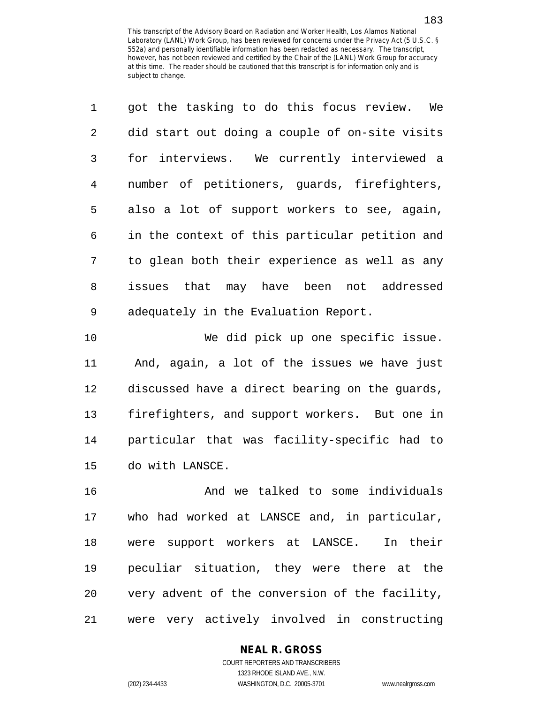| $\mathbf{1}$   | got the tasking to do this focus review. We    |
|----------------|------------------------------------------------|
| $\overline{2}$ | did start out doing a couple of on-site visits |
| $\mathbf{3}$   | for interviews. We currently interviewed a     |
| 4              | number of petitioners, guards, firefighters,   |
| 5              | also a lot of support workers to see, again,   |
| 6              | in the context of this particular petition and |
| 7              | to glean both their experience as well as any  |
| 8              | issues that may have been not addressed        |
| 9              | adequately in the Evaluation Report.           |

10 We did pick up one specific issue. 11 And, again, a lot of the issues we have just 12 discussed have a direct bearing on the guards, 13 firefighters, and support workers. But one in 14 particular that was facility-specific had to 15 do with LANSCE.

16 And we talked to some individuals 17 who had worked at LANSCE and, in particular, 18 were support workers at LANSCE. In their 19 peculiar situation, they were there at the 20 very advent of the conversion of the facility, 21 were very actively involved in constructing

## **NEAL R. GROSS**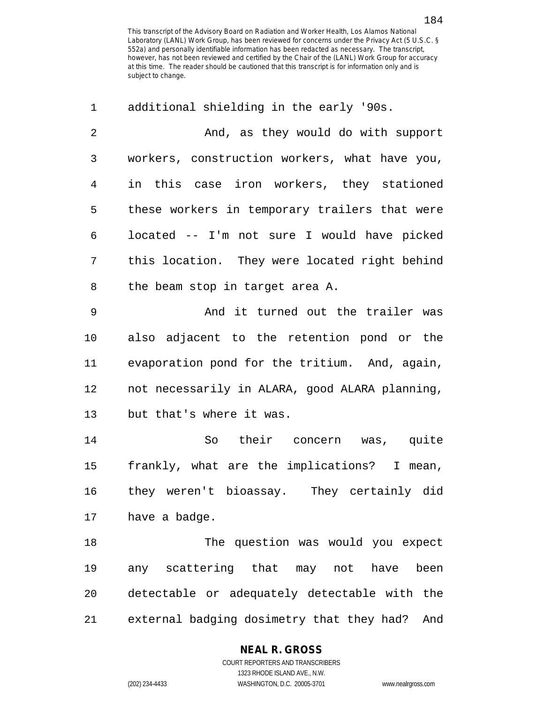| 1  | additional shielding in the early '90s.          |
|----|--------------------------------------------------|
| 2  | And, as they would do with support               |
| 3  | workers, construction workers, what have you,    |
| 4  | in this case iron workers, they stationed        |
| 5  | these workers in temporary trailers that were    |
| 6  | located -- I'm not sure I would have picked      |
| 7  | this location. They were located right behind    |
| 8  | the beam stop in target area A.                  |
| 9  | And it turned out the trailer was                |
| 10 | also adjacent to the retention pond or the       |
| 11 | evaporation pond for the tritium. And, again,    |
| 12 | not necessarily in ALARA, good ALARA planning,   |
| 13 | but that's where it was.                         |
| 14 | So their concern was, quite                      |
| 15 | frankly, what are the implications? I mean,      |
| 16 | they weren't bioassay. They certainly did        |
| 17 | have a badge.                                    |
| 18 | The question was would you expect                |
| 19 | any scattering that may not have<br>been         |
| 20 | detectable or adequately detectable with the     |
| 21 | external badging dosimetry that they had?<br>And |

## **NEAL R. GROSS**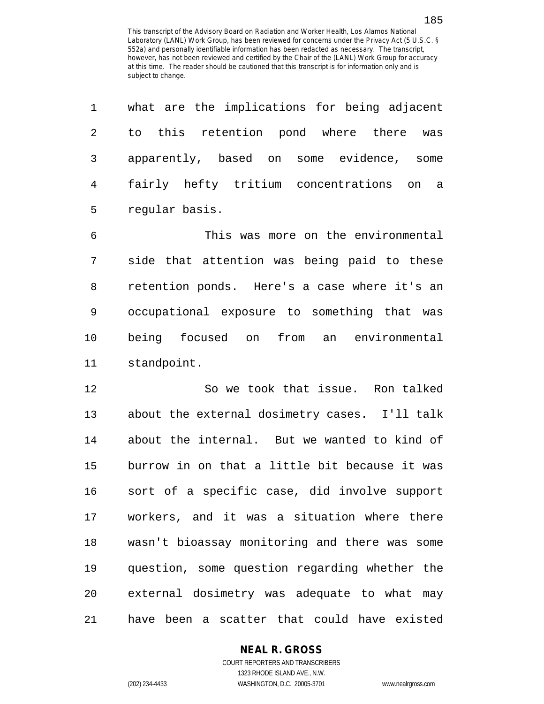1 what are the implications for being adjacent

| $\overline{2}$ | to this retention pond where there was         |
|----------------|------------------------------------------------|
| $\mathfrak{Z}$ | apparently, based on some evidence, some       |
| 4              | fairly hefty tritium concentrations on<br>a    |
| 5              | regular basis.                                 |
| 6              | This was more on the environmental             |
| 7              | side that attention was being paid to these    |
| 8              | retention ponds. Here's a case where it's an   |
| 9              | occupational exposure to something that was    |
| 10             | being focused on from an environmental         |
| 11             | standpoint.                                    |
| 12             | So we took that issue. Ron talked              |
| 13             | about the external dosimetry cases. I'll talk  |
| 14             | about the internal. But we wanted to kind of   |
| 15             | burrow in on that a little bit because it was  |
| 16             | sort of a specific case, did involve support   |
| 17             | workers, and it was a situation where there    |
| 18             | wasn't bioassay monitoring and there was some  |
| 19             | question, some question regarding whether the  |
| 20             | external dosimetry was adequate to what<br>may |

**NEAL R. GROSS**

21 have been a scatter that could have existed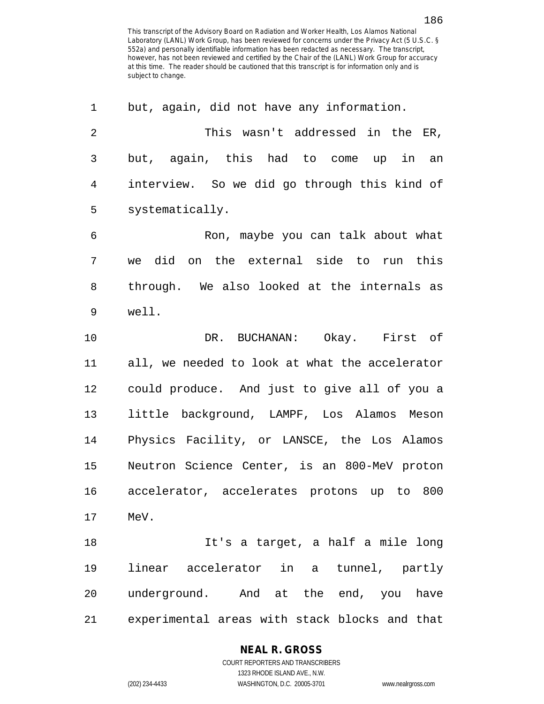1 but, again, did not have any information. 2 This wasn't addressed in the ER, 3 but, again, this had to come up in an 4 interview. So we did go through this kind of 5 systematically. 6 Ron, maybe you can talk about what 7 we did on the external side to run this 8 through. We also looked at the internals as 9 well. 10 DR. BUCHANAN: Okay. First of 11 all, we needed to look at what the accelerator 12 could produce. And just to give all of you a 13 little background, LAMPF, Los Alamos Meson 14 Physics Facility, or LANSCE, the Los Alamos 15 Neutron Science Center, is an 800-MeV proton 16 accelerator, accelerates protons up to 800 17 MeV. 18 It's a target, a half a mile long 19 linear accelerator in a tunnel, partly 20 underground. And at the end, you have 21 experimental areas with stack blocks and that

> **NEAL R. GROSS** COURT REPORTERS AND TRANSCRIBERS

1323 RHODE ISLAND AVE., N.W. (202) 234-4433 WASHINGTON, D.C. 20005-3701 www.nealrgross.com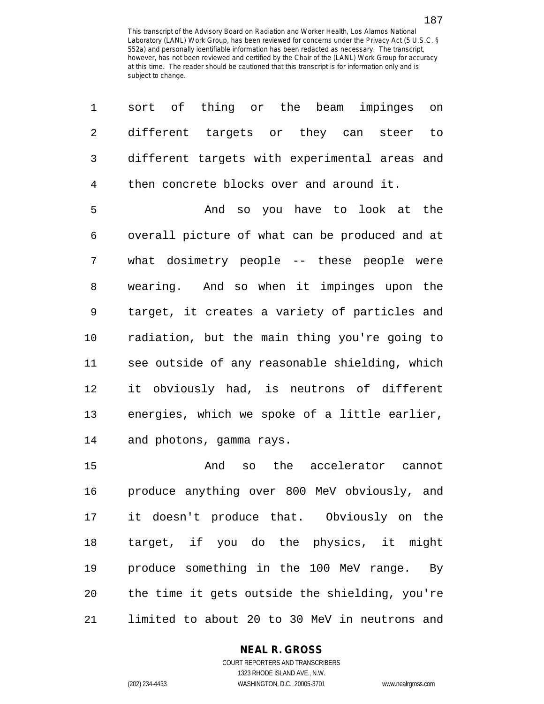1 sort of thing or the beam impinges on

| 2<br>different targets or they can steer to          |  |
|------------------------------------------------------|--|
| different targets with experimental areas and<br>3   |  |
| then concrete blocks over and around it.<br>4        |  |
| 5<br>And so you have to look at the                  |  |
| overall picture of what can be produced and at<br>6  |  |
| 7<br>what dosimetry people -- these people were      |  |
| wearing. And so when it impinges upon the<br>8       |  |
| target, it creates a variety of particles and<br>9   |  |
| radiation, but the main thing you're going to<br>10  |  |
| see outside of any reasonable shielding, which<br>11 |  |
| it obviously had, is neutrons of different<br>12     |  |
| energies, which we spoke of a little earlier,<br>13  |  |
| 14<br>and photons, gamma rays.                       |  |
| And so the accelerator cannot<br>15                  |  |
| produce anything over 800 MeV obviously, and<br>16   |  |
| 17<br>it doesn't produce that. Obviously on the      |  |
| target, if you do the physics, it might<br>18        |  |
| produce something in the 100 MeV range. By<br>19     |  |
| the time it gets outside the shielding, you're<br>20 |  |
| limited to about 20 to 30 MeV in neutrons and<br>21  |  |

## **NEAL R. GROSS**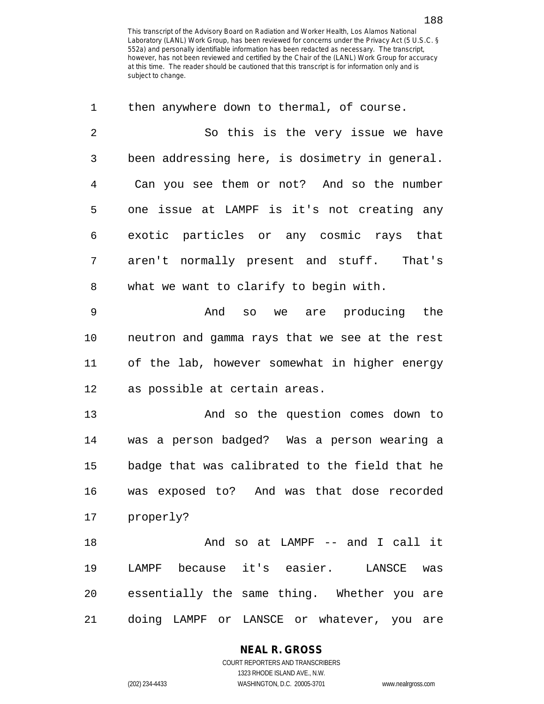| 1              | then anywhere down to thermal, of course.      |
|----------------|------------------------------------------------|
| $\overline{2}$ | So this is the very issue we have              |
| 3              | been addressing here, is dosimetry in general. |
| 4              | Can you see them or not? And so the number     |
| 5              | one issue at LAMPF is it's not creating any    |
| 6              | exotic particles or any cosmic rays that       |
| 7              | aren't normally present and stuff. That's      |
| 8              | what we want to clarify to begin with.         |
| 9              | And so we are producing the                    |
| 10             | neutron and gamma rays that we see at the rest |
| 11             | of the lab, however somewhat in higher energy  |
| 12             | as possible at certain areas.                  |
| 13             | And so the question comes down to              |
| 14             | was a person badged? Was a person wearing a    |
| 15             | badge that was calibrated to the field that he |
| 16             | was exposed to? And was that dose recorded     |
| 17             | properly?                                      |
| 18             | And so at LAMPF -- and I call it               |
| 19             | LAMPF because it's easier. LANSCE<br>was       |
| 20             | essentially the same thing. Whether you are    |
| 21             | doing LAMPF or LANSCE or whatever, you are     |

**NEAL R. GROSS**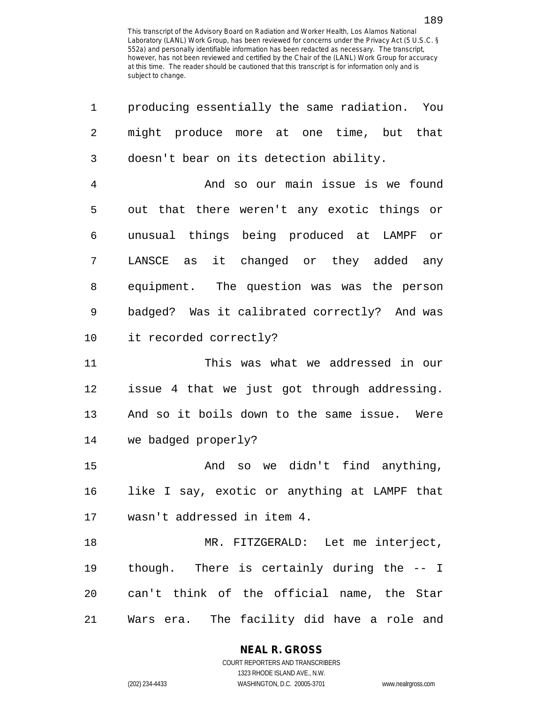| 1              | producing essentially the same radiation. You |
|----------------|-----------------------------------------------|
| $\overline{2}$ | might produce more at one time, but that      |
| 3              | doesn't bear on its detection ability.        |
| $\overline{4}$ | And so our main issue is we found             |
| 5              | out that there weren't any exotic things or   |
| 6              | unusual things being produced at LAMPF or     |
| 7              | it changed or they added any<br>LANSCE as     |
| 8              | equipment. The question was was the person    |
| 9              | badged? Was it calibrated correctly? And was  |
| 10             | it recorded correctly?                        |
| 11             | This was what we addressed in our             |
| 12             | issue 4 that we just got through addressing.  |
| 13             | And so it boils down to the same issue. Were  |
| 14             | we badged properly?                           |
| 15             | And so we didn't find anything,               |
| 16             | like I say, exotic or anything at LAMPF that  |
| 17             | wasn't addressed in item 4.                   |
| 18             | MR. FITZGERALD: Let me interject,             |
| 19             | though. There is certainly during the -- I    |
| 20             | can't think of the official name, the Star    |
| 21             | Wars era. The facility did have a role and    |

#### **NEAL R. GROSS**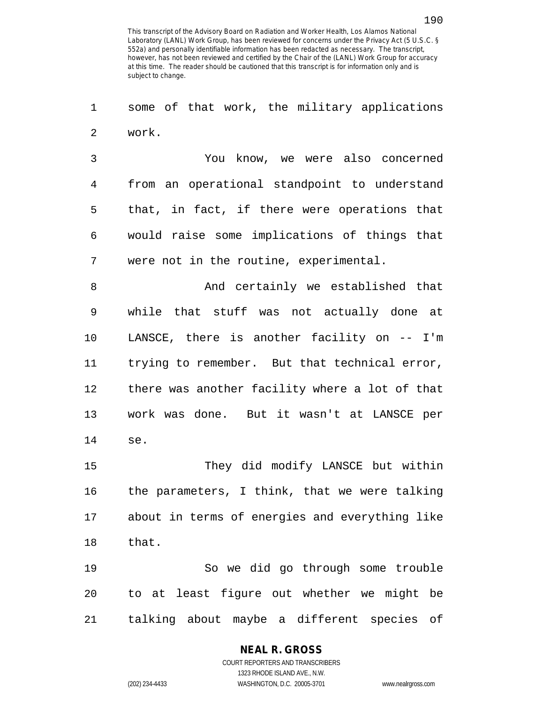1 some of that work, the military applications 2 work.

3 You know, we were also concerned 4 from an operational standpoint to understand 5 that, in fact, if there were operations that 6 would raise some implications of things that 7 were not in the routine, experimental.

8 And certainly we established that 9 while that stuff was not actually done at 10 LANSCE, there is another facility on -- I'm 11 trying to remember. But that technical error, 12 there was another facility where a lot of that 13 work was done. But it wasn't at LANSCE per 14 se.

15 They did modify LANSCE but within 16 the parameters, I think, that we were talking 17 about in terms of energies and everything like 18 that.

19 So we did go through some trouble 20 to at least figure out whether we might be 21 talking about maybe a different species of

#### **NEAL R. GROSS**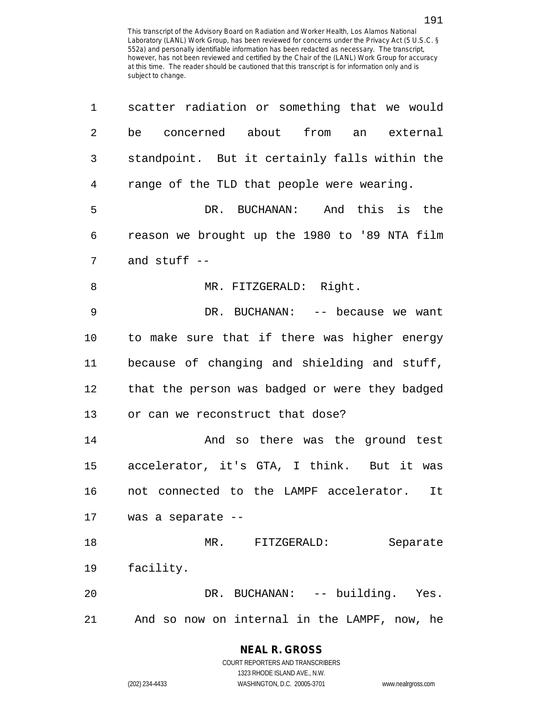| $\mathbf 1$    | scatter radiation or something that we would   |
|----------------|------------------------------------------------|
| $\overline{2}$ | be concerned about from an external            |
| 3              | standpoint. But it certainly falls within the  |
| 4              | range of the TLD that people were wearing.     |
| 5              | DR. BUCHANAN: And this is the                  |
| 6              | reason we brought up the 1980 to '89 NTA film  |
| 7              | and $stuff --$                                 |
| 8              | MR. FITZGERALD: Right.                         |
| 9              | DR. BUCHANAN: -- because we want               |
| 10             | to make sure that if there was higher energy   |
| 11             | because of changing and shielding and stuff,   |
| 12             | that the person was badged or were they badged |
| 13             | or can we reconstruct that dose?               |
| 14             | And so there was the ground test               |
| 15             | accelerator, it's GTA, I think. But it was     |
| 16             | not connected to the LAMPF accelerator.<br>It  |
| 17             | was a separate --                              |
| 18             | MR. FITZGERALD:<br>Separate                    |
| 19             | facility.                                      |
| 20             | DR. BUCHANAN: -- building. Yes.                |
| 21             | And so now on internal in the LAMPF, now, he   |

# **NEAL R. GROSS**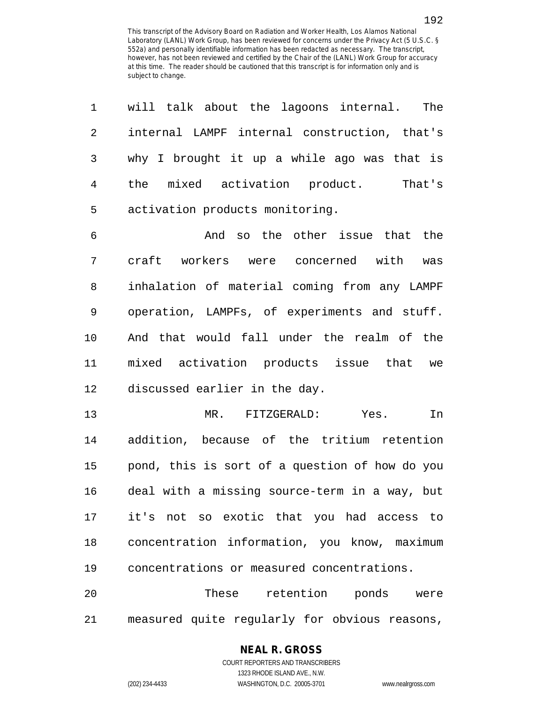| $\mathbf 1$    | will talk about the lagoons internal.<br>The   |
|----------------|------------------------------------------------|
| $\overline{2}$ | internal LAMPF internal construction, that's   |
| 3              | why I brought it up a while ago was that is    |
| 4              | mixed activation product. That's<br>the        |
| 5              | activation products monitoring.                |
| 6              | And so the other issue that the                |
| 7              | craft workers were concerned with was          |
| 8              | inhalation of material coming from any LAMPF   |
| 9              | operation, LAMPFs, of experiments and stuff.   |
| 10             | And that would fall under the realm of the     |
| 11             | mixed activation products issue that we        |
| 12             | discussed earlier in the day.                  |
| 13             | MR. FITZGERALD:<br>Yes.<br>In                  |
| 14             | addition, because of the tritium retention     |
| 15             | pond, this is sort of a question of how do you |
| 16             | deal with a missing source-term in a way, but  |
| 17             | it's not so exotic that you had access to      |
| 18             | concentration information, you know, maximum   |
| 19             | concentrations or measured concentrations.     |
| 20             | These retention ponds were                     |
| 21             | measured quite regularly for obvious reasons,  |

## **NEAL R. GROSS**

COURT REPORTERS AND TRANSCRIBERS 1323 RHODE ISLAND AVE., N.W. (202) 234-4433 WASHINGTON, D.C. 20005-3701 www.nealrgross.com

192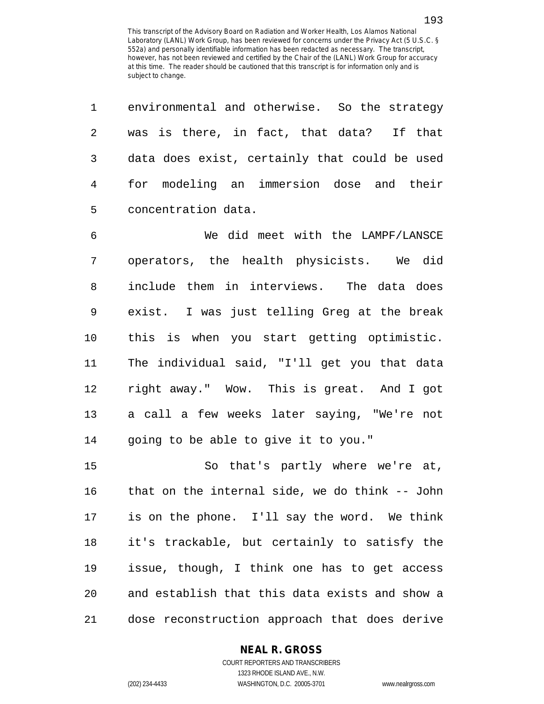1 environmental and otherwise. So the strategy 2 was is there, in fact, that data? If that 3 data does exist, certainly that could be used 4 for modeling an immersion dose and their 5 concentration data.

6 We did meet with the LAMPF/LANSCE 7 operators, the health physicists. We did 8 include them in interviews. The data does 9 exist. I was just telling Greg at the break 10 this is when you start getting optimistic. 11 The individual said, "I'll get you that data 12 right away." Wow. This is great. And I got 13 a call a few weeks later saying, "We're not 14 going to be able to give it to you."

15 So that's partly where we're at, 16 that on the internal side, we do think -- John 17 is on the phone. I'll say the word. We think 18 it's trackable, but certainly to satisfy the 19 issue, though, I think one has to get access 20 and establish that this data exists and show a 21 dose reconstruction approach that does derive

## **NEAL R. GROSS**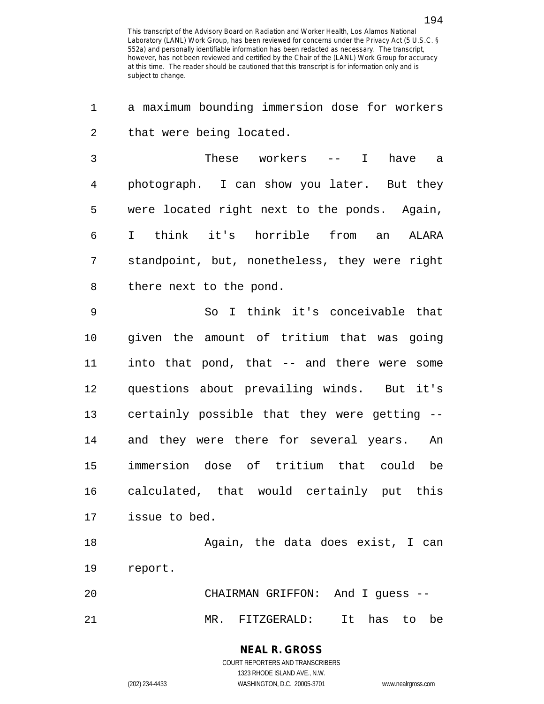1 a maximum bounding immersion dose for workers 2 that were being located.

3 These workers -- I have a 4 photograph. I can show you later. But they 5 were located right next to the ponds. Again, 6 I think it's horrible from an ALARA 7 standpoint, but, nonetheless, they were right 8 there next to the pond.

9 So I think it's conceivable that 10 given the amount of tritium that was going 11 into that pond, that -- and there were some 12 questions about prevailing winds. But it's 13 certainly possible that they were getting -- 14 and they were there for several years. An 15 immersion dose of tritium that could be 16 calculated, that would certainly put this 17 issue to bed.

18 Again, the data does exist, I can 19 report.

20 CHAIRMAN GRIFFON: And I guess -- 21 MR. FITZGERALD: It has to be

> **NEAL R. GROSS** COURT REPORTERS AND TRANSCRIBERS 1323 RHODE ISLAND AVE., N.W.

(202) 234-4433 WASHINGTON, D.C. 20005-3701 www.nealrgross.com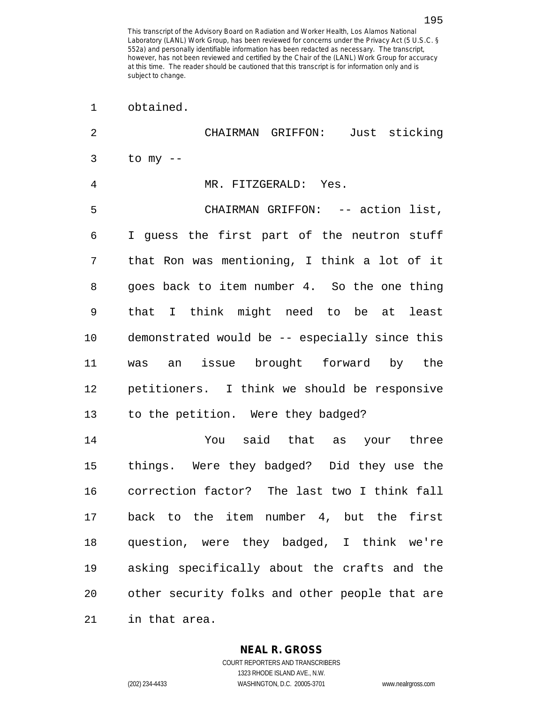2 CHAIRMAN GRIFFON: Just sticking  $3$  to  $my$  --4 MR. FITZGERALD: Yes. 5 CHAIRMAN GRIFFON: -- action list, 6 I guess the first part of the neutron stuff 7 that Ron was mentioning, I think a lot of it 8 goes back to item number 4. So the one thing 9 that I think might need to be at least 10 demonstrated would be -- especially since this 11 was an issue brought forward by the 12 petitioners. I think we should be responsive 13 to the petition. Were they badged? 14 You said that as your three 15 things. Were they badged? Did they use the 16 correction factor? The last two I think fall 17 back to the item number 4, but the first 18 question, were they badged, I think we're 19 asking specifically about the crafts and the 20 other security folks and other people that are 21 in that area.

# **NEAL R. GROSS**

1 obtained.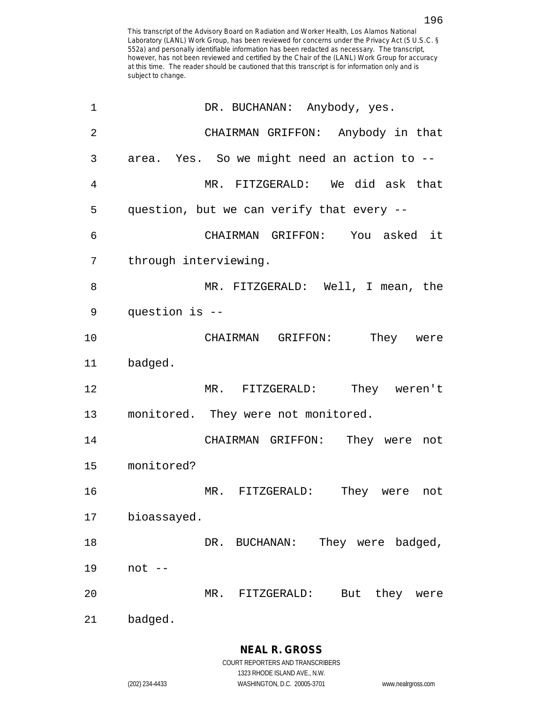| 1              |                       | DR. BUCHANAN: Anybody, yes.                 |
|----------------|-----------------------|---------------------------------------------|
| $\overline{2}$ |                       | CHAIRMAN GRIFFON: Anybody in that           |
| 3              |                       | area. Yes. So we might need an action to -- |
| 4              |                       | MR. FITZGERALD: We did ask that             |
| 5              |                       | question, but we can verify that every --   |
| 6              |                       | CHAIRMAN GRIFFON: You asked it              |
| 7              | through interviewing. |                                             |
| 8              |                       | MR. FITZGERALD: Well, I mean, the           |
| 9              | question is --        |                                             |
| 10             |                       | CHAIRMAN GRIFFON:<br>They were              |
| 11             | badged.               |                                             |
| 12             |                       | MR. FITZGERALD: They weren't                |
| 13             |                       | monitored. They were not monitored.         |
| 14             |                       | CHAIRMAN GRIFFON: They were not             |
| 15             | monitored?            |                                             |
| 16             |                       | MR. FITZGERALD:<br>They were not            |
| 17             | bioassayed.           |                                             |
| 18             |                       | They were<br>badged,<br>DR.<br>BUCHANAN:    |
| 19             | $not --$              |                                             |
| 20             |                       | they<br>MR.<br>FITZGERALD:<br>But<br>were   |
| 21             | badged.               |                                             |

**NEAL R. GROSS** COURT REPORTERS AND TRANSCRIBERS

1323 RHODE ISLAND AVE., N.W.

(202) 234-4433 WASHINGTON, D.C. 20005-3701 www.nealrgross.com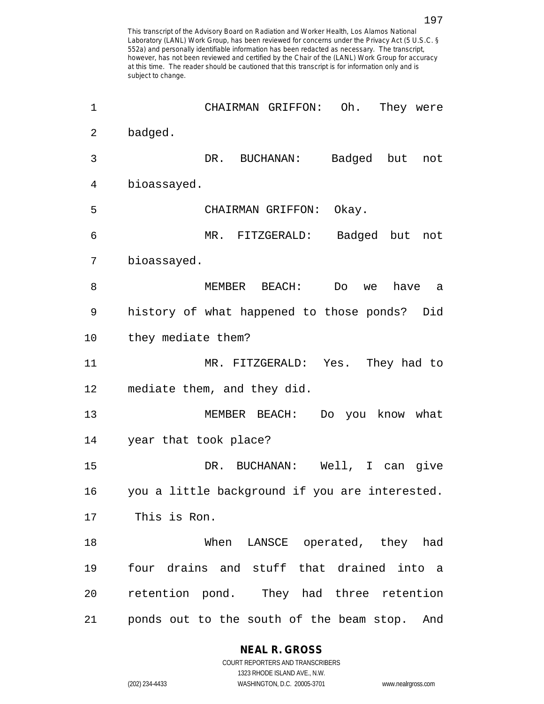| 1  | CHAIRMAN GRIFFON:<br>Oh.<br>They were          |
|----|------------------------------------------------|
| 2  | badged.                                        |
| 3  | DR.<br>BUCHANAN:<br>Badged but<br>not          |
| 4  | bioassayed.                                    |
| 5  | CHAIRMAN GRIFFON: Okay.                        |
| 6  | MR. FITZGERALD: Badged but not                 |
| 7  | bioassayed.                                    |
| 8  | MEMBER<br>BEACH:<br>Do<br>have<br>we<br>а      |
| 9  | history of what happened to those ponds? Did   |
| 10 | they mediate them?                             |
| 11 | MR. FITZGERALD: Yes. They had to               |
| 12 | mediate them, and they did.                    |
| 13 | MEMBER BEACH:<br>Do you know what              |
| 14 | year that took place?                          |
| 15 | DR. BUCHANAN: Well, I can give                 |
| 16 | you a little background if you are interested. |
| 17 | This is Ron.                                   |
| 18 | When LANSCE operated, they had                 |
| 19 | four drains and stuff that drained into a      |
| 20 | retention pond. They had three retention       |
| 21 | ponds out to the south of the beam stop. And   |

**NEAL R. GROSS**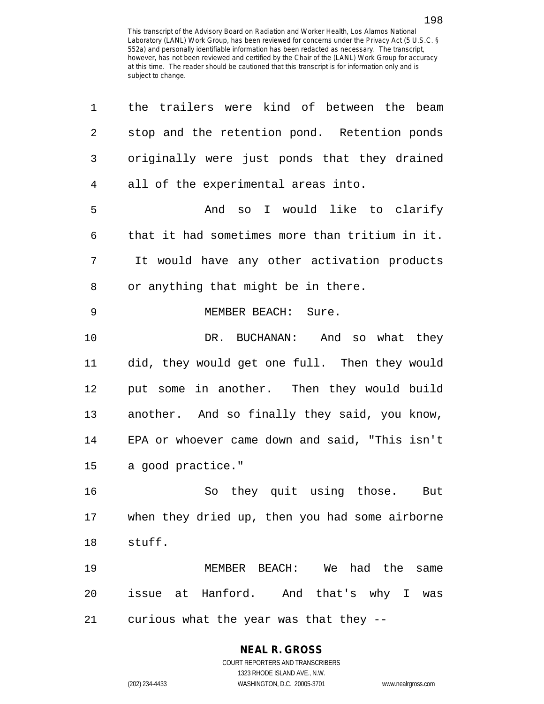1 the trailers were kind of between the beam

| 2  | stop and the retention pond. Retention ponds   |
|----|------------------------------------------------|
| 3  | originally were just ponds that they drained   |
| 4  | all of the experimental areas into.            |
| 5  | And so I would like to clarify                 |
| 6  | that it had sometimes more than tritium in it. |
| 7  | It would have any other activation products    |
| 8  | or anything that might be in there.            |
| 9  | MEMBER BEACH: Sure.                            |
| 10 | DR. BUCHANAN: And so what they                 |
| 11 | did, they would get one full. Then they would  |
| 12 | put some in another. Then they would build     |
| 13 | another. And so finally they said, you know,   |
| 14 | EPA or whoever came down and said, "This isn't |
| 15 | a good practice."                              |
| 16 | So they quit using those.<br>But               |
| 17 | when they dried up, then you had some airborne |
| 18 | stuff.                                         |
| 19 | MEMBER BEACH: We had the same                  |
| 20 | issue at Hanford. And that's why I was         |
| 21 | curious what the year was that they --         |

#### **NEAL R. GROSS**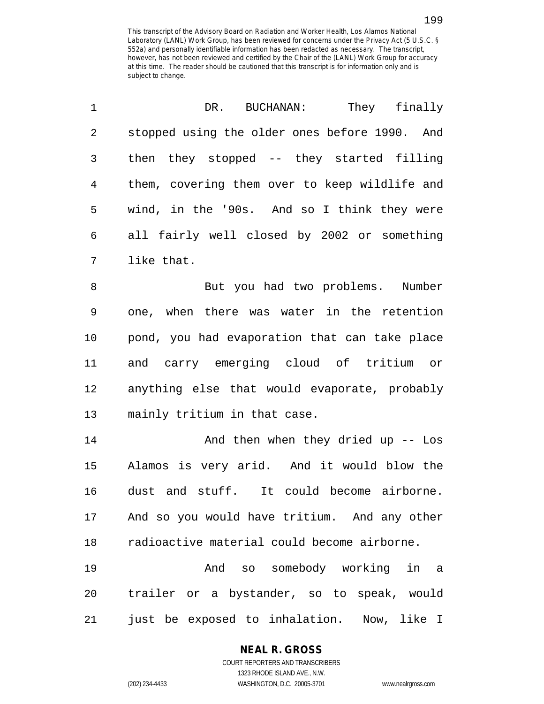| 1              | DR. BUCHANAN: They finally                    |
|----------------|-----------------------------------------------|
| $\overline{2}$ | stopped using the older ones before 1990. And |
| 3              | then they stopped -- they started filling     |
| $\overline{4}$ | them, covering them over to keep wildlife and |
| 5              | wind, in the '90s. And so I think they were   |
| 6              | all fairly well closed by 2002 or something   |
| 7              | like that.                                    |
| 8              | But you had two problems. Number              |
| 9              | one, when there was water in the retention    |
| 10             | pond, you had evaporation that can take place |
| 11             | and carry emerging cloud of tritium or        |
| 12             | anything else that would evaporate, probably  |
| 13             | mainly tritium in that case.                  |
| 14             | And then when they dried up $-$ Los           |
| 15             | Alamos is very arid. And it would blow the    |
| 16             | dust and stuff. It could become airborne.     |
| 17             | And so you would have tritium. And any other  |
| 18             | radioactive material could become airborne.   |
| 19             | And so somebody working in a                  |
| 20             | trailer or a bystander, so to speak, would    |
| 21             | just be exposed to inhalation. Now, like I    |

## **NEAL R. GROSS**

COURT REPORTERS AND TRANSCRIBERS 1323 RHODE ISLAND AVE., N.W. (202) 234-4433 WASHINGTON, D.C. 20005-3701 www.nealrgross.com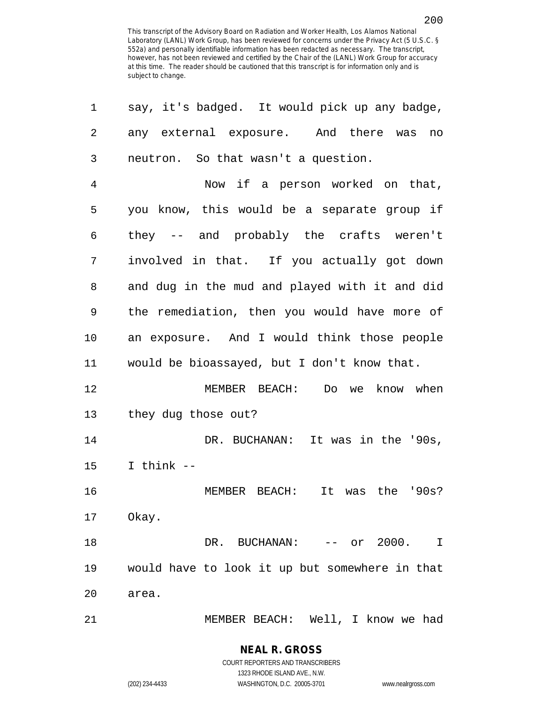| 1  | say, it's badged. It would pick up any badge,  |
|----|------------------------------------------------|
| 2  | any external exposure. And there was<br>no     |
| 3  | neutron. So that wasn't a question.            |
| 4  | Now if a person worked on that,                |
| 5  | you know, this would be a separate group if    |
| 6  | they -- and probably the crafts weren't        |
| 7  | involved in that. If you actually got down     |
| 8  | and dug in the mud and played with it and did  |
| 9  | the remediation, then you would have more of   |
| 10 | an exposure. And I would think those people    |
| 11 | would be bioassayed, but I don't know that.    |
| 12 | MEMBER BEACH: Do we know when                  |
| 13 | they dug those out?                            |
| 14 | DR. BUCHANAN: It was in the '90s,              |
| 15 | I think --                                     |
| 16 | MEMBER BEACH: It was the '90s?                 |
| 17 | Okay.                                          |
| 18 | DR. BUCHANAN: -- or 2000.<br>I                 |
| 19 | would have to look it up but somewhere in that |
| 20 | area.                                          |
| 21 | MEMBER BEACH: Well, I know we had              |

COURT REPORTERS AND TRANSCRIBERS 1323 RHODE ISLAND AVE., N.W.

**NEAL R. GROSS**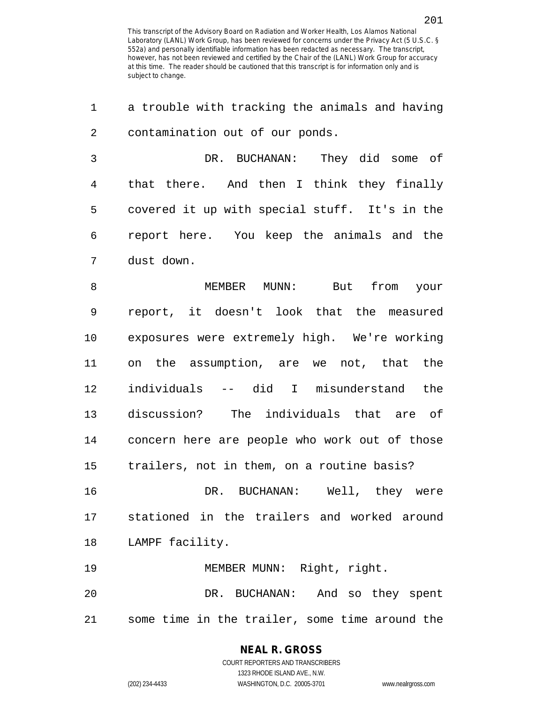1 a trouble with tracking the animals and having

2 contamination out of our ponds. 3 DR. BUCHANAN: They did some of 4 that there. And then I think they finally 5 covered it up with special stuff. It's in the 6 report here. You keep the animals and the 7 dust down. 8 MEMBER MUNN: But from your 9 report, it doesn't look that the measured 10 exposures were extremely high. We're working 11 on the assumption, are we not, that the 12 individuals -- did I misunderstand the 13 discussion? The individuals that are of 14 concern here are people who work out of those 15 trailers, not in them, on a routine basis? 16 DR. BUCHANAN: Well, they were 17 stationed in the trailers and worked around 18 LAMPF facility. 19 MEMBER MUNN: Right, right. 20 DR. BUCHANAN: And so they spent 21 some time in the trailer, some time around the

> **NEAL R. GROSS** COURT REPORTERS AND TRANSCRIBERS

> > 1323 RHODE ISLAND AVE., N.W.

(202) 234-4433 WASHINGTON, D.C. 20005-3701 www.nealrgross.com

201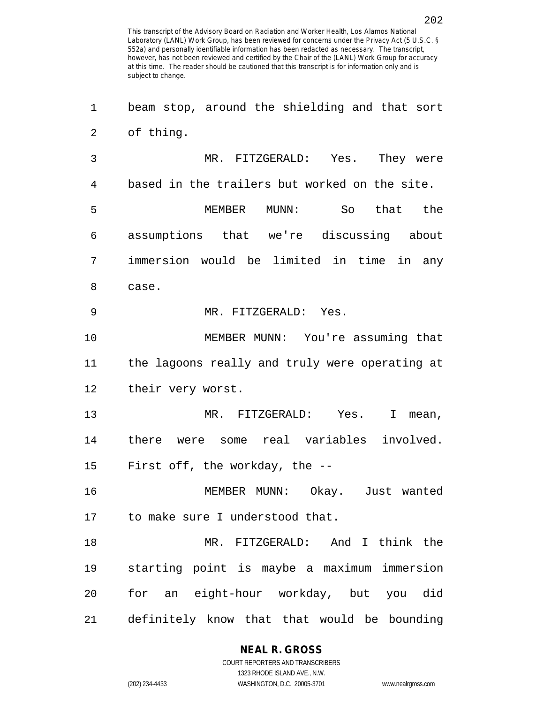1 beam stop, around the shielding and that sort

2 of thing. 3 MR. FITZGERALD: Yes. They were 4 based in the trailers but worked on the site. 5 MEMBER MUNN: So that the 6 assumptions that we're discussing about 7 immersion would be limited in time in any 8 case. 9 MR. FITZGERALD: Yes. 10 MEMBER MUNN: You're assuming that 11 the lagoons really and truly were operating at 12 their very worst. 13 MR. FITZGERALD: Yes. I mean, 14 there were some real variables involved. 15 First off, the workday, the -- 16 MEMBER MUNN: Okay. Just wanted 17 to make sure I understood that. 18 MR. FITZGERALD: And I think the 19 starting point is maybe a maximum immersion 20 for an eight-hour workday, but you did 21 definitely know that that would be bounding

#### **NEAL R. GROSS**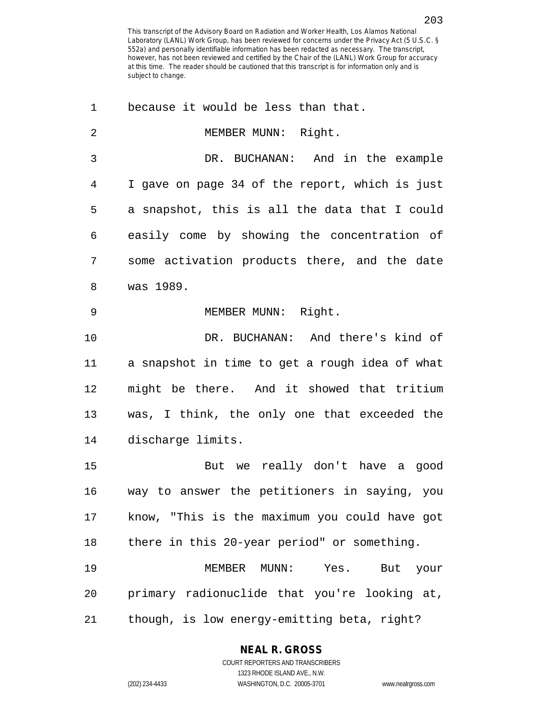| $\mathbf 1$ | because it would be less than that.            |
|-------------|------------------------------------------------|
| 2           | MEMBER MUNN: Right.                            |
| 3           | DR. BUCHANAN: And in the example               |
| 4           | I gave on page 34 of the report, which is just |
| 5           | a snapshot, this is all the data that I could  |
| 6           | easily come by showing the concentration of    |
| 7           | some activation products there, and the date   |
| 8           | was 1989.                                      |
| 9           | MEMBER MUNN: Right.                            |
| 10          | DR. BUCHANAN: And there's kind of              |
| 11          | a snapshot in time to get a rough idea of what |
| 12          | might be there. And it showed that tritium     |
| 13          | was, I think, the only one that exceeded the   |
| 14          | discharge limits.                              |
| 15          | But we really don't have a good                |
| 16          | way to answer the petitioners in saying, you   |
| 17          | know, "This is the maximum you could have got  |
| 18          | there in this 20-year period" or something.    |
| 19          | MEMBER MUNN: Yes. But your                     |
| 20          | primary radionuclide that you're looking at,   |
| 21          | though, is low energy-emitting beta, right?    |

## **NEAL R. GROSS**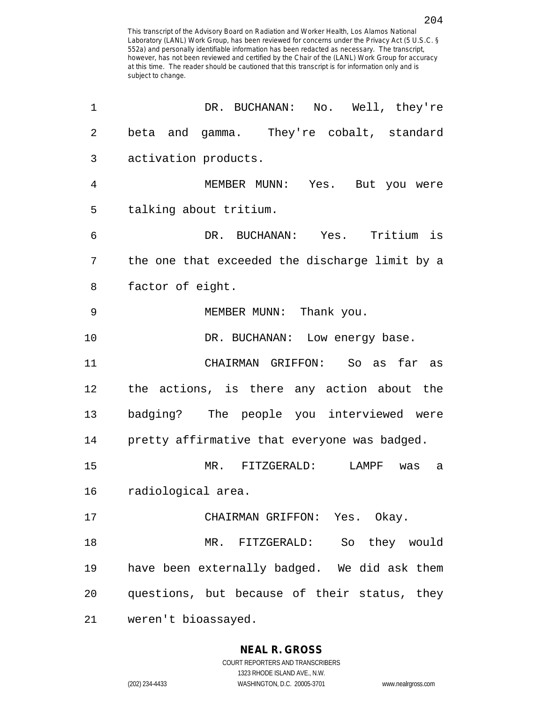| 1              | DR. BUCHANAN: No. Well, they're                |
|----------------|------------------------------------------------|
| $\overline{2}$ | beta and gamma. They're cobalt, standard       |
| 3              | activation products.                           |
| 4              | MEMBER MUNN: Yes. But you were                 |
| 5              | talking about tritium.                         |
| 6              | DR. BUCHANAN: Yes. Tritium is                  |
| 7              | the one that exceeded the discharge limit by a |
| 8              | factor of eight.                               |
| 9              | MEMBER MUNN: Thank you.                        |
| 10             | DR. BUCHANAN: Low energy base.                 |
| 11             | CHAIRMAN GRIFFON: So as far as                 |
| 12             | the actions, is there any action about the     |
| 13             | badging? The people you interviewed were       |
| 14             | pretty affirmative that everyone was badged.   |
| 15             | MR. FITZGERALD:<br>LAMPF<br>was<br>а           |
| 16             | radiological area.                             |
| 17             | CHAIRMAN GRIFFON: Yes. Okay.                   |
| 18             | MR. FITZGERALD: So they would                  |
| 19             | have been externally badged. We did ask them   |
| 20             | questions, but because of their status, they   |
| 21             | weren't bioassayed.                            |

**NEAL R. GROSS** COURT REPORTERS AND TRANSCRIBERS

1323 RHODE ISLAND AVE., N.W. (202) 234-4433 WASHINGTON, D.C. 20005-3701 www.nealrgross.com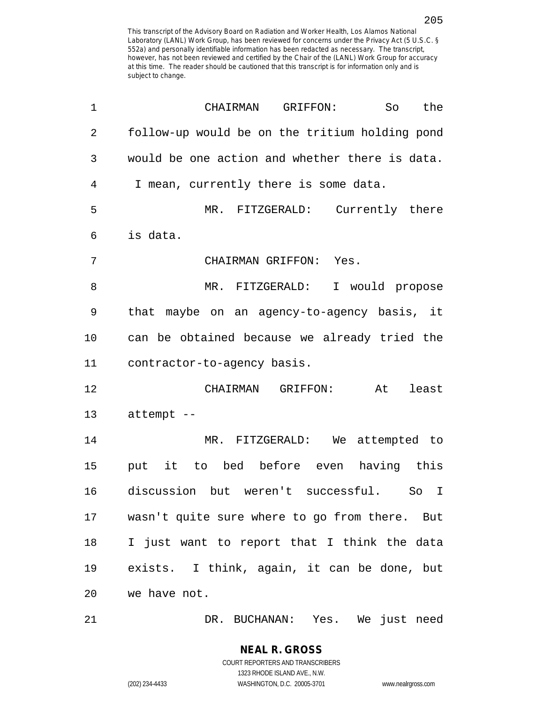| 1  | the<br>CHAIRMAN<br>GRIFFON:<br>So              |
|----|------------------------------------------------|
| 2  | follow-up would be on the tritium holding pond |
| 3  | would be one action and whether there is data. |
| 4  | I mean, currently there is some data.          |
| 5  | MR. FITZGERALD: Currently there                |
| 6  | is data.                                       |
| 7  | CHAIRMAN GRIFFON: Yes.                         |
| 8  | MR. FITZGERALD: I would propose                |
| 9  | that maybe on an agency-to-agency basis, it    |
| 10 | can be obtained because we already tried the   |
| 11 | contractor-to-agency basis.                    |
| 12 | CHAIRMAN GRIFFON:<br>At<br>least               |
| 13 | attempt --                                     |
| 14 | MR. FITZGERALD: We attempted to                |
| 15 | put it to bed before even having this          |
| 16 | discussion but weren't successful. So I        |
| 17 | wasn't quite sure where to go from there. But  |
| 18 | I just want to report that I think the data    |
| 19 | exists. I think, again, it can be done, but    |
| 20 | we have not.                                   |
| 21 | DR. BUCHANAN: Yes. We just need                |

205

COURT REPORTERS AND TRANSCRIBERS 1323 RHODE ISLAND AVE., N.W. (202) 234-4433 WASHINGTON, D.C. 20005-3701 www.nealrgross.com

**NEAL R. GROSS**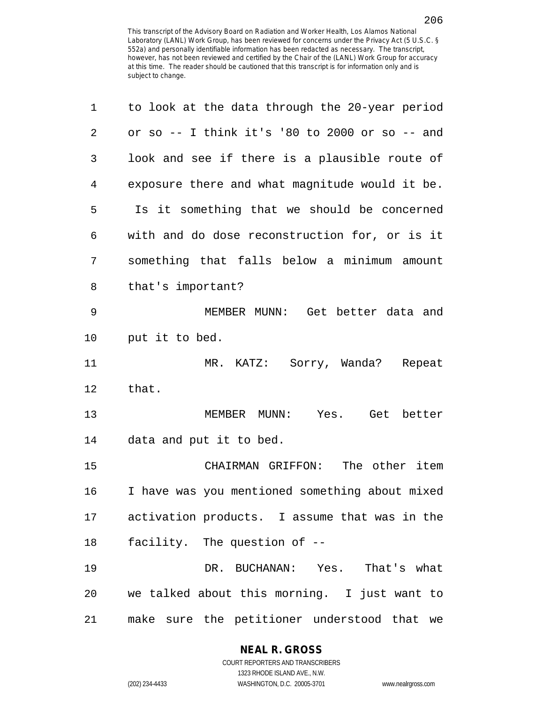| 1  | to look at the data through the 20-year period   |
|----|--------------------------------------------------|
| 2  | or so $-$ I think it's '80 to 2000 or so $-$ and |
| 3  | look and see if there is a plausible route of    |
| 4  | exposure there and what magnitude would it be.   |
| 5  | Is it something that we should be concerned      |
| 6  | with and do dose reconstruction for, or is it    |
| 7  | something that falls below a minimum amount      |
| 8  | that's important?                                |
| 9  | MEMBER MUNN: Get better data and                 |
| 10 | put it to bed.                                   |
| 11 | MR. KATZ:<br>Sorry, Wanda? Repeat                |
| 12 | that.                                            |
| 13 | MEMBER MUNN: Yes. Get better                     |
| 14 | data and put it to bed.                          |
| 15 | CHAIRMAN GRIFFON: The other item                 |
| 16 | I have was you mentioned something about mixed   |
| 17 | activation products. I assume that was in the    |
| 18 | facility. The question of --                     |
| 19 | DR. BUCHANAN: Yes. That's what                   |
| 20 | we talked about this morning. I just want to     |
| 21 | make sure the petitioner understood that<br>we   |

## **NEAL R. GROSS**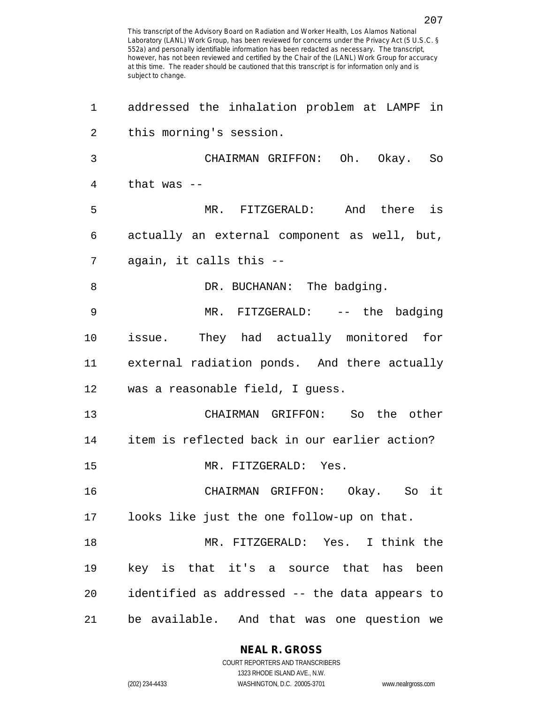| 1  | addressed the inhalation problem at LAMPF in   |
|----|------------------------------------------------|
| 2  | this morning's session.                        |
| 3  | CHAIRMAN GRIFFON: Oh. Okay. So                 |
| 4  | that was $-$                                   |
| 5  | MR. FITZGERALD: And there is                   |
| 6  | actually an external component as well, but,   |
| 7  | again, it calls this --                        |
| 8  | DR. BUCHANAN: The badging.                     |
| 9  | MR. FITZGERALD: -- the badging                 |
| 10 | issue. They had actually monitored for         |
| 11 | external radiation ponds. And there actually   |
| 12 | was a reasonable field, I guess.               |
| 13 | CHAIRMAN GRIFFON: So the other                 |
| 14 | item is reflected back in our earlier action?  |
| 15 | MR. FITZGERALD: Yes.                           |
| 16 | CHAIRMAN GRIFFON: Okay. So it                  |
| 17 | looks like just the one follow-up on that.     |
| 18 | MR. FITZGERALD: Yes. I think the               |
| 19 | key is that it's a source that has been        |
| 20 | identified as addressed -- the data appears to |
| 21 | be available. And that was one question we     |

**NEAL R. GROSS**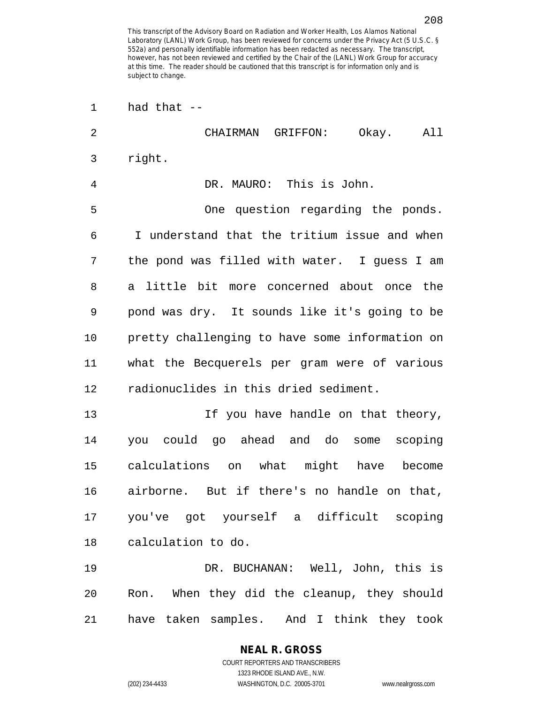| 1  | had that --                                    |
|----|------------------------------------------------|
| 2  | CHAIRMAN GRIFFON:<br>Okay. All                 |
| 3  | right.                                         |
| 4  | DR. MAURO: This is John.                       |
| 5  | One question regarding the ponds.              |
| 6  | I understand that the tritium issue and when   |
| 7  | the pond was filled with water. I guess I am   |
| 8  | a little bit more concerned about once the     |
| 9  | pond was dry. It sounds like it's going to be  |
| 10 | pretty challenging to have some information on |
| 11 | what the Becquerels per gram were of various   |
| 12 | radionuclides in this dried sediment.          |
| 13 | If you have handle on that theory,             |
| 14 | you could go ahead and do some scoping         |
| 15 | calculations on what might have become         |
| 16 | airborne. But if there's no handle on that,    |
| 17 | you've got yourself a difficult scoping        |
| 18 | calculation to do.                             |
| 19 | DR. BUCHANAN: Well, John, this is              |
| 20 | Ron. When they did the cleanup, they should    |
| 21 | have taken samples. And I think they took      |

**NEAL R. GROSS** COURT REPORTERS AND TRANSCRIBERS

1323 RHODE ISLAND AVE., N.W. (202) 234-4433 WASHINGTON, D.C. 20005-3701 www.nealrgross.com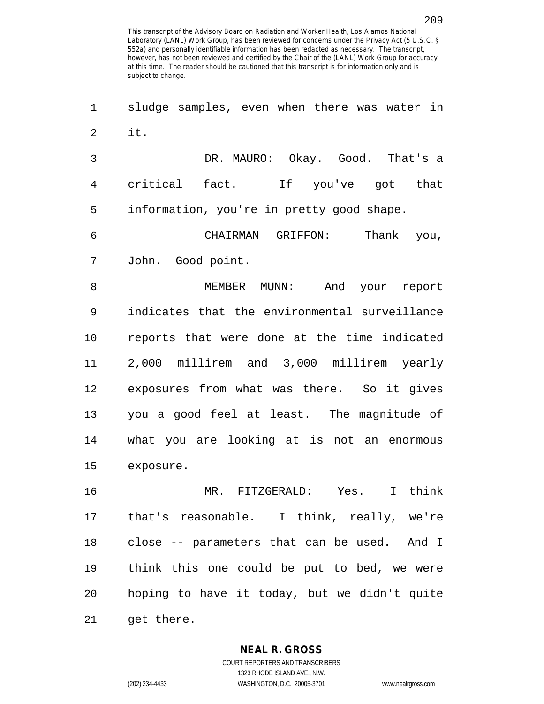209

1 sludge samples, even when there was water in 2 it. 3 DR. MAURO: Okay. Good. That's a

4 critical fact. If you've got that 5 information, you're in pretty good shape.

6 CHAIRMAN GRIFFON: Thank you, 7 John. Good point.

8 MEMBER MUNN: And your report 9 indicates that the environmental surveillance 10 reports that were done at the time indicated 11 2,000 millirem and 3,000 millirem yearly 12 exposures from what was there. So it gives 13 you a good feel at least. The magnitude of 14 what you are looking at is not an enormous 15 exposure.

16 MR. FITZGERALD: Yes. I think 17 that's reasonable. I think, really, we're 18 close -- parameters that can be used. And I 19 think this one could be put to bed, we were 20 hoping to have it today, but we didn't quite 21 get there.

**NEAL R. GROSS**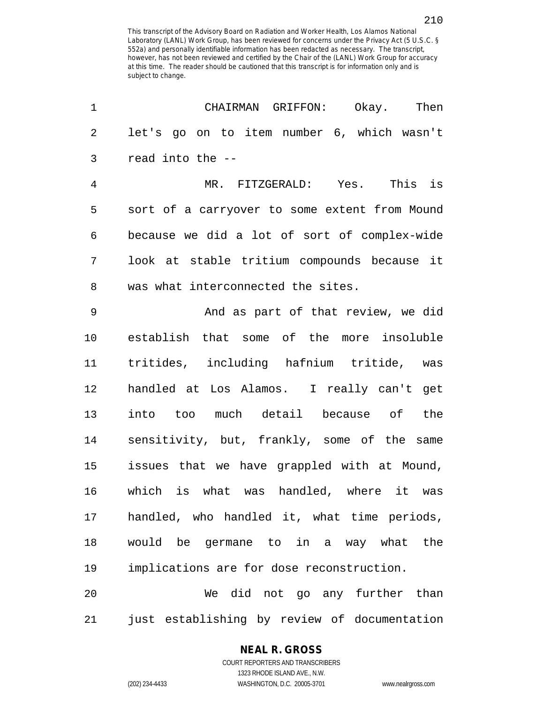| 1              | CHAIRMAN GRIFFON: Okay. Then                  |
|----------------|-----------------------------------------------|
| $\overline{2}$ | let's go on to item number 6, which wasn't    |
| 3              | read into the --                              |
| 4              | MR. FITZGERALD: Yes. This is                  |
| 5              | sort of a carryover to some extent from Mound |
| 6              | because we did a lot of sort of complex-wide  |
| 7              | look at stable tritium compounds because it   |
| 8              | was what interconnected the sites.            |
| 9              | And as part of that review, we did            |
| 10             | establish that some of the more insoluble     |
| 11             | tritides, including hafnium tritide, was      |
| 12             | handled at Los Alamos. I really can't get     |
| 13             | into too much detail because of the           |
| 14             | sensitivity, but, frankly, some of the same   |
| 15             | issues that we have grappled with at Mound,   |
| 16             | which is what was handled, where it was       |
| 17             | handled, who handled it, what time periods,   |
| 18             | would be germane to in a way what the         |
| 19             | implications are for dose reconstruction.     |
| 20             | We did not go any further than                |
| 21             | just establishing by review of documentation  |

## **NEAL R. GROSS**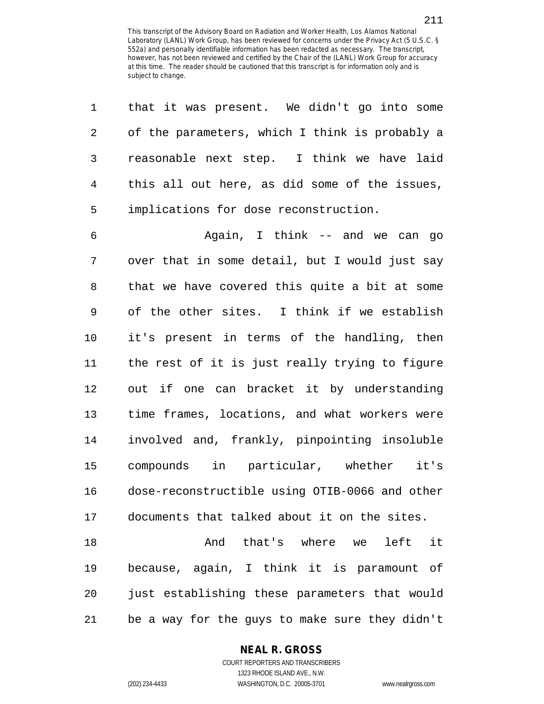| 1              | that it was present. We didn't go into some    |
|----------------|------------------------------------------------|
| $\sqrt{2}$     | of the parameters, which I think is probably a |
| $\mathfrak{Z}$ | reasonable next step. I think we have laid     |
| 4              | this all out here, as did some of the issues,  |
| 5              | implications for dose reconstruction.          |
| $\epsilon$     | Again, I think -- and we can go                |
| 7              | over that in some detail, but I would just say |
| 8              | that we have covered this quite a bit at some  |
| 9              | of the other sites. I think if we establish    |
| 10             | it's present in terms of the handling, then    |
| 11             | the rest of it is just really trying to figure |
| 12             | out if one can bracket it by understanding     |
| 13             | time frames, locations, and what workers were  |
| 14             | involved and, frankly, pinpointing insoluble   |
| 15             | compounds in particular, whether it's          |
| 16             | dose-reconstructible using OTIB-0066 and other |
| 17             | documents that talked about it on the sites.   |
| 18             | And that's where we<br>left it                 |
| 19             | because, again, I think it is paramount of     |
| 20             | just establishing these parameters that would  |
| 21             | be a way for the guys to make sure they didn't |

**NEAL R. GROSS**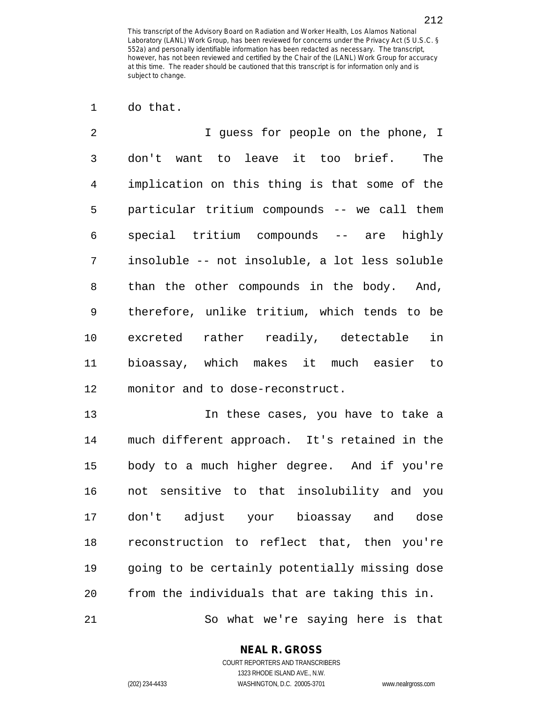1 do that.

2 I guess for people on the phone, I 3 don't want to leave it too brief. The 4 implication on this thing is that some of the 5 particular tritium compounds -- we call them 6 special tritium compounds -- are highly 7 insoluble -- not insoluble, a lot less soluble 8 than the other compounds in the body. And, 9 therefore, unlike tritium, which tends to be 10 excreted rather readily, detectable in 11 bioassay, which makes it much easier to 12 monitor and to dose-reconstruct.

13 In these cases, you have to take a 14 much different approach. It's retained in the 15 body to a much higher degree. And if you're 16 not sensitive to that insolubility and you 17 don't adjust your bioassay and dose 18 reconstruction to reflect that, then you're 19 going to be certainly potentially missing dose 20 from the individuals that are taking this in. 21 So what we're saying here is that

> **NEAL R. GROSS** COURT REPORTERS AND TRANSCRIBERS

> > 1323 RHODE ISLAND AVE., N.W.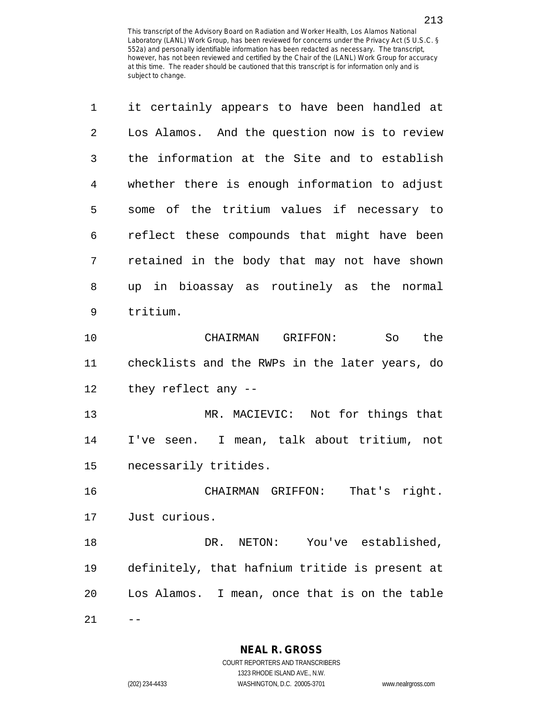| 1              | it certainly appears to have been handled at   |
|----------------|------------------------------------------------|
| $\overline{2}$ | Los Alamos. And the question now is to review  |
| 3              | the information at the Site and to establish   |
| $\overline{4}$ | whether there is enough information to adjust  |
| 5              | some of the tritium values if necessary to     |
| 6              | reflect these compounds that might have been   |
| 7              | retained in the body that may not have shown   |
| 8              | up in bioassay as routinely as the normal      |
| 9              | tritium.                                       |
| 10             | CHAIRMAN GRIFFON:<br>the<br>So                 |
| 11             | checklists and the RWPs in the later years, do |
| 12             | they reflect any --                            |
| 13             | MR. MACIEVIC: Not for things that              |
| 14             | I've seen. I mean, talk about tritium, not     |
| 15             | necessarily tritides.                          |
| 16             | CHAIRMAN GRIFFON:<br>That's right.             |
| 17             | Just curious.                                  |
| 18             | NETON: You've established,<br>DR.              |
| 19             | definitely, that hafnium tritide is present at |
| 20             | Los Alamos. I mean, once that is on the table  |
| 21             |                                                |

**NEAL R. GROSS**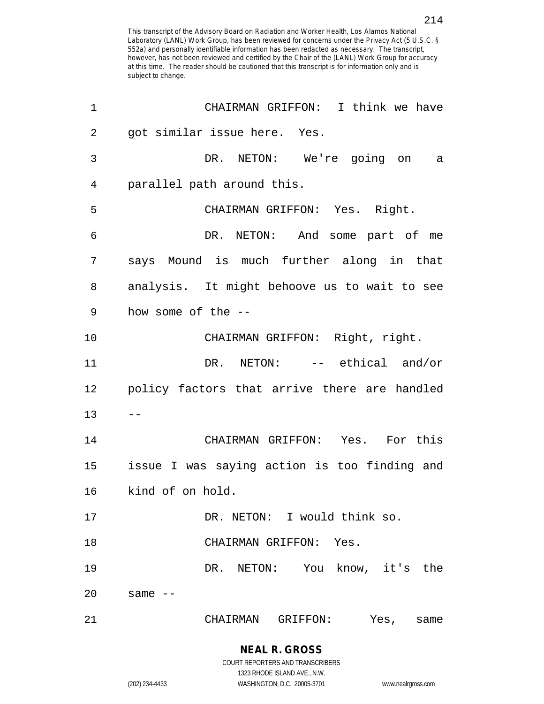| $\mathbf 1$ | CHAIRMAN GRIFFON: I think we have            |
|-------------|----------------------------------------------|
| 2           | got similar issue here. Yes.                 |
| 3           | DR. NETON: We're going on a                  |
| 4           | parallel path around this.                   |
| 5           | CHAIRMAN GRIFFON: Yes. Right.                |
| 6           | DR. NETON: And some part of me               |
| 7           | says Mound is much further along in that     |
| 8           | analysis. It might behoove us to wait to see |
| 9           | how some of the $-$ -                        |
| 10          | CHAIRMAN GRIFFON: Right, right.              |
| 11          | DR. NETON: -- ethical and/or                 |
| 12          | policy factors that arrive there are handled |
| 13          |                                              |
| 14          | CHAIRMAN GRIFFON: Yes. For this              |
| 15          | issue I was saying action is too finding and |
| 16          | kind of on hold.                             |
| 17          | DR. NETON: I would think so.                 |
| 18          | CHAIRMAN GRIFFON: Yes.                       |
| 19          | DR. NETON: You know, it's the                |
| 20          | same $--$                                    |
| 21          | CHAIRMAN<br>GRIFFON:<br>Yes,<br>same         |

COURT REPORTERS AND TRANSCRIBERS 1323 RHODE ISLAND AVE., N.W. (202) 234-4433 WASHINGTON, D.C. 20005-3701 www.nealrgross.com

**NEAL R. GROSS**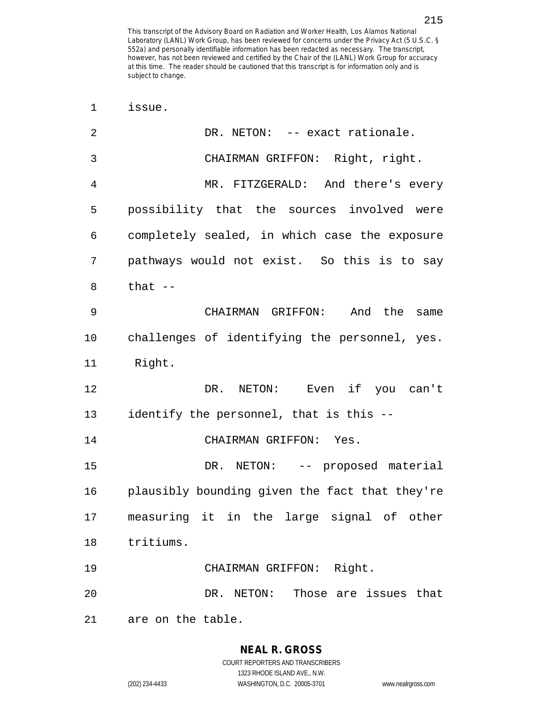| 1              | issue.                                         |
|----------------|------------------------------------------------|
| $\overline{2}$ | DR. NETON: -- exact rationale.                 |
| 3              | CHAIRMAN GRIFFON: Right, right.                |
| 4              | MR. FITZGERALD: And there's every              |
| 5              | possibility that the sources involved were     |
| 6              | completely sealed, in which case the exposure  |
| 7              | pathways would not exist. So this is to say    |
| 8              | that $-$                                       |
| 9              | CHAIRMAN GRIFFON: And the<br>same              |
| 10             | challenges of identifying the personnel, yes.  |
| 11             | Right.                                         |
| 12             | DR. NETON: Even if you can't                   |
| 13             | identify the personnel, that is this --        |
| 14             | CHAIRMAN GRIFFON: Yes.                         |
| 15             | DR. NETON: -- proposed material                |
| 16             | plausibly bounding given the fact that they're |
|                | 17 measuring it in the large signal of other   |
|                | 18 tritiums.                                   |
| 19             | CHAIRMAN GRIFFON: Right.                       |
| 20             | DR. NETON: Those are issues that               |
| 21             | are on the table.                              |

**NEAL R. GROSS**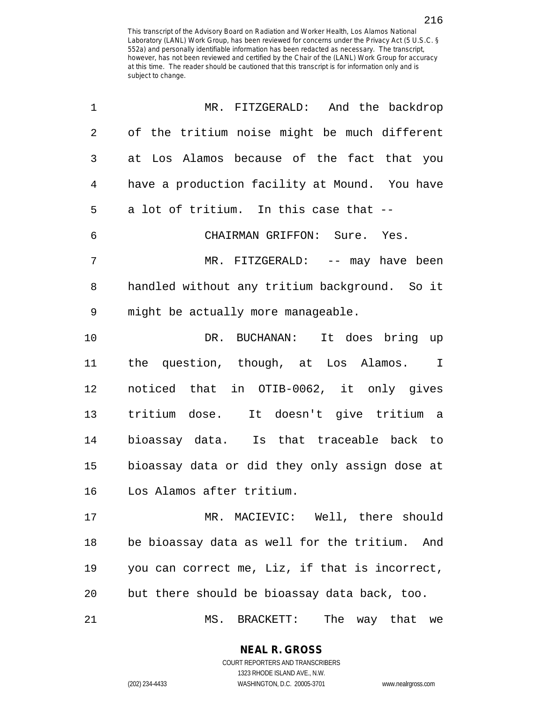| 1              | MR. FITZGERALD: And the backdrop               |
|----------------|------------------------------------------------|
| $\overline{2}$ | of the tritium noise might be much different   |
| 3              | at Los Alamos because of the fact that you     |
| 4              | have a production facility at Mound. You have  |
| 5              | a lot of tritium. In this case that --         |
| 6              | CHAIRMAN GRIFFON: Sure. Yes.                   |
| 7              | MR. FITZGERALD: -- may have been               |
| 8              | handled without any tritium background. So it  |
| 9              | might be actually more manageable.             |
| 10             | DR. BUCHANAN: It does bring up                 |
| 11             | the question, though, at Los Alamos. I         |
| 12             | noticed that in OTIB-0062, it only gives       |
| 13             | tritium dose. It doesn't give tritium a        |
| 14             | bioassay data. Is that traceable back to       |
| 15             | bioassay data or did they only assign dose at  |
| 16             | Los Alamos after tritium.                      |
| 17             | MR. MACIEVIC: Well, there should               |
| 18             | be bioassay data as well for the tritium. And  |
| 19             | you can correct me, Liz, if that is incorrect, |
| 20             | but there should be bioassay data back, too.   |
| 21             | MS. BRACKETT:<br>The<br>way that<br>we         |

**NEAL R. GROSS** COURT REPORTERS AND TRANSCRIBERS

1323 RHODE ISLAND AVE., N.W.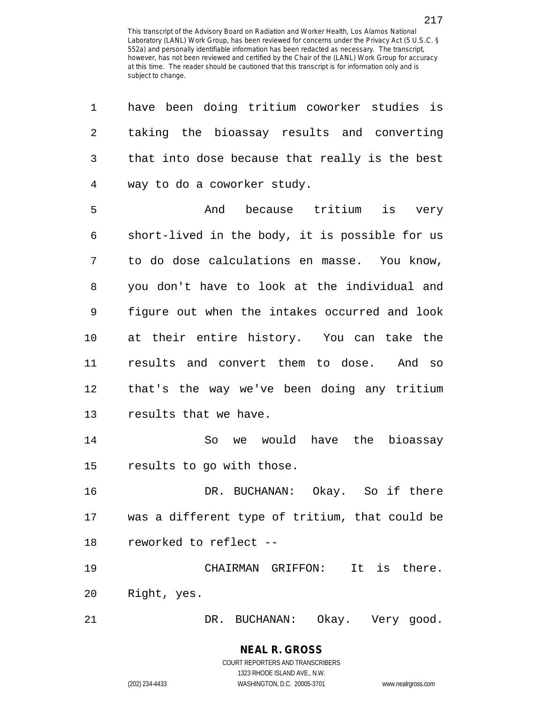| 1  | have been doing tritium coworker studies is    |
|----|------------------------------------------------|
| 2  | taking the bioassay results and converting     |
| 3  | that into dose because that really is the best |
| 4  | way to do a coworker study.                    |
| 5  | And because tritium is very                    |
| 6  | short-lived in the body, it is possible for us |
| 7  | to do dose calculations en masse. You know,    |
| 8  | you don't have to look at the individual and   |
| 9  | figure out when the intakes occurred and look  |
| 10 | at their entire history. You can take the      |
| 11 | results and convert them to dose. And so       |
| 12 | that's the way we've been doing any tritium    |
| 13 | results that we have.                          |
| 14 | So we would have the bioassay                  |
| 15 | results to go with those.                      |
| 16 | BUCHANAN: Okay. So if there<br>DR.             |
| 17 | was a different type of tritium, that could be |
| 18 | reworked to reflect --                         |
| 19 | It<br>CHAIRMAN GRIFFON:<br>is there.           |
| 20 | Right, yes.                                    |
| 21 | Okay. Very good.<br>DR. BUCHANAN:              |

217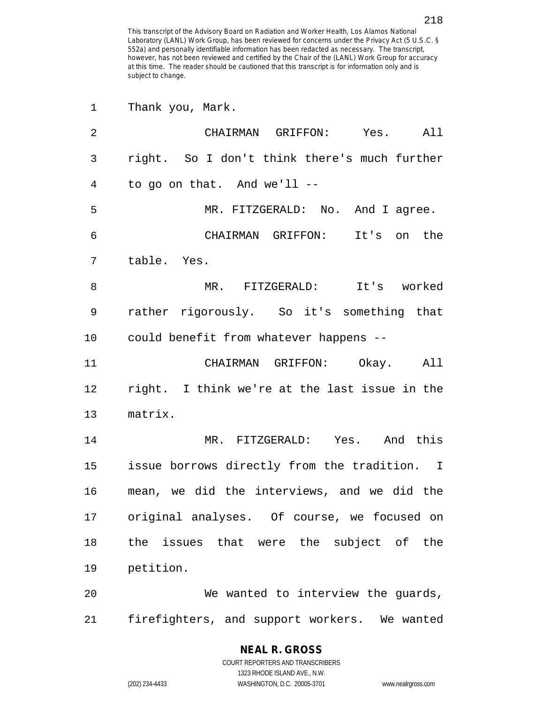| 1              | Thank you, Mark.                                |
|----------------|-------------------------------------------------|
| $\overline{2}$ | CHAIRMAN GRIFFON: Yes. All                      |
| 3              | right. So I don't think there's much further    |
| 4              | to go on that. And we'll --                     |
| 5              | MR. FITZGERALD: No. And I agree.                |
| 6              | CHAIRMAN GRIFFON: It's on the                   |
| 7              | table. Yes.                                     |
| 8              | MR. FITZGERALD: It's worked                     |
| 9              | rather rigorously. So it's something that       |
| 10             | could benefit from whatever happens --          |
| 11             | CHAIRMAN GRIFFON: Okay. All                     |
| 12             | right. I think we're at the last issue in the   |
| 13             | matrix.                                         |
| 14             | MR. FITZGERALD: Yes. And this                   |
|                | 15 issue borrows directly from the tradition. I |
| 16             | mean, we did the interviews, and we did the     |
| 17             | original analyses. Of course, we focused on     |
| 18             | the issues that were the subject of the         |
| 19             | petition.                                       |
| 20             | We wanted to interview the guards,              |
| 21             | firefighters, and support workers. We wanted    |

# **NEAL R. GROSS**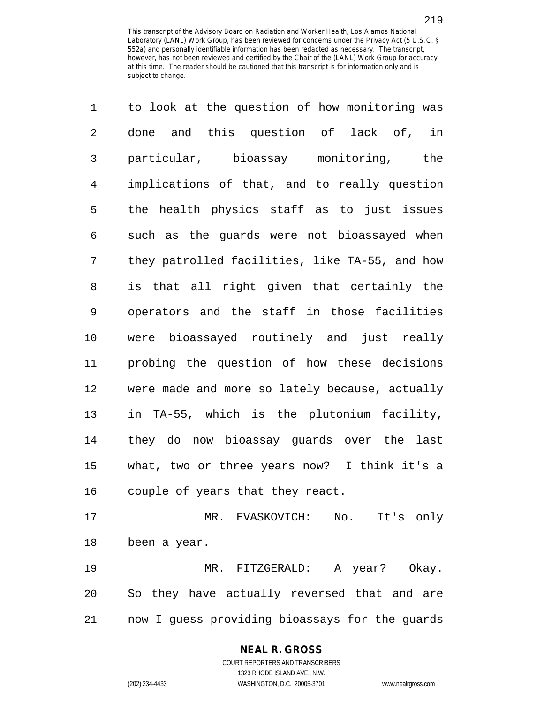| 1              | to look at the question of how monitoring was  |
|----------------|------------------------------------------------|
| $\overline{2}$ | and this question of lack of, in<br>done       |
| 3              | particular, bioassay monitoring, the           |
| $\overline{4}$ | implications of that, and to really question   |
| 5              | the health physics staff as to just issues     |
| 6              | such as the guards were not bioassayed when    |
| 7              | they patrolled facilities, like TA-55, and how |
| 8              | is that all right given that certainly the     |
| 9              | operators and the staff in those facilities    |
| 10             | were bioassayed routinely and just really      |
| 11             | probing the question of how these decisions    |
| 12             | were made and more so lately because, actually |
| 13             | in TA-55, which is the plutonium facility,     |
| 14             | they do now bioassay guards over the<br>last   |
| 15             | what, two or three years now? I think it's a   |
| 16             | couple of years that they react.               |
| 17             | MR. EVASKOVICH: No.<br>It's only               |
| 18             | been a year.                                   |
| $\sim$         |                                                |

19 MR. FITZGERALD: A year? Okay. 20 So they have actually reversed that and are 21 now I guess providing bioassays for the guards

#### **NEAL R. GROSS** COURT REPORTERS AND TRANSCRIBERS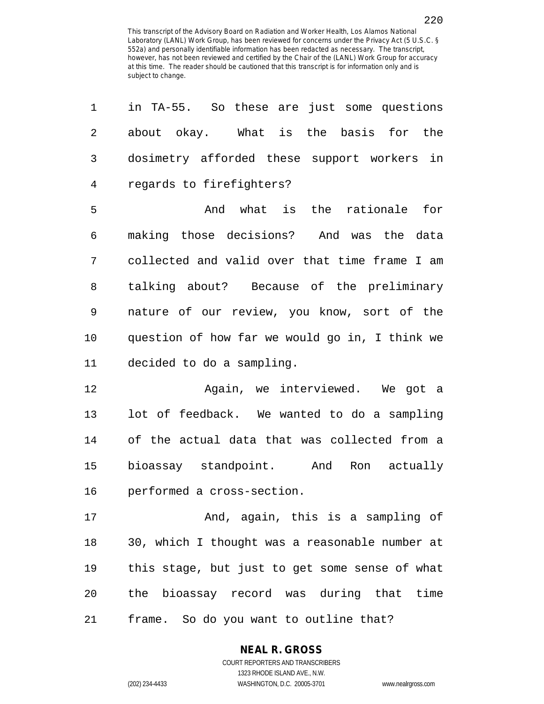| 1              | in TA-55. So these are just some questions     |
|----------------|------------------------------------------------|
| $\overline{2}$ | about okay. What is the basis for the          |
| $\mathfrak{Z}$ | dosimetry afforded these support workers in    |
| 4              | regards to firefighters?                       |
| 5              | And what is the rationale for                  |
| 6              | making those decisions? And was the data       |
| 7              | collected and valid over that time frame I am  |
| 8              | talking about? Because of the preliminary      |
| 9              | nature of our review, you know, sort of the    |
| 10             | question of how far we would go in, I think we |
| 11             | decided to do a sampling.                      |
| 12             | Again, we interviewed. We got a                |
| 13             | lot of feedback. We wanted to do a sampling    |
| 14             | of the actual data that was collected from a   |
| 15             | bioassay standpoint. And Ron actually          |
| 16             | performed a cross-section.                     |
| 17             | And, again, this is a sampling of              |
| 18             | 30, which I thought was a reasonable number at |
| 19             | this stage, but just to get some sense of what |
| 20             | the bioassay record was during that time       |
| 21             | frame. So do you want to outline that?         |

1323 RHODE ISLAND AVE., N.W.

(202) 234-4433 WASHINGTON, D.C. 20005-3701 www.nealrgross.com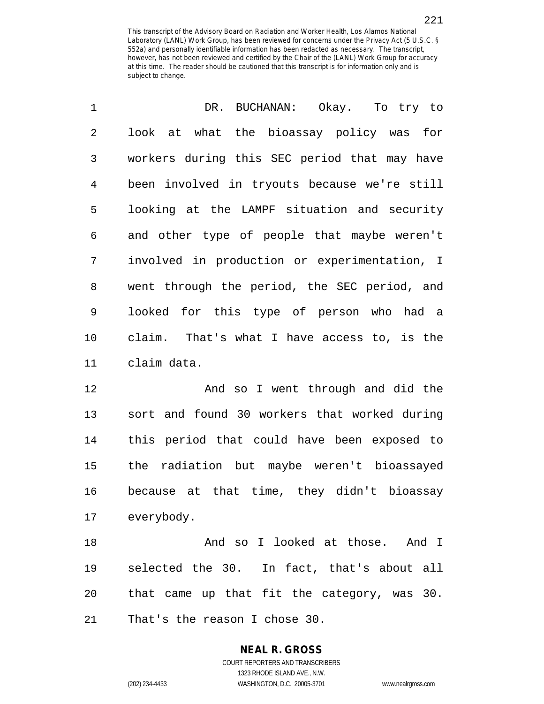| $\mathbf{1}$ | DR. BUCHANAN: Okay. To try to                |
|--------------|----------------------------------------------|
| 2            | look at what the bioassay policy was for     |
| 3            | workers during this SEC period that may have |
| 4            | been involved in tryouts because we're still |
| 5            | looking at the LAMPF situation and security  |
| 6            | and other type of people that maybe weren't  |
| 7            | involved in production or experimentation, I |
| 8            | went through the period, the SEC period, and |
| 9            | looked for this type of person who had a     |
| 10           | claim. That's what I have access to, is the  |
| 11           | claim data.                                  |

12 And so I went through and did the 13 sort and found 30 workers that worked during 14 this period that could have been exposed to 15 the radiation but maybe weren't bioassayed 16 because at that time, they didn't bioassay 17 everybody.

18 And so I looked at those. And I 19 selected the 30. In fact, that's about all 20 that came up that fit the category, was 30. 21 That's the reason I chose 30.

# **NEAL R. GROSS**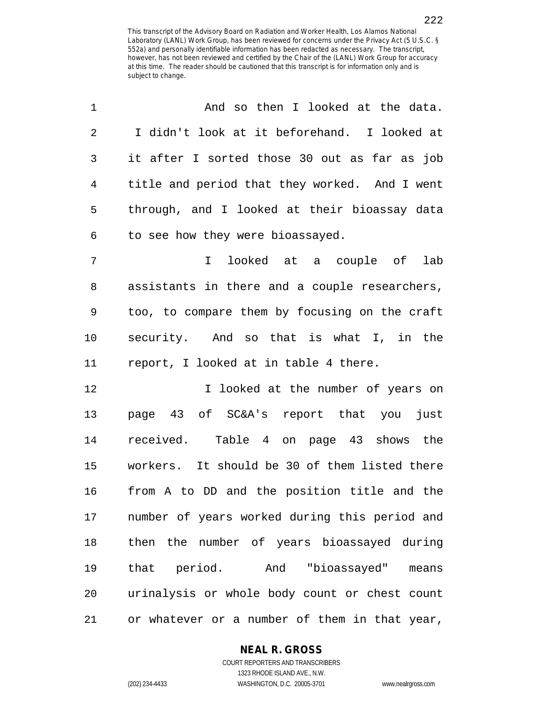| 1              | And so then I looked at the data.             |
|----------------|-----------------------------------------------|
| $\overline{2}$ | I didn't look at it beforehand. I looked at   |
| $\mathfrak{Z}$ | it after I sorted those 30 out as far as job  |
| 4              | title and period that they worked. And I went |
| 5              | through, and I looked at their bioassay data  |
| 6              | to see how they were bioassayed.              |
| 7              | looked at a couple of<br>$\mathbf I$<br>lab   |
| 8              | assistants in there and a couple researchers, |
| 9              | too, to compare them by focusing on the craft |
| 10             | security. And so that is what I, in the       |
| 11             | report, I looked at in table 4 there.         |
| 12             | I looked at the number of years on            |
| 13             | page 43 of SC&A's report that you<br>just     |
| 14             | received. Table 4 on page 43 shows the        |
| 15             | workers. It should be 30 of them listed there |
| 16             | from A to DD and the position title and the   |
| 17             | number of years worked during this period and |
| 18             | then the number of years bioassayed during    |
| 19             | that period. And "bioassayed" means           |
| 20             | urinalysis or whole body count or chest count |
| 21             | or whatever or a number of them in that year, |

#### **NEAL R. GROSS**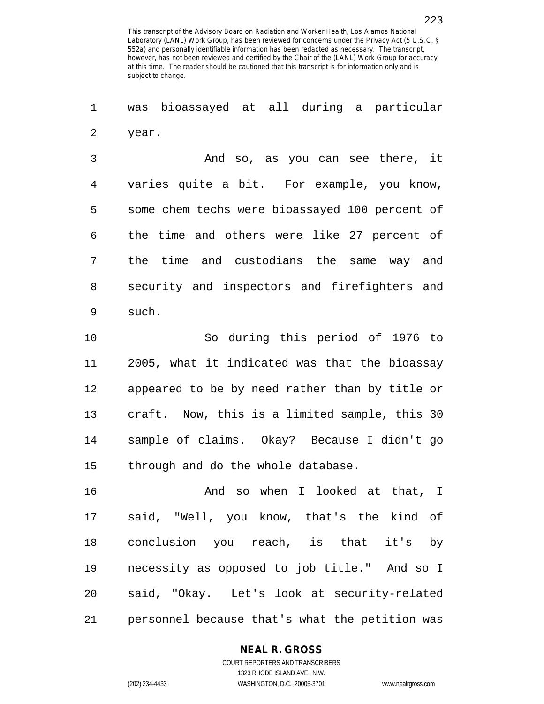1 was bioassayed at all during a particular 2 year.

3 And so, as you can see there, it 4 varies quite a bit. For example, you know, 5 some chem techs were bioassayed 100 percent of 6 the time and others were like 27 percent of 7 the time and custodians the same way and 8 security and inspectors and firefighters and 9 such.

10 So during this period of 1976 to 11 2005, what it indicated was that the bioassay 12 appeared to be by need rather than by title or 13 craft. Now, this is a limited sample, this 30 14 sample of claims. Okay? Because I didn't go 15 through and do the whole database.

16 And so when I looked at that, I 17 said, "Well, you know, that's the kind of 18 conclusion you reach, is that it's by 19 necessity as opposed to job title." And so I 20 said, "Okay. Let's look at security-related 21 personnel because that's what the petition was

#### **NEAL R. GROSS**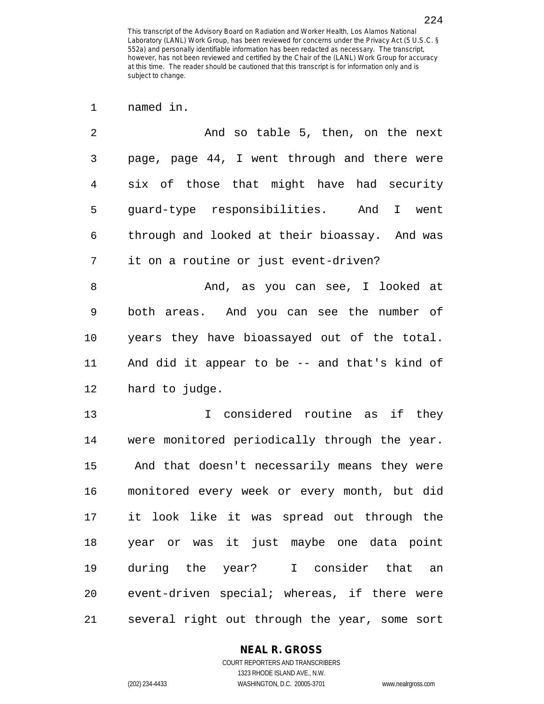1 named in.

| 2  | And so table 5, then, on the next             |
|----|-----------------------------------------------|
| 3  | page, page 44, I went through and there were  |
| 4  | six of those that might have had security     |
| 5  | guard-type responsibilities. And<br>I went    |
| 6  | through and looked at their bioassay. And was |
| 7  | it on a routine or just event-driven?         |
| 8  | And, as you can see, I looked at              |
| 9  | both areas. And you can see the number of     |
| 10 | years they have bioassayed out of the total.  |
| 11 | And did it appear to be -- and that's kind of |
| 12 | hard to judge.                                |
| 13 | I considered routine as if they               |
| 14 | were monitored periodically through the year. |
| 15 | And that doesn't necessarily means they were  |
| 16 | monitored every week or every month, but did  |
| 17 | it look like it was spread out through the    |
| 18 | year or was it just maybe one data point      |
| 19 | during the year? I consider that an           |
| 20 | event-driven special; whereas, if there were  |
| 21 | several right out through the year, some sort |

#### **NEAL R. GROSS**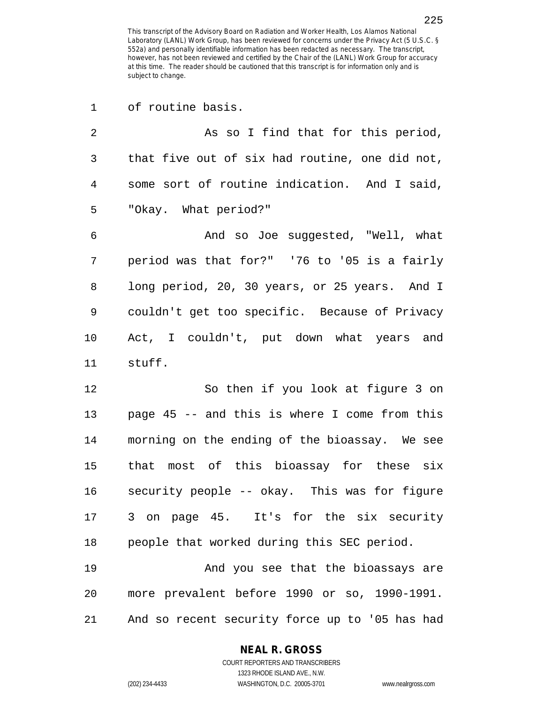1 of routine basis.

| 2  | As so I find that for this period,             |
|----|------------------------------------------------|
| 3  | that five out of six had routine, one did not, |
| 4  | some sort of routine indication. And I said,   |
| 5  | "Okay. What period?"                           |
| 6  | And so Joe suggested, "Well, what              |
| 7  | period was that for?" '76 to '05 is a fairly   |
| 8  | long period, 20, 30 years, or 25 years. And I  |
| 9  | couldn't get too specific. Because of Privacy  |
| 10 | Act, I couldn't, put down what years and       |
| 11 | stuff.                                         |
| 12 | So then if you look at figure 3 on             |
| 13 | page 45 -- and this is where I come from this  |
| 14 | morning on the ending of the bioassay. We see  |
| 15 | that most of this bioassay for these six       |
| 16 | security people -- okay. This was for figure   |
| 17 | 3 on page 45. It's for the six security        |
| 18 | people that worked during this SEC period.     |
| 19 | And you see that the bioassays are             |
| 20 | more prevalent before 1990 or so, 1990-1991.   |
| 21 | And so recent security force up to '05 has had |

#### **NEAL R. GROSS**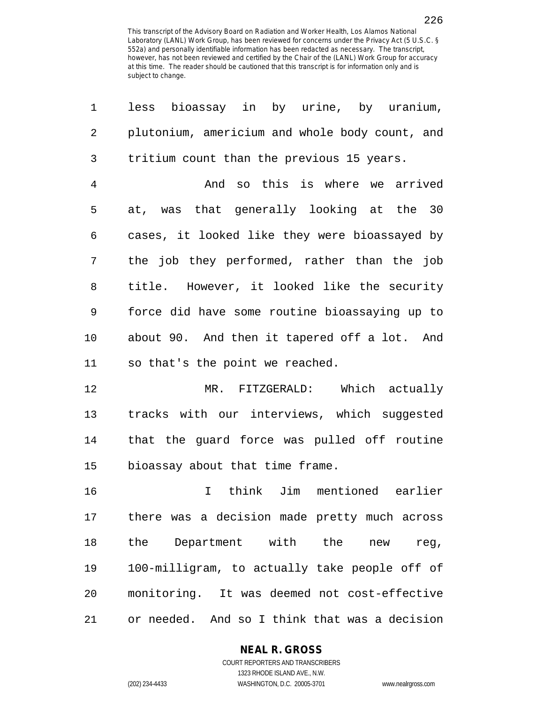| $\mathbf 1$ | less bioassay in by urine, by uranium,         |
|-------------|------------------------------------------------|
| 2           | plutonium, americium and whole body count, and |
| 3           | tritium count than the previous 15 years.      |
| 4           | And so this is where we arrived                |
| 5           | at, was that generally looking at the 30       |
| 6           | cases, it looked like they were bioassayed by  |
| 7           | the job they performed, rather than the job    |
| 8           | title. However, it looked like the security    |
| 9           | force did have some routine bioassaying up to  |
| 10          | about 90. And then it tapered off a lot. And   |
| 11          | so that's the point we reached.                |
| 12          | MR. FITZGERALD: Which actually                 |
| 13          | tracks with our interviews, which suggested    |
| 14          | that the guard force was pulled off routine    |
| 15          | bioassay about that time frame.                |
| 16          | think Jim mentioned earlier<br>$\mathbf{I}$    |
| 17          | there was a decision made pretty much across   |
| 18          | the Department with the<br>new<br>reg,         |
| 19          | 100-milligram, to actually take people off of  |
| 20          | monitoring. It was deemed not cost-effective   |
| 21          | or needed. And so I think that was a decision  |

**NEAL R. GROSS**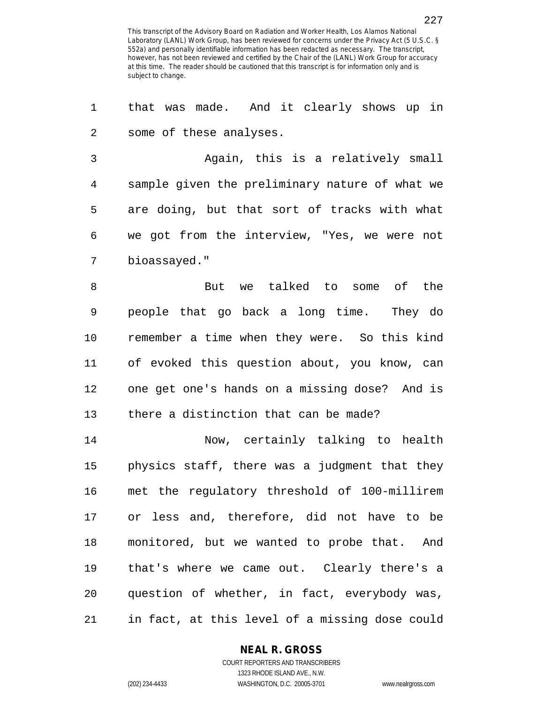1 that was made. And it clearly shows up in 2 some of these analyses.

3 Again, this is a relatively small 4 sample given the preliminary nature of what we 5 are doing, but that sort of tracks with what 6 we got from the interview, "Yes, we were not 7 bioassayed."

8 But we talked to some of the 9 people that go back a long time. They do 10 remember a time when they were. So this kind 11 of evoked this question about, you know, can 12 one get one's hands on a missing dose? And is 13 there a distinction that can be made?

14 Now, certainly talking to health 15 physics staff, there was a judgment that they 16 met the regulatory threshold of 100-millirem 17 or less and, therefore, did not have to be 18 monitored, but we wanted to probe that. And 19 that's where we came out. Clearly there's a 20 question of whether, in fact, everybody was, 21 in fact, at this level of a missing dose could

#### **NEAL R. GROSS** COURT REPORTERS AND TRANSCRIBERS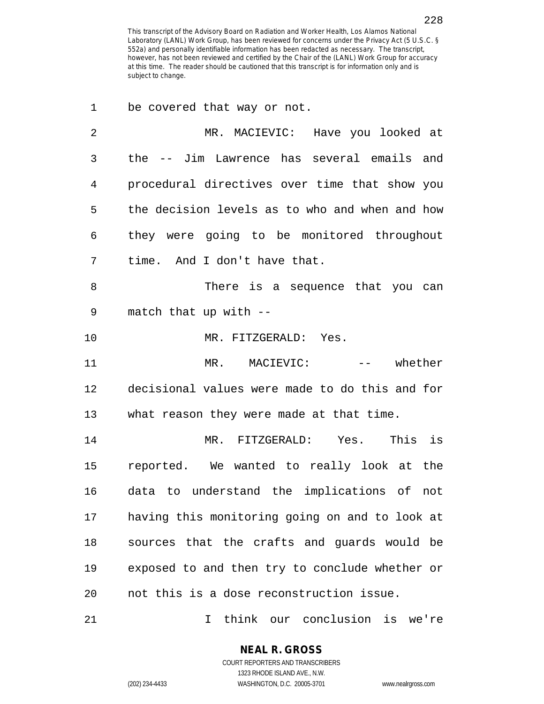| 1    | be covered that way or not.                    |
|------|------------------------------------------------|
| 2    | MR. MACIEVIC: Have you looked at               |
| 3    | the -- Jim Lawrence has several emails and     |
| 4    | procedural directives over time that show you  |
| 5    | the decision levels as to who and when and how |
| 6    | they were going to be monitored throughout     |
| 7    | time. And I don't have that.                   |
| 8    | There is a sequence that you can               |
| 9    | match that up with --                          |
| $10$ | MR. FITZGERALD: Yes.                           |
| 11   | MACIEVIC:<br>whether<br>$MR$ .<br>$ -$         |
| 12   | decisional values were made to do this and for |
| 13   | what reason they were made at that time.       |
| 14   | MR. FITZGERALD: Yes. This is                   |
| 15   | reported. We wanted to really look at the      |
| 16   | data to understand the implications of not     |
| 17   | having this monitoring going on and to look at |
| 18   | sources that the crafts and guards would be    |
| 19   | exposed to and then try to conclude whether or |
| 20   | not this is a dose reconstruction issue.       |
| 21   | think our conclusion is we're<br>T.            |

1323 RHODE ISLAND AVE., N.W.

(202) 234-4433 WASHINGTON, D.C. 20005-3701 www.nealrgross.com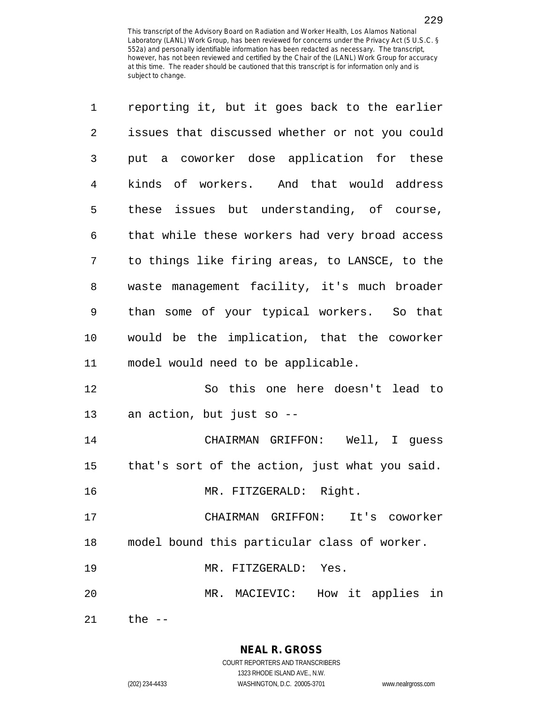| 1              | reporting it, but it goes back to the earlier  |
|----------------|------------------------------------------------|
| 2              | issues that discussed whether or not you could |
| 3              | put a coworker dose application for these      |
| $\overline{4}$ | kinds of workers. And that would address       |
| 5              | these issues but understanding, of course,     |
| 6              | that while these workers had very broad access |
| 7              | to things like firing areas, to LANSCE, to the |
| 8              | waste management facility, it's much broader   |
| 9              | than some of your typical workers. So that     |
| 10             | would be the implication, that the coworker    |
| 11             | model would need to be applicable.             |
| 12             | So this one here doesn't lead to               |
| 13             | an action, but just so --                      |
| 14             | CHAIRMAN GRIFFON: Well, I guess                |
| 15             | that's sort of the action, just what you said. |
| 16             | MR. FITZGERALD: Right.                         |
| 17             | CHAIRMAN GRIFFON: It's coworker                |
| 18             | model bound this particular class of worker.   |
| 19             | MR. FITZGERALD: Yes.                           |
| 20             | MR. MACIEVIC: How it applies in                |
| 21             | the $--$                                       |

**NEAL R. GROSS** COURT REPORTERS AND TRANSCRIBERS 1323 RHODE ISLAND AVE., N.W.

(202) 234-4433 WASHINGTON, D.C. 20005-3701 www.nealrgross.com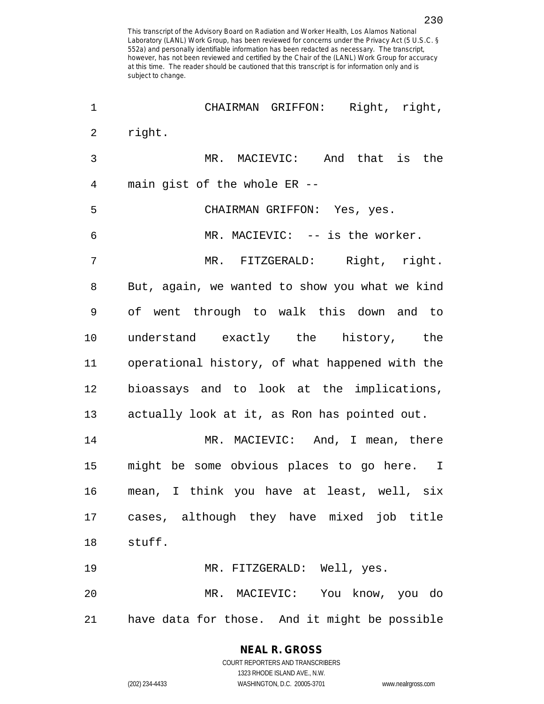| 1              | CHAIRMAN GRIFFON: Right, right,                |
|----------------|------------------------------------------------|
| $\sqrt{2}$     | right.                                         |
| $\mathfrak{Z}$ | MR. MACIEVIC: And that is the                  |
| $\overline{4}$ | main gist of the whole ER --                   |
| 5              | CHAIRMAN GRIFFON: Yes, yes.                    |
| 6              | MR. MACIEVIC: -- is the worker.                |
| 7              | MR. FITZGERALD: Right, right.                  |
| 8              | But, again, we wanted to show you what we kind |
| 9              | of went through to walk this down and to       |
| 10             | understand exactly the history, the            |
| 11             | operational history, of what happened with the |
| 12             | bioassays and to look at the implications,     |
| 13             | actually look at it, as Ron has pointed out.   |
| 14             | MR. MACIEVIC: And, I mean, there               |
| 15             | might be some obvious places to go here. I     |
| 16             | mean, I think you have at least, well, six     |
| 17             | cases, although they have mixed job title      |
| 18             | stuff.                                         |
| 19             | MR. FITZGERALD: Well, yes.                     |
| 20             | MR. MACIEVIC: You know, you do                 |
| 21             | have data for those. And it might be possible  |

1323 RHODE ISLAND AVE., N.W. (202) 234-4433 WASHINGTON, D.C. 20005-3701 www.nealrgross.com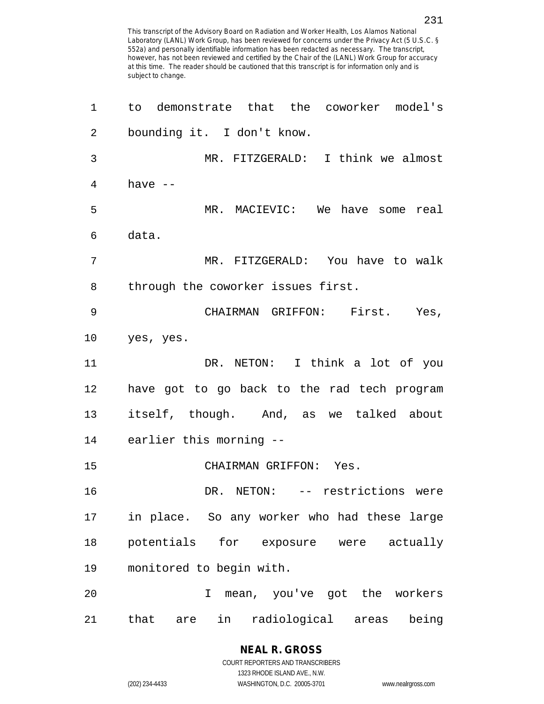1 to demonstrate that the coworker model's 2 bounding it. I don't know. 3 MR. FITZGERALD: I think we almost 4 have -- 5 MR. MACIEVIC: We have some real 6 data. 7 MR. FITZGERALD: You have to walk 8 through the coworker issues first. 9 CHAIRMAN GRIFFON: First. Yes, 10 yes, yes. 11 DR. NETON: I think a lot of you 12 have got to go back to the rad tech program 13 itself, though. And, as we talked about 14 earlier this morning -- 15 CHAIRMAN GRIFFON: Yes. 16 DR. NETON: -- restrictions were 17 in place. So any worker who had these large 18 potentials for exposure were actually 19 monitored to begin with. 20 I mean, you've got the workers 21 that are in radiological areas being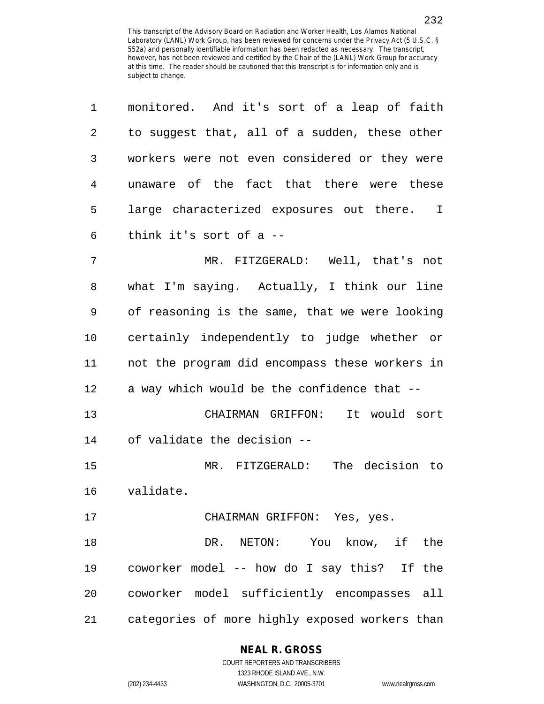| 1  | monitored. And it's sort of a leap of faith    |
|----|------------------------------------------------|
| 2  | to suggest that, all of a sudden, these other  |
| 3  | workers were not even considered or they were  |
| 4  | unaware of the fact that there were these      |
| 5  | large characterized exposures out there. I     |
| 6  | think it's sort of a --                        |
| 7  | MR. FITZGERALD: Well, that's not               |
| 8  | what I'm saying. Actually, I think our line    |
| 9  | of reasoning is the same, that we were looking |
| 10 | certainly independently to judge whether or    |
| 11 | not the program did encompass these workers in |
| 12 | a way which would be the confidence that --    |
| 13 | It would sort<br>CHAIRMAN GRIFFON:             |
| 14 | of validate the decision --                    |
| 15 | MR. FITZGERALD: The decision to                |
| 16 | validate.                                      |
| 17 | CHAIRMAN GRIFFON: Yes, yes.                    |
| 18 | DR. NETON: You know, if the                    |
| 19 | coworker model -- how do I say this? If the    |
| 20 | coworker model sufficiently encompasses all    |
| 21 | categories of more highly exposed workers than |

## **NEAL R. GROSS**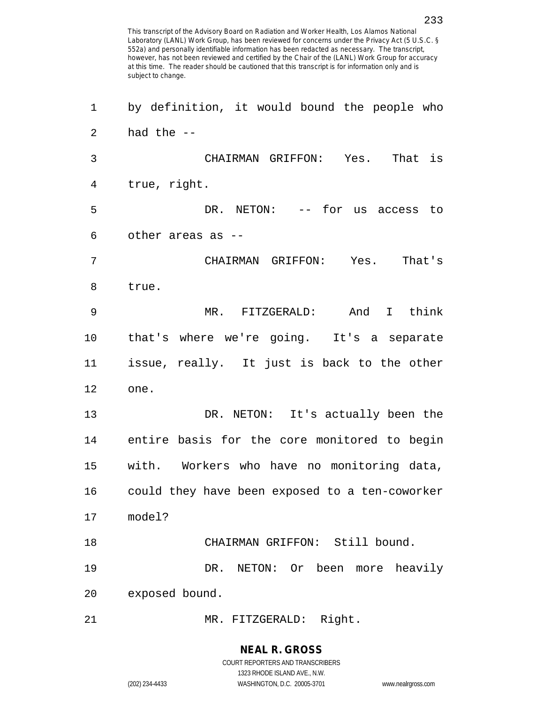| 1              | by definition, it would bound the people who   |
|----------------|------------------------------------------------|
| 2              | had the $--$                                   |
| $\mathfrak{Z}$ | CHAIRMAN GRIFFON: Yes. That is                 |
| 4              | true, right.                                   |
| 5              | DR. NETON: -- for us access to                 |
| 6              | other areas as --                              |
| 7              | CHAIRMAN GRIFFON: Yes. That's                  |
| 8              | true.                                          |
| 9              | MR. FITZGERALD: And I think                    |
| 10             | that's where we're going. It's a separate      |
| 11             | issue, really. It just is back to the other    |
| 12             | one.                                           |
| 13             | DR. NETON: It's actually been the              |
| 14             | entire basis for the core monitored to begin   |
| 15             | with. Workers who have no monitoring data,     |
| 16             | could they have been exposed to a ten-coworker |
| 17             | model?                                         |
| 18             | CHAIRMAN GRIFFON: Still bound.                 |
| 19             | NETON: Or been<br>DR.<br>more heavily          |
| 20             | exposed bound.                                 |
| 21             | MR. FITZGERALD: Right.                         |

1323 RHODE ISLAND AVE., N.W.

(202) 234-4433 WASHINGTON, D.C. 20005-3701 www.nealrgross.com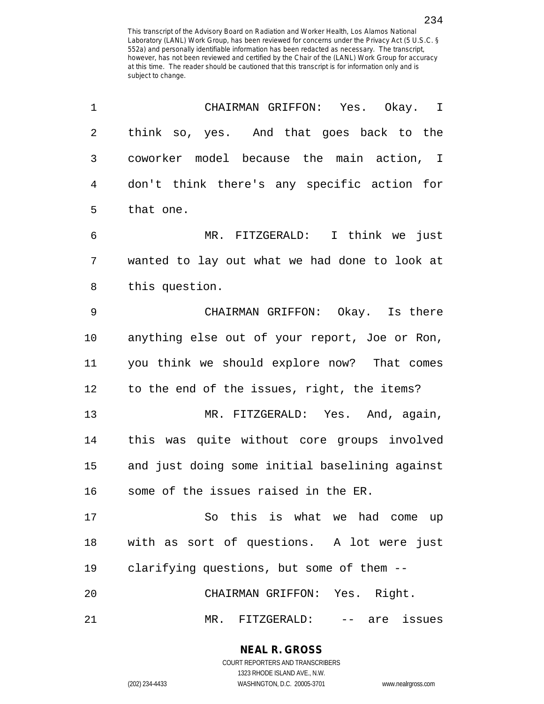| 1              | CHAIRMAN GRIFFON: Yes. Okay. I                 |
|----------------|------------------------------------------------|
| $\overline{2}$ | think so, yes. And that goes back to the       |
| 3              | coworker model because the main action, I      |
| 4              | don't think there's any specific action for    |
| 5              | that one.                                      |
| 6              | MR. FITZGERALD: I think we just                |
| 7              | wanted to lay out what we had done to look at  |
| 8              | this question.                                 |
| 9              | CHAIRMAN GRIFFON: Okay. Is there               |
| 10             | anything else out of your report, Joe or Ron,  |
| 11             | you think we should explore now? That comes    |
| 12             | to the end of the issues, right, the items?    |
| 13             | MR. FITZGERALD: Yes. And, again,               |
| 14             | this was quite without core groups involved    |
| 15             | and just doing some initial baselining against |
| 16             | some of the issues raised in the ER.           |
| 17             | So this is what we had come up                 |
| 18             | with as sort of questions. A lot were just     |
| 19             | clarifying questions, but some of them --      |
| 20             | CHAIRMAN GRIFFON: Yes. Right.                  |
| 21             | MR. FITZGERALD: -- are<br>issues               |

**NEAL R. GROSS** COURT REPORTERS AND TRANSCRIBERS

1323 RHODE ISLAND AVE., N.W. (202) 234-4433 WASHINGTON, D.C. 20005-3701 www.nealrgross.com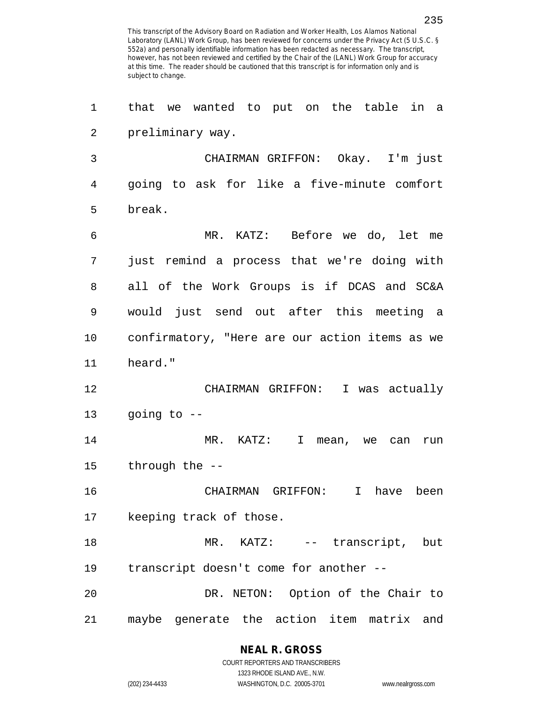1 that we wanted to put on the table in a 2 preliminary way. 3 CHAIRMAN GRIFFON: Okay. I'm just 4 going to ask for like a five-minute comfort 5 break. 6 MR. KATZ: Before we do, let me 7 just remind a process that we're doing with 8 all of the Work Groups is if DCAS and SC&A 9 would just send out after this meeting a 10 confirmatory, "Here are our action items as we 11 heard." 12 CHAIRMAN GRIFFON: I was actually 13 going to -- 14 MR. KATZ: I mean, we can run 15 through the -- 16 CHAIRMAN GRIFFON: I have been 17 keeping track of those. 18 MR. KATZ: -- transcript, but 19 transcript doesn't come for another -- 20 DR. NETON: Option of the Chair to 21 maybe generate the action item matrix and

#### **NEAL R. GROSS**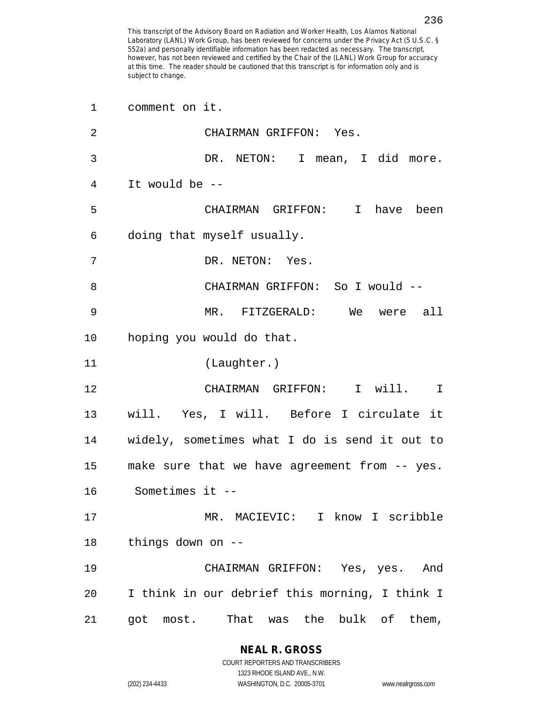| 1               | comment on it.                                   |
|-----------------|--------------------------------------------------|
| 2               | CHAIRMAN GRIFFON: Yes.                           |
| 3               | DR. NETON: I mean, I did more.                   |
| 4               | It would be $-$                                  |
| 5               | CHAIRMAN GRIFFON: I have been                    |
| 6               | doing that myself usually.                       |
| 7               | DR. NETON: Yes.                                  |
| 8               | CHAIRMAN GRIFFON: So I would --                  |
| 9               | MR. FITZGERALD: We were all                      |
| 10 <sub>1</sub> | hoping you would do that.                        |
| 11              | (Laughter.)                                      |
| 12              | CHAIRMAN GRIFFON: I will. I                      |
| 13              | will. Yes, I will. Before I circulate it         |
| 14              | widely, sometimes what I do is send it out to    |
| 15              | make sure that we have agreement from -- yes.    |
| 16              | Sometimes it --                                  |
| 17              | MR. MACIEVIC: I know I scribble                  |
| 18              | things down on --                                |
| 19              | CHAIRMAN GRIFFON: Yes, yes. And                  |
| 20              | I think in our debrief this morning, I think I   |
| 21              | the<br>bulk of them,<br>got most.<br>That<br>was |

**NEAL R. GROSS** COURT REPORTERS AND TRANSCRIBERS

1323 RHODE ISLAND AVE., N.W. (202) 234-4433 WASHINGTON, D.C. 20005-3701 www.nealrgross.com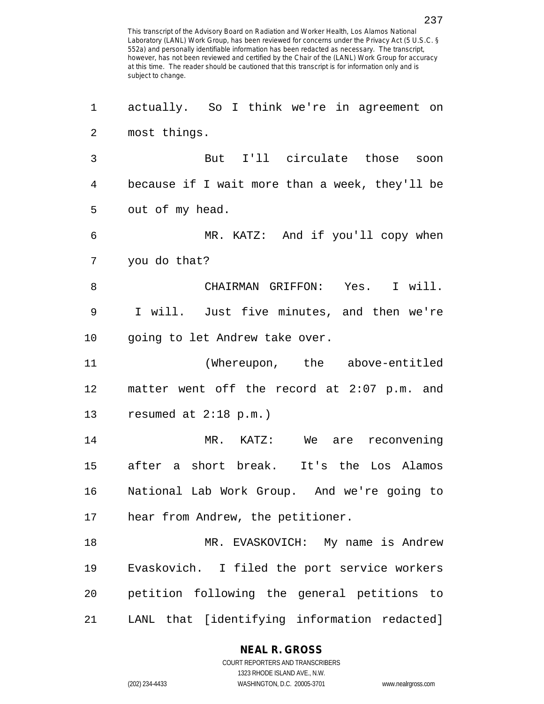1 actually. So I think we're in agreement on 2 most things. 3 But I'll circulate those soon 4 because if I wait more than a week, they'll be 5 out of my head. 6 MR. KATZ: And if you'll copy when 7 you do that? 8 CHAIRMAN GRIFFON: Yes. I will. 9 I will. Just five minutes, and then we're 10 going to let Andrew take over. 11 (Whereupon, the above-entitled 12 matter went off the record at 2:07 p.m. and 13 resumed at 2:18 p.m.) 14 MR. KATZ: We are reconvening 15 after a short break. It's the Los Alamos 16 National Lab Work Group. And we're going to 17 hear from Andrew, the petitioner. 18 MR. EVASKOVICH: My name is Andrew 19 Evaskovich. I filed the port service workers 20 petition following the general petitions to 21 LANL that [identifying information redacted]

#### **NEAL R. GROSS**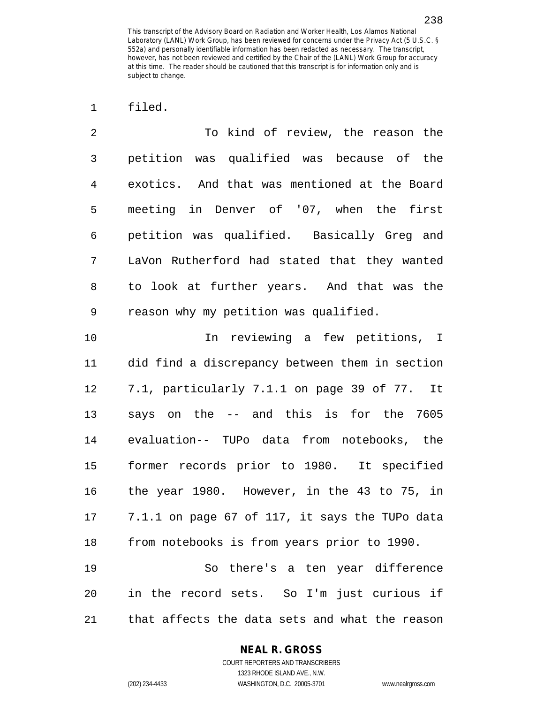1 filed.

| $\mathfrak{D}$ | To kind of review, the reason the            |
|----------------|----------------------------------------------|
| 3              | petition was qualified was because of the    |
| 4              | exotics. And that was mentioned at the Board |
| 5              | meeting in Denver of '07, when the first     |
| 6              | petition was qualified. Basically Greg and   |
| 7              | LaVon Rutherford had stated that they wanted |
| 8              | to look at further years. And that was the   |
| 9              | reason why my petition was qualified.        |

10 In reviewing a few petitions, I 11 did find a discrepancy between them in section 12 7.1, particularly 7.1.1 on page 39 of 77. It 13 says on the -- and this is for the 7605 14 evaluation-- TUPo data from notebooks, the 15 former records prior to 1980. It specified 16 the year 1980. However, in the 43 to 75, in 17 7.1.1 on page 67 of 117, it says the TUPo data 18 from notebooks is from years prior to 1990. 19 So there's a ten year difference

21 that affects the data sets and what the reason

20 in the record sets. So I'm just curious if

#### **NEAL R. GROSS**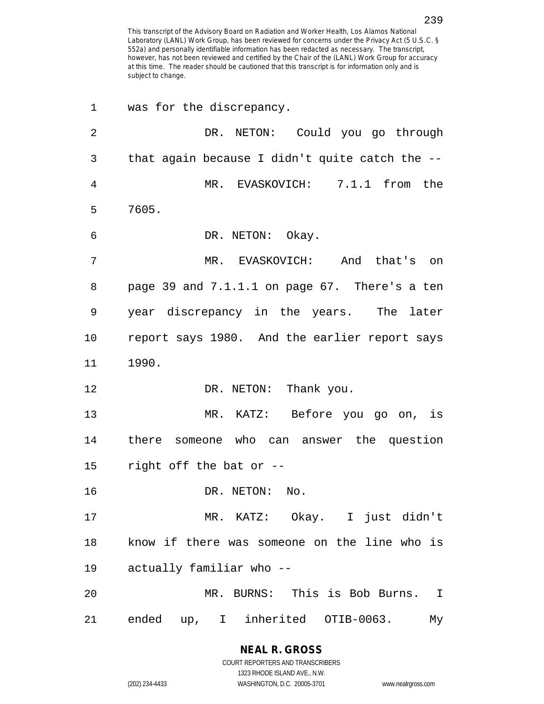| 1              | was for the discrepancy.                       |
|----------------|------------------------------------------------|
| $\overline{2}$ | DR. NETON: Could you go through                |
| 3              | that again because I didn't quite catch the -- |
| 4              | MR. EVASKOVICH: 7.1.1 from the                 |
| 5              | 7605.                                          |
| 6              | DR. NETON: Okay.                               |
| 7              | MR. EVASKOVICH: And that's on                  |
| 8              | page 39 and 7.1.1.1 on page 67. There's a ten  |
| 9              | year discrepancy in the years. The later       |
| 10             | report says 1980. And the earlier report says  |
| 11             | 1990.                                          |
| 12             | DR. NETON: Thank you.                          |
| 13             | MR. KATZ: Before you go on, is                 |
| 14             | there someone who can answer the question      |
| 15             | right off the bat or --                        |
| 16             | DR. NETON: No.                                 |
| 17             | MR. KATZ: Okay. I just didn't                  |
| 18             | know if there was someone on the line who is   |
| 19             | actually familiar who --                       |
| 20             | MR. BURNS: This is Bob Burns. I                |
| 21             | ended up, I inherited OTIB-0063.<br>Мy         |

# **NEAL R. GROSS**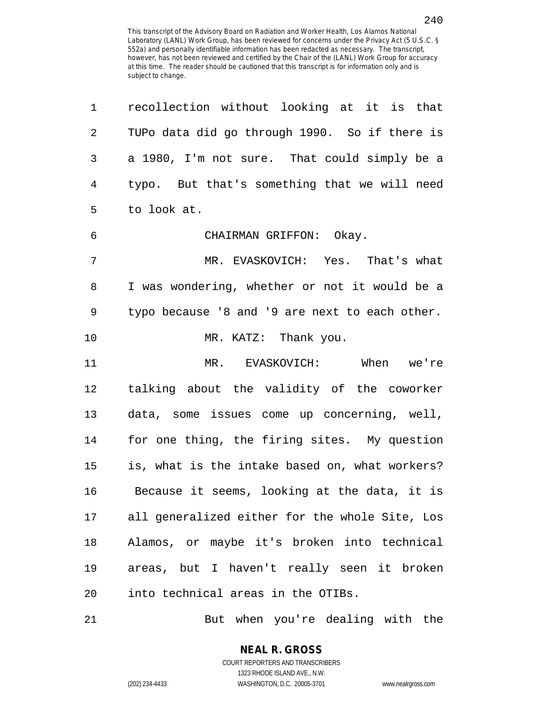| 1              | recollection without looking at it is that     |
|----------------|------------------------------------------------|
| $\sqrt{2}$     | TUPo data did go through 1990. So if there is  |
| $\mathfrak{Z}$ | a 1980, I'm not sure. That could simply be a   |
| $\overline{4}$ | typo. But that's something that we will need   |
| 5              | to look at.                                    |
| 6              | CHAIRMAN GRIFFON: Okay.                        |
| 7              | MR. EVASKOVICH: Yes. That's what               |
| 8              | I was wondering, whether or not it would be a  |
| 9              | typo because '8 and '9 are next to each other. |
| 10             | MR. KATZ: Thank you.                           |
| 11             | MR. EVASKOVICH: When we're                     |
| 12             | talking about the validity of the coworker     |
| 13             | data, some issues come up concerning, well,    |
| 14             | for one thing, the firing sites. My question   |
| 15             | is, what is the intake based on, what workers? |
| 16             | Because it seems, looking at the data, it is   |
| 17             | all generalized either for the whole Site, Los |
| 18             | Alamos, or maybe it's broken into technical    |
| 19             | areas, but I haven't really seen it broken     |
| 20             | into technical areas in the OTIBs.             |
|                |                                                |

21 But when you're dealing with the

**NEAL R. GROSS** COURT REPORTERS AND TRANSCRIBERS

1323 RHODE ISLAND AVE., N.W.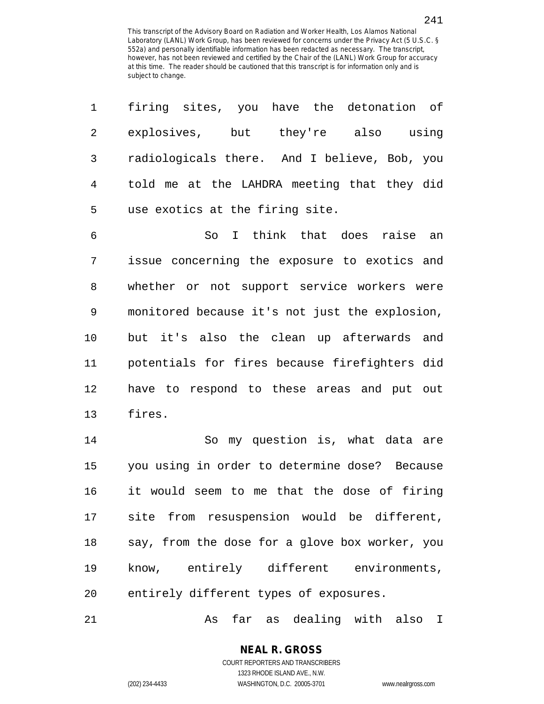| 1           | firing sites, you have the detonation of       |
|-------------|------------------------------------------------|
| 2           | explosives, but they're also using             |
| 3           | radiologicals there. And I believe, Bob, you   |
| 4           | told me at the LAHDRA meeting that they did    |
| 5           | use exotics at the firing site.                |
| 6           | So I think that does raise an                  |
| 7           | issue concerning the exposure to exotics and   |
| 8           | whether or not support service workers were    |
| $\mathsf 9$ | monitored because it's not just the explosion, |
| 10          | but it's also the clean up afterwards and      |
| 11          | potentials for fires because firefighters did  |
| 12          | have to respond to these areas and put out     |
| 13          | fires.                                         |
| 14          | So my question is, what data are               |
| 15          | you using in order to determine dose? Because  |
| 16          | it would seem to me that the dose of firing    |
| 17          | site from resuspension would be different,     |
| 18          | say, from the dose for a glove box worker, you |
| 19          | know, entirely different environments,         |
| 20          | entirely different types of exposures.         |
|             |                                                |

21 As far as dealing with also I

**NEAL R. GROSS** COURT REPORTERS AND TRANSCRIBERS

1323 RHODE ISLAND AVE., N.W.

(202) 234-4433 WASHINGTON, D.C. 20005-3701 www.nealrgross.com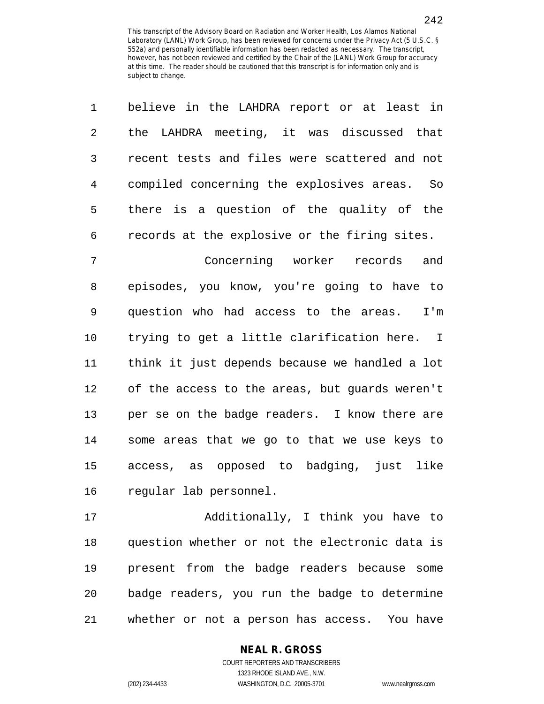| 1  | believe in the LAHDRA report or at least in    |
|----|------------------------------------------------|
| 2  | the LAHDRA meeting, it was discussed that      |
| 3  | recent tests and files were scattered and not  |
| 4  | compiled concerning the explosives areas. So   |
| 5  | there is a question of the quality of the      |
| 6  | records at the explosive or the firing sites.  |
| 7  | Concerning worker records and                  |
| 8  | episodes, you know, you're going to have to    |
| 9  | question who had access to the areas. I'm      |
| 10 | trying to get a little clarification here. I   |
| 11 | think it just depends because we handled a lot |
| 12 | of the access to the areas, but guards weren't |
| 13 | per se on the badge readers. I know there are  |
| 14 | some areas that we go to that we use keys to   |
| 15 | access, as opposed to badging, just like       |
| 16 | regular lab personnel.                         |
| 17 | Additionally, I think you have to              |
|    |                                                |

18 question whether or not the electronic data is 19 present from the badge readers because some 20 badge readers, you run the badge to determine 21 whether or not a person has access. You have

## **NEAL R. GROSS**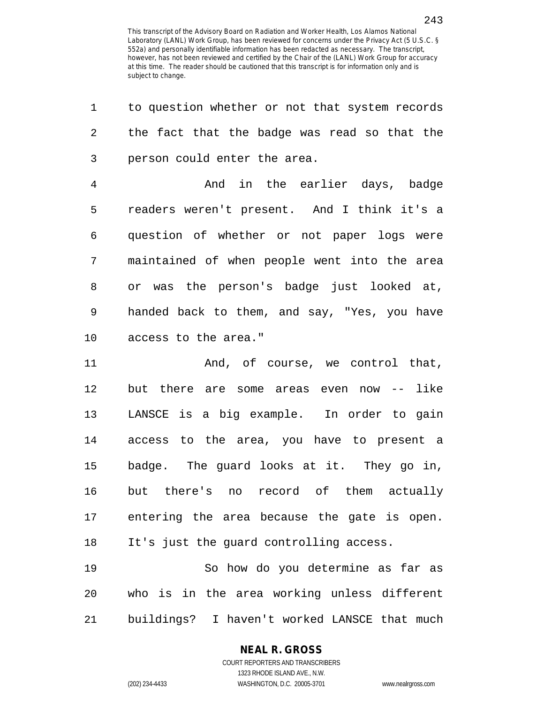| 1              | to question whether or not that system records |
|----------------|------------------------------------------------|
| $\overline{2}$ | the fact that the badge was read so that the   |
| 3              | person could enter the area.                   |
| 4              | And in the earlier days, badge                 |
| 5              | readers weren't present. And I think it's a    |
| 6              | question of whether or not paper logs were     |
| 7              | maintained of when people went into the area   |
| 8              | or was the person's badge just looked at,      |
| 9              | handed back to them, and say, "Yes, you have   |
| 10             | access to the area."                           |
| 11             | And, of course, we control that,               |
| 12             | but there are some areas even now -- like      |
| 13             | LANSCE is a big example. In order to gain      |
| 14             | access to the area, you have to present a      |
| 15             | badge. The guard looks at it. They go in,      |
| 16             | but there's no record of them actually         |
| 17             | entering the area because the gate is open.    |
| 18             | It's just the quard controlling access.        |
| 19             | So how do you determine as far as              |
| 20             | who is in the area working unless different    |
| 21             | buildings? I haven't worked LANSCE that much   |

**NEAL R. GROSS**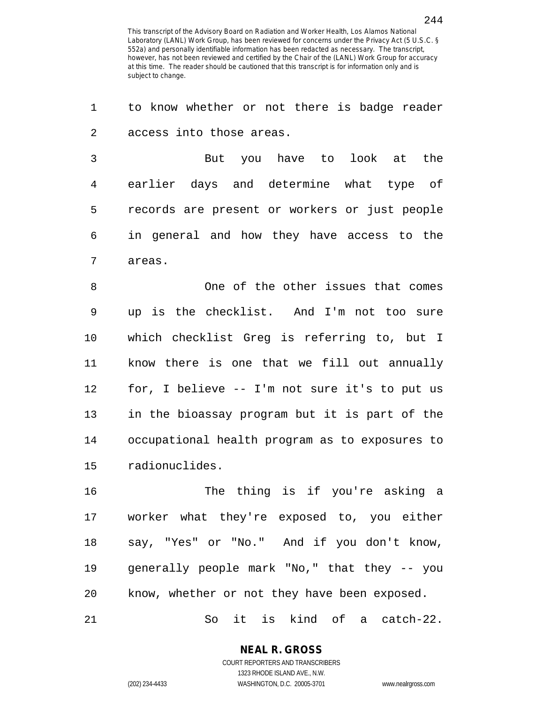1 to know whether or not there is badge reader 2 access into those areas.

3 But you have to look at the 4 earlier days and determine what type of 5 records are present or workers or just people 6 in general and how they have access to the 7 areas.

8 One of the other issues that comes 9 up is the checklist. And I'm not too sure 10 which checklist Greg is referring to, but I 11 know there is one that we fill out annually 12 for, I believe -- I'm not sure it's to put us 13 in the bioassay program but it is part of the 14 occupational health program as to exposures to 15 radionuclides.

16 The thing is if you're asking a 17 worker what they're exposed to, you either 18 say, "Yes" or "No." And if you don't know, 19 generally people mark "No," that they -- you 20 know, whether or not they have been exposed. 21 So it is kind of a catch-22.

> **NEAL R. GROSS** COURT REPORTERS AND TRANSCRIBERS

> > 1323 RHODE ISLAND AVE., N.W.

(202) 234-4433 WASHINGTON, D.C. 20005-3701 www.nealrgross.com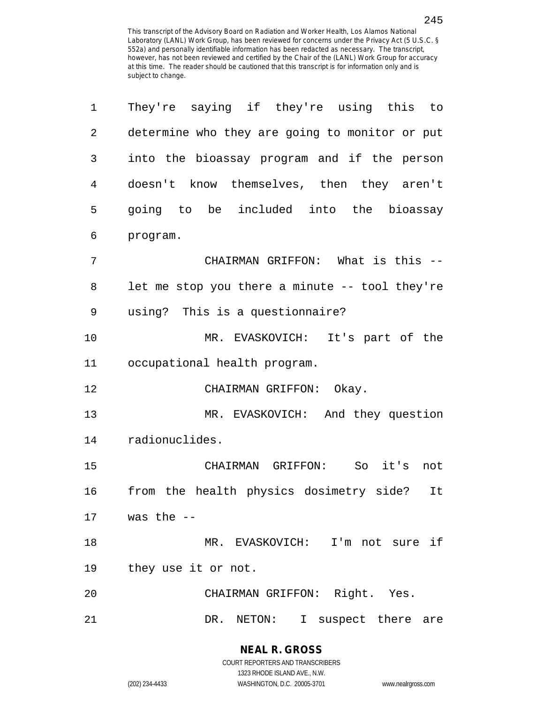| 1              | They're saying if they're using this to         |
|----------------|-------------------------------------------------|
| 2              | determine who they are going to monitor or put  |
| 3              | into the bioassay program and if the person     |
| $\overline{4}$ | doesn't know themselves, then they aren't       |
| 5              | going to be included into the bioassay          |
| 6              | program.                                        |
| 7              | CHAIRMAN GRIFFON: What is this --               |
| 8              | let me stop you there a minute -- tool they're  |
| 9              | using? This is a questionnaire?                 |
| 10             | MR. EVASKOVICH: It's part of the                |
| 11             | occupational health program.                    |
| 12             | CHAIRMAN GRIFFON: Okay.                         |
| 13             | MR. EVASKOVICH: And they question               |
| 14             | radionuclides.                                  |
| 15             | CHAIRMAN GRIFFON:<br>So<br>it's<br>not          |
| 16             | from the health physics dosimetry side?<br>It   |
| 17             | was the --                                      |
| 18             | MR. EVASKOVICH: I'm not sure if                 |
| 19             | they use it or not.                             |
| 20             | CHAIRMAN GRIFFON: Right. Yes.                   |
| 21             | DR. NETON:<br>suspect there are<br>$\mathbf{I}$ |

1323 RHODE ISLAND AVE., N.W.

(202) 234-4433 WASHINGTON, D.C. 20005-3701 www.nealrgross.com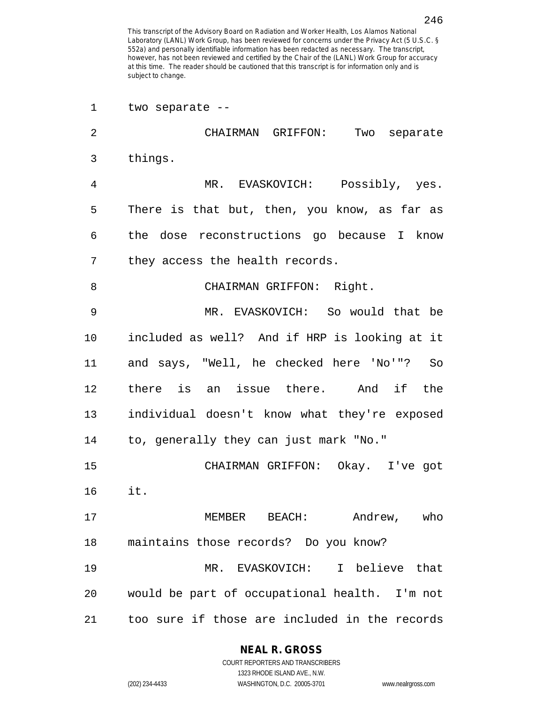| 1  | two separate --                               |
|----|-----------------------------------------------|
| 2  | CHAIRMAN GRIFFON:<br>Two separate             |
| 3  | things.                                       |
| 4  | MR. EVASKOVICH: Possibly, yes.                |
| 5  | There is that but, then, you know, as far as  |
| 6  | the dose reconstructions go because I know    |
| 7  | they access the health records.               |
| 8  | CHAIRMAN GRIFFON: Right.                      |
| 9  | MR. EVASKOVICH: So would that be              |
| 10 | included as well? And if HRP is looking at it |
| 11 | and says, "Well, he checked here 'No'"? So    |
| 12 | there is an issue there. And if the           |
| 13 | individual doesn't know what they're exposed  |
| 14 | to, generally they can just mark "No."        |
| 15 | CHAIRMAN GRIFFON: Okay. I've got              |
| 16 | it.                                           |
| 17 | MEMBER BEACH: Andrew, who                     |
| 18 | maintains those records? Do you know?         |
| 19 | MR. EVASKOVICH: I believe that                |
| 20 | would be part of occupational health. I'm not |
| 21 | too sure if those are included in the records |

**NEAL R. GROSS** COURT REPORTERS AND TRANSCRIBERS

1323 RHODE ISLAND AVE., N.W. (202) 234-4433 WASHINGTON, D.C. 20005-3701 www.nealrgross.com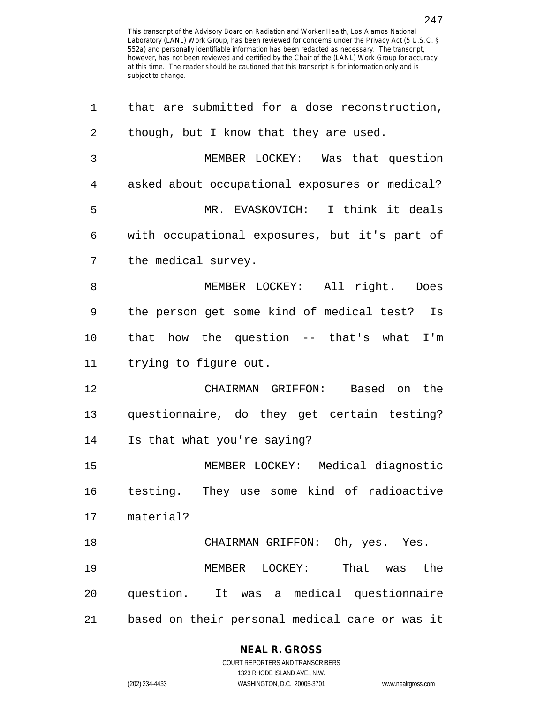| $\mathbf 1$ | that are submitted for a dose reconstruction,  |
|-------------|------------------------------------------------|
| 2           | though, but I know that they are used.         |
| 3           | MEMBER LOCKEY: Was that question               |
| 4           | asked about occupational exposures or medical? |
| 5           | MR. EVASKOVICH: I think it deals               |
| 6           | with occupational exposures, but it's part of  |
| 7           | the medical survey.                            |
| 8           | MEMBER LOCKEY: All right. Does                 |
| 9           | the person get some kind of medical test? Is   |
| 10          | that how the question -- that's what I'm       |
| 11          | trying to figure out.                          |
| 12          | CHAIRMAN GRIFFON: Based on the                 |
| 13          | questionnaire, do they get certain testing?    |
| 14          | Is that what you're saying?                    |
| 15          | MEMBER LOCKEY: Medical diagnostic              |
| 16          | testing. They use some kind of radioactive     |
| 17          | material?                                      |
| 18          | CHAIRMAN GRIFFON: Oh, yes. Yes.                |
| 19          | MEMBER LOCKEY: That was the                    |
| 20          | question. It was a medical questionnaire       |
| 21          | based on their personal medical care or was it |

## **NEAL R. GROSS**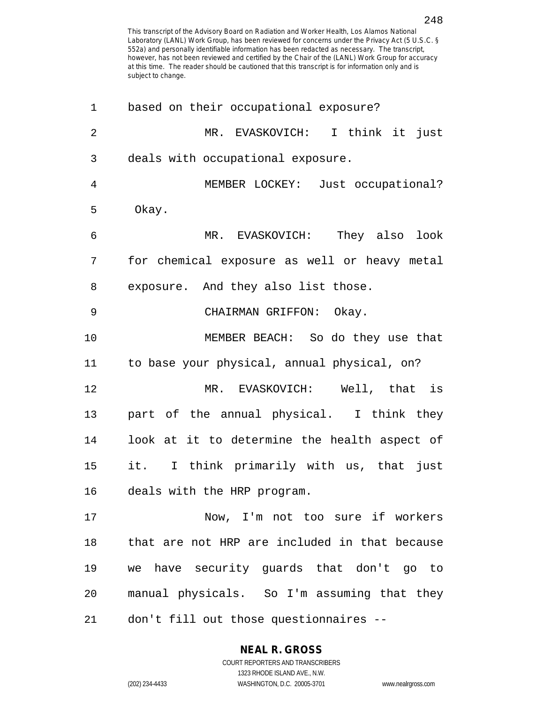| 1              | based on their occupational exposure?         |
|----------------|-----------------------------------------------|
| $\overline{2}$ | MR. EVASKOVICH: I think it just               |
| 3              | deals with occupational exposure.             |
| 4              | MEMBER LOCKEY: Just occupational?             |
| 5              | Okay.                                         |
| 6              | MR. EVASKOVICH: They also look                |
| 7              | for chemical exposure as well or heavy metal  |
| 8              | exposure. And they also list those.           |
| 9              | CHAIRMAN GRIFFON: Okay.                       |
| 10             | MEMBER BEACH: So do they use that             |
| 11             | to base your physical, annual physical, on?   |
| 12             | MR. EVASKOVICH: Well, that is                 |
| 13             | part of the annual physical. I think they     |
| 14             | look at it to determine the health aspect of  |
| 15             | it. I think primarily with us, that just      |
| 16             | deals with the HRP program.                   |
| 17             | Now, I'm not too sure if workers              |
| 18             | that are not HRP are included in that because |
| 19             | we have security guards that don't go to      |
| 20             | manual physicals. So I'm assuming that they   |
| 21             | don't fill out those questionnaires --        |

#### **NEAL R. GROSS**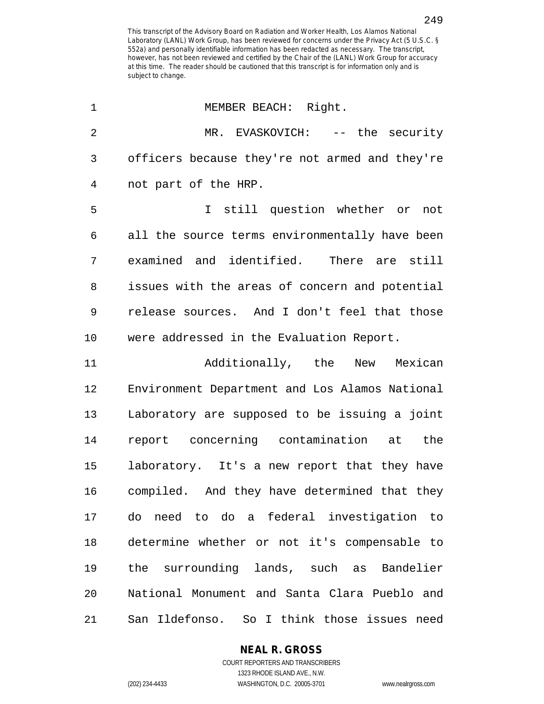| 1              | MEMBER BEACH: Right.                           |
|----------------|------------------------------------------------|
| $\overline{2}$ | MR. EVASKOVICH: -- the security                |
| 3              | officers because they're not armed and they're |
| 4              | not part of the HRP.                           |
| 5              | I still question whether or not                |
| 6              | all the source terms environmentally have been |
| 7              | examined and identified. There are still       |
| 8              | issues with the areas of concern and potential |
| 9              | release sources. And I don't feel that those   |
| 10             | were addressed in the Evaluation Report.       |
| 11             | Additionally, the New Mexican                  |
| 12             | Environment Department and Los Alamos National |
| 13             | Laboratory are supposed to be issuing a joint  |
| 14             | report concerning contamination at the         |
| 15             | laboratory. It's a new report that they have   |
| 16             | compiled. And they have determined that they   |
| 17             | do need to do a federal investigation to       |
| 18             | determine whether or not it's compensable to   |
| 19             | the surrounding lands, such as Bandelier       |
| 20             | National Monument and Santa Clara Pueblo and   |
| 21             | San Ildefonso. So I think those issues need    |

**NEAL R. GROSS**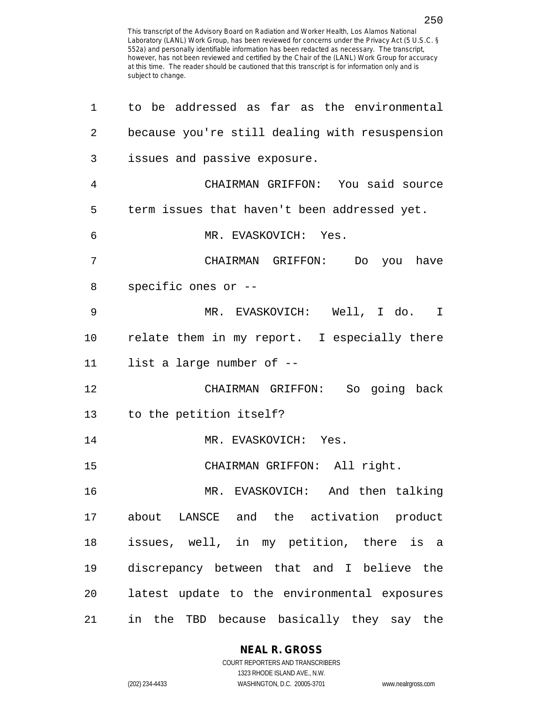| $\mathbf 1$ | to be addressed as far as the environmental    |
|-------------|------------------------------------------------|
| 2           | because you're still dealing with resuspension |
| 3           | issues and passive exposure.                   |
| 4           | CHAIRMAN GRIFFON: You said source              |
| 5           | term issues that haven't been addressed yet.   |
| 6           | MR. EVASKOVICH: Yes.                           |
| 7           | CHAIRMAN GRIFFON: Do you have                  |
| 8           | specific ones or --                            |
| 9           | MR. EVASKOVICH: Well, I do. I                  |
| 10          | relate them in my report. I especially there   |
| 11          | list a large number of --                      |
| 12          | CHAIRMAN GRIFFON: So going back                |
| 13          | to the petition itself?                        |
| 14          | MR. EVASKOVICH: Yes.                           |
| 15          | CHAIRMAN GRIFFON: All right.                   |
| 16          | MR. EVASKOVICH: And then talking               |
| 17          | about LANSCE and the activation product        |
| 18          | issues, well, in my petition, there is a       |
| 19          | discrepancy between that and I believe the     |
| 20          | latest update to the environmental exposures   |
| 21          | in the TBD because basically they say the      |

**NEAL R. GROSS** COURT REPORTERS AND TRANSCRIBERS

1323 RHODE ISLAND AVE., N.W. (202) 234-4433 WASHINGTON, D.C. 20005-3701 www.nealrgross.com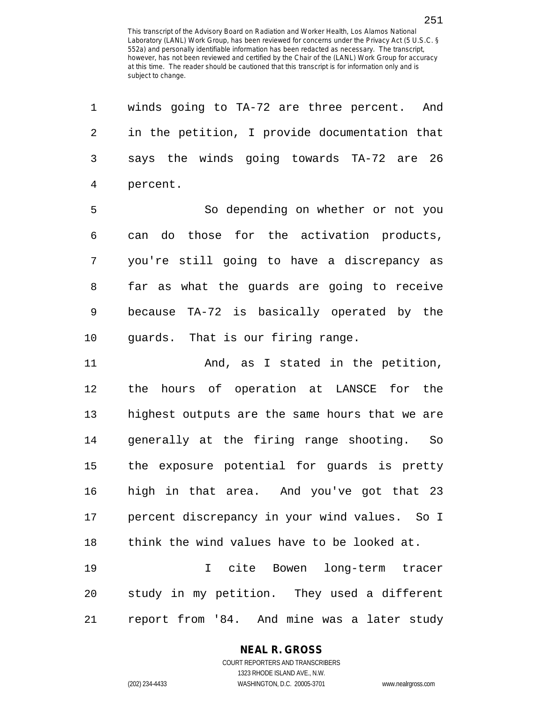1 winds going to TA-72 are three percent. And

2 in the petition, I provide documentation that 3 says the winds going towards TA-72 are 26 4 percent. 5 So depending on whether or not you 6 can do those for the activation products, 7 you're still going to have a discrepancy as 8 far as what the guards are going to receive 9 because TA-72 is basically operated by the 10 guards. That is our firing range. 11 And, as I stated in the petition, 12 the hours of operation at LANSCE for the 13 highest outputs are the same hours that we are 14 generally at the firing range shooting. So 15 the exposure potential for guards is pretty 16 high in that area. And you've got that 23 17 percent discrepancy in your wind values. So I 18 think the wind values have to be looked at. 19 I cite Bowen long-term tracer 20 study in my petition. They used a different 21 report from '84. And mine was a later study

#### **NEAL R. GROSS**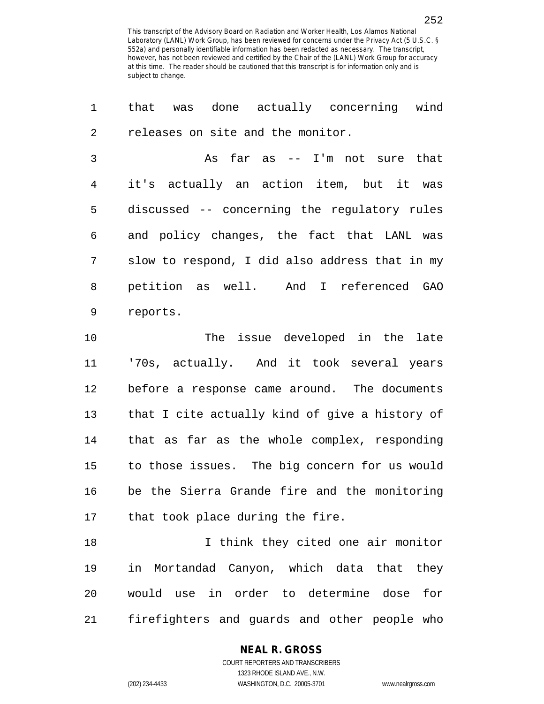| $\mathbf 1$    | was done actually concerning wind<br>that      |
|----------------|------------------------------------------------|
| $\overline{2}$ | releases on site and the monitor.              |
| $\mathfrak{Z}$ | As far as -- I'm not sure that                 |
| 4              | it's actually an action item, but it was       |
| 5              | discussed -- concerning the regulatory rules   |
| 6              | and policy changes, the fact that LANL was     |
| 7              | slow to respond, I did also address that in my |
| 8              | petition as well. And I referenced GAO         |
| 9              | reports.                                       |
| 10             | The issue developed in the late                |
| 11             | '70s, actually. And it took several years      |
| 12             | before a response came around. The documents   |
| 13             | that I cite actually kind of give a history of |
| 14             | that as far as the whole complex, responding   |
| 15             | to those issues. The big concern for us would  |
|                |                                                |
| 16             | be the Sierra Grande fire and the monitoring   |
| 17             | that took place during the fire.               |
| 18             | I think they cited one air monitor             |

21 firefighters and guards and other people who

20 would use in order to determine dose for

#### **NEAL R. GROSS**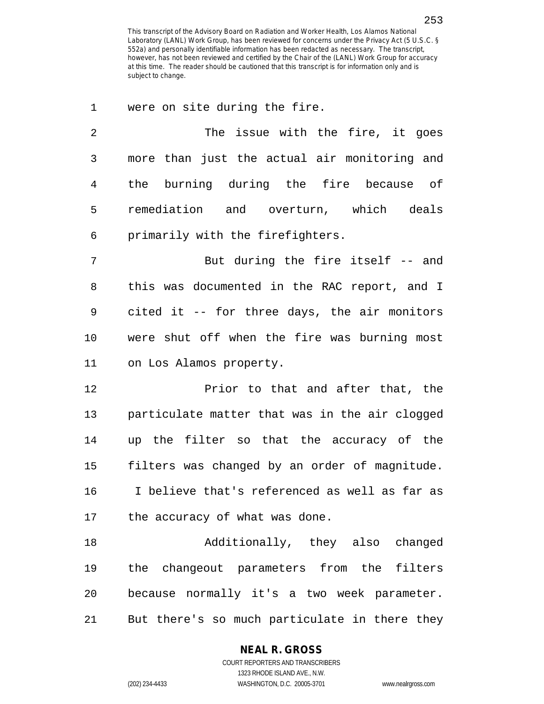1 were on site during the fire.

253

2 The issue with the fire, it goes 3 more than just the actual air monitoring and 4 the burning during the fire because of 5 remediation and overturn, which deals 6 primarily with the firefighters. 7 But during the fire itself -- and 8 this was documented in the RAC report, and I 9 cited it -- for three days, the air monitors 10 were shut off when the fire was burning most 11 on Los Alamos property. 12 Prior to that and after that, the 13 particulate matter that was in the air clogged 14 up the filter so that the accuracy of the 15 filters was changed by an order of magnitude. 16 I believe that's referenced as well as far as 17 the accuracy of what was done.

18 Additionally, they also changed 19 the changeout parameters from the filters 20 because normally it's a two week parameter. 21 But there's so much particulate in there they

### **NEAL R. GROSS**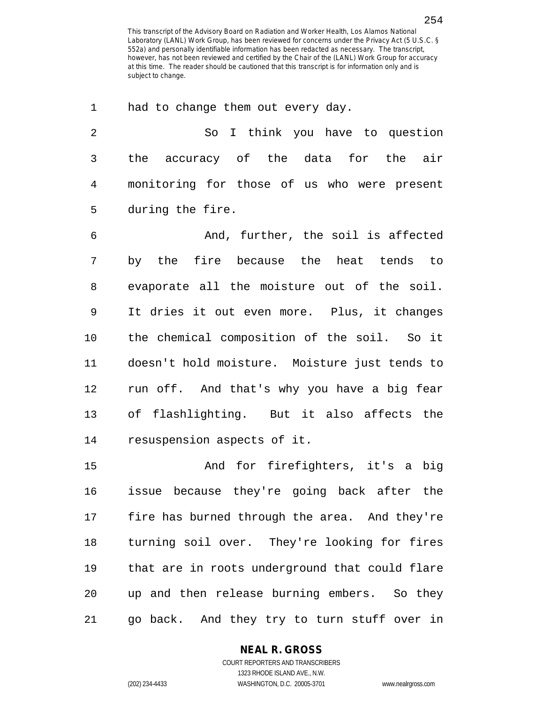1 had to change them out every day. 2 So I think you have to question 3 the accuracy of the data for the air 4 monitoring for those of us who were present 5 during the fire. 6 And, further, the soil is affected 7 by the fire because the heat tends to 8 evaporate all the moisture out of the soil. 9 It dries it out even more. Plus, it changes 10 the chemical composition of the soil. So it 11 doesn't hold moisture. Moisture just tends to 12 run off. And that's why you have a big fear 13 of flashlighting. But it also affects the 14 resuspension aspects of it. 15 And for firefighters, it's a big

16 issue because they're going back after the 17 fire has burned through the area. And they're 18 turning soil over. They're looking for fires 19 that are in roots underground that could flare 20 up and then release burning embers. So they 21 go back. And they try to turn stuff over in

### **NEAL R. GROSS**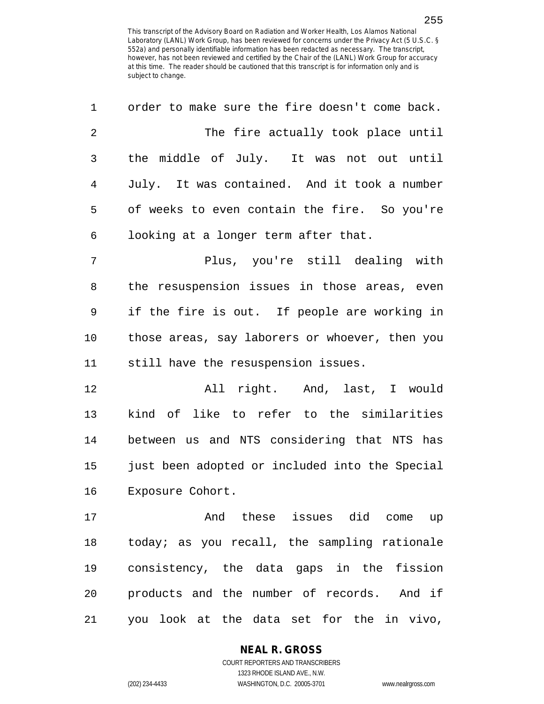| 1  | order to make sure the fire doesn't come back. |
|----|------------------------------------------------|
| 2  | The fire actually took place until             |
| 3  | the middle of July. It was not out until       |
| 4  | July. It was contained. And it took a number   |
| 5  | of weeks to even contain the fire. So you're   |
| 6  | looking at a longer term after that.           |
| 7  | Plus, you're still dealing with                |
| 8  | the resuspension issues in those areas, even   |
| 9  | if the fire is out. If people are working in   |
| 10 | those areas, say laborers or whoever, then you |
| 11 | still have the resuspension issues.            |
| 12 | All right. And, last, I would                  |
| 13 | kind of like to refer to the similarities      |
| 14 | between us and NTS considering that NTS has    |
| 15 | just been adopted or included into the Special |
| 16 | Exposure Cohort.                               |
| 17 | And these issues did come up                   |
| 18 | today; as you recall, the sampling rationale   |
| 19 | consistency, the data gaps in the fission      |
| 20 | products and the number of records. And if     |
| 21 | you look at the data set for the in vivo,      |

**NEAL R. GROSS** COURT REPORTERS AND TRANSCRIBERS

1323 RHODE ISLAND AVE., N.W. (202) 234-4433 WASHINGTON, D.C. 20005-3701 www.nealrgross.com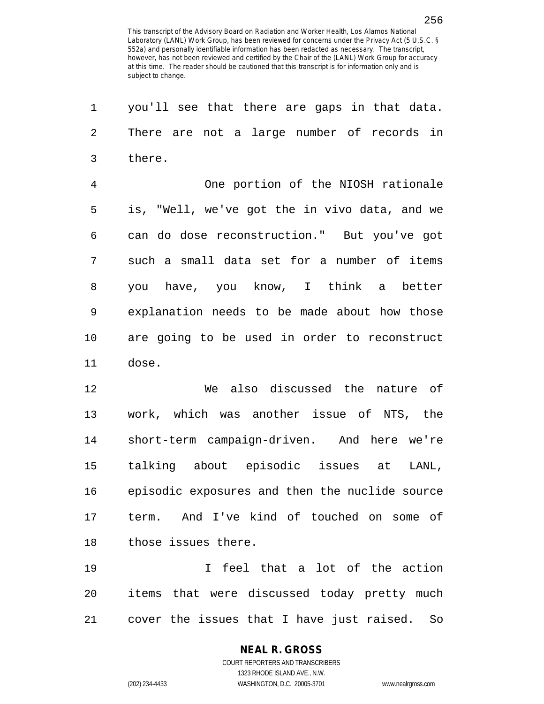| 1              | you'll see that there are gaps in that data.   |
|----------------|------------------------------------------------|
| 2              | There are not a large number of records in     |
| 3              | there.                                         |
| $\overline{4}$ | One portion of the NIOSH rationale             |
| 5              | is, "Well, we've got the in vivo data, and we  |
| 6              | can do dose reconstruction." But you've got    |
| 7              | such a small data set for a number of items    |
| 8              | you have, you know, I think a better           |
| 9              | explanation needs to be made about how those   |
| 10             | are going to be used in order to reconstruct   |
| 11             | dose.                                          |
| 12             | We also discussed the nature of                |
| 13             | work, which was another issue of NTS, the      |
| 14             | short-term campaign-driven. And here we're     |
| 15             | talking about episodic issues at LANL,         |
| 16             | episodic exposures and then the nuclide source |
| 17             | term. And I've kind of touched on some of      |
| 18             | those issues there.                            |
| 19             | I feel that a lot of the action                |
| 20             | items that were discussed today pretty much    |
| 21             | cover the issues that I have just raised. So   |

**NEAL R. GROSS**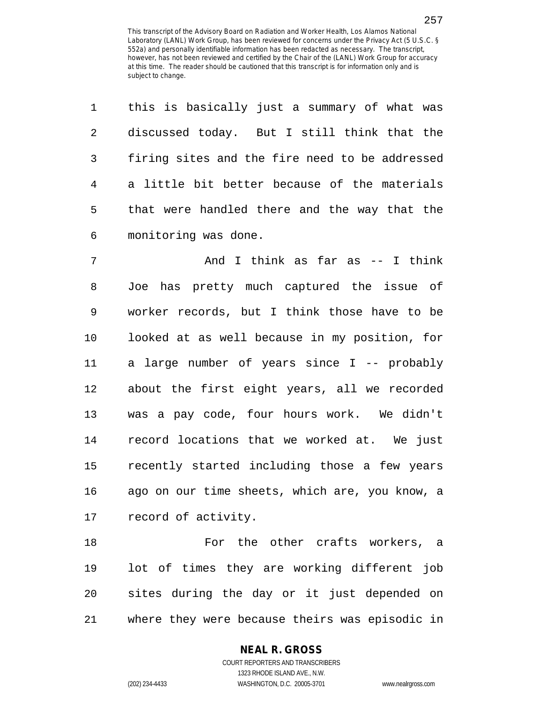| $\mathbf 1$    | this is basically just a summary of what was   |
|----------------|------------------------------------------------|
| $\overline{2}$ | discussed today. But I still think that the    |
| 3              | firing sites and the fire need to be addressed |
| $\overline{4}$ | a little bit better because of the materials   |
| 5              | that were handled there and the way that the   |
| 6              | monitoring was done.                           |
| 7              | And I think as far as -- I think               |
| 8              | Joe has pretty much captured the issue of      |
| 9              | worker records, but I think those have to be   |
| 10             | looked at as well because in my position, for  |
| 11             | a large number of years since I -- probably    |
| 12             | about the first eight years, all we recorded   |
| 13             | was a pay code, four hours work. We didn't     |
| 14             | record locations that we worked at. We just    |
| 15             | recently started including those a few years   |
| 16             | ago on our time sheets, which are, you know, a |
| 17             | record of activity.                            |
| 18             | For the other crafts workers, a                |

18 For the other crafts workers, a 19 lot of times they are working different job 20 sites during the day or it just depended on 21 where they were because theirs was episodic in

### **NEAL R. GROSS**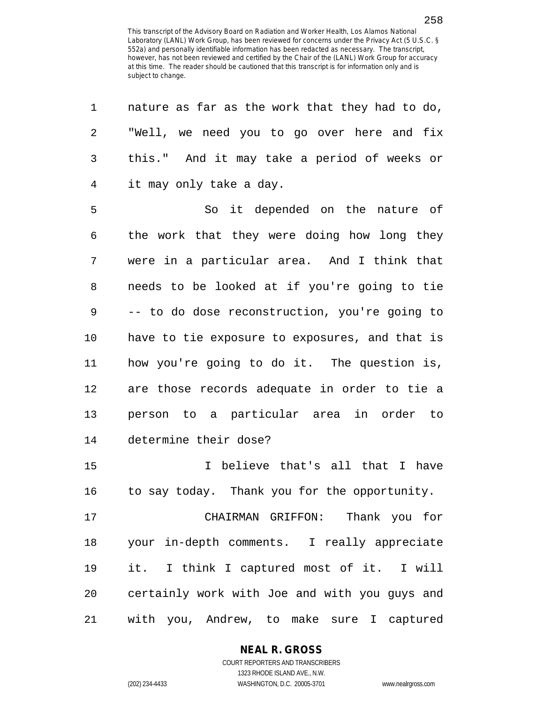| 1  | nature as far as the work that they had to do, |
|----|------------------------------------------------|
| 2  | "Well, we need you to go over here and fix     |
| 3  | this." And it may take a period of weeks or    |
| 4  | it may only take a day.                        |
| 5  | So it depended on the nature of                |
| 6  | the work that they were doing how long they    |
| 7  | were in a particular area. And I think that    |
| 8  | needs to be looked at if you're going to tie   |
| 9  | -- to do dose reconstruction, you're going to  |
| 10 | have to tie exposure to exposures, and that is |
| 11 | how you're going to do it. The question is,    |
| 12 | are those records adequate in order to tie a   |
| 13 | person to a particular area in order to        |
| 14 | determine their dose?                          |
| 15 | I believe that's all that I have               |
| 16 | to say today. Thank you for the opportunity.   |
| 17 | CHAIRMAN GRIFFON: Thank you for                |
| 18 | your in-depth comments. I really appreciate    |
| 19 | it. I think I captured most of it. I will      |
| 20 | certainly work with Joe and with you guys and  |
| 21 | with you, Andrew, to make sure I captured      |

**NEAL R. GROSS**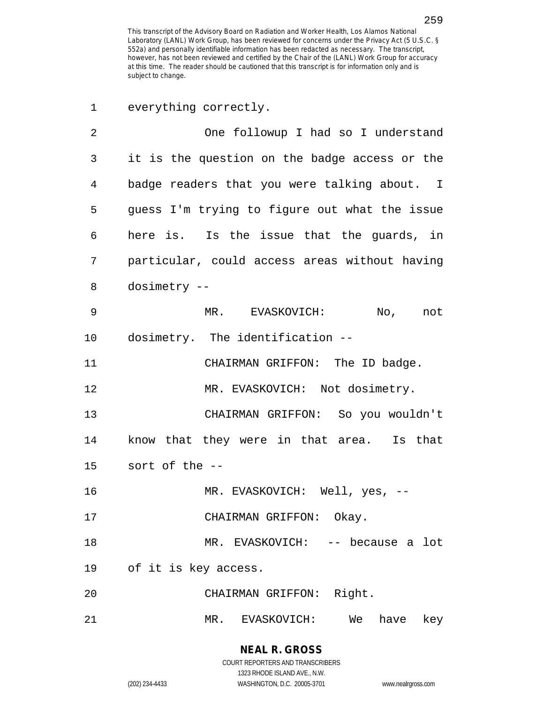| 1  | everything correctly.                         |
|----|-----------------------------------------------|
| 2  | One followup I had so I understand            |
| 3  | it is the question on the badge access or the |
| 4  | badge readers that you were talking about. I  |
| 5  | guess I'm trying to figure out what the issue |
| 6  | here is. Is the issue that the guards, in     |
| 7  | particular, could access areas without having |
| 8  | dosimetry --                                  |
| 9  | MR. EVASKOVICH: No, not                       |
| 10 | dosimetry. The identification --              |
| 11 | CHAIRMAN GRIFFON: The ID badge.               |
| 12 | MR. EVASKOVICH: Not dosimetry.                |
| 13 | CHAIRMAN GRIFFON: So you wouldn't             |
| 14 | know that they were in that area. Is that     |
| 15 | sort of the --                                |
| 16 | MR. EVASKOVICH: Well, yes, --                 |
| 17 | CHAIRMAN GRIFFON: Okay.                       |
| 18 | MR. EVASKOVICH: -- because a lot              |
| 19 | of it is key access.                          |
| 20 | CHAIRMAN GRIFFON: Right.                      |
| 21 | have key<br>MR. EVASKOVICH:<br>We             |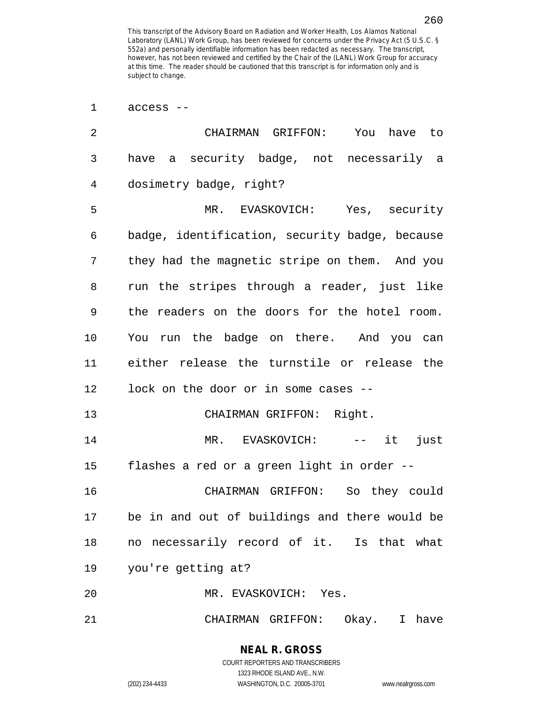| 1              | $access$ --                                    |
|----------------|------------------------------------------------|
| $\overline{2}$ | CHAIRMAN GRIFFON: You have to                  |
| 3              | have a security badge, not necessarily a       |
| 4              | dosimetry badge, right?                        |
| 5              | MR. EVASKOVICH: Yes, security                  |
| 6              | badge, identification, security badge, because |
| 7              | they had the magnetic stripe on them. And you  |
| 8              | run the stripes through a reader, just like    |
| 9              | the readers on the doors for the hotel room.   |
| 10             | You run the badge on there. And you can        |
| 11             | either release the turnstile or release the    |
| 12             | lock on the door or in some cases --           |
| 13             | CHAIRMAN GRIFFON: Right.                       |
| 14             | MR. EVASKOVICH: -- it<br>just                  |
| 15             | flashes a red or a green light in order --     |
| 16             | CHAIRMAN GRIFFON: So they could                |
| 17             | be in and out of buildings and there would be  |
| 18             | no necessarily record of it. Is that what      |
| 19             | you're getting at?                             |
| 20             | MR. EVASKOVICH: Yes.                           |
| 21             | CHAIRMAN GRIFFON: Okay. I have                 |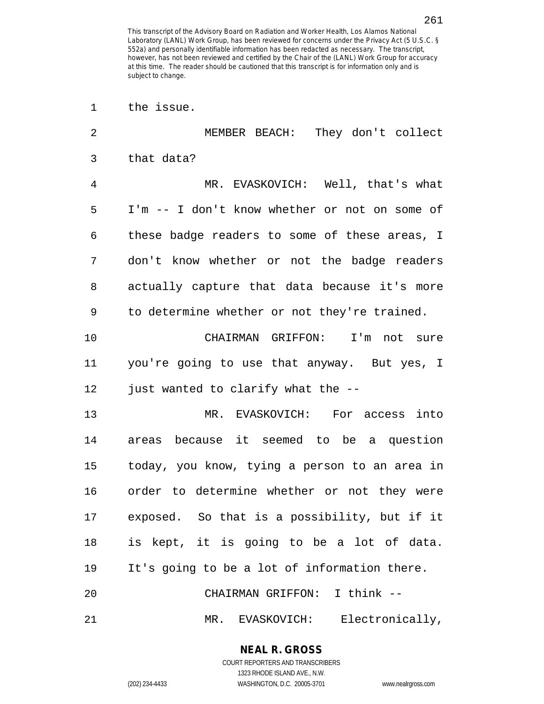| 1  | the issue.                                    |
|----|-----------------------------------------------|
| 2  | MEMBER BEACH: They don't collect              |
| 3  | that data?                                    |
| 4  | MR. EVASKOVICH: Well, that's what             |
| 5  | I'm -- I don't know whether or not on some of |
| 6  | these badge readers to some of these areas, I |
| 7  | don't know whether or not the badge readers   |
| 8  | actually capture that data because it's more  |
| 9  | to determine whether or not they're trained.  |
| 10 | CHAIRMAN GRIFFON: I'm not sure                |
| 11 | you're going to use that anyway. But yes, I   |
| 12 | just wanted to clarify what the --            |
| 13 | MR. EVASKOVICH: For access into               |
| 14 | areas because it seemed to be a question      |
| 15 | today, you know, tying a person to an area in |
| 16 | order to determine whether or not they were   |
| 17 | exposed. So that is a possibility, but if it  |
| 18 | is kept, it is going to be a lot of data.     |
| 19 | It's going to be a lot of information there.  |
| 20 | CHAIRMAN GRIFFON: I think --                  |
| 21 | Electronically,<br>MR. EVASKOVICH:            |

**NEAL R. GROSS** COURT REPORTERS AND TRANSCRIBERS 1323 RHODE ISLAND AVE., N.W.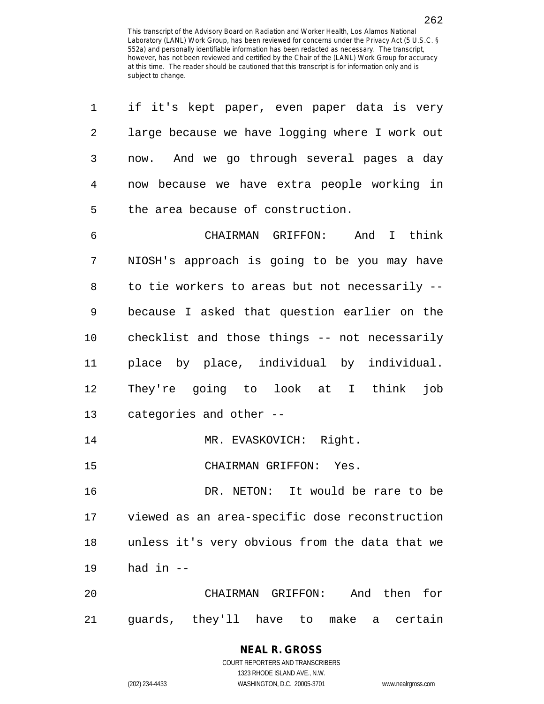| 1  | if it's kept paper, even paper data is very    |
|----|------------------------------------------------|
| 2  | large because we have logging where I work out |
| 3  | now. And we go through several pages a day     |
| 4  | now because we have extra people working in    |
| 5  | the area because of construction.              |
| 6  | CHAIRMAN GRIFFON: And I think                  |
| 7  | NIOSH's approach is going to be you may have   |
| 8  | to tie workers to areas but not necessarily -- |
| 9  | because I asked that question earlier on the   |
| 10 | checklist and those things -- not necessarily  |
| 11 | place by place, individual by individual.      |
| 12 | They're going to look at I think<br>job        |
| 13 | categories and other --                        |
| 14 | MR. EVASKOVICH: Right.                         |
| 15 | CHAIRMAN GRIFFON: Yes.                         |
| 16 | It would be rare to be<br>DR. NETON:           |
| 17 | viewed as an area-specific dose reconstruction |
| 18 | unless it's very obvious from the data that we |
| 19 | had in $--$                                    |
| 20 | for<br>CHAIRMAN GRIFFON: And then              |
| 21 | guards, they'll have to make a certain         |

# **NEAL R. GROSS**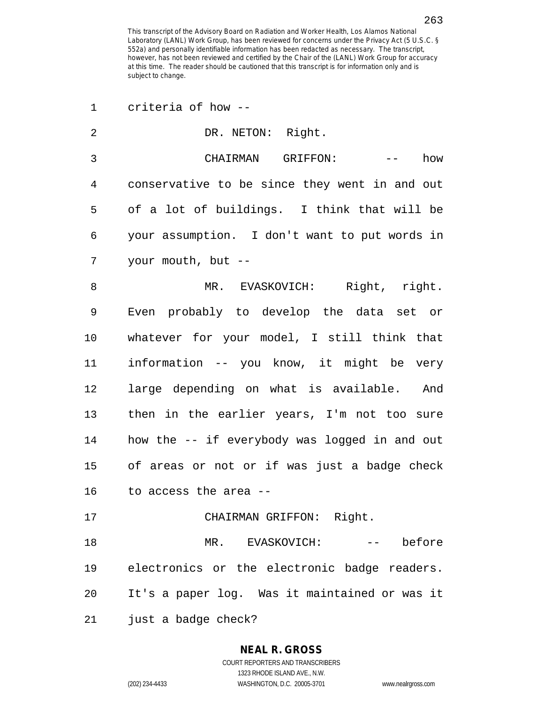1 criteria of how --

| $\overline{2}$ | DR. NETON: Right.                                                                                         |
|----------------|-----------------------------------------------------------------------------------------------------------|
| 3              | how<br>CHAIRMAN GRIFFON:<br>$\mathcal{L}(\mathcal{L}(\mathcal{L}))=\mathcal{L}(\mathcal{L}(\mathcal{L}))$ |
| 4              | conservative to be since they went in and out                                                             |
| 5              | of a lot of buildings. I think that will be                                                               |
| 6              | your assumption. I don't want to put words in                                                             |
| 7              | your mouth, but --                                                                                        |
| 8              | MR. EVASKOVICH: Right, right.                                                                             |
| 9              | Even probably to develop the data set or                                                                  |
| 10             | whatever for your model, I still think that                                                               |
| 11             | information -- you know, it might be very                                                                 |
| 12             | large depending on what is available. And                                                                 |
| 13             | then in the earlier years, I'm not too sure                                                               |
| 14             | how the -- if everybody was logged in and out                                                             |
| 15             | of areas or not or if was just a badge check                                                              |
| 16             | to access the area --                                                                                     |
| 17             | CHAIRMAN GRIFFON: Right.                                                                                  |
| 18             | before<br>MR. EVASKOVICH:                                                                                 |
| 19             | electronics or the electronic badge readers.                                                              |
| 20             | It's a paper log. Was it maintained or was it                                                             |
| 21             | just a badge check?                                                                                       |

**NEAL R. GROSS**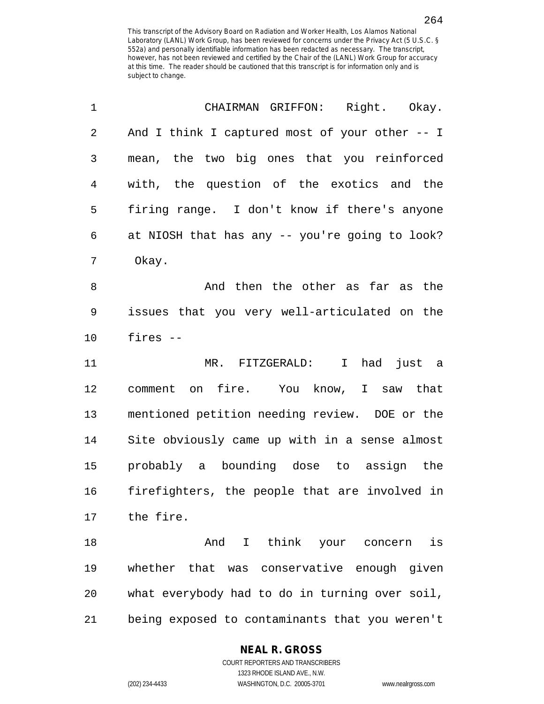| 1  | CHAIRMAN GRIFFON: Right. Okay.                 |
|----|------------------------------------------------|
| 2  | And I think I captured most of your other -- I |
| 3  | mean, the two big ones that you reinforced     |
| 4  | with, the question of the exotics and the      |
| 5  | firing range. I don't know if there's anyone   |
| 6  | at NIOSH that has any -- you're going to look? |
| 7  | Okay.                                          |
| 8  | And then the other as far as the               |
| 9  | issues that you very well-articulated on the   |
| 10 | fires --                                       |
| 11 | MR. FITZGERALD: I had<br>just a                |
| 12 | comment on fire. You know, I saw that          |
| 13 | mentioned petition needing review. DOE or the  |
| 14 | Site obviously came up with in a sense almost  |
| 15 | probably a bounding dose to assign the         |
| 16 | firefighters, the people that are involved in  |
|    | 17 the fire.                                   |
| 18 | And I think your concern<br>is                 |
| 19 | whether that was conservative enough given     |
| 20 | what everybody had to do in turning over soil, |
| 21 | being exposed to contaminants that you weren't |

### **NEAL R. GROSS**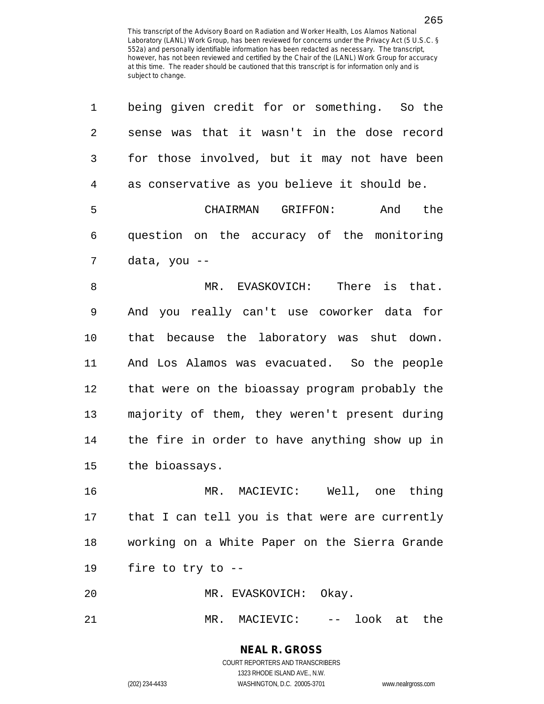| 1              | being given credit for or something. So the    |
|----------------|------------------------------------------------|
| $\overline{2}$ | sense was that it wasn't in the dose record    |
| 3              | for those involved, but it may not have been   |
| $\overline{4}$ | as conservative as you believe it should be.   |
| 5              | CHAIRMAN GRIFFON:<br>And the                   |
| 6              | question on the accuracy of the monitoring     |
| 7              | data, you --                                   |
| 8              | MR. EVASKOVICH:<br>There is that.              |
| 9              | And you really can't use coworker data for     |
| 10             | that because the laboratory was shut down.     |
| 11             | And Los Alamos was evacuated. So the people    |
| 12             | that were on the bioassay program probably the |
| 13             | majority of them, they weren't present during  |
| 14             | the fire in order to have anything show up in  |
| 15             | the bioassays.                                 |
| 16             | MR. MACIEVIC: Well, one thing                  |
| 17             | that I can tell you is that were are currently |
| 18             | working on a White Paper on the Sierra Grande  |
| 19             | fire to try to $-$                             |
| 20             | MR. EVASKOVICH: Okay.                          |
|                |                                                |

21 MR. MACIEVIC: -- look at the

#### **NEAL R. GROSS** COURT REPORTERS AND TRANSCRIBERS 1323 RHODE ISLAND AVE., N.W.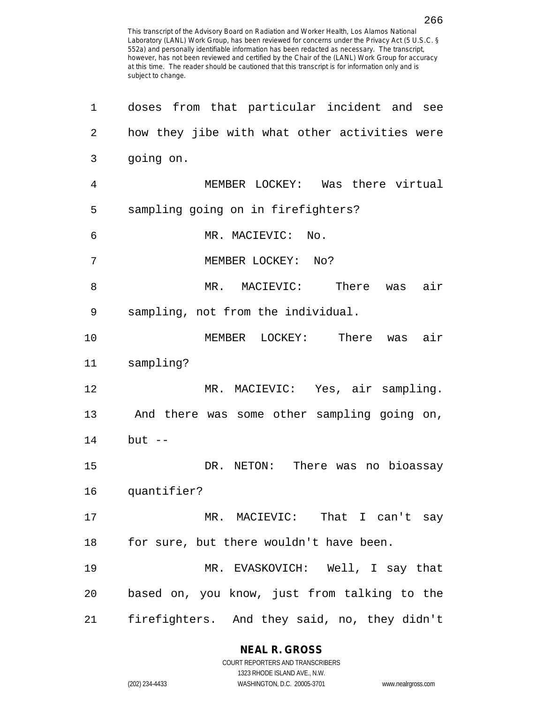| 1  | doses from that particular incident and see   |
|----|-----------------------------------------------|
| 2  | how they jibe with what other activities were |
| 3  | going on.                                     |
| 4  | MEMBER LOCKEY: Was there virtual              |
| 5  | sampling going on in firefighters?            |
| 6  | MR. MACIEVIC: No.                             |
| 7  | MEMBER LOCKEY: No?                            |
| 8  | MR. MACIEVIC: There<br>air<br>was             |
| 9  | sampling, not from the individual.            |
| 10 | MEMBER LOCKEY:<br>There<br>air<br>was         |
| 11 | sampling?                                     |
| 12 | MR. MACIEVIC: Yes, air sampling.              |
| 13 | And there was some other sampling going on,   |
| 14 | $but --$                                      |
| 15 | DR. NETON: There was no bioassay              |
| 16 | quantifier?                                   |
| 17 | MR. MACIEVIC: That I can't say                |
| 18 | for sure, but there wouldn't have been.       |
| 19 | MR. EVASKOVICH: Well, I say that              |
| 20 | based on, you know, just from talking to the  |
| 21 | firefighters. And they said, no, they didn't  |

**NEAL R. GROSS** COURT REPORTERS AND TRANSCRIBERS

1323 RHODE ISLAND AVE., N.W.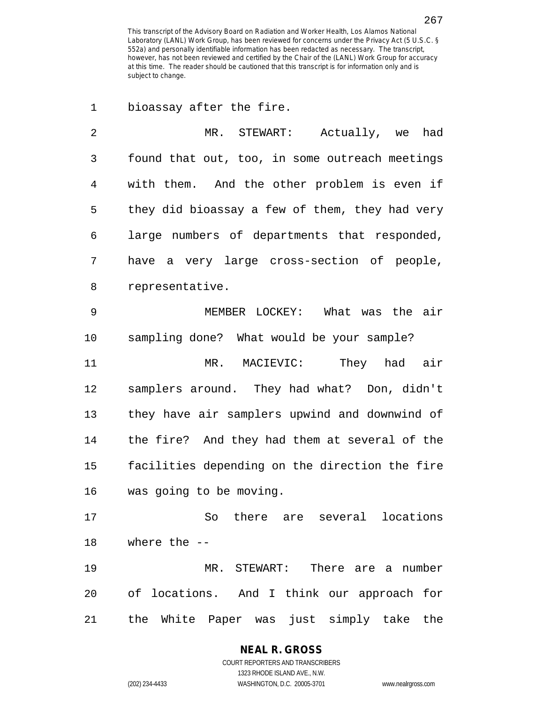| $\mathbf 1$    | bioassay after the fire.                       |
|----------------|------------------------------------------------|
| $\overline{2}$ | Actually, we had<br>MR. STEWART:               |
| $\mathfrak{Z}$ | found that out, too, in some outreach meetings |
| 4              | with them. And the other problem is even if    |
| 5              | they did bioassay a few of them, they had very |
| 6              | large numbers of departments that responded,   |
| 7              | have a very large cross-section of people,     |
| 8              | representative.                                |
| 9              | MEMBER LOCKEY: What was the air                |
| 10             | sampling done? What would be your sample?      |
| 11             | MR. MACIEVIC:<br>They had air                  |
| 12             | samplers around. They had what? Don, didn't    |
| 13             | they have air samplers upwind and downwind of  |
| 14             | the fire? And they had them at several of the  |
| 15             | facilities depending on the direction the fire |
| 16             | was going to be moving.                        |
| 17             | So there are several locations                 |
| 18             | where the --                                   |
| 19             | MR. STEWART: There are a number                |
| 20             | of locations. And I think our approach for     |
| 21             | the White Paper was just simply take the       |

### **NEAL R. GROSS**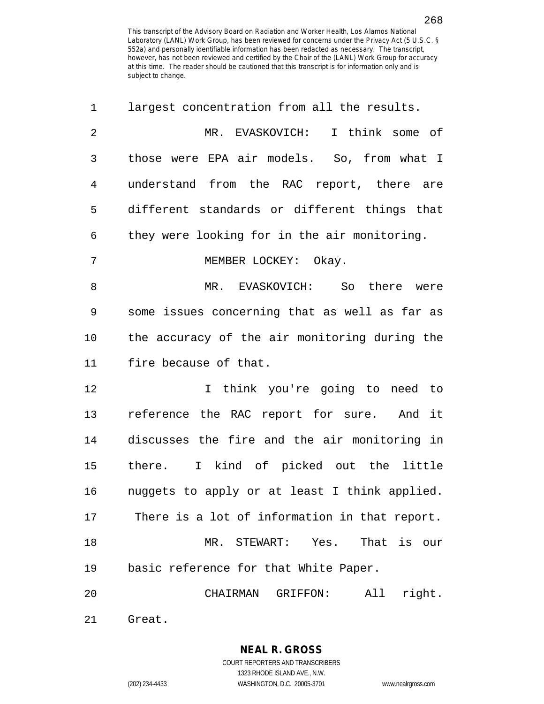| 1              | largest concentration from all the results.   |
|----------------|-----------------------------------------------|
| $\overline{2}$ | MR. EVASKOVICH: I think some of               |
| 3              | those were EPA air models. So, from what I    |
| 4              | understand from the RAC report, there are     |
| 5              | different standards or different things that  |
| 6              | they were looking for in the air monitoring.  |
| 7              | MEMBER LOCKEY: Okay.                          |
| 8              | MR. EVASKOVICH: So there were                 |
| 9              | some issues concerning that as well as far as |
| 10             | the accuracy of the air monitoring during the |
| 11             | fire because of that.                         |
| 12             | I think you're going to need to               |
| 13             | reference the RAC report for sure. And it     |
| 14             | discusses the fire and the air monitoring in  |
| 15             | there. I kind of picked out the little        |
| 16             | nuggets to apply or at least I think applied. |
| 17             | There is a lot of information in that report. |
| 18             | MR. STEWART: Yes. That is our                 |
| 19             | basic reference for that White Paper.         |
| 20             | All<br>right.<br>CHAIRMAN GRIFFON:            |
| 21             | Great.                                        |

**NEAL R. GROSS**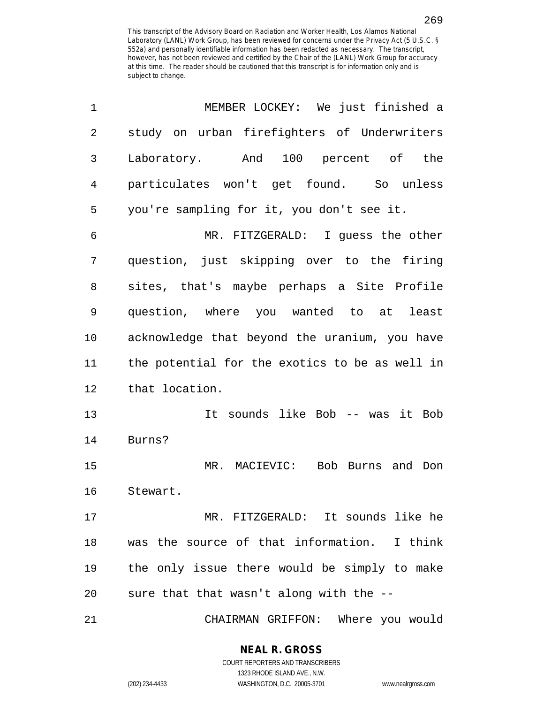| 1  | MEMBER LOCKEY: We just finished a              |
|----|------------------------------------------------|
| 2  | study on urban firefighters of Underwriters    |
| 3  | Laboratory. And 100 percent of the             |
| 4  | particulates won't get found. So unless        |
| 5  | you're sampling for it, you don't see it.      |
| 6  | MR. FITZGERALD: I guess the other              |
| 7  | question, just skipping over to the firing     |
| 8  | sites, that's maybe perhaps a Site Profile     |
| 9  | question, where you wanted to at least         |
| 10 | acknowledge that beyond the uranium, you have  |
| 11 | the potential for the exotics to be as well in |
| 12 | that location.                                 |
| 13 | It sounds like Bob -- was it Bob               |
| 14 | Burns?                                         |
| 15 | $MR$ .<br>MACIEVIC:<br>Bob Burns and Don       |
| 16 | Stewart.                                       |
| 17 | MR. FITZGERALD: It sounds like he              |
| 18 | was the source of that information. I think    |
| 19 | the only issue there would be simply to make   |
| 20 | sure that that wasn't along with the --        |
| 21 | CHAIRMAN GRIFFON: Where you would              |

**NEAL R. GROSS** COURT REPORTERS AND TRANSCRIBERS

1323 RHODE ISLAND AVE., N.W.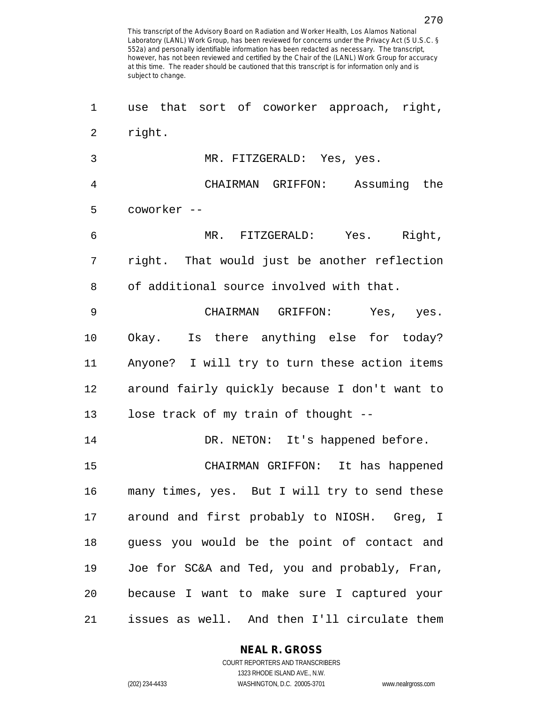| 1  | use that sort of coworker approach, right,    |
|----|-----------------------------------------------|
| 2  | right.                                        |
| 3  | MR. FITZGERALD: Yes, yes.                     |
| 4  | CHAIRMAN GRIFFON: Assuming the                |
| 5  | coworker --                                   |
| 6  | MR. FITZGERALD: Yes. Right,                   |
| 7  | right. That would just be another reflection  |
| 8  | of additional source involved with that.      |
| 9  | CHAIRMAN GRIFFON:<br>Yes, yes.                |
| 10 | Okay. Is there anything else for today?       |
| 11 | Anyone? I will try to turn these action items |
| 12 | around fairly quickly because I don't want to |
| 13 | lose track of my train of thought --          |
| 14 | DR. NETON: It's happened before.              |
| 15 | CHAIRMAN GRIFFON: It has happened             |
| 16 | many times, yes. But I will try to send these |
| 17 | around and first probably to NIOSH. Greg, I   |
| 18 | guess you would be the point of contact and   |
| 19 | Joe for SC&A and Ted, you and probably, Fran, |
| 20 | because I want to make sure I captured your   |
| 21 | issues as well. And then I'll circulate them  |

1323 RHODE ISLAND AVE., N.W. (202) 234-4433 WASHINGTON, D.C. 20005-3701 www.nealrgross.com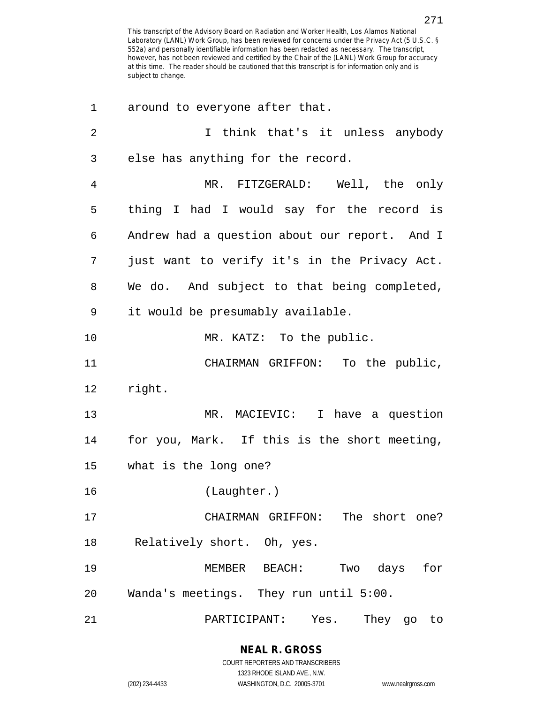| 1  | around to everyone after that.                |
|----|-----------------------------------------------|
| 2  | I think that's it unless anybody              |
| 3  | else has anything for the record.             |
| 4  | MR. FITZGERALD: Well, the only                |
| 5  | thing I had I would say for the record is     |
| 6  | Andrew had a question about our report. And I |
| 7  | just want to verify it's in the Privacy Act.  |
| 8  | We do. And subject to that being completed,   |
| 9  | it would be presumably available.             |
| 10 | MR. KATZ: To the public.                      |
| 11 | CHAIRMAN GRIFFON: To the public,              |
| 12 | right.                                        |
| 13 | MR. MACIEVIC:<br>I have a question            |
| 14 | for you, Mark. If this is the short meeting,  |
| 15 | what is the long one?                         |
| 16 | (Laughter.)                                   |
| 17 | CHAIRMAN GRIFFON: The short one?              |
| 18 | Relatively short. Oh, yes.                    |
| 19 | MEMBER BEACH: Two days<br>for                 |
| 20 | Wanda's meetings. They run until 5:00.        |
| 21 | PARTICIPANT:<br>Yes.<br>They go<br>to         |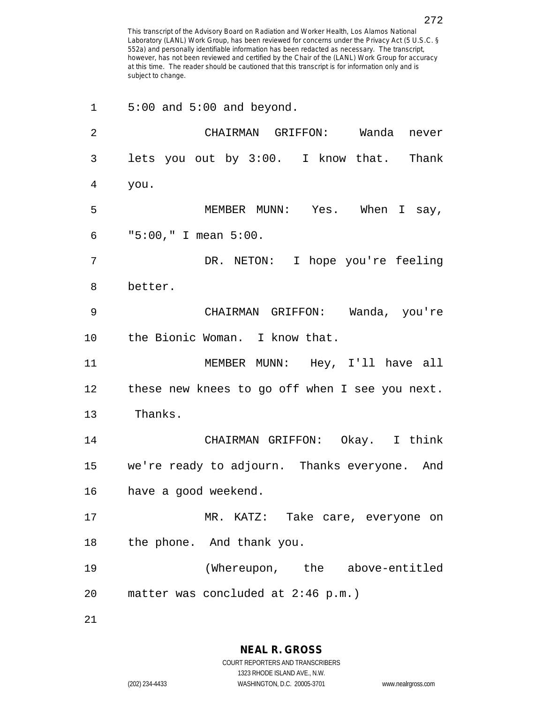1 5:00 and 5:00 and beyond. 2 CHAIRMAN GRIFFON: Wanda never 3 lets you out by 3:00. I know that. Thank 4 you. 5 MEMBER MUNN: Yes. When I say, 6 "5:00," I mean 5:00. 7 DR. NETON: I hope you're feeling 8 better. 9 CHAIRMAN GRIFFON: Wanda, you're 10 the Bionic Woman. I know that. 11 MEMBER MUNN: Hey, I'll have all 12 these new knees to go off when I see you next. 13 Thanks. 14 CHAIRMAN GRIFFON: Okay. I think 15 we're ready to adjourn. Thanks everyone. And 16 have a good weekend. 17 MR. KATZ: Take care, everyone on 18 the phone. And thank you. 19 (Whereupon, the above-entitled 20 matter was concluded at 2:46 p.m.) 21

1323 RHODE ISLAND AVE., N.W.